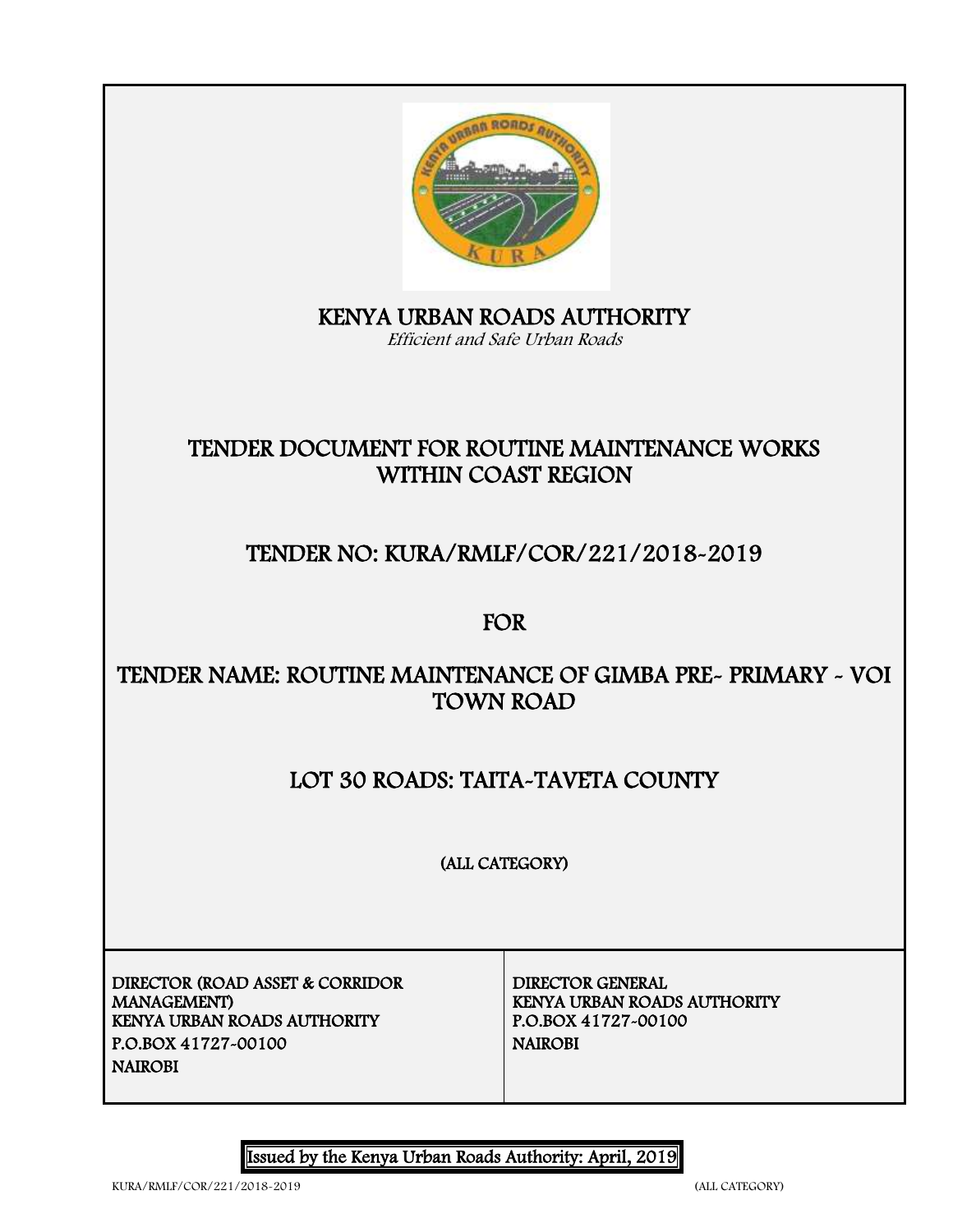

# KENYA URBAN ROADS AUTHORITY

Efficient and Safe Urban Roads

## TENDER DOCUMENT FOR ROUTINE MAINTENANCE WORKS WITHIN COAST REGION

## TENDER NO: KURA/RMLF/COR/221/2018-2019

## FOR

## TENDER NAME: ROUTINE MAINTENANCE OF GIMBA PRE- PRIMARY - VOI TOWN ROAD

## LOT 30 ROADS: TAITA-TAVETA COUNTY

(ALL CATEGORY)

DIRECTOR (ROAD ASSET & CORRIDOR MANAGEMENT) KENYA URBAN ROADS AUTHORITY P.O.BOX 41727-00100 NAIROBI NAIROBI

DIRECTOR GENERAL KENYA URBAN ROADS AUTHORITY<br>P.O.BOX 41727-00100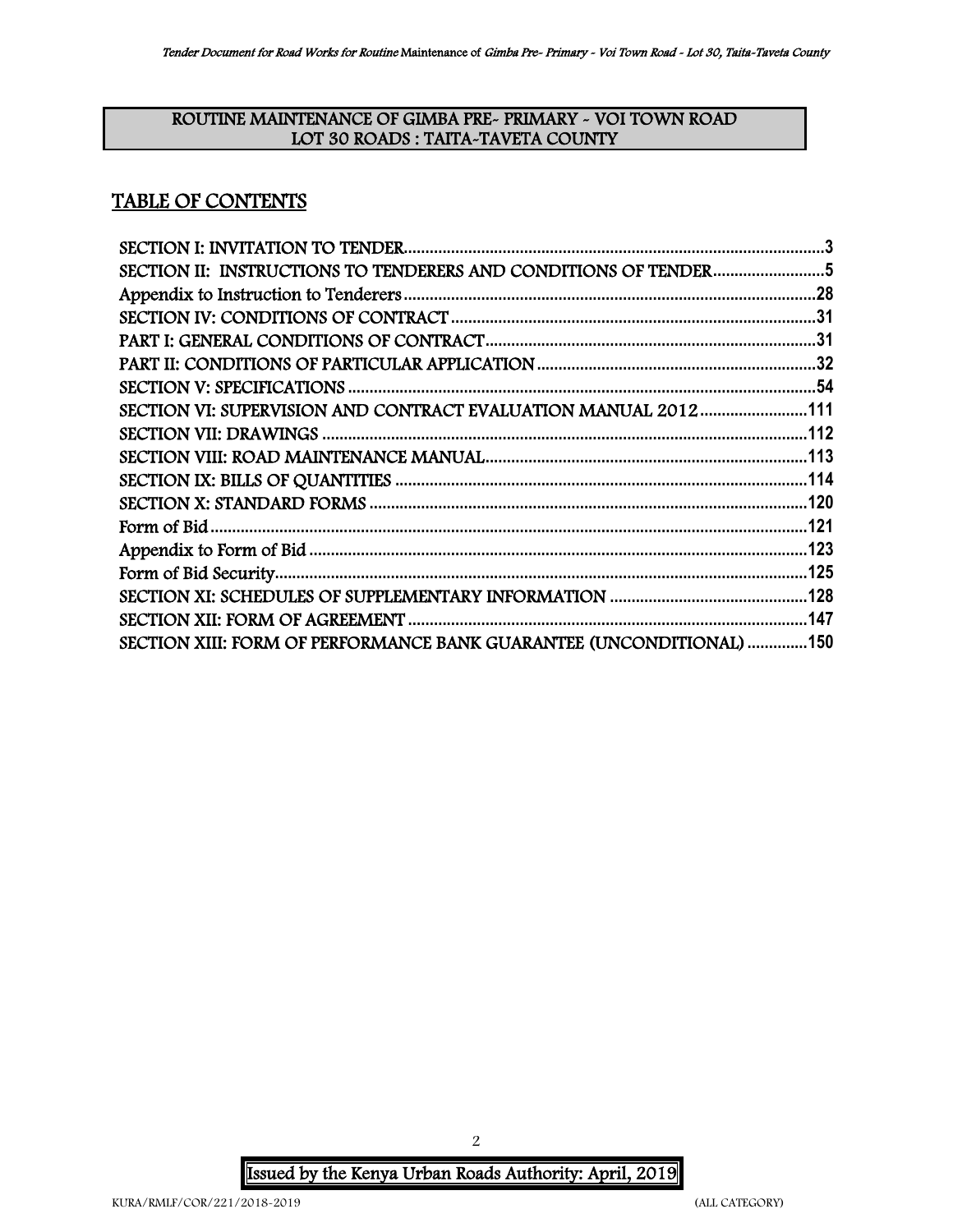#### ROUTINE MAINTENANCE OF GIMBA PRE- PRIMARY - VOI TOWN ROAD LOT 30 ROADS : TAITA-TAVETA COUNTY

## TABLE OF CONTENTS

| SECTION II: INSTRUCTIONS TO TENDERERS AND CONDITIONS OF TENDER5      |  |
|----------------------------------------------------------------------|--|
|                                                                      |  |
|                                                                      |  |
|                                                                      |  |
|                                                                      |  |
|                                                                      |  |
| SECTION VI: SUPERVISION AND CONTRACT EVALUATION MANUAL 2012111       |  |
|                                                                      |  |
|                                                                      |  |
|                                                                      |  |
|                                                                      |  |
|                                                                      |  |
|                                                                      |  |
|                                                                      |  |
|                                                                      |  |
|                                                                      |  |
| SECTION XIII: FORM OF PERFORMANCE BANK GUARANTEE (UNCONDITIONAL) 150 |  |

 Issued by the Kenya Urban Roads Authority: April, 2019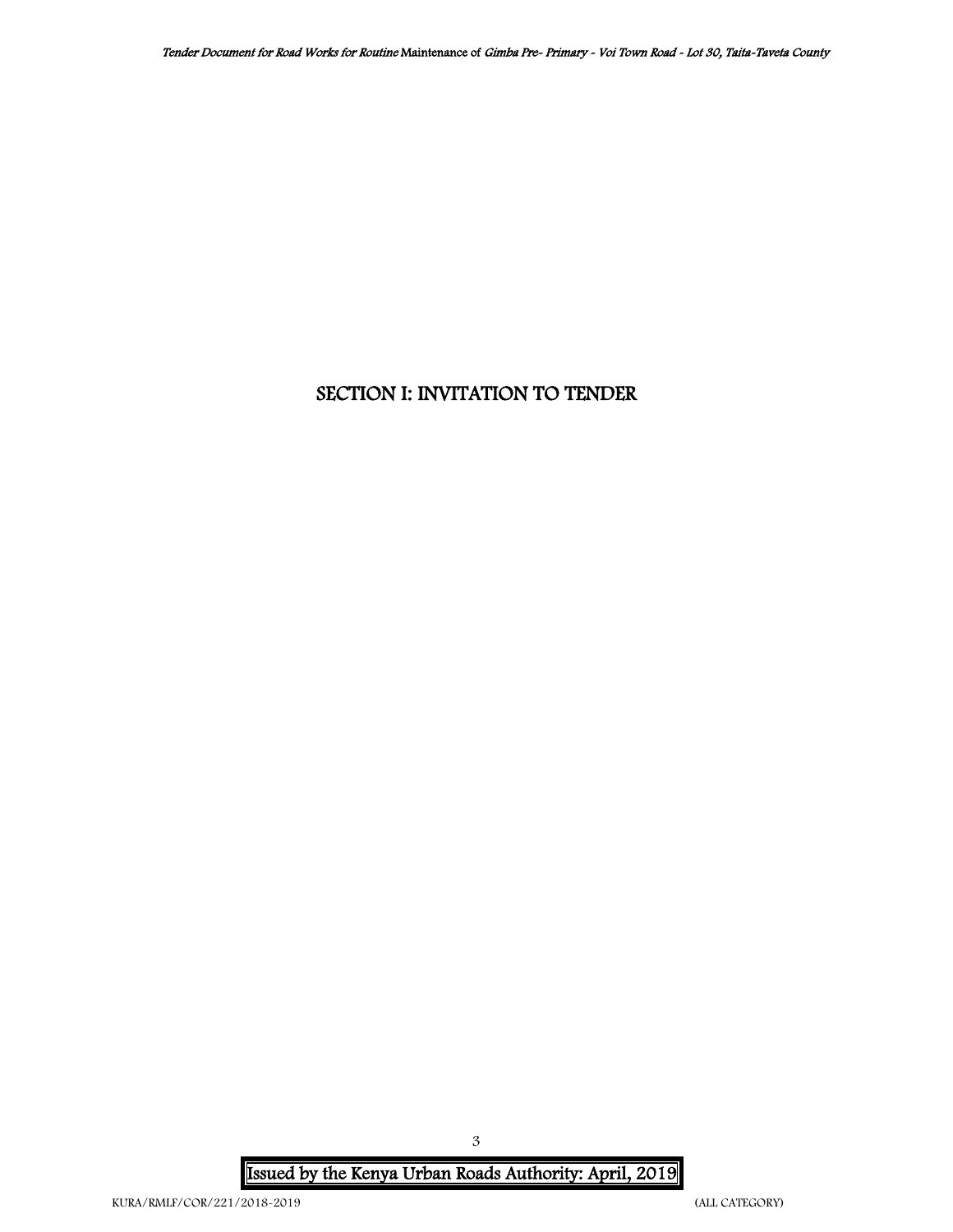## <span id="page-2-0"></span>SECTION I: INVITATION TO TENDER

 Issued by the Kenya Urban Roads Authority: April, 2019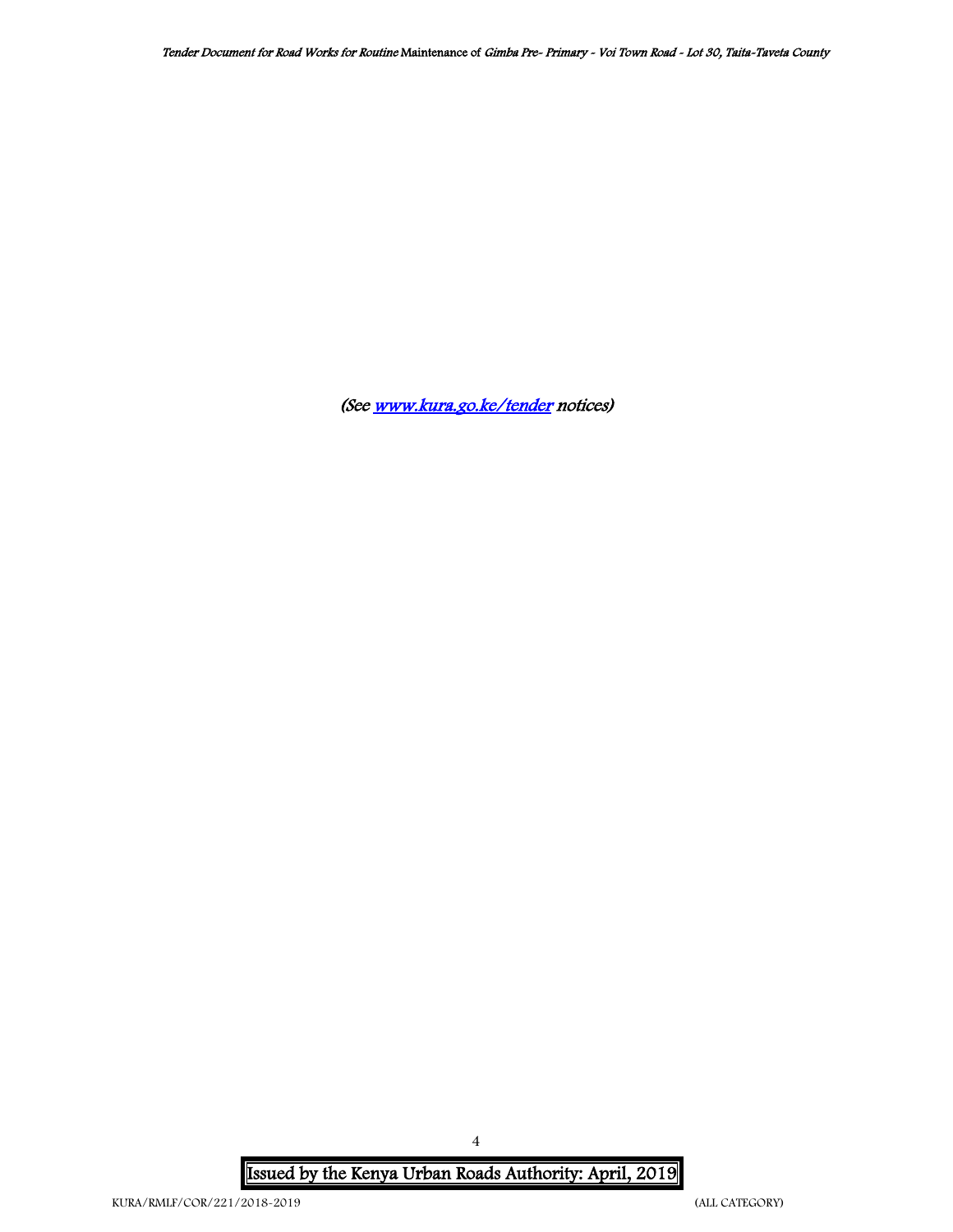(Se[e www.kura.go.ke/tender](http://www.kura.go.ke/tender) notices)

 Issued by the Kenya Urban Roads Authority: April, 2019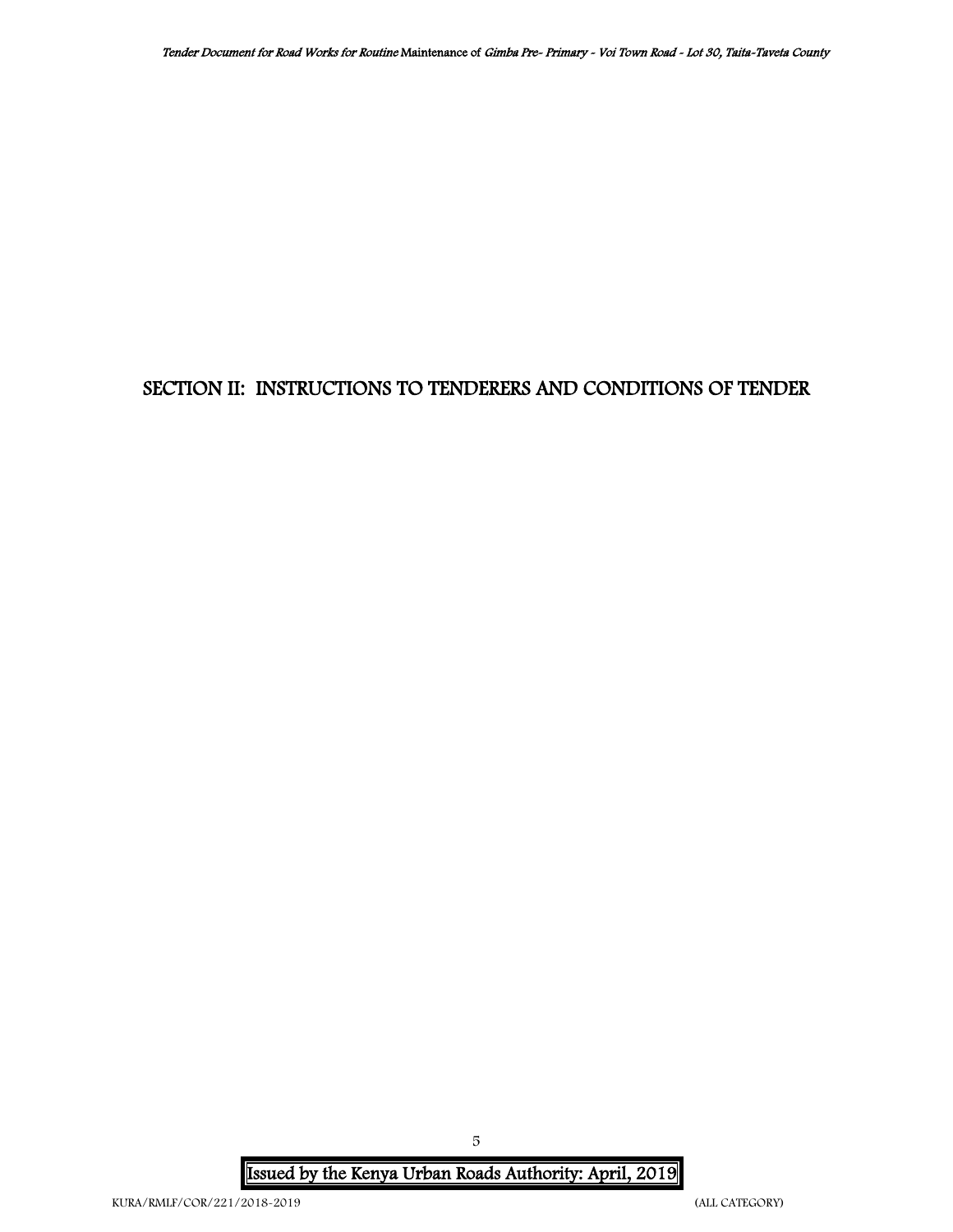## <span id="page-4-0"></span>SECTION II: INSTRUCTIONS TO TENDERERS AND CONDITIONS OF TENDER

 Issued by the Kenya Urban Roads Authority: April, 2019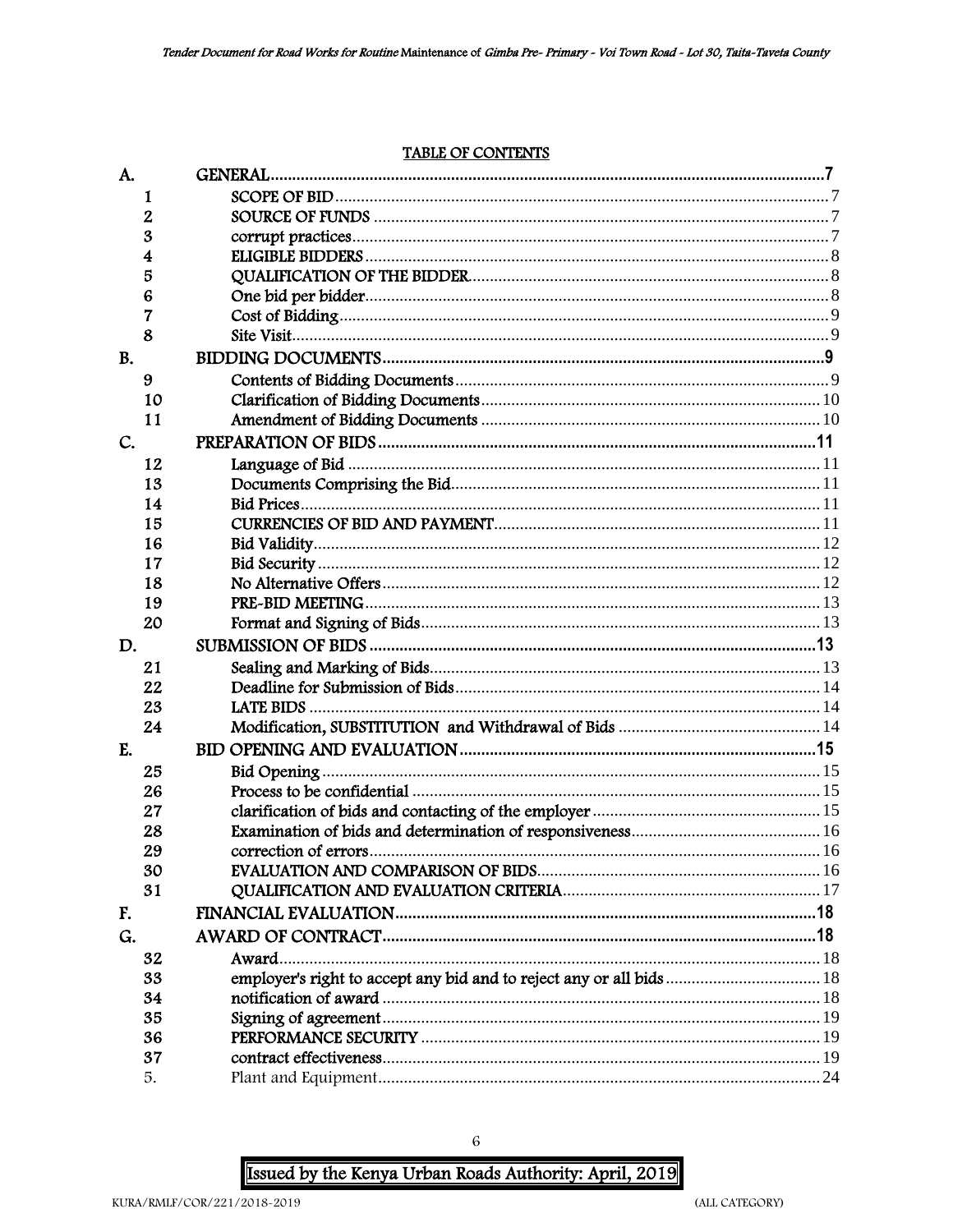#### **TABLE OF CONTENTS**

| A.        |    |       |  |
|-----------|----|-------|--|
|           | 1  |       |  |
|           | 2  |       |  |
|           | 3  |       |  |
|           | 4  |       |  |
|           | 5  |       |  |
|           | 6  |       |  |
|           | 7  |       |  |
|           | 8  |       |  |
| <b>B.</b> |    |       |  |
|           | 9  |       |  |
|           | 10 |       |  |
|           | 11 |       |  |
| C.        |    |       |  |
|           | 12 |       |  |
|           | 13 |       |  |
|           | 14 |       |  |
|           | 15 |       |  |
|           | 16 |       |  |
|           | 17 |       |  |
|           | 18 |       |  |
|           | 19 |       |  |
|           | 20 |       |  |
| D.        |    |       |  |
|           | 21 |       |  |
|           | 22 |       |  |
|           | 23 |       |  |
|           | 24 |       |  |
| E.        |    |       |  |
|           | 25 |       |  |
|           | 26 |       |  |
|           | 27 |       |  |
|           | 28 |       |  |
|           | 29 |       |  |
|           | 30 |       |  |
|           | 31 |       |  |
| F.        |    |       |  |
| G.        |    |       |  |
|           | 32 | Award |  |
|           | 33 |       |  |
|           | 34 |       |  |
|           | 35 |       |  |
|           | 36 |       |  |
|           | 37 |       |  |
|           | 5. |       |  |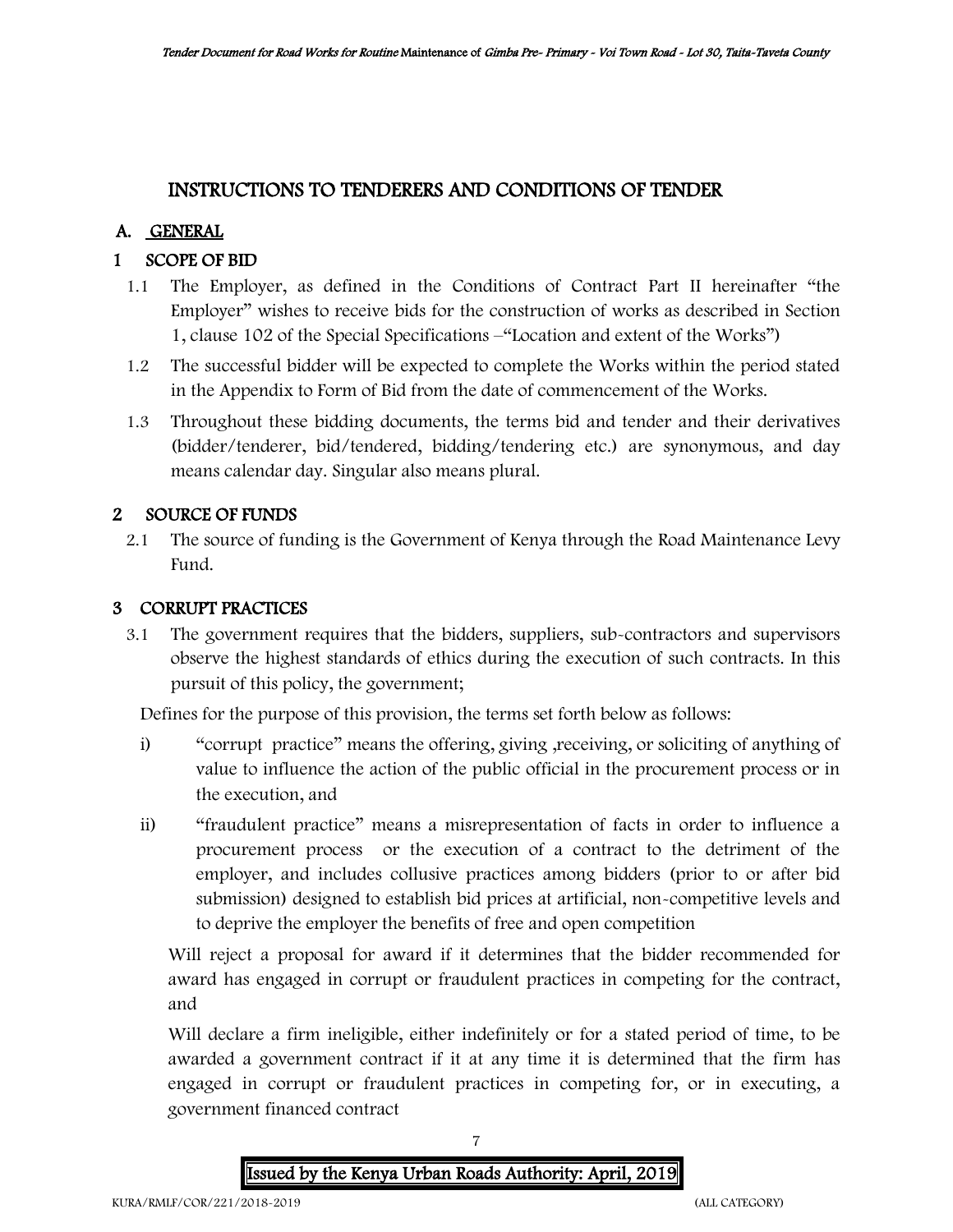## INSTRUCTIONS TO TENDERERS AND CONDITIONS OF TENDER

## A. GENERAL

## 1 SCOPE OF BID

- 1.1 The Employer, as defined in the Conditions of Contract Part II hereinafter "the Employer" wishes to receive bids for the construction of works as described in Section 1, clause 102 of the Special Specifications –"Location and extent of the Works")
- 1.2 The successful bidder will be expected to complete the Works within the period stated in the Appendix to Form of Bid from the date of commencement of the Works.
- 1.3 Throughout these bidding documents, the terms bid and tender and their derivatives (bidder/tenderer, bid/tendered, bidding/tendering etc.) are synonymous, and day means calendar day. Singular also means plural.

## 2 SOURCE OF FUNDS

2.1 The source of funding is the Government of Kenya through the Road Maintenance Levy Fund.

### 3 CORRUPT PRACTICES

3.1 The government requires that the bidders, suppliers, sub-contractors and supervisors observe the highest standards of ethics during the execution of such contracts. In this pursuit of this policy, the government;

Defines for the purpose of this provision, the terms set forth below as follows:

- i) "corrupt practice" means the offering, giving ,receiving, or soliciting of anything of value to influence the action of the public official in the procurement process or in the execution, and
- ii) "fraudulent practice" means a misrepresentation of facts in order to influence a procurement process or the execution of a contract to the detriment of the employer, and includes collusive practices among bidders (prior to or after bid submission) designed to establish bid prices at artificial, non-competitive levels and to deprive the employer the benefits of free and open competition

Will reject a proposal for award if it determines that the bidder recommended for award has engaged in corrupt or fraudulent practices in competing for the contract, and

Will declare a firm ineligible, either indefinitely or for a stated period of time, to be awarded a government contract if it at any time it is determined that the firm has engaged in corrupt or fraudulent practices in competing for, or in executing, a government financed contract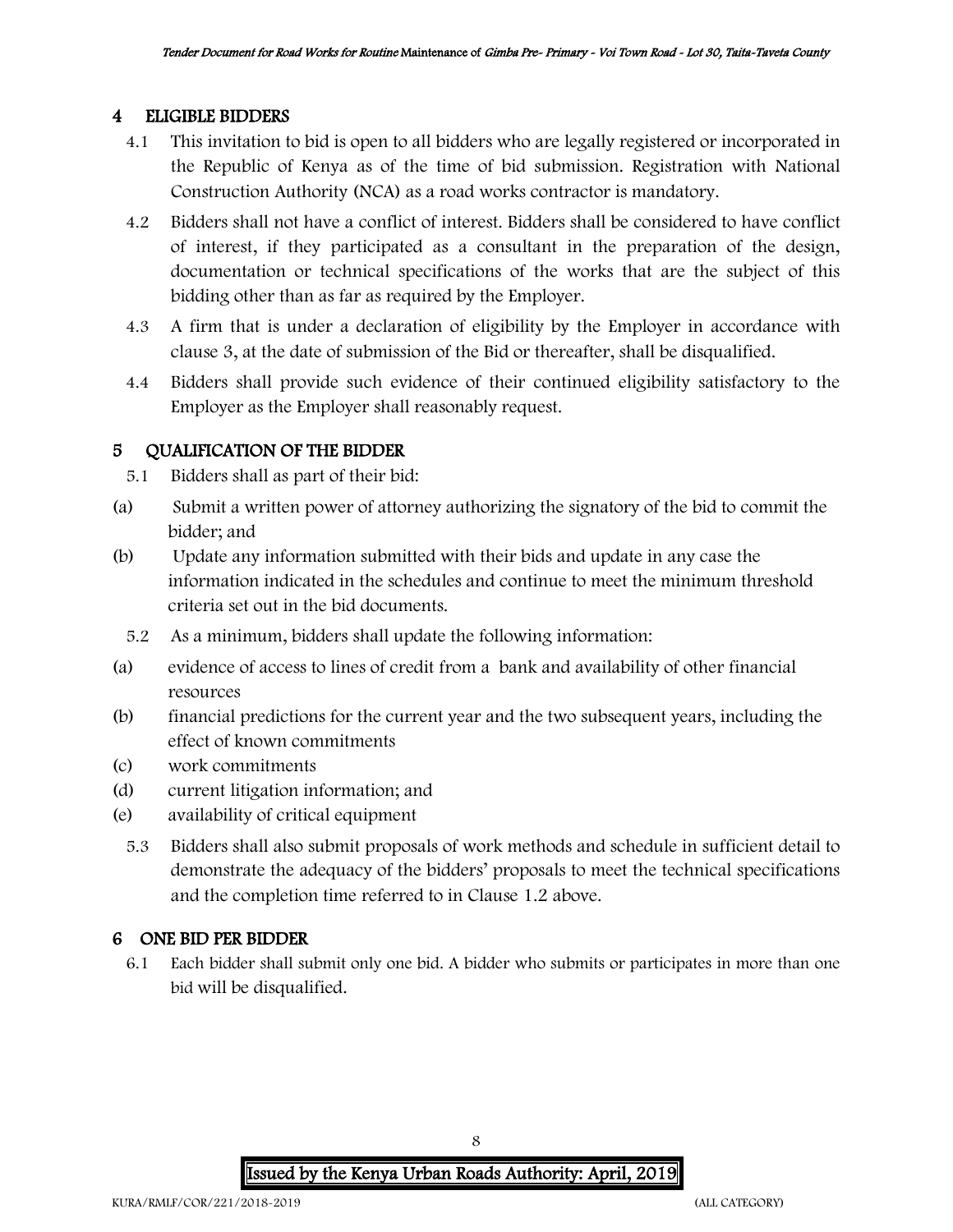#### 4 ELIGIBLE BIDDERS

- 4.1 This invitation to bid is open to all bidders who are legally registered or incorporated in the Republic of Kenya as of the time of bid submission. Registration with National Construction Authority (NCA) as a road works contractor is mandatory.
- 4.2 Bidders shall not have a conflict of interest. Bidders shall be considered to have conflict of interest, if they participated as a consultant in the preparation of the design, documentation or technical specifications of the works that are the subject of this bidding other than as far as required by the Employer.
- 4.3 A firm that is under a declaration of eligibility by the Employer in accordance with clause 3, at the date of submission of the Bid or thereafter, shall be disqualified.
- 4.4 Bidders shall provide such evidence of their continued eligibility satisfactory to the Employer as the Employer shall reasonably request.

### 5 QUALIFICATION OF THE BIDDER

- 5.1 Bidders shall as part of their bid:
- (a) Submit a written power of attorney authorizing the signatory of the bid to commit the bidder; and
- (b) Update any information submitted with their bids and update in any case the information indicated in the schedules and continue to meet the minimum threshold criteria set out in the bid documents.
	- 5.2 As a minimum, bidders shall update the following information:
- (a) evidence of access to lines of credit from a bank and availability of other financial resources
- (b) financial predictions for the current year and the two subsequent years, including the effect of known commitments
- (c) work commitments
- (d) current litigation information; and
- (e) availability of critical equipment
	- 5.3 Bidders shall also submit proposals of work methods and schedule in sufficient detail to demonstrate the adequacy of the bidders' proposals to meet the technical specifications and the completion time referred to in Clause 1.2 above.

### 6 ONE BID PER BIDDER

6.1 Each bidder shall submit only one bid. A bidder who submits or participates in more than one bid will be disqualified.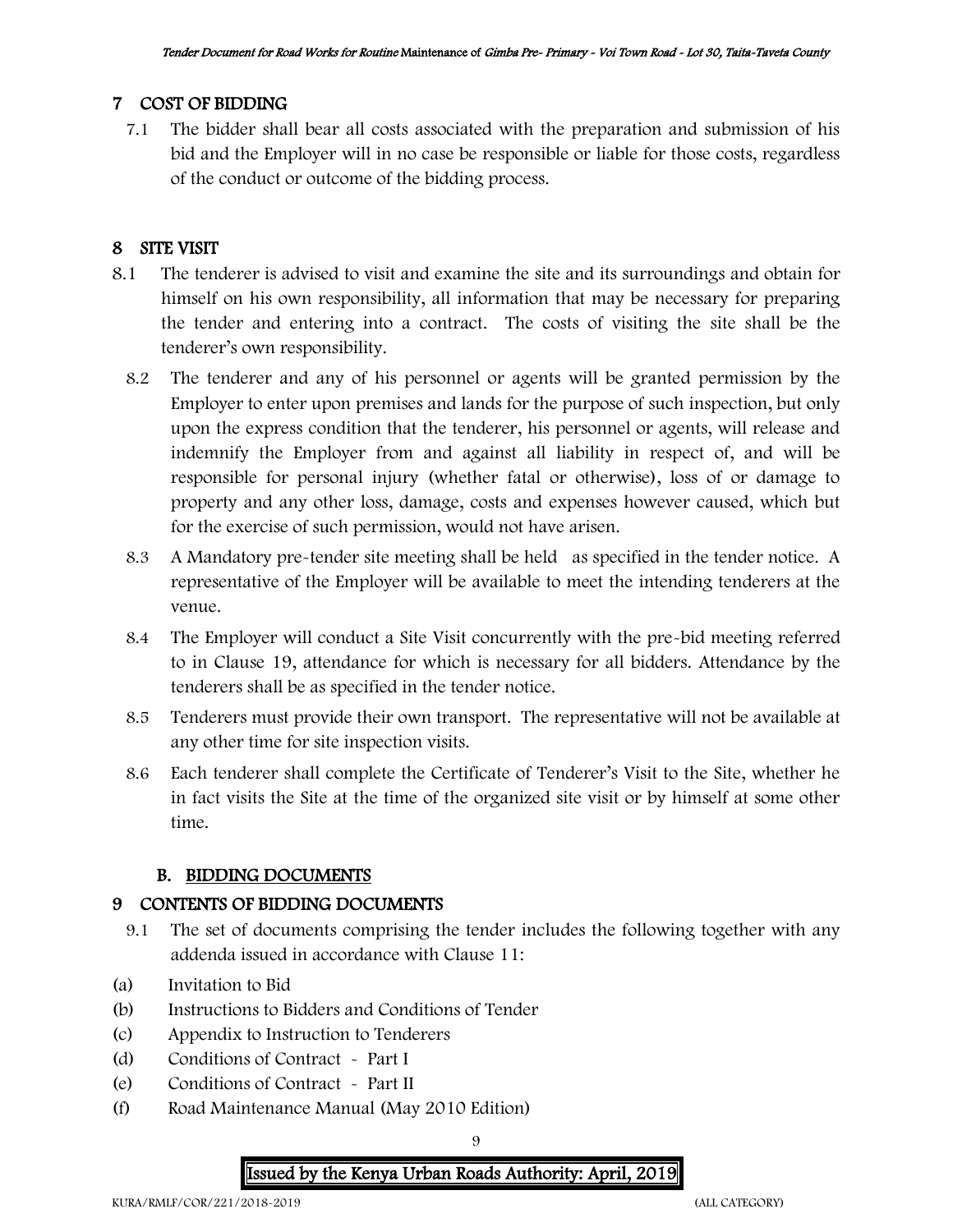### 7 COST OF BIDDING

7.1 The bidder shall bear all costs associated with the preparation and submission of his bid and the Employer will in no case be responsible or liable for those costs, regardless of the conduct or outcome of the bidding process.

## 8 SITE VISIT

- 8.1 The tenderer is advised to visit and examine the site and its surroundings and obtain for himself on his own responsibility, all information that may be necessary for preparing the tender and entering into a contract. The costs of visiting the site shall be the tenderer's own responsibility.
	- 8.2 The tenderer and any of his personnel or agents will be granted permission by the Employer to enter upon premises and lands for the purpose of such inspection, but only upon the express condition that the tenderer, his personnel or agents, will release and indemnify the Employer from and against all liability in respect of, and will be responsible for personal injury (whether fatal or otherwise), loss of or damage to property and any other loss, damage, costs and expenses however caused, which but for the exercise of such permission, would not have arisen.
	- 8.3 A Mandatory pre-tender site meeting shall be held as specified in the tender notice. A representative of the Employer will be available to meet the intending tenderers at the venue.
	- 8.4 The Employer will conduct a Site Visit concurrently with the pre-bid meeting referred to in Clause 19, attendance for which is necessary for all bidders. Attendance by the tenderers shall be as specified in the tender notice.
	- 8.5 Tenderers must provide their own transport. The representative will not be available at any other time for site inspection visits.
	- 8.6 Each tenderer shall complete the Certificate of Tenderer's Visit to the Site, whether he in fact visits the Site at the time of the organized site visit or by himself at some other time.

### B. BIDDING DOCUMENTS

### 9 CONTENTS OF BIDDING DOCUMENTS

- 9.1 The set of documents comprising the tender includes the following together with any addenda issued in accordance with Clause 11:
- (a) Invitation to Bid
- (b) Instructions to Bidders and Conditions of Tender
- (c) Appendix to Instruction to Tenderers
- (d) Conditions of Contract Part I
- (e) Conditions of Contract Part II
- (f) Road Maintenance Manual (May 2010 Edition)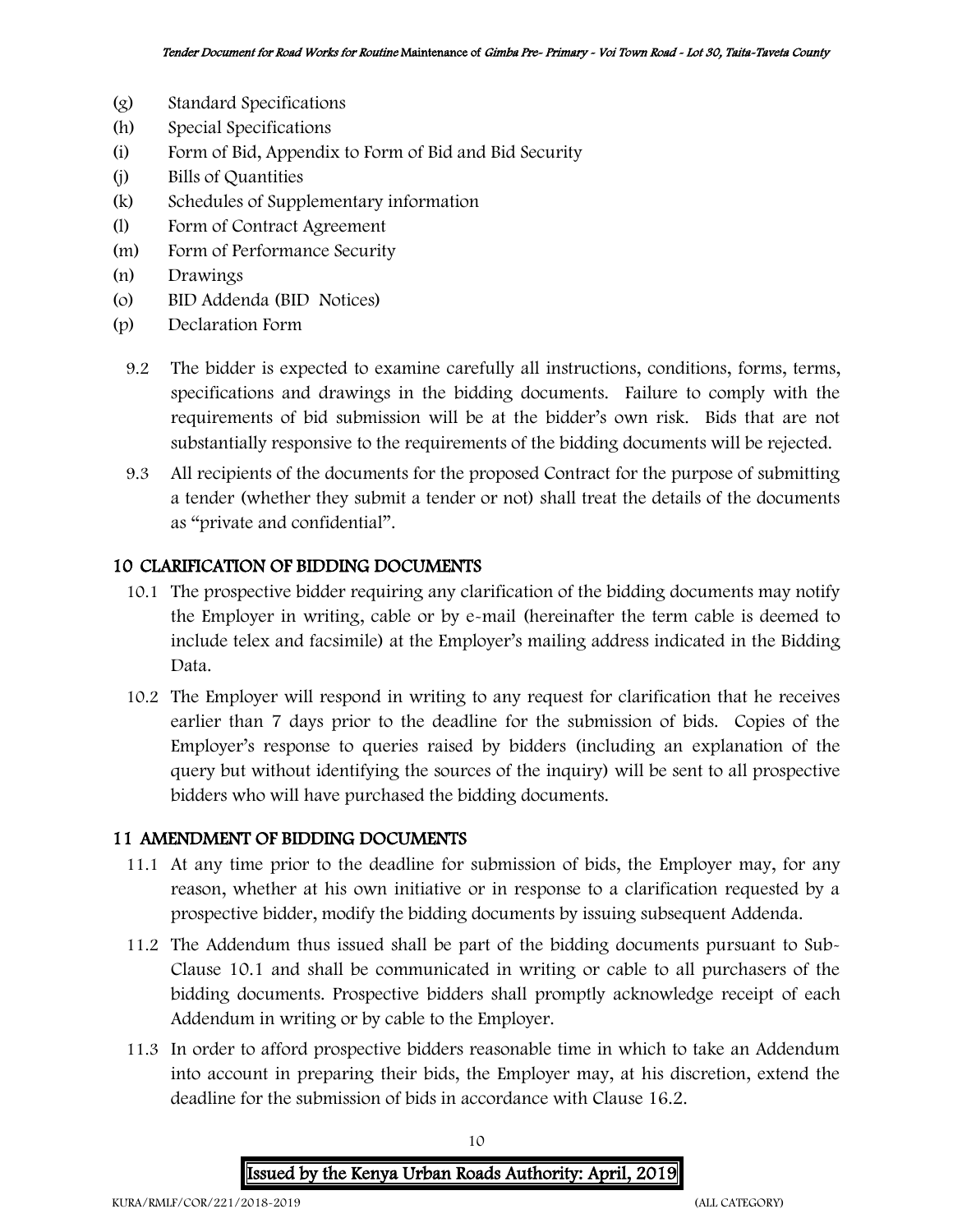- (g) Standard Specifications
- (h) Special Specifications
- (i) Form of Bid, Appendix to Form of Bid and Bid Security
- (j) Bills of Quantities
- (k) Schedules of Supplementary information
- (l) Form of Contract Agreement
- (m) Form of Performance Security
- (n) Drawings
- (o) BID Addenda (BID Notices)
- (p) Declaration Form
	- 9.2 The bidder is expected to examine carefully all instructions, conditions, forms, terms, specifications and drawings in the bidding documents. Failure to comply with the requirements of bid submission will be at the bidder's own risk. Bids that are not substantially responsive to the requirements of the bidding documents will be rejected.
	- 9.3 All recipients of the documents for the proposed Contract for the purpose of submitting a tender (whether they submit a tender or not) shall treat the details of the documents as "private and confidential".

#### 10 CLARIFICATION OF BIDDING DOCUMENTS

- 10.1 The prospective bidder requiring any clarification of the bidding documents may notify the Employer in writing, cable or by e-mail (hereinafter the term cable is deemed to include telex and facsimile) at the Employer's mailing address indicated in the Bidding Data.
- 10.2 The Employer will respond in writing to any request for clarification that he receives earlier than 7 days prior to the deadline for the submission of bids. Copies of the Employer's response to queries raised by bidders (including an explanation of the query but without identifying the sources of the inquiry) will be sent to all prospective bidders who will have purchased the bidding documents.

#### 11 AMENDMENT OF BIDDING DOCUMENTS

- 11.1 At any time prior to the deadline for submission of bids, the Employer may, for any reason, whether at his own initiative or in response to a clarification requested by a prospective bidder, modify the bidding documents by issuing subsequent Addenda.
- 11.2 The Addendum thus issued shall be part of the bidding documents pursuant to Sub-Clause 10.1 and shall be communicated in writing or cable to all purchasers of the bidding documents. Prospective bidders shall promptly acknowledge receipt of each Addendum in writing or by cable to the Employer.
- 11.3 In order to afford prospective bidders reasonable time in which to take an Addendum into account in preparing their bids, the Employer may, at his discretion, extend the deadline for the submission of bids in accordance with Clause 16.2.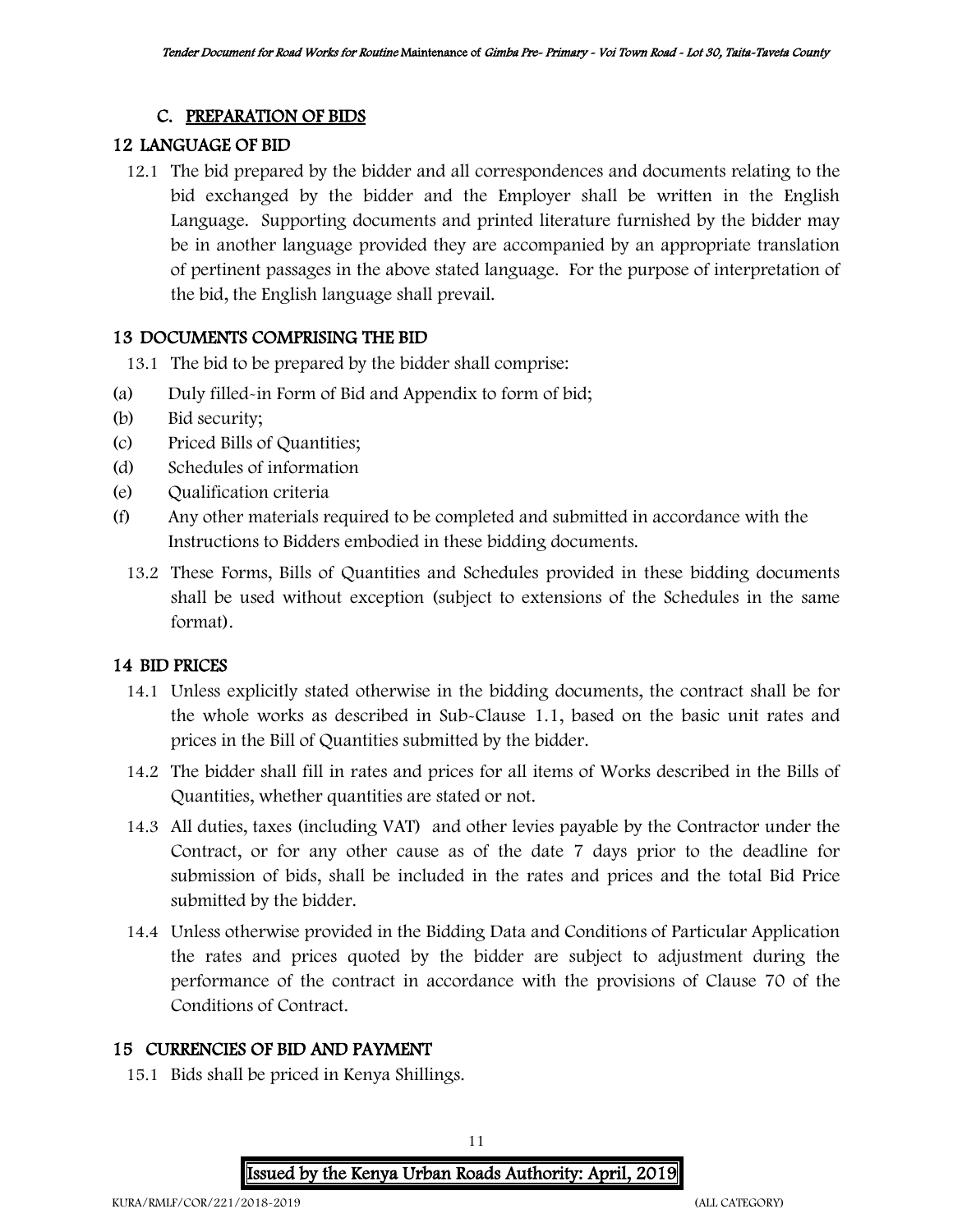#### C. PREPARATION OF BIDS

#### 12 LANGUAGE OF BID

12.1 The bid prepared by the bidder and all correspondences and documents relating to the bid exchanged by the bidder and the Employer shall be written in the English Language. Supporting documents and printed literature furnished by the bidder may be in another language provided they are accompanied by an appropriate translation of pertinent passages in the above stated language. For the purpose of interpretation of the bid, the English language shall prevail.

#### 13 DOCUMENTS COMPRISING THE BID

- 13.1 The bid to be prepared by the bidder shall comprise:
- (a) Duly filled-in Form of Bid and Appendix to form of bid;
- (b) Bid security;
- (c) Priced Bills of Quantities;
- (d) Schedules of information
- (e) Qualification criteria
- (f) Any other materials required to be completed and submitted in accordance with the Instructions to Bidders embodied in these bidding documents.
	- 13.2 These Forms, Bills of Quantities and Schedules provided in these bidding documents shall be used without exception (subject to extensions of the Schedules in the same format).

### 14 BID PRICES

- 14.1 Unless explicitly stated otherwise in the bidding documents, the contract shall be for the whole works as described in Sub-Clause 1.1, based on the basic unit rates and prices in the Bill of Quantities submitted by the bidder.
- 14.2 The bidder shall fill in rates and prices for all items of Works described in the Bills of Quantities, whether quantities are stated or not.
- 14.3 All duties, taxes (including VAT) and other levies payable by the Contractor under the Contract, or for any other cause as of the date 7 days prior to the deadline for submission of bids, shall be included in the rates and prices and the total Bid Price submitted by the bidder.
- 14.4 Unless otherwise provided in the Bidding Data and Conditions of Particular Application the rates and prices quoted by the bidder are subject to adjustment during the performance of the contract in accordance with the provisions of Clause 70 of the Conditions of Contract.

### 15 CURRENCIES OF BID AND PAYMENT

15.1 Bids shall be priced in Kenya Shillings.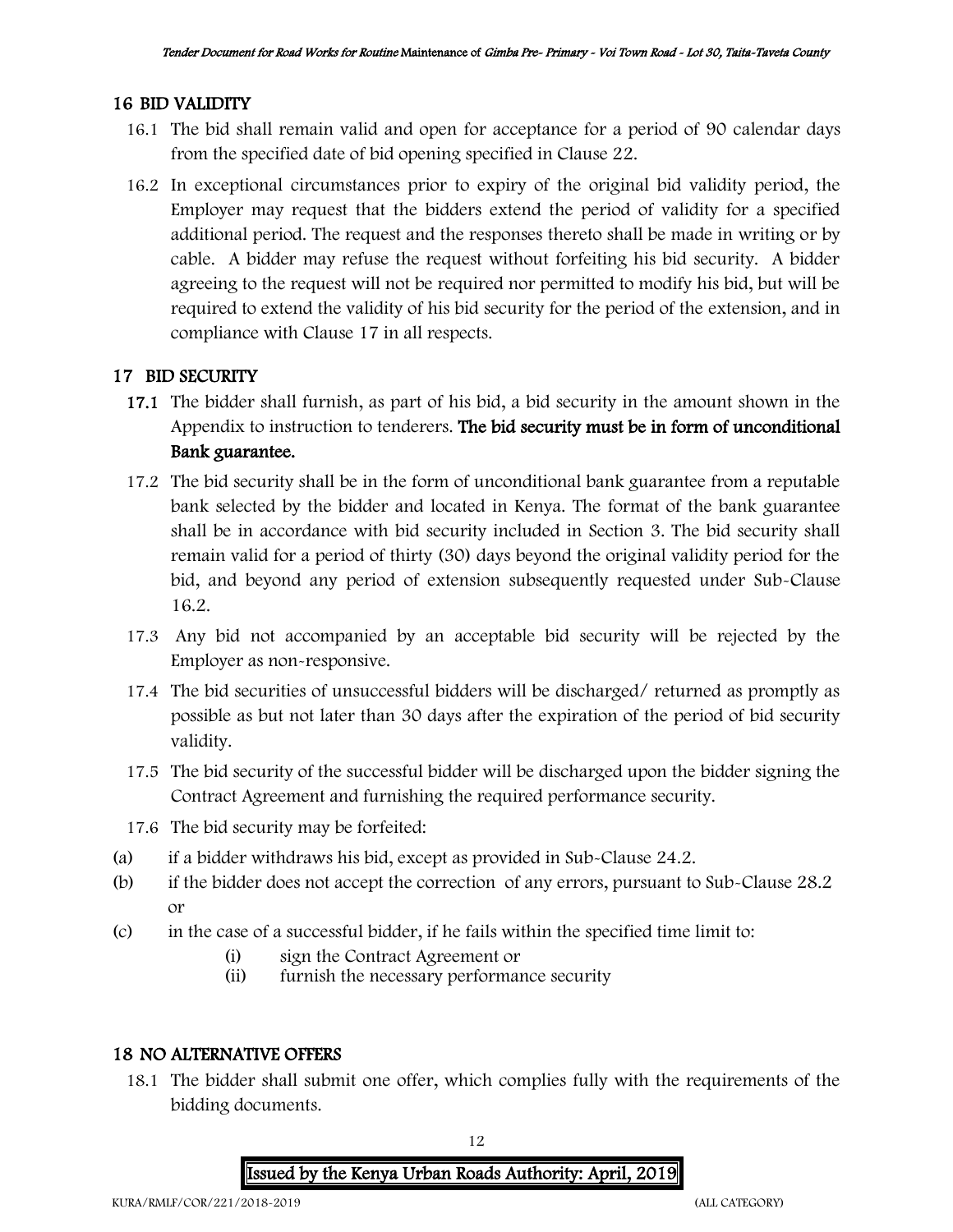### 16 BID VALIDITY

- 16.1 The bid shall remain valid and open for acceptance for a period of 90 calendar days from the specified date of bid opening specified in Clause 22.
- 16.2 In exceptional circumstances prior to expiry of the original bid validity period, the Employer may request that the bidders extend the period of validity for a specified additional period. The request and the responses thereto shall be made in writing or by cable. A bidder may refuse the request without forfeiting his bid security. A bidder agreeing to the request will not be required nor permitted to modify his bid, but will be required to extend the validity of his bid security for the period of the extension, and in compliance with Clause 17 in all respects.

## 17 BID SECURITY

- 17.1 The bidder shall furnish, as part of his bid, a bid security in the amount shown in the Appendix to instruction to tenderers. The bid security must be in form of unconditional Bank guarantee.
- 17.2 The bid security shall be in the form of unconditional bank guarantee from a reputable bank selected by the bidder and located in Kenya. The format of the bank guarantee shall be in accordance with bid security included in Section 3. The bid security shall remain valid for a period of thirty (30) days beyond the original validity period for the bid, and beyond any period of extension subsequently requested under Sub-Clause 16.2.
- 17.3 Any bid not accompanied by an acceptable bid security will be rejected by the Employer as non-responsive.
- 17.4 The bid securities of unsuccessful bidders will be discharged/ returned as promptly as possible as but not later than 30 days after the expiration of the period of bid security validity.
- 17.5 The bid security of the successful bidder will be discharged upon the bidder signing the Contract Agreement and furnishing the required performance security.
- 17.6 The bid security may be forfeited:
- (a) if a bidder withdraws his bid, except as provided in Sub-Clause 24.2.
- (b) if the bidder does not accept the correction of any errors, pursuant to Sub-Clause 28.2 or
- (c) in the case of a successful bidder, if he fails within the specified time limit to:
	- (i) sign the Contract Agreement or
	- (ii) furnish the necessary performance security

#### 18 NO ALTERNATIVE OFFERS

18.1 The bidder shall submit one offer, which complies fully with the requirements of the bidding documents.

> 12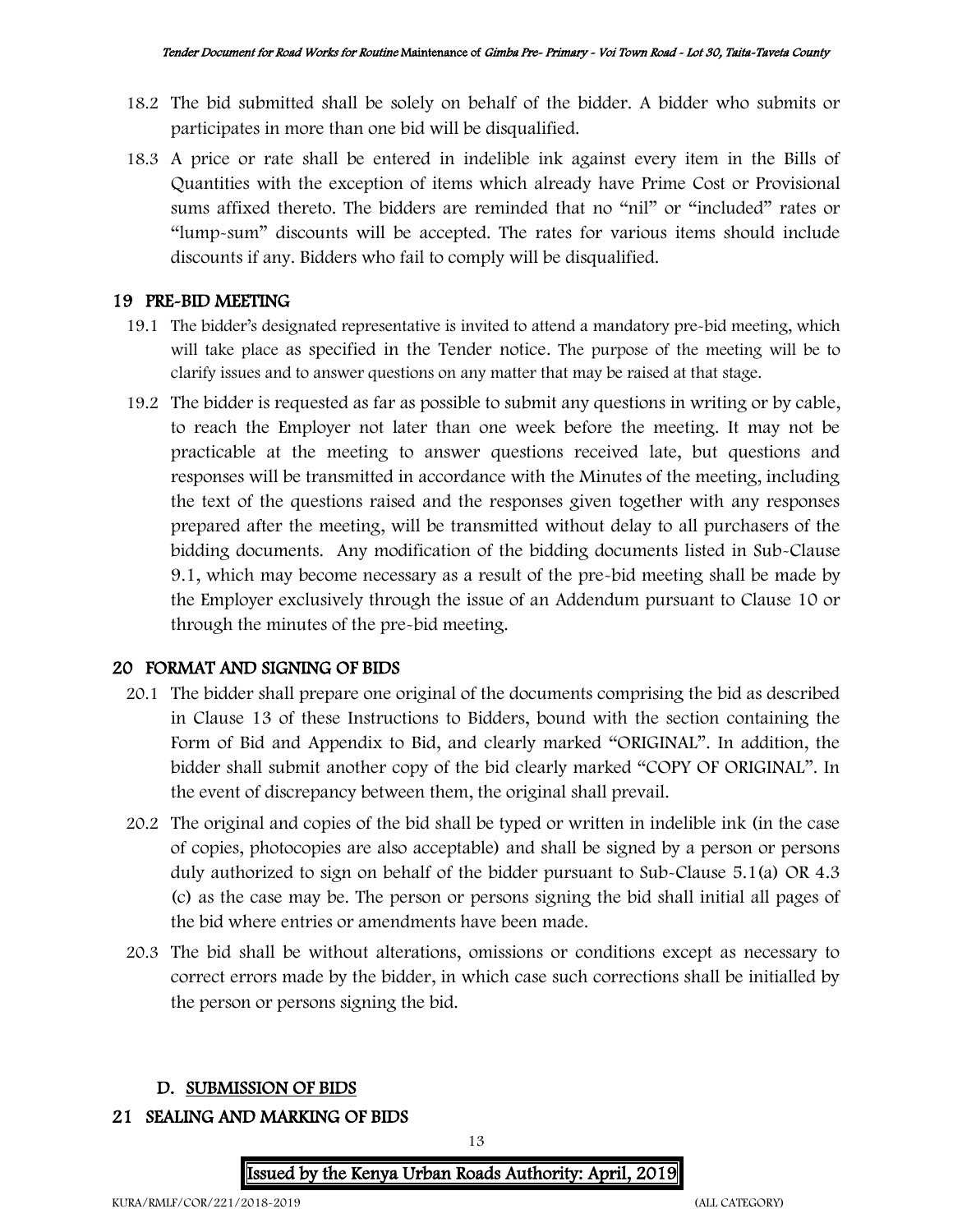- 18.2 The bid submitted shall be solely on behalf of the bidder. A bidder who submits or participates in more than one bid will be disqualified.
- 18.3 A price or rate shall be entered in indelible ink against every item in the Bills of Quantities with the exception of items which already have Prime Cost or Provisional sums affixed thereto. The bidders are reminded that no "nil" or "included" rates or "lump-sum" discounts will be accepted. The rates for various items should include discounts if any. Bidders who fail to comply will be disqualified.

#### 19 PRE-BID MEETING

- 19.1 The bidder's designated representative is invited to attend a mandatory pre-bid meeting, which will take place as specified in the Tender notice. The purpose of the meeting will be to clarify issues and to answer questions on any matter that may be raised at that stage.
- 19.2 The bidder is requested as far as possible to submit any questions in writing or by cable, to reach the Employer not later than one week before the meeting. It may not be practicable at the meeting to answer questions received late, but questions and responses will be transmitted in accordance with the Minutes of the meeting, including the text of the questions raised and the responses given together with any responses prepared after the meeting, will be transmitted without delay to all purchasers of the bidding documents. Any modification of the bidding documents listed in Sub-Clause 9.1, which may become necessary as a result of the pre-bid meeting shall be made by the Employer exclusively through the issue of an Addendum pursuant to Clause 10 or through the minutes of the pre-bid meeting.

### 20 FORMAT AND SIGNING OF BIDS

- 20.1 The bidder shall prepare one original of the documents comprising the bid as described in Clause 13 of these Instructions to Bidders, bound with the section containing the Form of Bid and Appendix to Bid, and clearly marked "ORIGINAL". In addition, the bidder shall submit another copy of the bid clearly marked "COPY OF ORIGINAL". In the event of discrepancy between them, the original shall prevail.
- 20.2 The original and copies of the bid shall be typed or written in indelible ink (in the case of copies, photocopies are also acceptable) and shall be signed by a person or persons duly authorized to sign on behalf of the bidder pursuant to Sub-Clause 5.1(a) OR 4.3 (c) as the case may be. The person or persons signing the bid shall initial all pages of the bid where entries or amendments have been made.
- 20.3 The bid shall be without alterations, omissions or conditions except as necessary to correct errors made by the bidder, in which case such corrections shall be initialled by the person or persons signing the bid.

#### D. SUBMISSION OF BIDS

#### 21 SEALING AND MARKING OF BIDS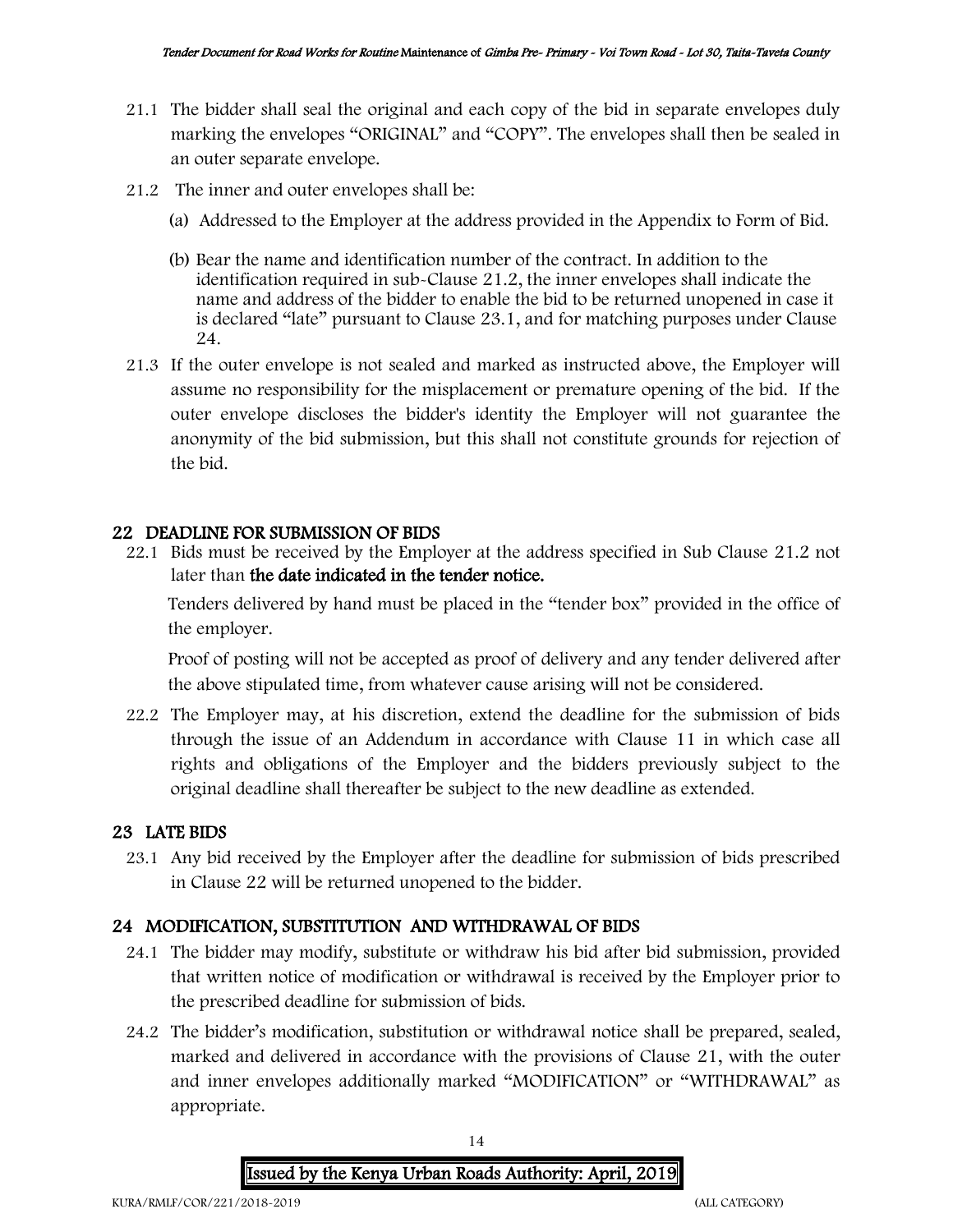- 21.1 The bidder shall seal the original and each copy of the bid in separate envelopes duly marking the envelopes "ORIGINAL" and "COPY". The envelopes shall then be sealed in an outer separate envelope.
- 21.2 The inner and outer envelopes shall be:
	- (a) Addressed to the Employer at the address provided in the Appendix to Form of Bid.
	- (b) Bear the name and identification number of the contract. In addition to the identification required in sub-Clause 21.2, the inner envelopes shall indicate the name and address of the bidder to enable the bid to be returned unopened in case it is declared "late" pursuant to Clause 23.1, and for matching purposes under Clause 24.
- 21.3 If the outer envelope is not sealed and marked as instructed above, the Employer will assume no responsibility for the misplacement or premature opening of the bid. If the outer envelope discloses the bidder's identity the Employer will not guarantee the anonymity of the bid submission, but this shall not constitute grounds for rejection of the bid.

#### 22 DEADLINE FOR SUBMISSION OF BIDS

22.1 Bids must be received by the Employer at the address specified in Sub Clause 21.2 not later than the date indicated in the tender notice.

Tenders delivered by hand must be placed in the "tender box" provided in the office of the employer.

Proof of posting will not be accepted as proof of delivery and any tender delivered after the above stipulated time, from whatever cause arising will not be considered.

22.2 The Employer may, at his discretion, extend the deadline for the submission of bids through the issue of an Addendum in accordance with Clause 11 in which case all rights and obligations of the Employer and the bidders previously subject to the original deadline shall thereafter be subject to the new deadline as extended.

#### 23 LATE BIDS

23.1 Any bid received by the Employer after the deadline for submission of bids prescribed in Clause 22 will be returned unopened to the bidder.

#### 24 MODIFICATION, SUBSTITUTION AND WITHDRAWAL OF BIDS

- 24.1 The bidder may modify, substitute or withdraw his bid after bid submission, provided that written notice of modification or withdrawal is received by the Employer prior to the prescribed deadline for submission of bids.
- 24.2 The bidder's modification, substitution or withdrawal notice shall be prepared, sealed, marked and delivered in accordance with the provisions of Clause 21, with the outer and inner envelopes additionally marked "MODIFICATION" or "WITHDRAWAL" as appropriate.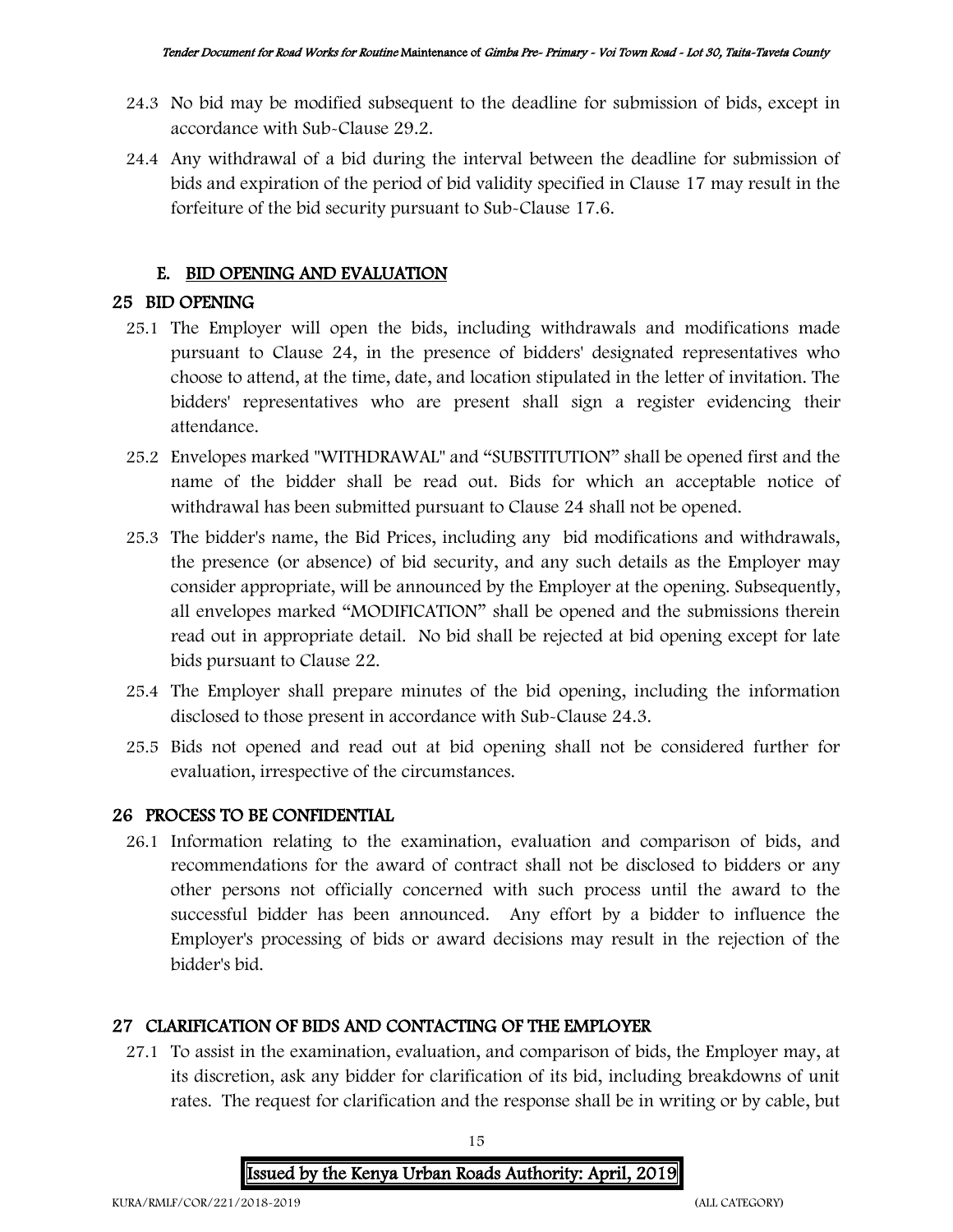- 24.3 No bid may be modified subsequent to the deadline for submission of bids, except in accordance with Sub-Clause 29.2.
- 24.4 Any withdrawal of a bid during the interval between the deadline for submission of bids and expiration of the period of bid validity specified in Clause 17 may result in the forfeiture of the bid security pursuant to Sub-Clause 17.6.

#### E. BID OPENING AND EVALUATION

#### 25 BID OPENING

- 25.1 The Employer will open the bids, including withdrawals and modifications made pursuant to Clause 24, in the presence of bidders' designated representatives who choose to attend, at the time, date, and location stipulated in the letter of invitation. The bidders' representatives who are present shall sign a register evidencing their attendance.
- 25.2 Envelopes marked "WITHDRAWAL" and "SUBSTITUTION" shall be opened first and the name of the bidder shall be read out. Bids for which an acceptable notice of withdrawal has been submitted pursuant to Clause 24 shall not be opened.
- 25.3 The bidder's name, the Bid Prices, including any bid modifications and withdrawals, the presence (or absence) of bid security, and any such details as the Employer may consider appropriate, will be announced by the Employer at the opening. Subsequently, all envelopes marked "MODIFICATION" shall be opened and the submissions therein read out in appropriate detail. No bid shall be rejected at bid opening except for late bids pursuant to Clause 22.
- 25.4 The Employer shall prepare minutes of the bid opening, including the information disclosed to those present in accordance with Sub-Clause 24.3.
- 25.5 Bids not opened and read out at bid opening shall not be considered further for evaluation, irrespective of the circumstances.

#### 26 PROCESS TO BE CONFIDENTIAL

26.1 Information relating to the examination, evaluation and comparison of bids, and recommendations for the award of contract shall not be disclosed to bidders or any other persons not officially concerned with such process until the award to the successful bidder has been announced. Any effort by a bidder to influence the Employer's processing of bids or award decisions may result in the rejection of the bidder's bid.

### 27 CLARIFICATION OF BIDS AND CONTACTING OF THE EMPLOYER

27.1 To assist in the examination, evaluation, and comparison of bids, the Employer may, at its discretion, ask any bidder for clarification of its bid, including breakdowns of unit rates. The request for clarification and the response shall be in writing or by cable, but

> 15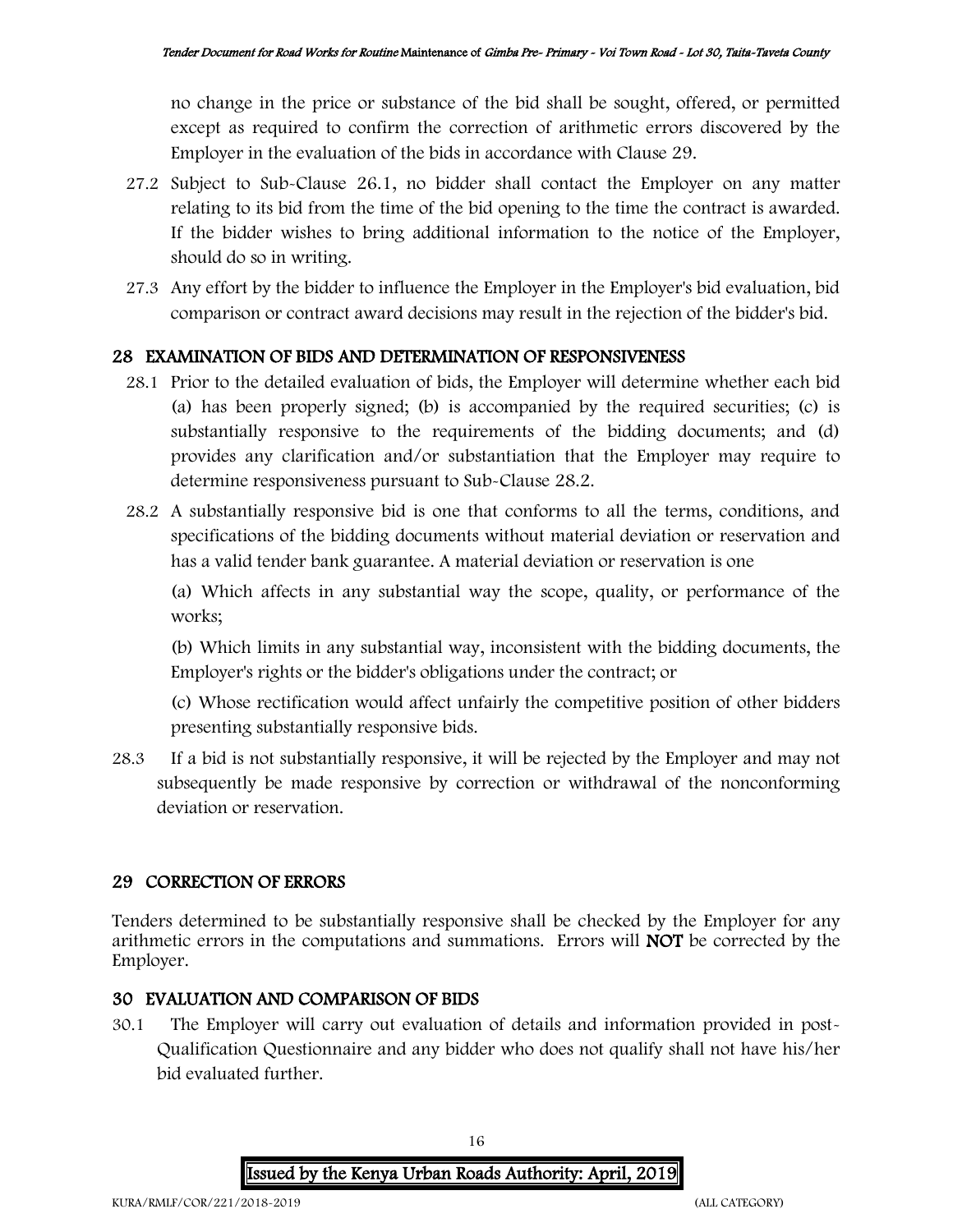no change in the price or substance of the bid shall be sought, offered, or permitted except as required to confirm the correction of arithmetic errors discovered by the Employer in the evaluation of the bids in accordance with Clause 29.

- 27.2 Subject to Sub-Clause 26.1, no bidder shall contact the Employer on any matter relating to its bid from the time of the bid opening to the time the contract is awarded. If the bidder wishes to bring additional information to the notice of the Employer, should do so in writing.
- 27.3 Any effort by the bidder to influence the Employer in the Employer's bid evaluation, bid comparison or contract award decisions may result in the rejection of the bidder's bid.

#### 28 EXAMINATION OF BIDS AND DETERMINATION OF RESPONSIVENESS

- 28.1 Prior to the detailed evaluation of bids, the Employer will determine whether each bid (a) has been properly signed; (b) is accompanied by the required securities; (c) is substantially responsive to the requirements of the bidding documents; and (d) provides any clarification and/or substantiation that the Employer may require to determine responsiveness pursuant to Sub-Clause 28.2.
- 28.2 A substantially responsive bid is one that conforms to all the terms, conditions, and specifications of the bidding documents without material deviation or reservation and has a valid tender bank guarantee. A material deviation or reservation is one

(a) Which affects in any substantial way the scope, quality, or performance of the works;

(b) Which limits in any substantial way, inconsistent with the bidding documents, the Employer's rights or the bidder's obligations under the contract; or

(c) Whose rectification would affect unfairly the competitive position of other bidders presenting substantially responsive bids.

28.3 If a bid is not substantially responsive, it will be rejected by the Employer and may not subsequently be made responsive by correction or withdrawal of the nonconforming deviation or reservation.

### 29 CORRECTION OF ERRORS

Tenders determined to be substantially responsive shall be checked by the Employer for any arithmetic errors in the computations and summations. Errors will NOT be corrected by the Employer.

#### 30 EVALUATION AND COMPARISON OF BIDS

30.1 The Employer will carry out evaluation of details and information provided in post-Qualification Questionnaire and any bidder who does not qualify shall not have his/her bid evaluated further.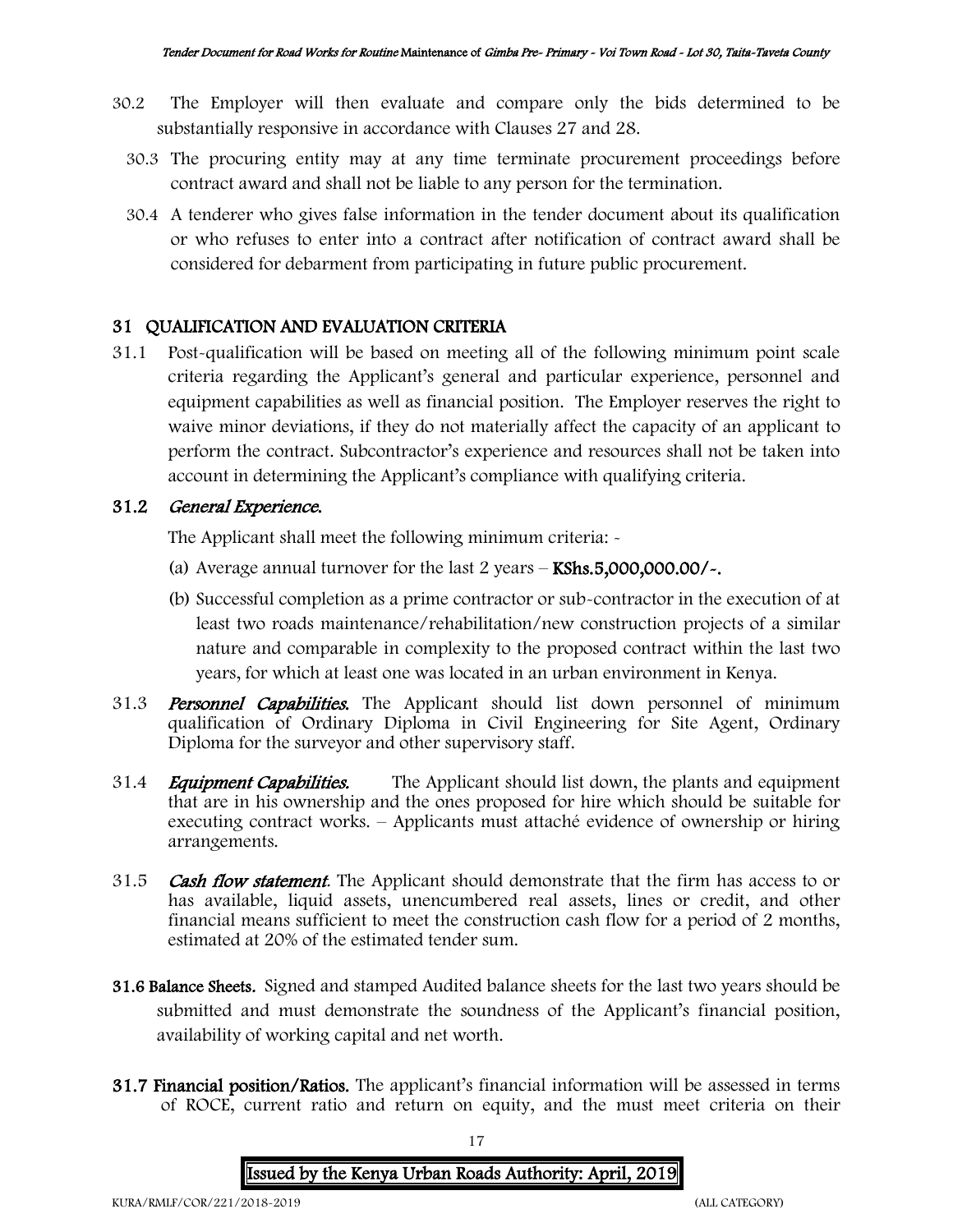- 30.2 The Employer will then evaluate and compare only the bids determined to be substantially responsive in accordance with Clauses 27 and 28.
	- 30.3 The procuring entity may at any time terminate procurement proceedings before contract award and shall not be liable to any person for the termination.
	- 30.4 A tenderer who gives false information in the tender document about its qualification or who refuses to enter into a contract after notification of contract award shall be considered for debarment from participating in future public procurement.

#### 31 QUALIFICATION AND EVALUATION CRITERIA

31.1 Post-qualification will be based on meeting all of the following minimum point scale criteria regarding the Applicant's general and particular experience, personnel and equipment capabilities as well as financial position. The Employer reserves the right to waive minor deviations, if they do not materially affect the capacity of an applicant to perform the contract. Subcontractor's experience and resources shall not be taken into account in determining the Applicant's compliance with qualifying criteria.

#### 31.2 General Experience.

The Applicant shall meet the following minimum criteria: -

- (a) Average annual turnover for the last  $2$  years  $-$  KShs.5,000,000.00/ $\sim$ .
- (b) Successful completion as a prime contractor or sub-contractor in the execution of at least two roads maintenance/rehabilitation/new construction projects of a similar nature and comparable in complexity to the proposed contract within the last two years, for which at least one was located in an urban environment in Kenya.
- 31.3 **Personnel Capabilities.** The Applicant should list down personnel of minimum qualification of Ordinary Diploma in Civil Engineering for Site Agent, Ordinary Diploma for the surveyor and other supervisory staff.
- 31.4 *Equipment Capabilities.* The Applicant should list down, the plants and equipment that are in his ownership and the ones proposed for hire which should be suitable for executing contract works. – Applicants must attaché evidence of ownership or hiring arrangements.
- 31.5 Cash flow statement. The Applicant should demonstrate that the firm has access to or has available, liquid assets, unencumbered real assets, lines or credit, and other financial means sufficient to meet the construction cash flow for a period of 2 months, estimated at 20% of the estimated tender sum.
- 31.6 Balance Sheets. Signed and stamped Audited balance sheets for the last two years should be submitted and must demonstrate the soundness of the Applicant's financial position, availability of working capital and net worth.
- 31.7 Financial position/Ratios. The applicant's financial information will be assessed in terms of ROCE, current ratio and return on equity, and the must meet criteria on their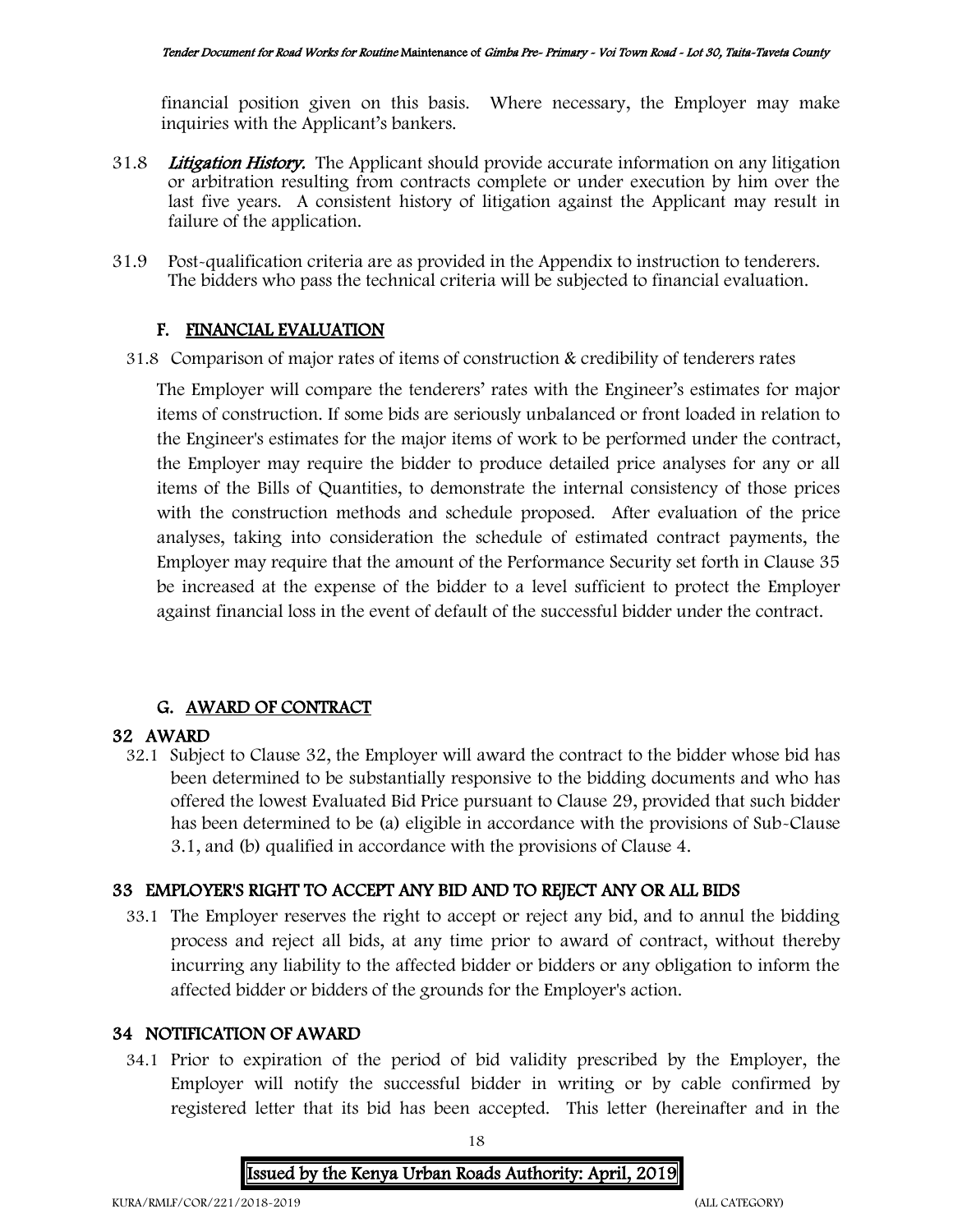financial position given on this basis. Where necessary, the Employer may make inquiries with the Applicant's bankers.

- 31.8 Litigation History. The Applicant should provide accurate information on any litigation or arbitration resulting from contracts complete or under execution by him over the last five years. A consistent history of litigation against the Applicant may result in failure of the application.
- 31.9 Post-qualification criteria are as provided in the Appendix to instruction to tenderers. The bidders who pass the technical criteria will be subjected to financial evaluation.

#### F. FINANCIAL EVALUATION

31.8 Comparison of major rates of items of construction & credibility of tenderers rates

The Employer will compare the tenderers' rates with the Engineer's estimates for major items of construction. If some bids are seriously unbalanced or front loaded in relation to the Engineer's estimates for the major items of work to be performed under the contract, the Employer may require the bidder to produce detailed price analyses for any or all items of the Bills of Quantities, to demonstrate the internal consistency of those prices with the construction methods and schedule proposed. After evaluation of the price analyses, taking into consideration the schedule of estimated contract payments, the Employer may require that the amount of the Performance Security set forth in Clause 35 be increased at the expense of the bidder to a level sufficient to protect the Employer against financial loss in the event of default of the successful bidder under the contract.

#### G. AWARD OF CONTRACT

#### 32 AWARD

32.1 Subject to Clause 32, the Employer will award the contract to the bidder whose bid has been determined to be substantially responsive to the bidding documents and who has offered the lowest Evaluated Bid Price pursuant to Clause 29, provided that such bidder has been determined to be (a) eligible in accordance with the provisions of Sub-Clause 3.1, and (b) qualified in accordance with the provisions of Clause 4.

#### 33 EMPLOYER'S RIGHT TO ACCEPT ANY BID AND TO REJECT ANY OR ALL BIDS

33.1 The Employer reserves the right to accept or reject any bid, and to annul the bidding process and reject all bids, at any time prior to award of contract, without thereby incurring any liability to the affected bidder or bidders or any obligation to inform the affected bidder or bidders of the grounds for the Employer's action.

#### 34 NOTIFICATION OF AWARD

34.1 Prior to expiration of the period of bid validity prescribed by the Employer, the Employer will notify the successful bidder in writing or by cable confirmed by registered letter that its bid has been accepted. This letter (hereinafter and in the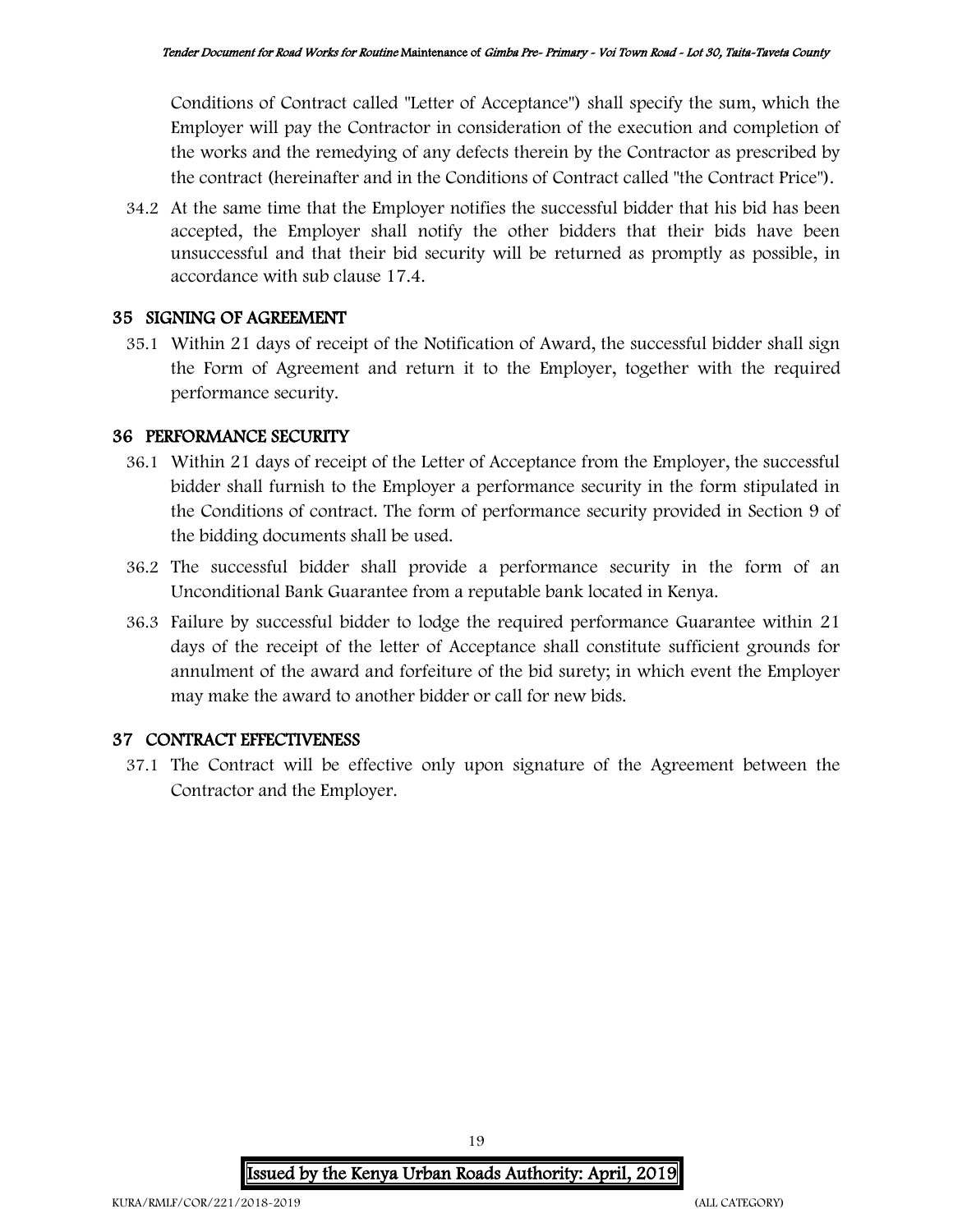Conditions of Contract called "Letter of Acceptance") shall specify the sum, which the Employer will pay the Contractor in consideration of the execution and completion of the works and the remedying of any defects therein by the Contractor as prescribed by the contract (hereinafter and in the Conditions of Contract called "the Contract Price").

34.2 At the same time that the Employer notifies the successful bidder that his bid has been accepted, the Employer shall notify the other bidders that their bids have been unsuccessful and that their bid security will be returned as promptly as possible, in accordance with sub clause 17.4.

#### 35 SIGNING OF AGREEMENT

35.1 Within 21 days of receipt of the Notification of Award, the successful bidder shall sign the Form of Agreement and return it to the Employer, together with the required performance security.

#### 36 PERFORMANCE SECURITY

- 36.1 Within 21 days of receipt of the Letter of Acceptance from the Employer, the successful bidder shall furnish to the Employer a performance security in the form stipulated in the Conditions of contract. The form of performance security provided in Section 9 of the bidding documents shall be used.
- 36.2 The successful bidder shall provide a performance security in the form of an Unconditional Bank Guarantee from a reputable bank located in Kenya.
- 36.3 Failure by successful bidder to lodge the required performance Guarantee within 21 days of the receipt of the letter of Acceptance shall constitute sufficient grounds for annulment of the award and forfeiture of the bid surety; in which event the Employer may make the award to another bidder or call for new bids.

#### 37 CONTRACT EFFECTIVENESS

37.1 The Contract will be effective only upon signature of the Agreement between the Contractor and the Employer.

> Issued by the Kenya Urban Roads Authority: April, 2019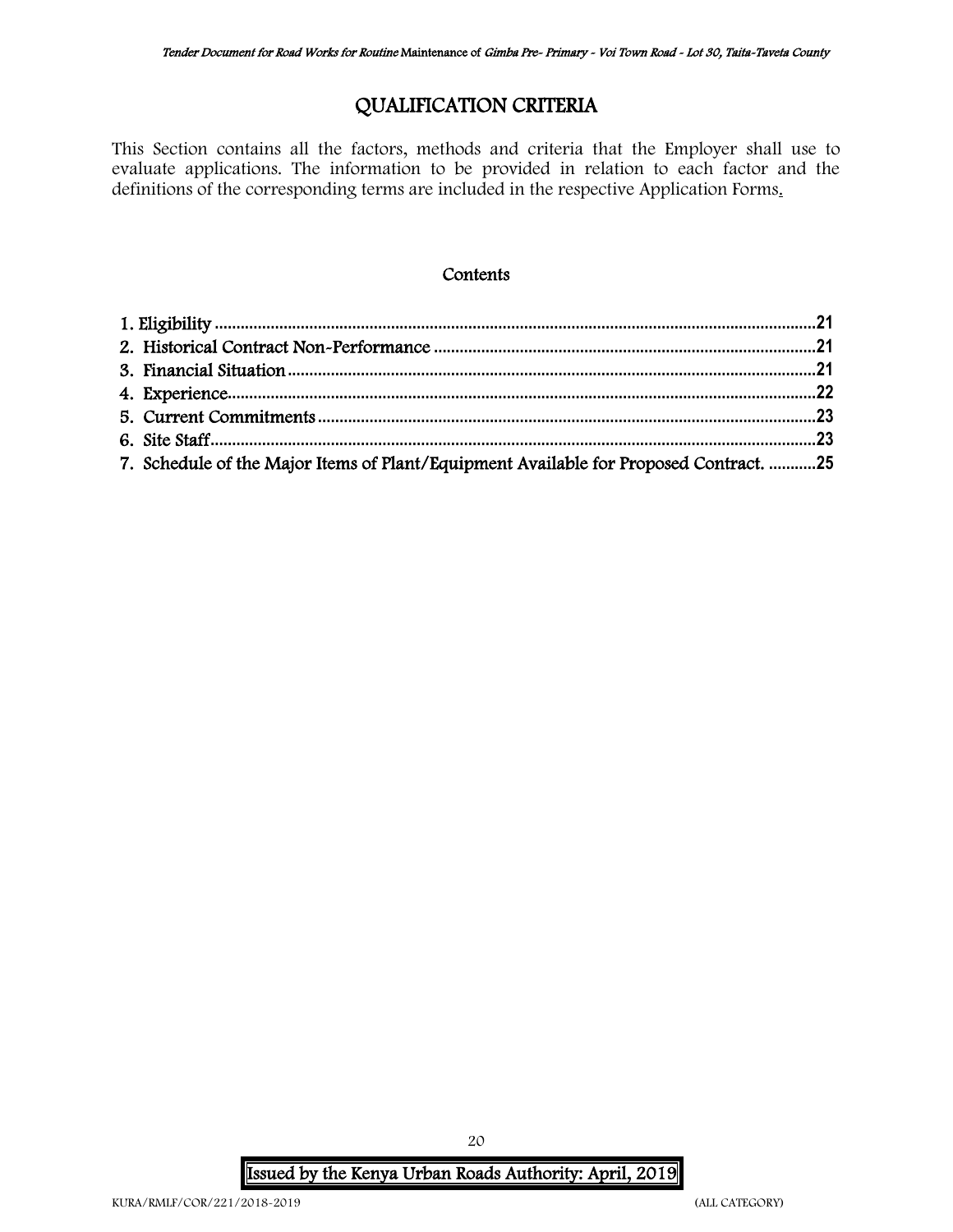## QUALIFICATION CRITERIA

This Section contains all the factors, methods and criteria that the Employer shall use to evaluate applications. The information to be provided in relation to each factor and the definitions of the corresponding terms are included in the respective Application Forms.

#### **Contents**

| 7. Schedule of the Major Items of Plant/Equipment Available for Proposed Contract. 25 |  |
|---------------------------------------------------------------------------------------|--|

Issued by the Kenya Urban Roads Authority: April, 2019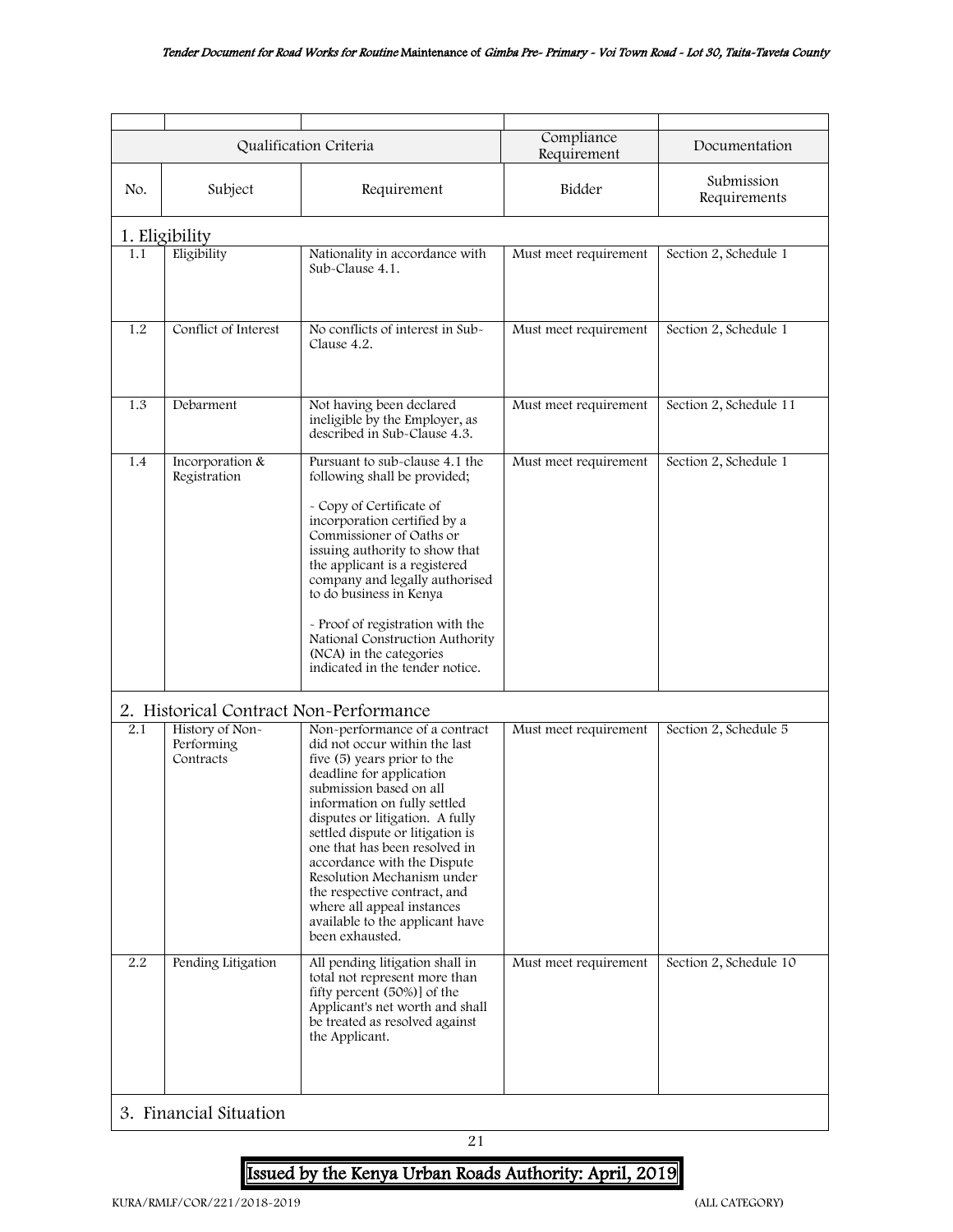<span id="page-20-0"></span>

|     |                                              | Qualification Criteria                                                                                                                                                                                                                                                                                                                                                                                                                                                        | Compliance<br>Requirement | Documentation              |
|-----|----------------------------------------------|-------------------------------------------------------------------------------------------------------------------------------------------------------------------------------------------------------------------------------------------------------------------------------------------------------------------------------------------------------------------------------------------------------------------------------------------------------------------------------|---------------------------|----------------------------|
| No. | Subject                                      | Requirement                                                                                                                                                                                                                                                                                                                                                                                                                                                                   | Bidder                    | Submission<br>Requirements |
|     | 1. Eligibility                               |                                                                                                                                                                                                                                                                                                                                                                                                                                                                               |                           |                            |
| 1.1 | Eligibility                                  | Nationality in accordance with<br>Sub-Clause 4.1.                                                                                                                                                                                                                                                                                                                                                                                                                             | Must meet requirement     | Section 2, Schedule 1      |
| 1.2 | Conflict of Interest                         | No conflicts of interest in Sub-<br>Clause 4.2.                                                                                                                                                                                                                                                                                                                                                                                                                               | Must meet requirement     | Section 2, Schedule 1      |
| 1.3 | Debarment                                    | Not having been declared<br>ineligible by the Employer, as<br>described in Sub-Clause 4.3.                                                                                                                                                                                                                                                                                                                                                                                    | Must meet requirement     | Section 2, Schedule 11     |
| 1.4 | Incorporation &<br>Registration              | Pursuant to sub-clause 4.1 the<br>following shall be provided;<br>- Copy of Certificate of<br>incorporation certified by a<br>Commissioner of Oaths or<br>issuing authority to show that<br>the applicant is a registered<br>company and legally authorised<br>to do business in Kenya<br>- Proof of registration with the<br>National Construction Authority<br>(NCA) in the categories<br>indicated in the tender notice.                                                   | Must meet requirement     | Section 2, Schedule 1      |
|     | 2. Historical Contract Non-Performance       |                                                                                                                                                                                                                                                                                                                                                                                                                                                                               |                           |                            |
| 2.1 | History of Non-<br>Performing<br>Contracts   | Non-performance of a contract<br>did not occur within the last<br>five (5) years prior to the<br>deadline for application<br>submission based on all<br>information on fully settled<br>disputes or litigation. A fully<br>settled dispute or litigation is<br>one that has been resolved in<br>accordance with the Dispute<br>Resolution Mechanism under<br>the respective contract, and<br>where all appeal instances<br>available to the applicant have<br>been exhausted. | Must meet requirement     | Section 2, Schedule 5      |
| 2.2 | Pending Litigation<br>3. Financial Situation | All pending litigation shall in<br>total not represent more than<br>fifty percent (50%)] of the<br>Applicant's net worth and shall<br>be treated as resolved against<br>the Applicant.                                                                                                                                                                                                                                                                                        | Must meet requirement     | Section 2, Schedule 10     |

## <span id="page-20-2"></span><span id="page-20-1"></span>Issued by the Kenya Urban Roads Authority: April, 2019

21

 $\overline{\phantom{a}}$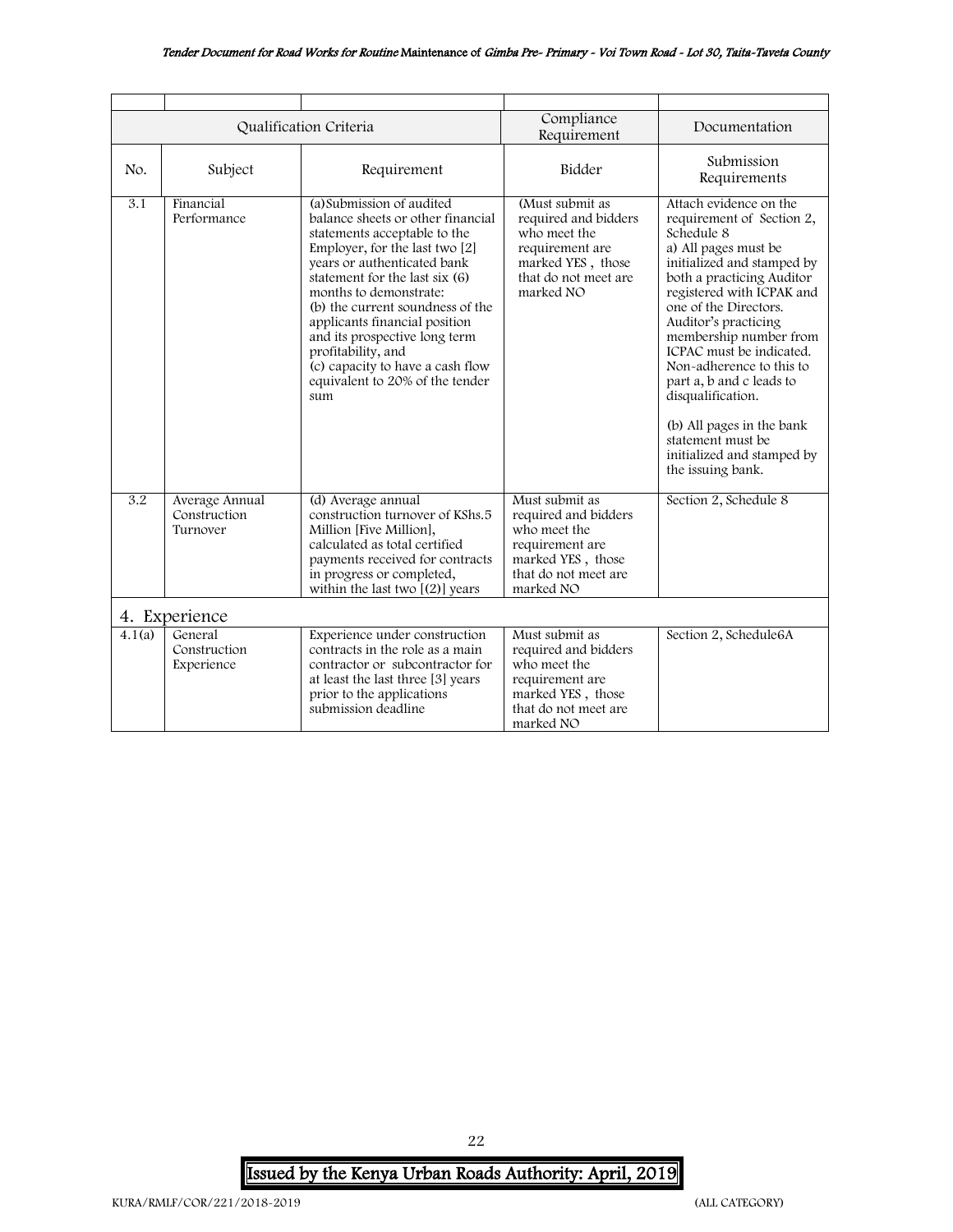#### Tender Document for Road Works for Routine Maintenance of Gimba Pre- Primary - Voi Town Road - Lot 30, Taita-Taveta County

<span id="page-21-0"></span>

|               |                                            | Qualification Criteria                                                                                                                                                                                                                                                                                                                                                                                                                | Compliance<br>Requirement                                                                                                            | Documentation                                                                                                                                                                                                                                                                                                                                                                                                                                                              |
|---------------|--------------------------------------------|---------------------------------------------------------------------------------------------------------------------------------------------------------------------------------------------------------------------------------------------------------------------------------------------------------------------------------------------------------------------------------------------------------------------------------------|--------------------------------------------------------------------------------------------------------------------------------------|----------------------------------------------------------------------------------------------------------------------------------------------------------------------------------------------------------------------------------------------------------------------------------------------------------------------------------------------------------------------------------------------------------------------------------------------------------------------------|
| No.           | Subject                                    | Requirement                                                                                                                                                                                                                                                                                                                                                                                                                           | Bidder                                                                                                                               | Submission<br>Requirements                                                                                                                                                                                                                                                                                                                                                                                                                                                 |
| 3.1           | Financial<br>Performance                   | (a) Submission of audited<br>balance sheets or other financial<br>statements acceptable to the<br>Employer, for the last two [2]<br>years or authenticated bank<br>statement for the last six (6)<br>months to demonstrate:<br>(b) the current soundness of the<br>applicants financial position<br>and its prospective long term<br>profitability, and<br>(c) capacity to have a cash flow<br>equivalent to 20% of the tender<br>sum | (Must submit as<br>required and bidders<br>who meet the<br>requirement are<br>marked YES, those<br>that do not meet are<br>marked NO | Attach evidence on the<br>requirement of Section 2,<br>Schedule 8<br>a) All pages must be<br>initialized and stamped by<br>both a practicing Auditor<br>registered with ICPAK and<br>one of the Directors.<br>Auditor's practicing<br>membership number from<br>ICPAC must be indicated.<br>Non-adherence to this to<br>part a, b and c leads to<br>disqualification.<br>(b) All pages in the bank<br>statement must be<br>initialized and stamped by<br>the issuing bank. |
| 3.2           | Average Annual<br>Construction<br>Turnover | (d) Average annual<br>construction turnover of KShs.5<br>Million [Five Million],<br>calculated as total certified<br>payments received for contracts<br>in progress or completed,<br>within the last two $[(2)]$ years                                                                                                                                                                                                                | Must submit as<br>required and bidders<br>who meet the<br>requirement are<br>marked YES, those<br>that do not meet are<br>marked NO  | Section 2, Schedule 8                                                                                                                                                                                                                                                                                                                                                                                                                                                      |
| 4. Experience |                                            |                                                                                                                                                                                                                                                                                                                                                                                                                                       |                                                                                                                                      |                                                                                                                                                                                                                                                                                                                                                                                                                                                                            |
| 4.1(a)        | General<br>Construction<br>Experience      | Experience under construction<br>contracts in the role as a main<br>contractor or subcontractor for<br>at least the last three [3] years<br>prior to the applications<br>submission deadline                                                                                                                                                                                                                                          | Must submit as<br>required and bidders<br>who meet the<br>requirement are<br>marked YES, those<br>that do not meet are<br>marked NO  | Section 2, Schedule6A                                                                                                                                                                                                                                                                                                                                                                                                                                                      |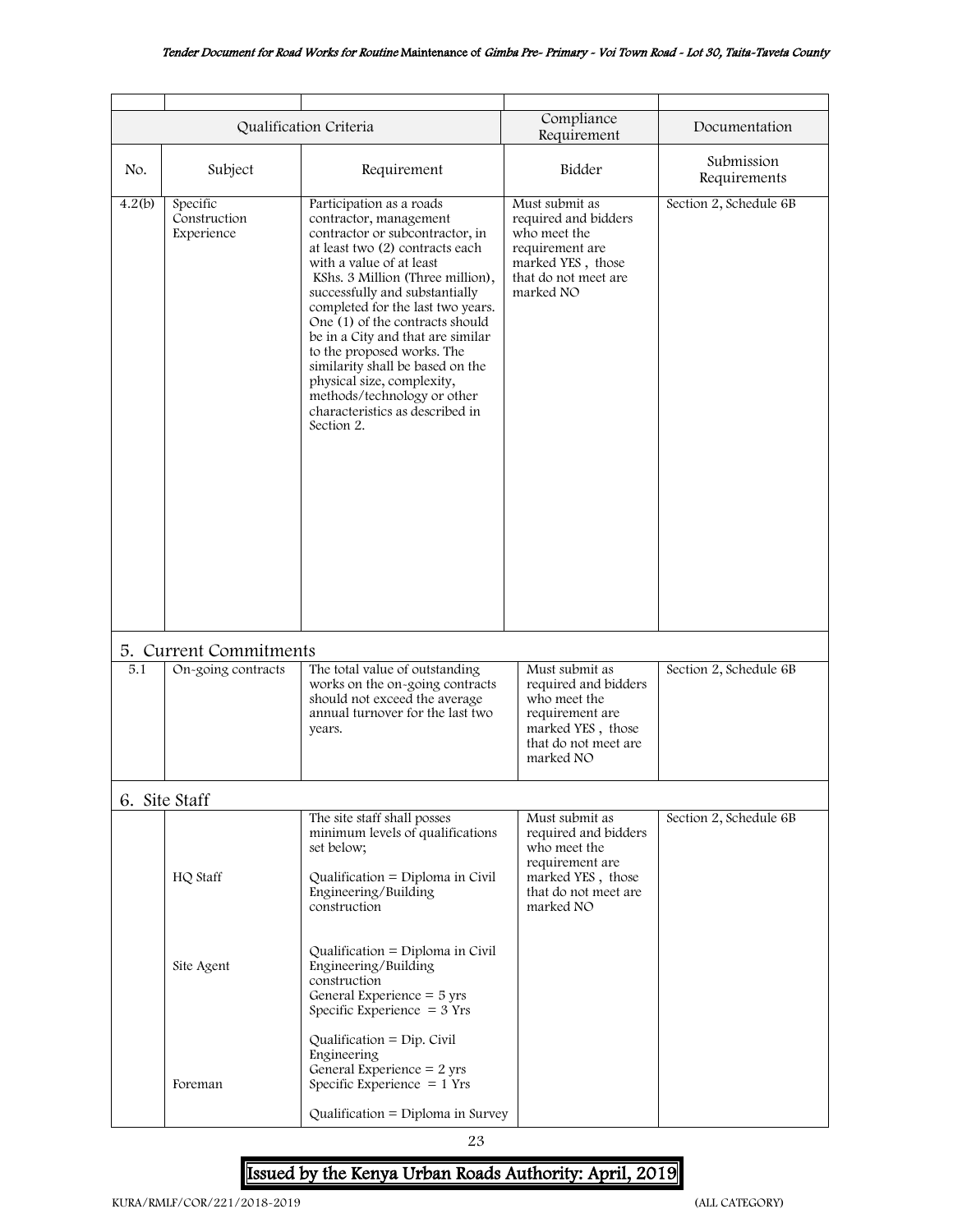#### Tender Document for Road Works for Routine Maintenance of Gimba Pre- Primary - Voi Town Road - Lot 30, Taita-Taveta County

<span id="page-22-1"></span><span id="page-22-0"></span>

|        |                                        | Qualification Criteria                                                                                                                                                                                                                                                                                                                                                                                                                                                                                                  | Compliance<br>Requirement                                                                                                           | Documentation              |
|--------|----------------------------------------|-------------------------------------------------------------------------------------------------------------------------------------------------------------------------------------------------------------------------------------------------------------------------------------------------------------------------------------------------------------------------------------------------------------------------------------------------------------------------------------------------------------------------|-------------------------------------------------------------------------------------------------------------------------------------|----------------------------|
| No.    | Subject                                | Requirement                                                                                                                                                                                                                                                                                                                                                                                                                                                                                                             | Bidder                                                                                                                              | Submission<br>Requirements |
| 4.2(b) | Specific<br>Construction<br>Experience | Participation as a roads<br>contractor, management<br>contractor or subcontractor, in<br>at least two (2) contracts each<br>with a value of at least<br>KShs. 3 Million (Three million),<br>successfully and substantially<br>completed for the last two years.<br>One (1) of the contracts should<br>be in a City and that are similar<br>to the proposed works. The<br>similarity shall be based on the<br>physical size, complexity,<br>methods/technology or other<br>characteristics as described in<br>Section 2. | Must submit as<br>required and bidders<br>who meet the<br>requirement are<br>marked YES, those<br>that do not meet are<br>marked NO | Section 2, Schedule 6B     |
|        | 5. Current Commitments                 |                                                                                                                                                                                                                                                                                                                                                                                                                                                                                                                         |                                                                                                                                     |                            |
| 5.1    | On-going contracts                     | The total value of outstanding<br>works on the on-going contracts<br>should not exceed the average<br>annual turnover for the last two<br>years.                                                                                                                                                                                                                                                                                                                                                                        | Must submit as<br>required and bidders<br>who meet the<br>requirement are<br>marked YES, those<br>that do not meet are<br>marked NO | Section 2, Schedule 6B     |
|        | 6. Site Staff                          |                                                                                                                                                                                                                                                                                                                                                                                                                                                                                                                         |                                                                                                                                     |                            |
|        | HQ Staff                               | The site staff shall posses<br>minimum levels of qualifications<br>set below;<br>Qualification = Diploma in Civil<br>Engineering/Building<br>construction                                                                                                                                                                                                                                                                                                                                                               | Must submit as<br>required and bidders<br>who meet the<br>requirement are<br>marked YES, those<br>that do not meet are<br>marked NO | Section 2, Schedule 6B     |
|        | Site Agent                             | Qualification = $Diploma$ in Civil<br>Engineering/Building<br>construction<br>General Experience $=$ 5 yrs<br>Specific Experience $=$ 3 Yrs<br>Qualification = $Dip$ . Civil<br>Engineering<br>General Experience = $2$ yrs                                                                                                                                                                                                                                                                                             |                                                                                                                                     |                            |
|        | Foreman                                | Specific Experience $= 1$ Yrs<br>Qualification = Diploma in Survey                                                                                                                                                                                                                                                                                                                                                                                                                                                      |                                                                                                                                     |                            |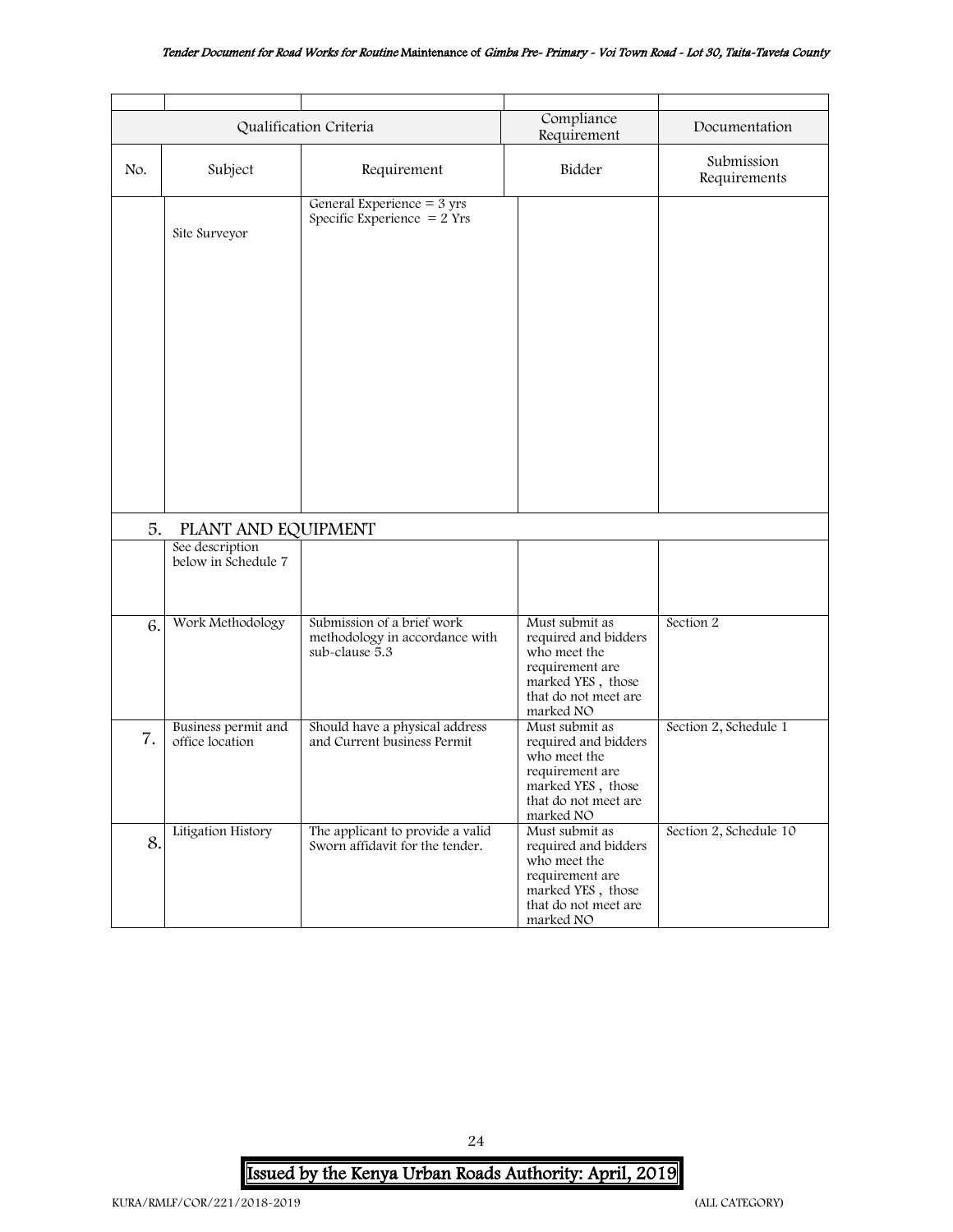#### Tender Document for Road Works for Routine Maintenance of Gimba Pre- Primary - Voi Town Road - Lot 30, Taita-Taveta County

|     |                                        | Qualification Criteria                                                         | Compliance<br>Requirement                                                                                                           | Documentation              |
|-----|----------------------------------------|--------------------------------------------------------------------------------|-------------------------------------------------------------------------------------------------------------------------------------|----------------------------|
| No. | Subject                                | Requirement                                                                    | Bidder                                                                                                                              | Submission<br>Requirements |
|     | Site Surveyor                          | General Experience $=$ 3 yrs<br>Specific Experience $= 2$ Yrs                  |                                                                                                                                     |                            |
| 5.  | PLANT AND EQUIPMENT                    |                                                                                |                                                                                                                                     |                            |
|     | See description<br>below in Schedule 7 |                                                                                |                                                                                                                                     |                            |
| 6.  | Work Methodology                       | Submission of a brief work<br>methodology in accordance with<br>sub-clause 5.3 | Must submit as<br>required and bidders<br>who meet the<br>requirement are<br>marked YES, those<br>that do not meet are<br>marked NO | Section 2                  |
| 7.  | Business permit and<br>office location | Should have a physical address<br>and Current business Permit                  | Must submit as<br>required and bidders<br>who meet the<br>requirement are<br>marked YES, those<br>that do not meet are<br>marked NO | Section 2, Schedule 1      |
| 8.  | Litigation History                     | The applicant to provide a valid<br>Sworn affidavit for the tender.            | Must submit as<br>required and bidders<br>who meet the<br>requirement are<br>marked YES, those<br>that do not meet are<br>marked NO | Section 2, Schedule 10     |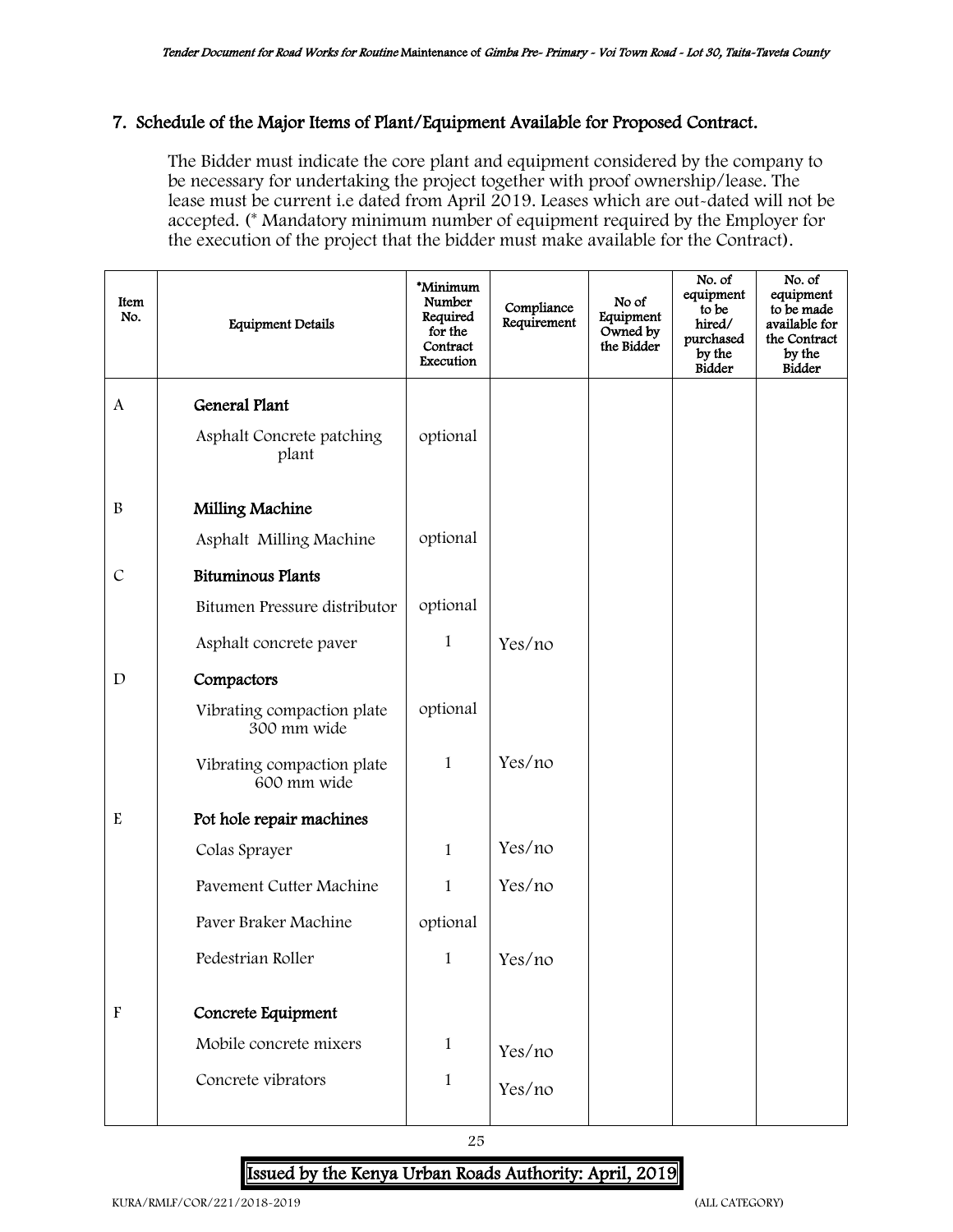#### <span id="page-24-0"></span>7. Schedule of the Major Items of Plant/Equipment Available for Proposed Contract.

The Bidder must indicate the core plant and equipment considered by the company to be necessary for undertaking the project together with proof ownership/lease. The lease must be current i.e dated from April 2019. Leases which are out-dated will not be accepted. (\* Mandatory minimum number of equipment required by the Employer for the execution of the project that the bidder must make available for the Contract).

| Item<br>No.               | <b>Equipment Details</b>                  | *Minimum<br>Number<br>Required<br>for the<br>Contract<br>Execution | Compliance<br>Requirement | No of<br>Equipment<br>Owned by<br>the Bidder | No. of<br>equipment<br>to be<br>hired/<br>purchased<br>by the<br>Bidder | No. of<br>equipment<br>to be made<br>available for<br>the Contract<br>by the<br><b>Bidder</b> |
|---------------------------|-------------------------------------------|--------------------------------------------------------------------|---------------------------|----------------------------------------------|-------------------------------------------------------------------------|-----------------------------------------------------------------------------------------------|
| A                         | <b>General Plant</b>                      |                                                                    |                           |                                              |                                                                         |                                                                                               |
|                           | Asphalt Concrete patching<br>plant        | optional                                                           |                           |                                              |                                                                         |                                                                                               |
| $\, {\bf B}$              | Milling Machine                           |                                                                    |                           |                                              |                                                                         |                                                                                               |
|                           | Asphalt Milling Machine                   | optional                                                           |                           |                                              |                                                                         |                                                                                               |
| $\mathcal{C}$             | <b>Bituminous Plants</b>                  |                                                                    |                           |                                              |                                                                         |                                                                                               |
|                           | Bitumen Pressure distributor              | optional                                                           |                           |                                              |                                                                         |                                                                                               |
|                           | Asphalt concrete paver                    | 1                                                                  | Yes/no                    |                                              |                                                                         |                                                                                               |
| $\mathbf D$               | Compactors                                |                                                                    |                           |                                              |                                                                         |                                                                                               |
|                           | Vibrating compaction plate<br>300 mm wide | optional                                                           |                           |                                              |                                                                         |                                                                                               |
|                           | Vibrating compaction plate<br>600 mm wide | $\mathbf{1}$                                                       | Yes/no                    |                                              |                                                                         |                                                                                               |
| E                         | Pot hole repair machines                  |                                                                    |                           |                                              |                                                                         |                                                                                               |
|                           | Colas Sprayer                             | $\mathbf{1}$                                                       | Yes/no                    |                                              |                                                                         |                                                                                               |
|                           | Pavement Cutter Machine                   | $\mathbf{1}$                                                       | Yes/no                    |                                              |                                                                         |                                                                                               |
|                           | Paver Braker Machine                      | optional                                                           |                           |                                              |                                                                         |                                                                                               |
|                           | Pedestrian Roller                         | 1                                                                  | Yes/no                    |                                              |                                                                         |                                                                                               |
| $\boldsymbol{\mathrm{F}}$ | Concrete Equipment                        |                                                                    |                           |                                              |                                                                         |                                                                                               |
|                           | Mobile concrete mixers                    | 1                                                                  | Yes/no                    |                                              |                                                                         |                                                                                               |
|                           | Concrete vibrators                        | 1                                                                  | Yes/no                    |                                              |                                                                         |                                                                                               |
|                           |                                           |                                                                    |                           |                                              |                                                                         |                                                                                               |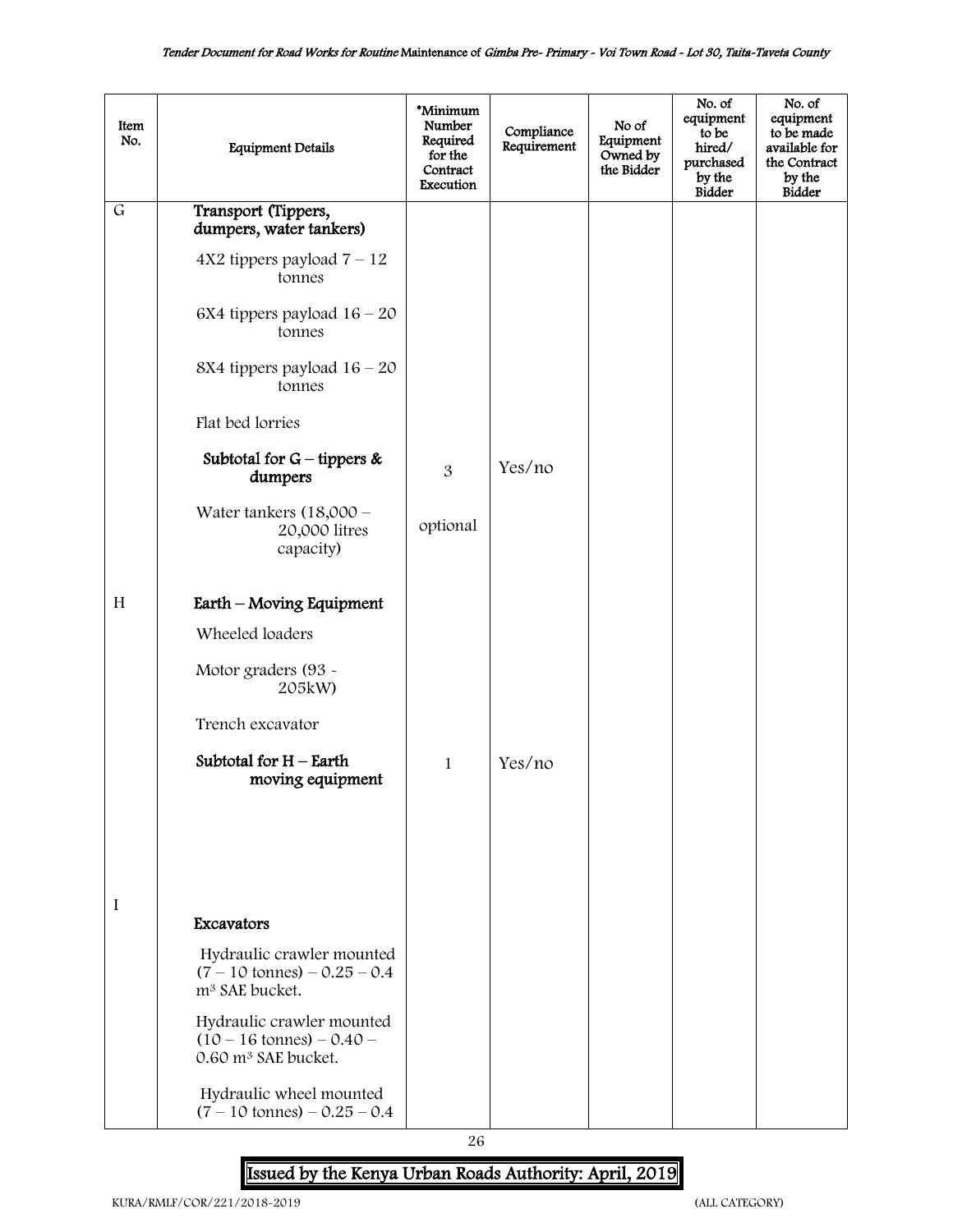| Item<br>No.    | <b>Equipment Details</b>                                                                            | *Minimum<br>Number<br>Required<br>for the<br>Contract<br>Execution | Compliance<br>Requirement | No of<br>Equipment<br>Owned by<br>the Bidder | No. of<br>equipment<br>to be<br>hired/<br>purchased<br>by the<br><b>Bidder</b> | No. of<br>equipment<br>to be made<br>available for<br>the Contract<br>by the<br><b>Bidder</b> |
|----------------|-----------------------------------------------------------------------------------------------------|--------------------------------------------------------------------|---------------------------|----------------------------------------------|--------------------------------------------------------------------------------|-----------------------------------------------------------------------------------------------|
| $\overline{G}$ | Transport (Tippers,<br>dumpers, water tankers)                                                      |                                                                    |                           |                                              |                                                                                |                                                                                               |
|                | $4X2$ tippers payload $7 - 12$<br>tonnes                                                            |                                                                    |                           |                                              |                                                                                |                                                                                               |
|                | 6X4 tippers payload $16 - 20$<br>tonnes                                                             |                                                                    |                           |                                              |                                                                                |                                                                                               |
|                | 8X4 tippers payload $16 - 20$<br>tonnes                                                             |                                                                    |                           |                                              |                                                                                |                                                                                               |
|                | Flat bed lorries                                                                                    |                                                                    |                           |                                              |                                                                                |                                                                                               |
|                | Subtotal for $G$ – tippers &<br>dumpers                                                             | 3                                                                  | Yes/no                    |                                              |                                                                                |                                                                                               |
|                | Water tankers $(18,000 -$<br>20,000 litres<br>capacity)                                             | optional                                                           |                           |                                              |                                                                                |                                                                                               |
| H              | Earth – Moving Equipment                                                                            |                                                                    |                           |                                              |                                                                                |                                                                                               |
|                | Wheeled loaders                                                                                     |                                                                    |                           |                                              |                                                                                |                                                                                               |
|                | Motor graders (93 -<br>205kW)                                                                       |                                                                    |                           |                                              |                                                                                |                                                                                               |
|                | Trench excavator                                                                                    |                                                                    |                           |                                              |                                                                                |                                                                                               |
|                | Subtotal for $H$ – Earth<br>moving equipment                                                        | $\mathbf{1}$                                                       | Yes/no                    |                                              |                                                                                |                                                                                               |
|                |                                                                                                     |                                                                    |                           |                                              |                                                                                |                                                                                               |
|                |                                                                                                     |                                                                    |                           |                                              |                                                                                |                                                                                               |
| I              |                                                                                                     |                                                                    |                           |                                              |                                                                                |                                                                                               |
|                | Excavators                                                                                          |                                                                    |                           |                                              |                                                                                |                                                                                               |
|                | Hydraulic crawler mounted<br>$(7 - 10 \text{ tonnes}) - 0.25 - 0.4$<br>m <sup>3</sup> SAE bucket.   |                                                                    |                           |                                              |                                                                                |                                                                                               |
|                | Hydraulic crawler mounted<br>$(10 - 16 \text{ tonnes}) - 0.40 -$<br>0.60 m <sup>3</sup> SAE bucket. |                                                                    |                           |                                              |                                                                                |                                                                                               |
|                | Hydraulic wheel mounted<br>$(7 - 10 \text{ tonnes}) - 0.25 - 0.4$                                   |                                                                    |                           |                                              |                                                                                |                                                                                               |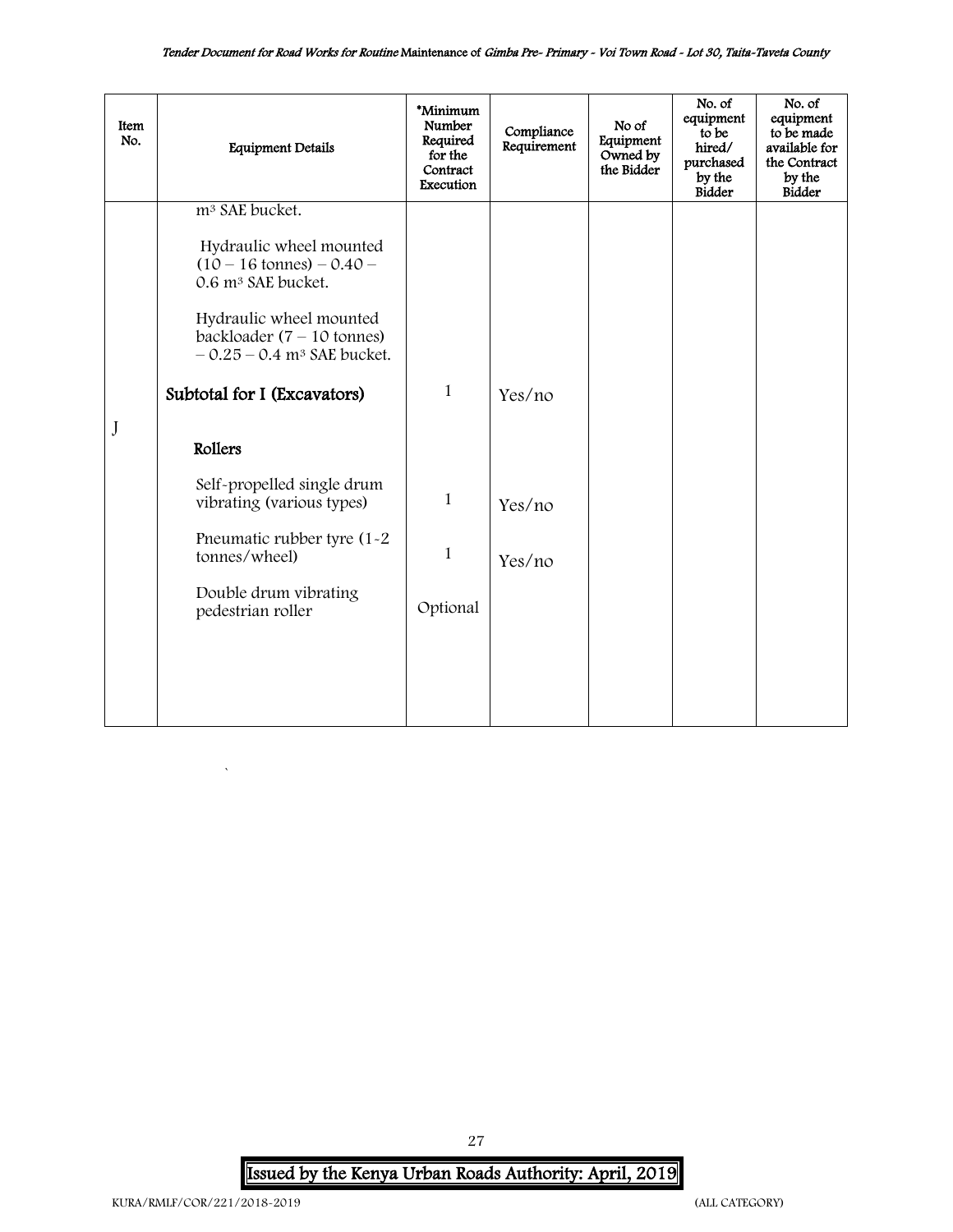| Item<br>No. | <b>Equipment Details</b>                                                                                                                      | *Minimum<br>Number<br>Required<br>for the<br>Contract<br>Execution | Compliance<br>Requirement | No of<br>Equipment<br>Owned by<br>the Bidder | No. of<br>equipment<br>to be<br>hired/<br>purchased<br>by the<br><b>Bidder</b> | No. of<br>equipment<br>to be made<br>available for<br>the Contract<br>by the<br><b>Bidder</b> |
|-------------|-----------------------------------------------------------------------------------------------------------------------------------------------|--------------------------------------------------------------------|---------------------------|----------------------------------------------|--------------------------------------------------------------------------------|-----------------------------------------------------------------------------------------------|
|             | m <sup>3</sup> SAE bucket.<br>Hydraulic wheel mounted<br>$(10 - 16 \text{ tonnes}) - 0.40 -$                                                  |                                                                    |                           |                                              |                                                                                |                                                                                               |
|             | 0.6 m <sup>3</sup> SAE bucket.<br>Hydraulic wheel mounted<br>backloader $(7 - 10 \text{ tonnes})$<br>$-0.25 - 0.4$ m <sup>3</sup> SAE bucket. |                                                                    |                           |                                              |                                                                                |                                                                                               |
|             | Subtotal for I (Excavators)                                                                                                                   | $\mathbf{1}$                                                       | Yes/no                    |                                              |                                                                                |                                                                                               |
| J           | Rollers                                                                                                                                       |                                                                    |                           |                                              |                                                                                |                                                                                               |
|             | Self-propelled single drum<br>vibrating (various types)                                                                                       | 1                                                                  | Yes/no                    |                                              |                                                                                |                                                                                               |
|             | Pneumatic rubber tyre (1-2)<br>tonnes/wheel)                                                                                                  | $\mathbf{1}$                                                       | Yes/no                    |                                              |                                                                                |                                                                                               |
|             | Double drum vibrating<br>pedestrian roller                                                                                                    | Optional                                                           |                           |                                              |                                                                                |                                                                                               |
|             |                                                                                                                                               |                                                                    |                           |                                              |                                                                                |                                                                                               |
|             |                                                                                                                                               |                                                                    |                           |                                              |                                                                                |                                                                                               |

Issued by the Kenya Urban Roads Authority: April, 2019

27

 $\hat{\mathbf{v}}$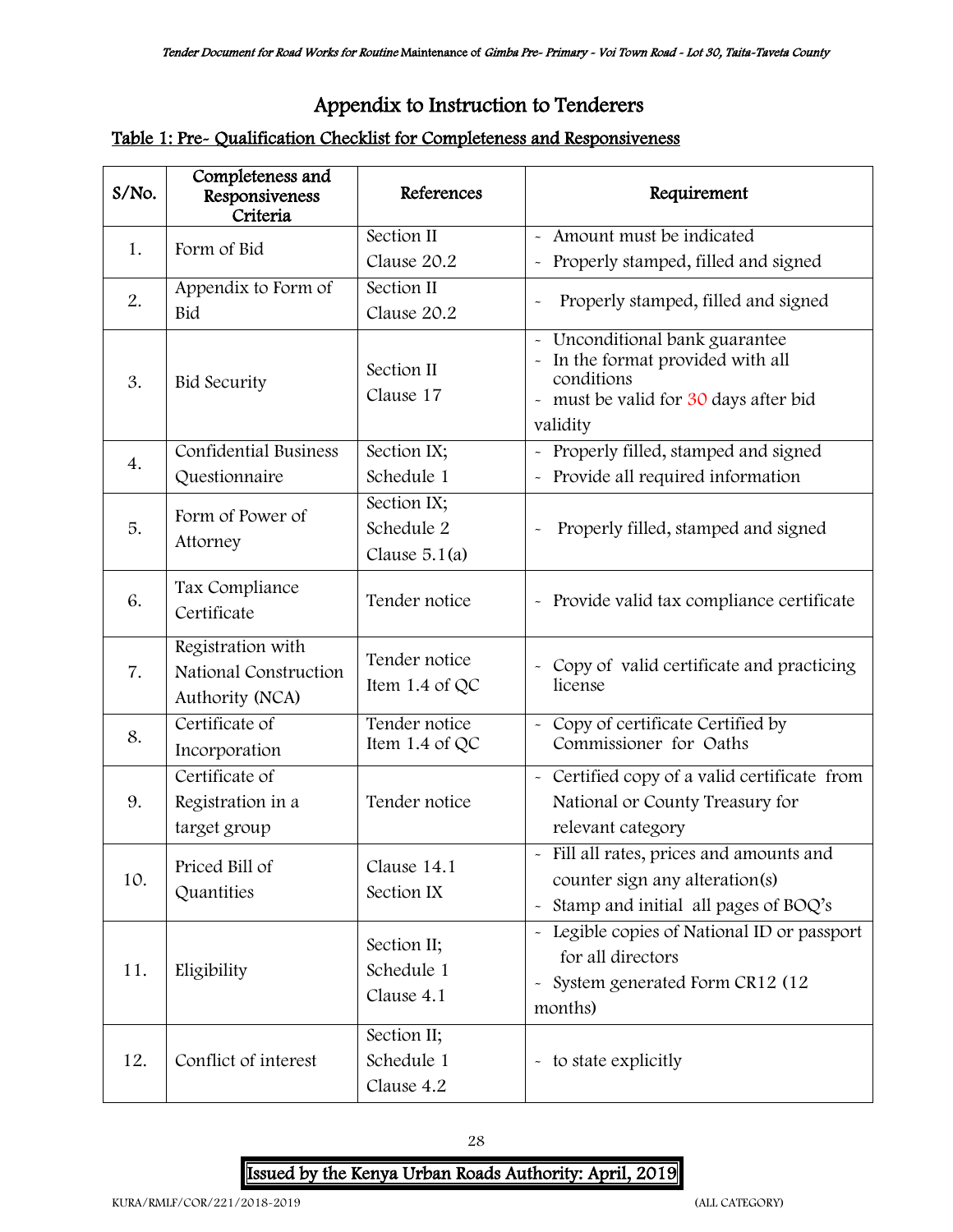## <span id="page-27-0"></span>Appendix to Instruction to Tenderers

## Table 1: Pre- Qualification Checklist for Completeness and Responsiveness

| S/No. | Completeness and<br>Responsiveness<br>Criteria                | References                                   | Requirement                                                                                                                                                               |
|-------|---------------------------------------------------------------|----------------------------------------------|---------------------------------------------------------------------------------------------------------------------------------------------------------------------------|
|       | Form of Bid                                                   | Section II                                   | - Amount must be indicated                                                                                                                                                |
| 1.    |                                                               | Clause 20.2                                  | Properly stamped, filled and signed                                                                                                                                       |
| 2.    | Appendix to Form of                                           | Section II                                   | Properly stamped, filled and signed                                                                                                                                       |
|       | Bid                                                           | Clause 20.2                                  |                                                                                                                                                                           |
| 3.    | <b>Bid Security</b>                                           | Section II<br>Clause 17                      | Unconditional bank guarantee<br>$\sim$<br>In the format provided with all<br>$\widetilde{\phantom{m}}$<br>conditions<br>- must be valid for 30 days after bid<br>validity |
| 4.    | <b>Confidential Business</b>                                  | Section IX;                                  | - Properly filled, stamped and signed                                                                                                                                     |
|       | Questionnaire                                                 | Schedule 1                                   | - Provide all required information                                                                                                                                        |
| 5.    | Form of Power of<br>Attorney                                  | Section IX;<br>Schedule 2<br>Clause $5.1(a)$ | Properly filled, stamped and signed                                                                                                                                       |
| 6.    | Tax Compliance<br>Certificate                                 | Tender notice                                | - Provide valid tax compliance certificate                                                                                                                                |
| 7.    | Registration with<br>National Construction<br>Authority (NCA) | Tender notice<br>Item 1.4 of QC              | - Copy of valid certificate and practicing<br>license                                                                                                                     |
| 8.    | Certificate of<br>Incorporation                               | Tender notice<br>Item 1.4 of QC              | - Copy of certificate Certified by<br>Commissioner for Oaths                                                                                                              |
|       | Certificate of                                                |                                              | - Certified copy of a valid certificate from                                                                                                                              |
| 9.    | Registration in a                                             | Tender notice                                | National or County Treasury for                                                                                                                                           |
|       | target group                                                  |                                              | relevant category                                                                                                                                                         |
|       | Priced Bill of                                                | Clause 14.1                                  | - Fill all rates, prices and amounts and                                                                                                                                  |
| 10.   | Quantities                                                    | Section IX                                   | counter sign any alteration(s)                                                                                                                                            |
|       |                                                               |                                              | - Stamp and initial all pages of BOQ's                                                                                                                                    |
|       |                                                               | Section II;                                  | - Legible copies of National ID or passport                                                                                                                               |
| 11.   | Eligibility                                                   | Schedule 1                                   | for all directors                                                                                                                                                         |
|       |                                                               | Clause 4.1                                   | System generated Form CR12 (12<br>$\tilde{\phantom{a}}$<br>months)                                                                                                        |
|       |                                                               | Section II;                                  |                                                                                                                                                                           |
| 12.   | Conflict of interest                                          | Schedule 1                                   | - to state explicitly                                                                                                                                                     |
|       |                                                               | Clause 4.2                                   |                                                                                                                                                                           |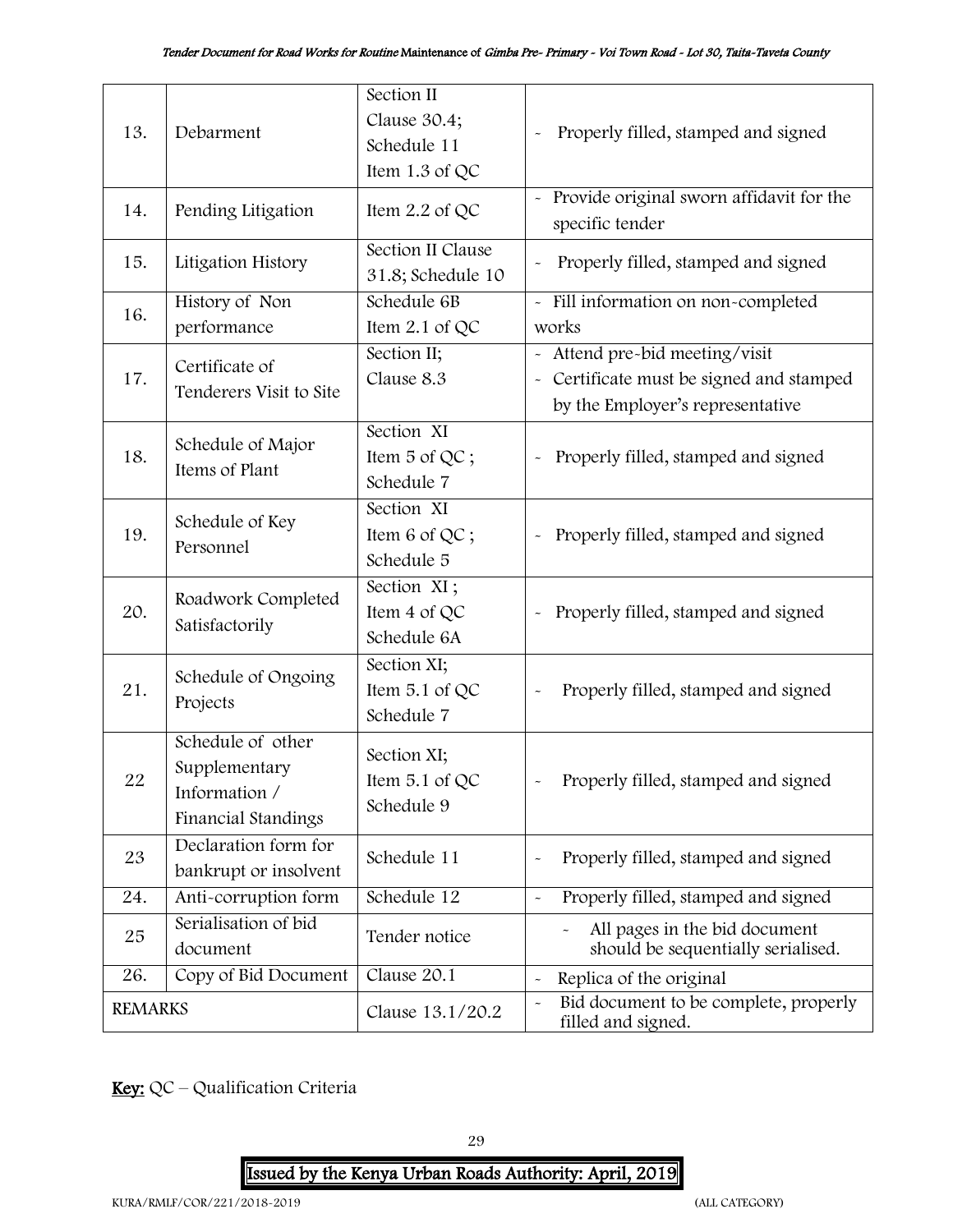|                |                              | Section II<br>Clause 30.4;             |                                                                                      |
|----------------|------------------------------|----------------------------------------|--------------------------------------------------------------------------------------|
| 13.            | Debarment                    | Schedule 11                            | Properly filled, stamped and signed                                                  |
|                |                              | Item 1.3 of QC                         |                                                                                      |
| 14.            | Pending Litigation           | Item $2.2$ of QC                       | - Provide original sworn affidavit for the<br>specific tender                        |
| 15.            | Litigation History           | Section II Clause<br>31.8; Schedule 10 | Properly filled, stamped and signed                                                  |
| 16.            | History of Non               | Schedule 6B                            | - Fill information on non-completed                                                  |
|                | performance                  | Item 2.1 of QC                         | works                                                                                |
|                | Certificate of               | Section II;                            | - Attend pre-bid meeting/visit                                                       |
| 17.            | Tenderers Visit to Site      | Clause 8.3                             | Certificate must be signed and stamped<br>$\tilde{\phantom{a}}$                      |
|                |                              |                                        | by the Employer's representative                                                     |
|                | Schedule of Major            | Section XI                             |                                                                                      |
| 18.            | Items of Plant               | Item 5 of QC;                          | Properly filled, stamped and signed<br>$\ddot{\phantom{0}}$                          |
|                |                              | Schedule 7                             |                                                                                      |
|                | Schedule of Key<br>Personnel | Section XI                             |                                                                                      |
| 19.            |                              | Item $6$ of QC;                        | Properly filled, stamped and signed                                                  |
|                |                              | Schedule 5                             |                                                                                      |
|                | Roadwork Completed           | Section XI;                            |                                                                                      |
| 20.            |                              | Item 4 of QC                           | Properly filled, stamped and signed                                                  |
|                | Satisfactorily               | Schedule 6A                            |                                                                                      |
|                | Schedule of Ongoing          | Section XI;                            |                                                                                      |
| 21.            | Projects                     | Item 5.1 of QC                         | Properly filled, stamped and signed                                                  |
|                |                              | Schedule 7                             |                                                                                      |
|                | Schedule of other            | Section XI;                            |                                                                                      |
| 22             | Supplementary                | Item $5.1$ of QC                       | Properly filled, stamped and signed                                                  |
|                | Information /                | Schedule 9                             |                                                                                      |
|                | Financial Standings          |                                        |                                                                                      |
| 23             | Declaration form for         | Schedule 11                            | Properly filled, stamped and signed<br>$\ddot{\phantom{1}}$                          |
|                | bankrupt or insolvent        |                                        |                                                                                      |
| 24.            | Anti-corruption form         | Schedule 12                            | Properly filled, stamped and signed<br>$\tilde{\phantom{a}}$                         |
| 25             | Serialisation of bid         | Tender notice                          | All pages in the bid document                                                        |
|                | document                     |                                        | should be sequentially serialised.                                                   |
| 26.            | Copy of Bid Document         | Clause 20.1                            | Replica of the original<br>$\tilde{}$                                                |
| <b>REMARKS</b> |                              | Clause 13.1/20.2                       | Bid document to be complete, properly<br>$\tilde{\phantom{a}}$<br>filled and signed. |

Key: QC - Qualification Criteria

29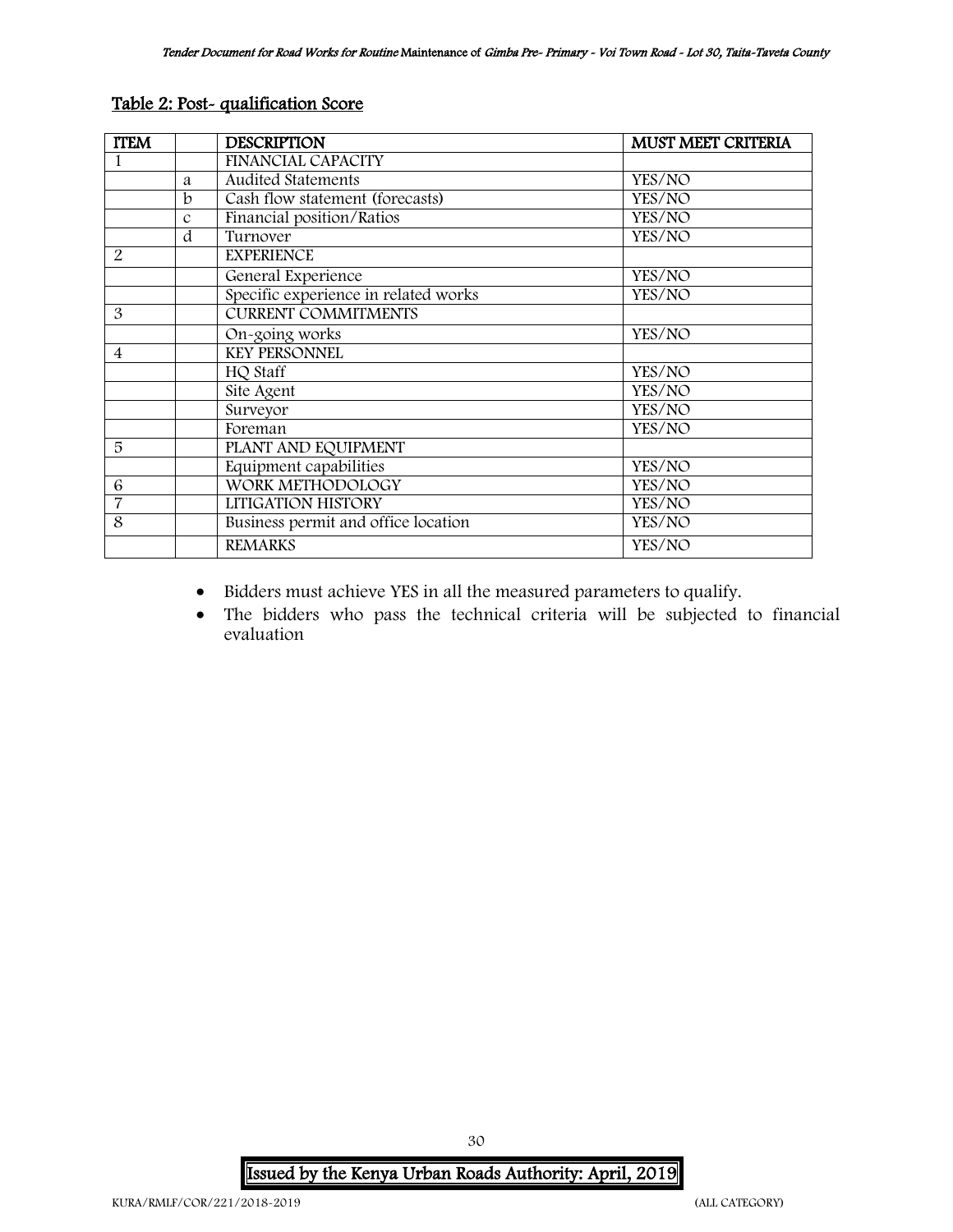| <b>ITEM</b>              |               | <b>DESCRIPTION</b>                   | <b>MUST MEET CRITERIA</b> |
|--------------------------|---------------|--------------------------------------|---------------------------|
|                          |               | FINANCIAL CAPACITY                   |                           |
|                          | a             | <b>Audited Statements</b>            | YES/NO                    |
|                          | h             | Cash flow statement (forecasts)      | YES/NO                    |
|                          | $\mathcal{C}$ | Financial position/Ratios            | YES/NO                    |
|                          | d             | Turnover                             | YES/NO                    |
| 2                        |               | <b>EXPERIENCE</b>                    |                           |
|                          |               | General Experience                   | YES/NO                    |
|                          |               | Specific experience in related works | YES/NO                    |
| 3                        |               | <b>CURRENT COMMITMENTS</b>           |                           |
|                          |               | On-going works                       | YES/NO                    |
| $\overline{\mathcal{A}}$ |               | <b>KEY PERSONNEL</b>                 |                           |
|                          |               | HQ Staff                             | YES/NO                    |
|                          |               | Site Agent                           | YES/NO                    |
|                          |               | Surveyor                             | YES/NO                    |
|                          |               | Foreman                              | YES/NO                    |
| 5                        |               | PLANT AND EQUIPMENT                  |                           |
|                          |               | Equipment capabilities               | YES/NO                    |
| 6                        |               | WORK METHODOLOGY                     | YES/NO                    |
| 7                        |               | LITIGATION HISTORY                   | YES/NO                    |
| 8                        |               | Business permit and office location  | YES/NO                    |
|                          |               | <b>REMARKS</b>                       | YES/NO                    |

#### Table 2: Post- qualification Score

- Bidders must achieve YES in all the measured parameters to qualify.
- The bidders who pass the technical criteria will be subjected to financial evaluation

Issued by the Kenya Urban Roads Authority: April, 2019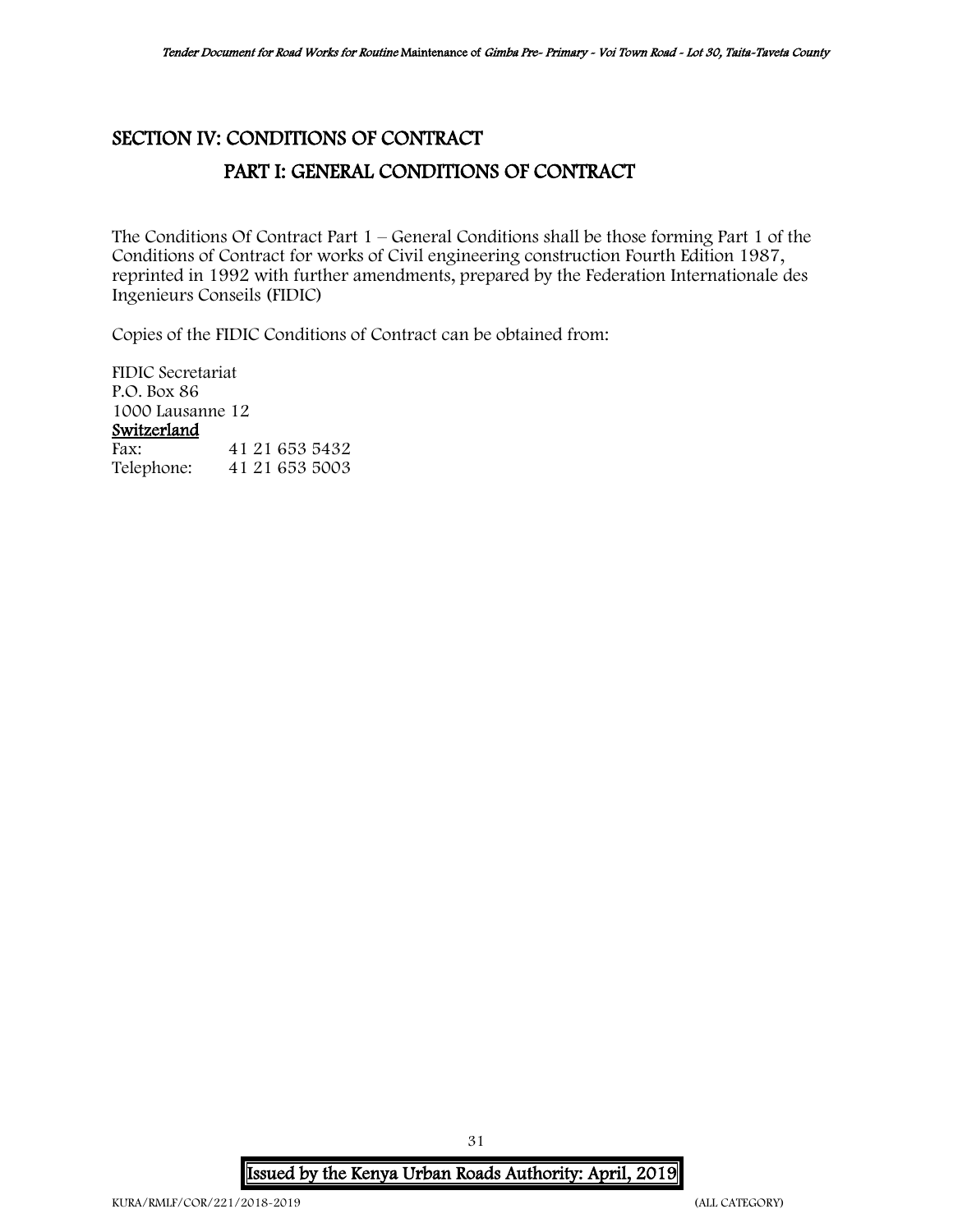## <span id="page-30-1"></span><span id="page-30-0"></span>SECTION IV: CONDITIONS OF CONTRACT PART I: GENERAL CONDITIONS OF CONTRACT

The Conditions Of Contract Part 1 – General Conditions shall be those forming Part 1 of the Conditions of Contract for works of Civil engineering construction Fourth Edition 1987, reprinted in 1992 with further amendments, prepared by the Federation Internationale des Ingenieurs Conseils (FIDIC)

Copies of the FIDIC Conditions of Contract can be obtained from:

FIDIC Secretariat P.O. Box 86 1000 Lausanne 12 Switzerland Fax: 41 21 653 5432 Telephone: 41 21 653 5003

Issued by the Kenya Urban Roads Authority: April, 2019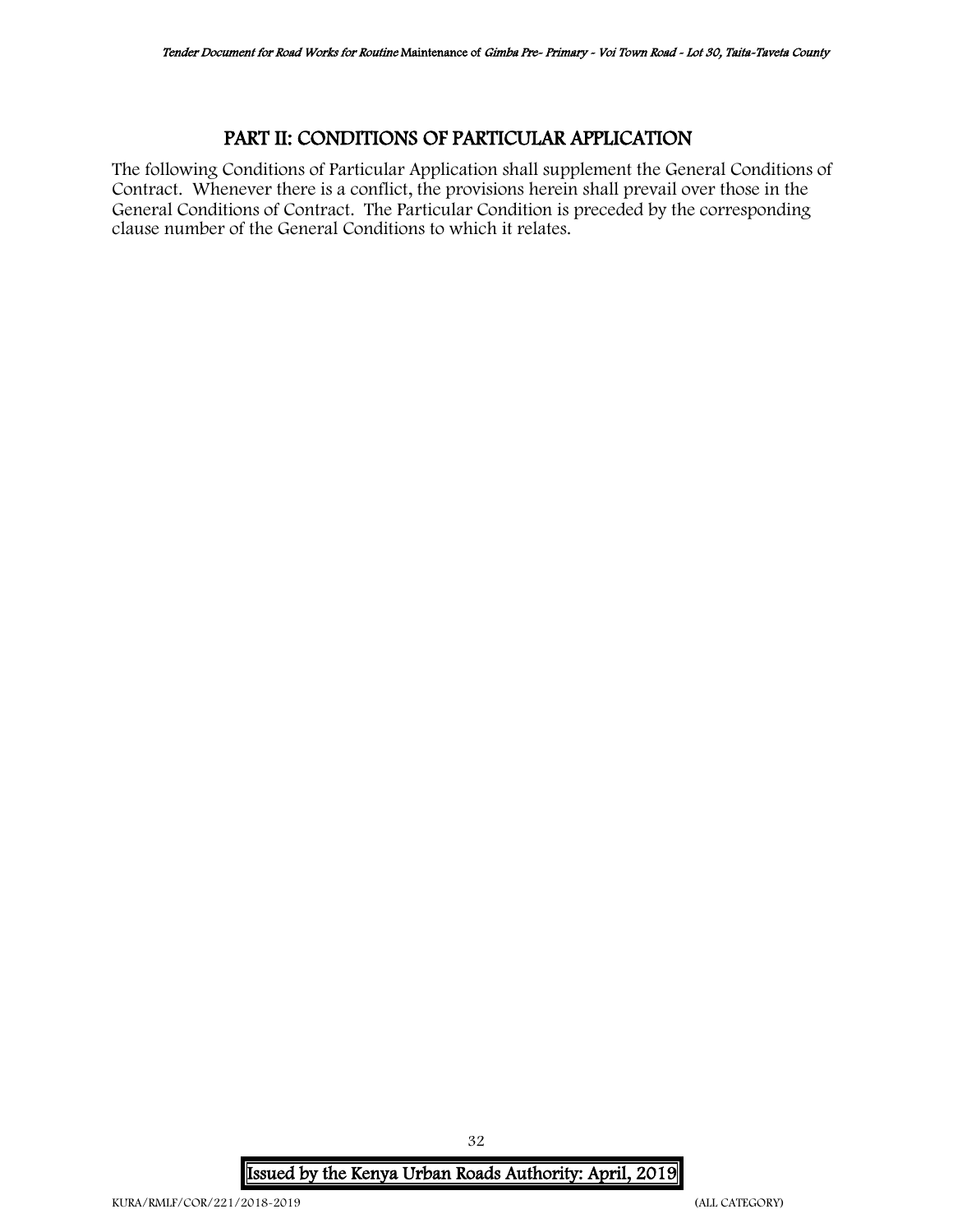#### PART II: CONDITIONS OF PARTICULAR APPLICATION

<span id="page-31-0"></span>The following Conditions of Particular Application shall supplement the General Conditions of Contract. Whenever there is a conflict, the provisions herein shall prevail over those in the General Conditions of Contract. The Particular Condition is preceded by the corresponding clause number of the General Conditions to which it relates.

Issued by the Kenya Urban Roads Authority: April, 2019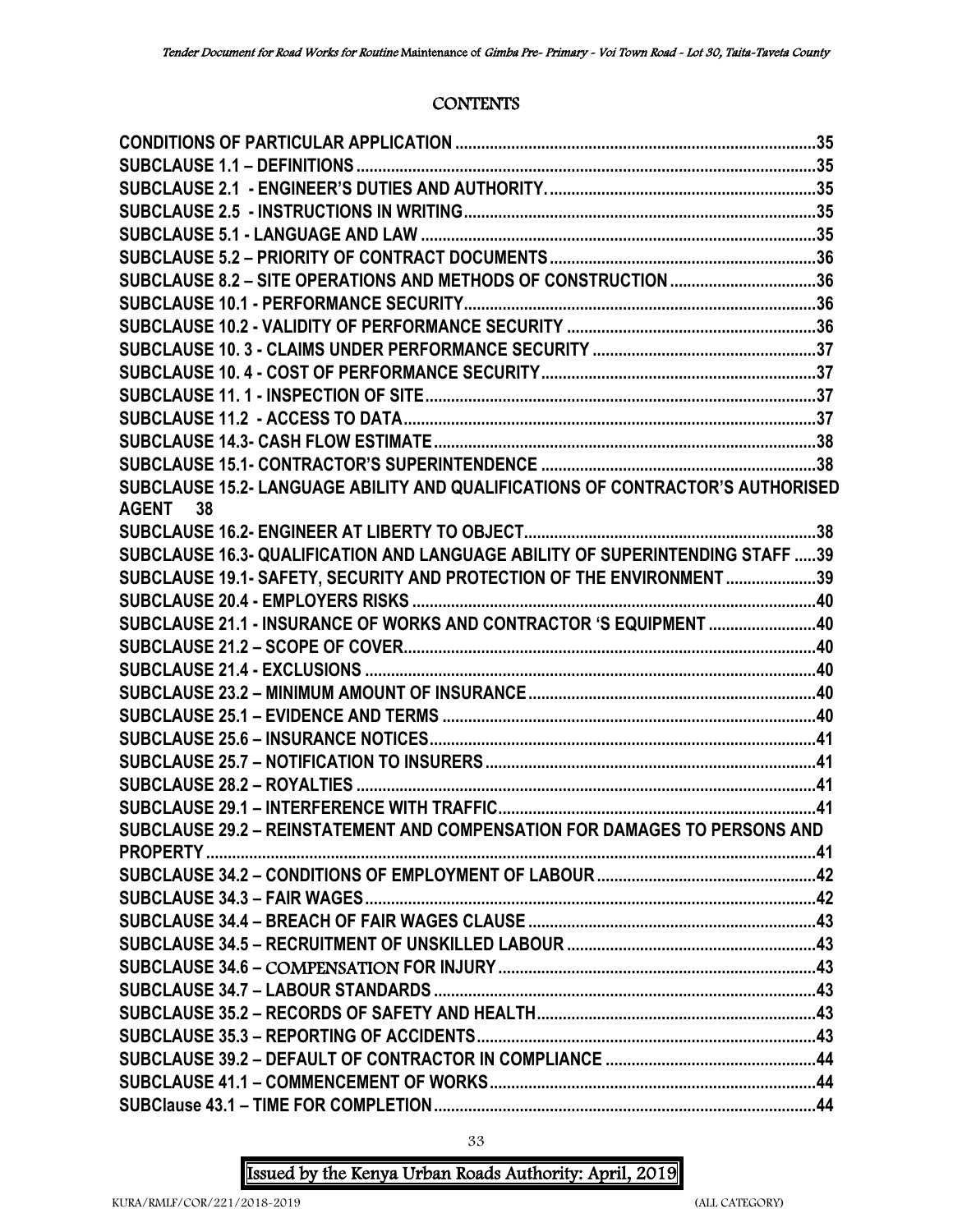#### **CONTENTS**

| SUBCLAUSE 8.2 - SITE OPERATIONS AND METHODS OF CONSTRUCTION 36                 |  |
|--------------------------------------------------------------------------------|--|
|                                                                                |  |
|                                                                                |  |
|                                                                                |  |
|                                                                                |  |
|                                                                                |  |
|                                                                                |  |
|                                                                                |  |
|                                                                                |  |
| SUBCLAUSE 15.2- LANGUAGE ABILITY AND QUALIFICATIONS OF CONTRACTOR'S AUTHORISED |  |
| AGENT 38                                                                       |  |
|                                                                                |  |
| SUBCLAUSE 16.3- QUALIFICATION AND LANGUAGE ABILITY OF SUPERINTENDING STAFF 39  |  |
| SUBCLAUSE 19.1- SAFETY, SECURITY AND PROTECTION OF THE ENVIRONMENT 39          |  |
|                                                                                |  |
| SUBCLAUSE 21.1 - INSURANCE OF WORKS AND CONTRACTOR 'S EQUIPMENT 40             |  |
|                                                                                |  |
|                                                                                |  |
|                                                                                |  |
|                                                                                |  |
|                                                                                |  |
|                                                                                |  |
|                                                                                |  |
|                                                                                |  |
| SUBCLAUSE 29.2 - REINSTATEMENT AND COMPENSATION FOR DAMAGES TO PERSONS AND     |  |
|                                                                                |  |
|                                                                                |  |
|                                                                                |  |
|                                                                                |  |
|                                                                                |  |
|                                                                                |  |
|                                                                                |  |
|                                                                                |  |
|                                                                                |  |
|                                                                                |  |
|                                                                                |  |
|                                                                                |  |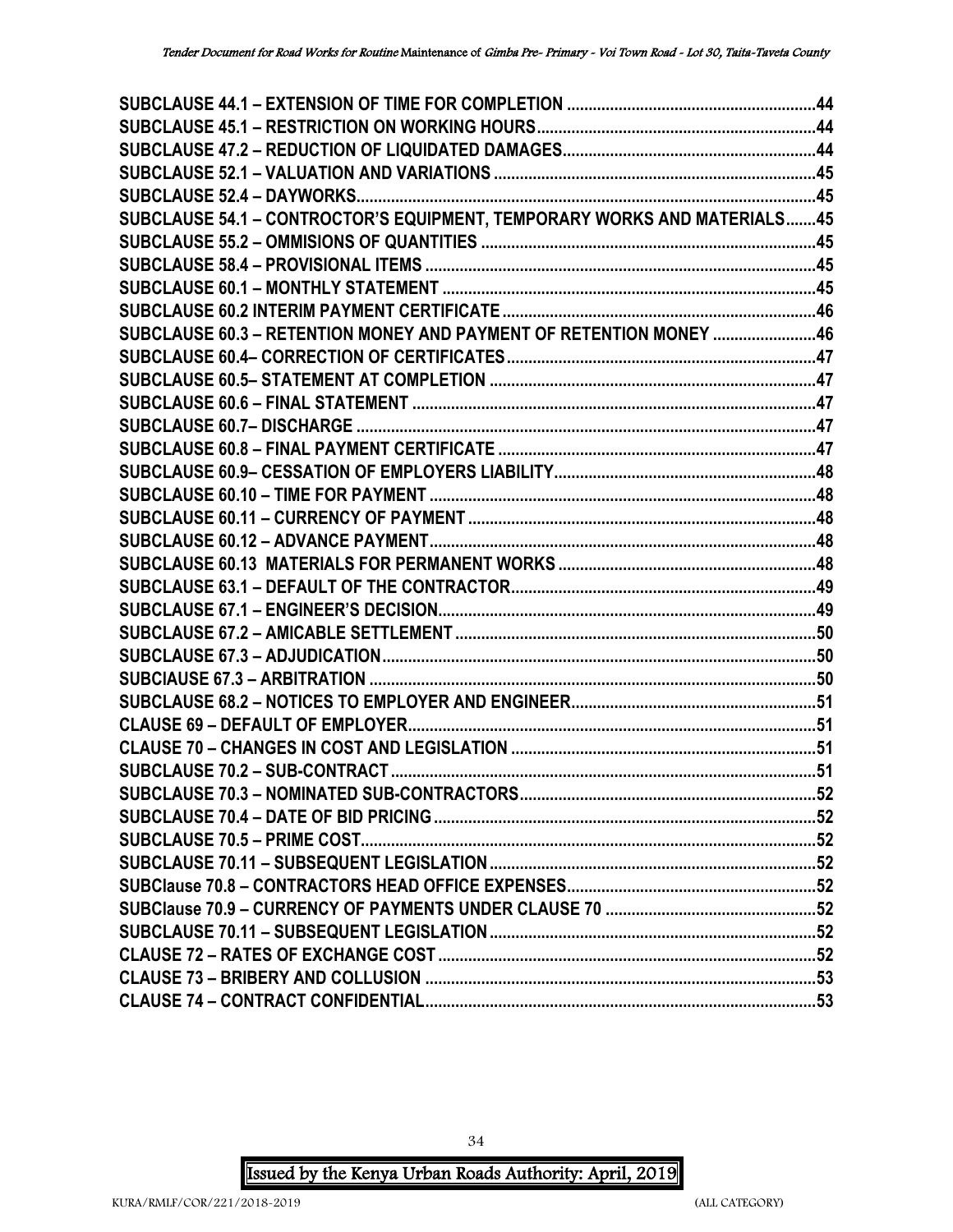| SUBCLAUSE 54.1 - CONTROCTOR'S EQUIPMENT, TEMPORARY WORKS AND MATERIALS45 |  |
|--------------------------------------------------------------------------|--|
|                                                                          |  |
|                                                                          |  |
|                                                                          |  |
|                                                                          |  |
| SUBCLAUSE 60.3 - RETENTION MONEY AND PAYMENT OF RETENTION MONEY 46       |  |
|                                                                          |  |
|                                                                          |  |
|                                                                          |  |
|                                                                          |  |
|                                                                          |  |
|                                                                          |  |
|                                                                          |  |
|                                                                          |  |
|                                                                          |  |
|                                                                          |  |
|                                                                          |  |
|                                                                          |  |
|                                                                          |  |
|                                                                          |  |
|                                                                          |  |
|                                                                          |  |
|                                                                          |  |
|                                                                          |  |
|                                                                          |  |
|                                                                          |  |
|                                                                          |  |
|                                                                          |  |
|                                                                          |  |
|                                                                          |  |
|                                                                          |  |
|                                                                          |  |
|                                                                          |  |
|                                                                          |  |
|                                                                          |  |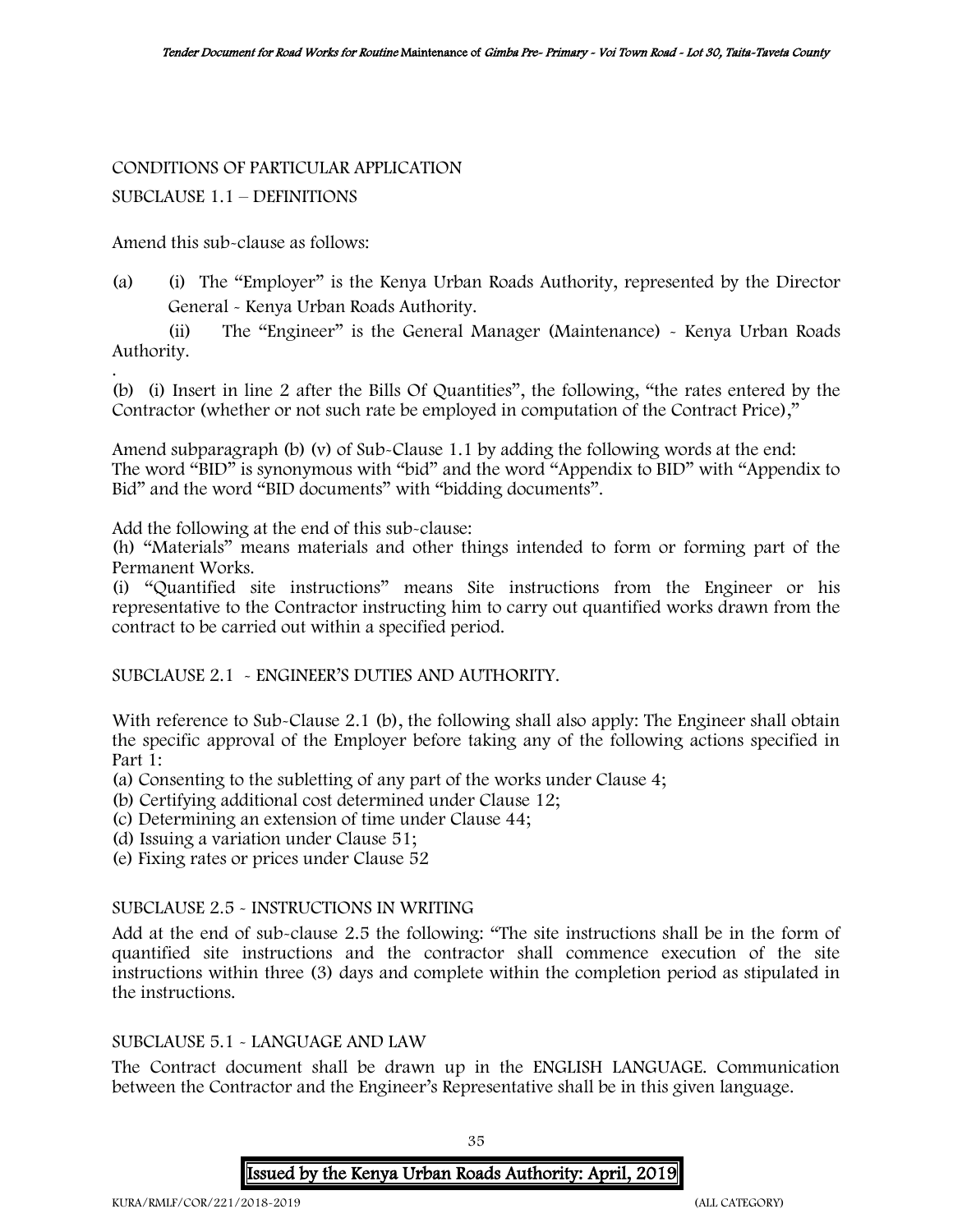## CONDITIONS OF PARTICULAR APPLICATION

#### SUBCLAUSE 1.1 – DEFINITIONS

Amend this sub-clause as follows:

(a) (i) The "Employer" is the Kenya Urban Roads Authority, represented by the Director General - Kenya Urban Roads Authority.

(ii) The "Engineer" is the General Manager (Maintenance) - Kenya Urban Roads Authority.

. (b) (i) Insert in line 2 after the Bills Of Quantities", the following, "the rates entered by the Contractor (whether or not such rate be employed in computation of the Contract Price),"

Amend subparagraph (b) (v) of Sub-Clause 1.1 by adding the following words at the end: The word "BID" is synonymous with "bid" and the word "Appendix to BID" with "Appendix to Bid" and the word "BID documents" with "bidding documents".

Add the following at the end of this sub-clause:

(h) "Materials" means materials and other things intended to form or forming part of the Permanent Works.

(i) "Quantified site instructions" means Site instructions from the Engineer or his representative to the Contractor instructing him to carry out quantified works drawn from the contract to be carried out within a specified period.

SUBCLAUSE 2.1 - ENGINEER'S DUTIES AND AUTHORITY.

With reference to Sub-Clause 2.1 (b), the following shall also apply: The Engineer shall obtain the specific approval of the Employer before taking any of the following actions specified in Part 1:

(a) Consenting to the subletting of any part of the works under Clause 4;

(b) Certifying additional cost determined under Clause 12;

(c) Determining an extension of time under Clause 44;

(d) Issuing a variation under Clause 51;

(e) Fixing rates or prices under Clause 52

#### SUBCLAUSE 2.5 - INSTRUCTIONS IN WRITING

Add at the end of sub-clause 2.5 the following: "The site instructions shall be in the form of quantified site instructions and the contractor shall commence execution of the site instructions within three (3) days and complete within the completion period as stipulated in the instructions.

#### SUBCLAUSE 5.1 - LANGUAGE AND LAW

The Contract document shall be drawn up in the ENGLISH LANGUAGE. Communication between the Contractor and the Engineer's Representative shall be in this given language.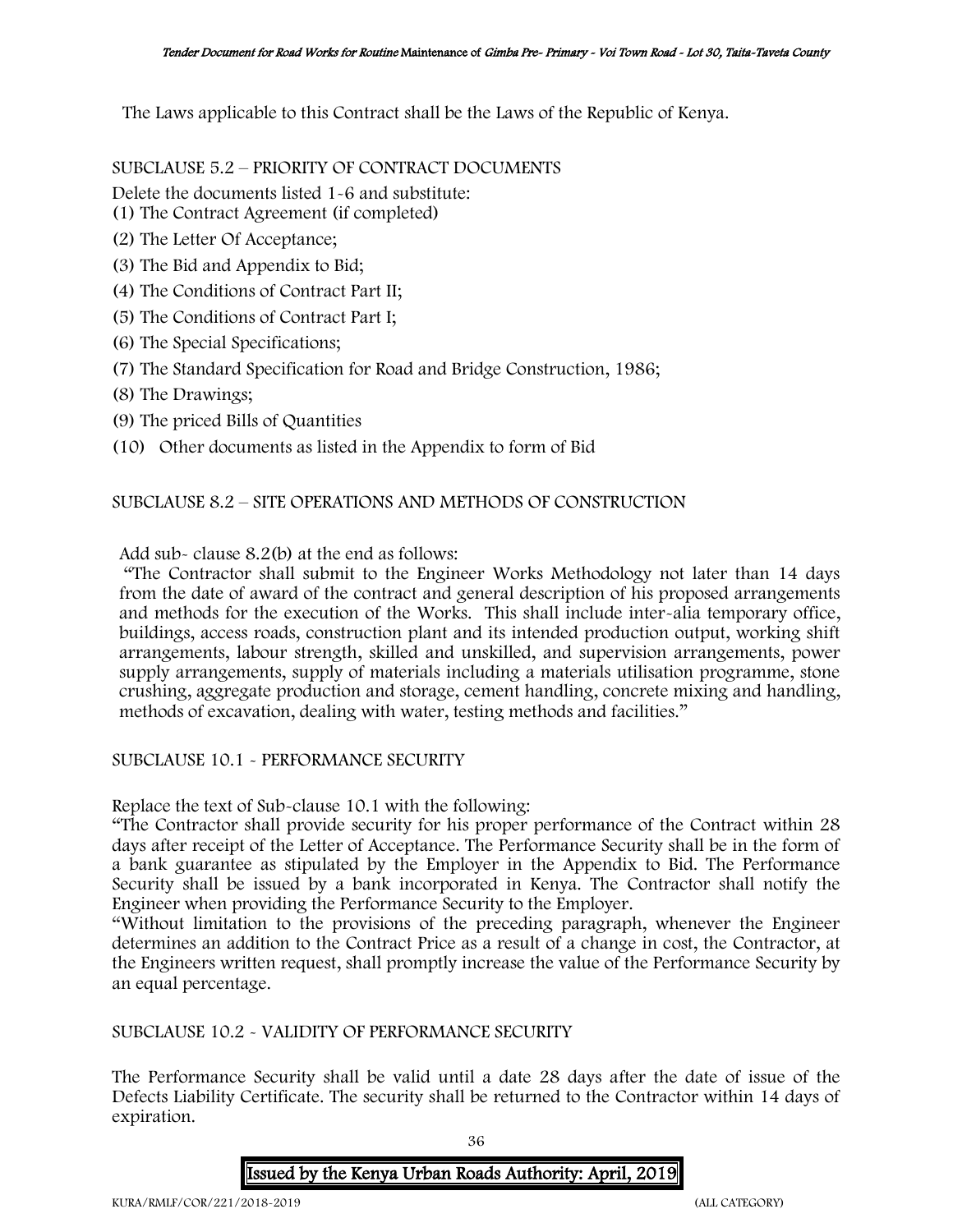The Laws applicable to this Contract shall be the Laws of the Republic of Kenya.

#### SUBCLAUSE 5.2 – PRIORITY OF CONTRACT DOCUMENTS

Delete the documents listed 1-6 and substitute:

- (1) The Contract Agreement (if completed)
- (2) The Letter Of Acceptance;
- (3) The Bid and Appendix to Bid;
- (4) The Conditions of Contract Part II;
- (5) The Conditions of Contract Part I;
- (6) The Special Specifications;
- (7) The Standard Specification for Road and Bridge Construction, 1986;
- (8) The Drawings;
- (9) The priced Bills of Quantities
- (10) Other documents as listed in the Appendix to form of Bid

#### SUBCLAUSE 8.2 – SITE OPERATIONS AND METHODS OF CONSTRUCTION

Add sub- clause 8.2(b) at the end as follows:

"The Contractor shall submit to the Engineer Works Methodology not later than 14 days from the date of award of the contract and general description of his proposed arrangements and methods for the execution of the Works. This shall include inter-alia temporary office, buildings, access roads, construction plant and its intended production output, working shift arrangements, labour strength, skilled and unskilled, and supervision arrangements, power supply arrangements, supply of materials including a materials utilisation programme, stone crushing, aggregate production and storage, cement handling, concrete mixing and handling, methods of excavation, dealing with water, testing methods and facilities."

#### SUBCLAUSE 10.1 - PERFORMANCE SECURITY

Replace the text of Sub-clause 10.1 with the following:

"The Contractor shall provide security for his proper performance of the Contract within 28 days after receipt of the Letter of Acceptance. The Performance Security shall be in the form of a bank guarantee as stipulated by the Employer in the Appendix to Bid. The Performance Security shall be issued by a bank incorporated in Kenya. The Contractor shall notify the Engineer when providing the Performance Security to the Employer.

"Without limitation to the provisions of the preceding paragraph, whenever the Engineer determines an addition to the Contract Price as a result of a change in cost, the Contractor, at the Engineers written request, shall promptly increase the value of the Performance Security by an equal percentage.

#### SUBCLAUSE 10.2 - VALIDITY OF PERFORMANCE SECURITY

The Performance Security shall be valid until a date 28 days after the date of issue of the Defects Liability Certificate. The security shall be returned to the Contractor within 14 days of expiration.

36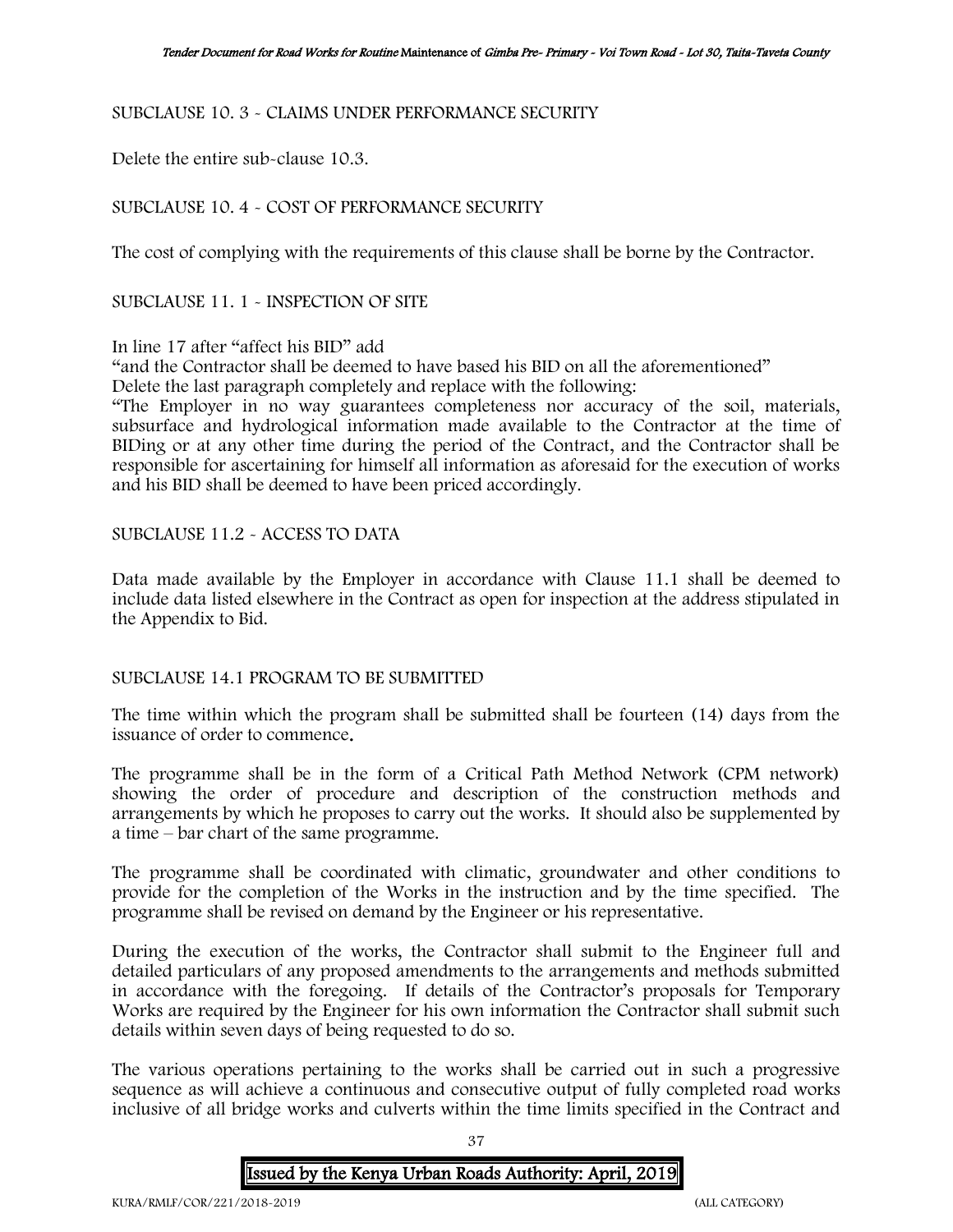### SUBCLAUSE 10. 3 - CLAIMS UNDER PERFORMANCE SECURITY

Delete the entire sub-clause 10.3.

## SUBCLAUSE 10. 4 - COST OF PERFORMANCE SECURITY

The cost of complying with the requirements of this clause shall be borne by the Contractor.

SUBCLAUSE 11. 1 - INSPECTION OF SITE

### In line 17 after "affect his BID" add

"and the Contractor shall be deemed to have based his BID on all the aforementioned" Delete the last paragraph completely and replace with the following:

"The Employer in no way guarantees completeness nor accuracy of the soil, materials, subsurface and hydrological information made available to the Contractor at the time of BIDing or at any other time during the period of the Contract, and the Contractor shall be responsible for ascertaining for himself all information as aforesaid for the execution of works and his BID shall be deemed to have been priced accordingly.

## SUBCLAUSE 11.2 - ACCESS TO DATA

Data made available by the Employer in accordance with Clause 11.1 shall be deemed to include data listed elsewhere in the Contract as open for inspection at the address stipulated in the Appendix to Bid.

### SUBCLAUSE 14.1 PROGRAM TO BE SUBMITTED

The time within which the program shall be submitted shall be fourteen (14) days from the issuance of order to commence.

The programme shall be in the form of a Critical Path Method Network (CPM network) showing the order of procedure and description of the construction methods and arrangements by which he proposes to carry out the works. It should also be supplemented by a time – bar chart of the same programme.

The programme shall be coordinated with climatic, groundwater and other conditions to provide for the completion of the Works in the instruction and by the time specified. The programme shall be revised on demand by the Engineer or his representative.

During the execution of the works, the Contractor shall submit to the Engineer full and detailed particulars of any proposed amendments to the arrangements and methods submitted in accordance with the foregoing. If details of the Contractor's proposals for Temporary Works are required by the Engineer for his own information the Contractor shall submit such details within seven days of being requested to do so.

The various operations pertaining to the works shall be carried out in such a progressive sequence as will achieve a continuous and consecutive output of fully completed road works inclusive of all bridge works and culverts within the time limits specified in the Contract and

37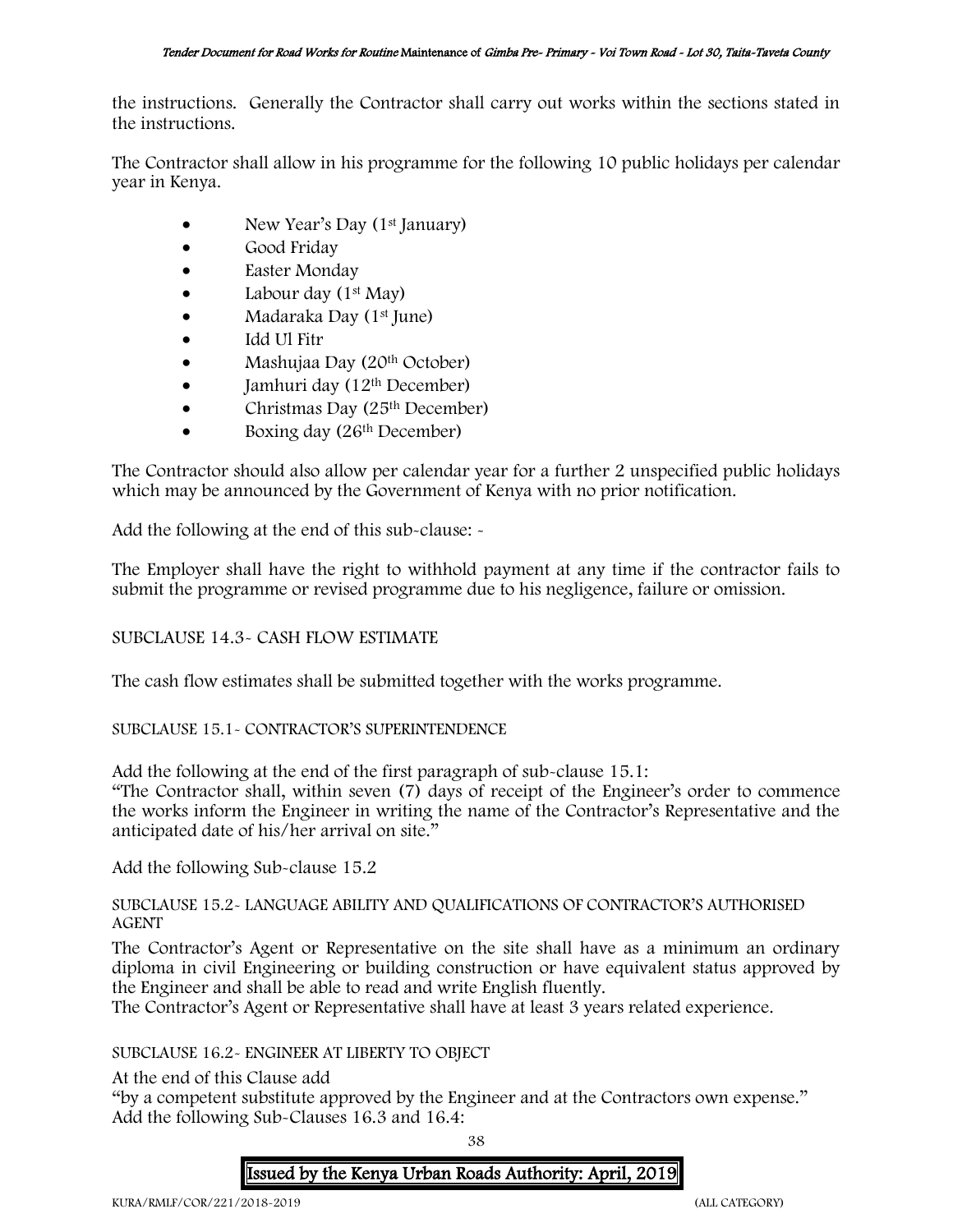the instructions. Generally the Contractor shall carry out works within the sections stated in the instructions.

The Contractor shall allow in his programme for the following 10 public holidays per calendar year in Kenya.

- New Year's Day (1<sup>st</sup> January)
- Good Friday
- Easter Monday
- Labour day  $(1<sup>st</sup>$  May)
- Madaraka Day (1st June)
- Idd Ul Fitr
- Mashujaa Day (20th October)
- $\bullet$  Jamhuri day (12<sup>th</sup> December)
- Christmas Day  $(25<sup>th</sup> December)$
- Boxing day (26<sup>th</sup> December)

The Contractor should also allow per calendar year for a further 2 unspecified public holidays which may be announced by the Government of Kenya with no prior notification.

Add the following at the end of this sub-clause: -

The Employer shall have the right to withhold payment at any time if the contractor fails to submit the programme or revised programme due to his negligence, failure or omission.

# SUBCLAUSE 14.3- CASH FLOW ESTIMATE

The cash flow estimates shall be submitted together with the works programme.

# SUBCLAUSE 15.1- CONTRACTOR'S SUPERINTENDENCE

Add the following at the end of the first paragraph of sub-clause 15.1:

"The Contractor shall, within seven (7) days of receipt of the Engineer's order to commence the works inform the Engineer in writing the name of the Contractor's Representative and the anticipated date of his/her arrival on site."

Add the following Sub-clause 15.2

# SUBCLAUSE 15.2- LANGUAGE ABILITY AND QUALIFICATIONS OF CONTRACTOR'S AUTHORISED AGENT

The Contractor's Agent or Representative on the site shall have as a minimum an ordinary diploma in civil Engineering or building construction or have equivalent status approved by the Engineer and shall be able to read and write English fluently.

The Contractor's Agent or Representative shall have at least 3 years related experience.

# SUBCLAUSE 16.2- ENGINEER AT LIBERTY TO OBJECT

At the end of this Clause add

"by a competent substitute approved by the Engineer and at the Contractors own expense." Add the following Sub-Clauses 16.3 and 16.4:

38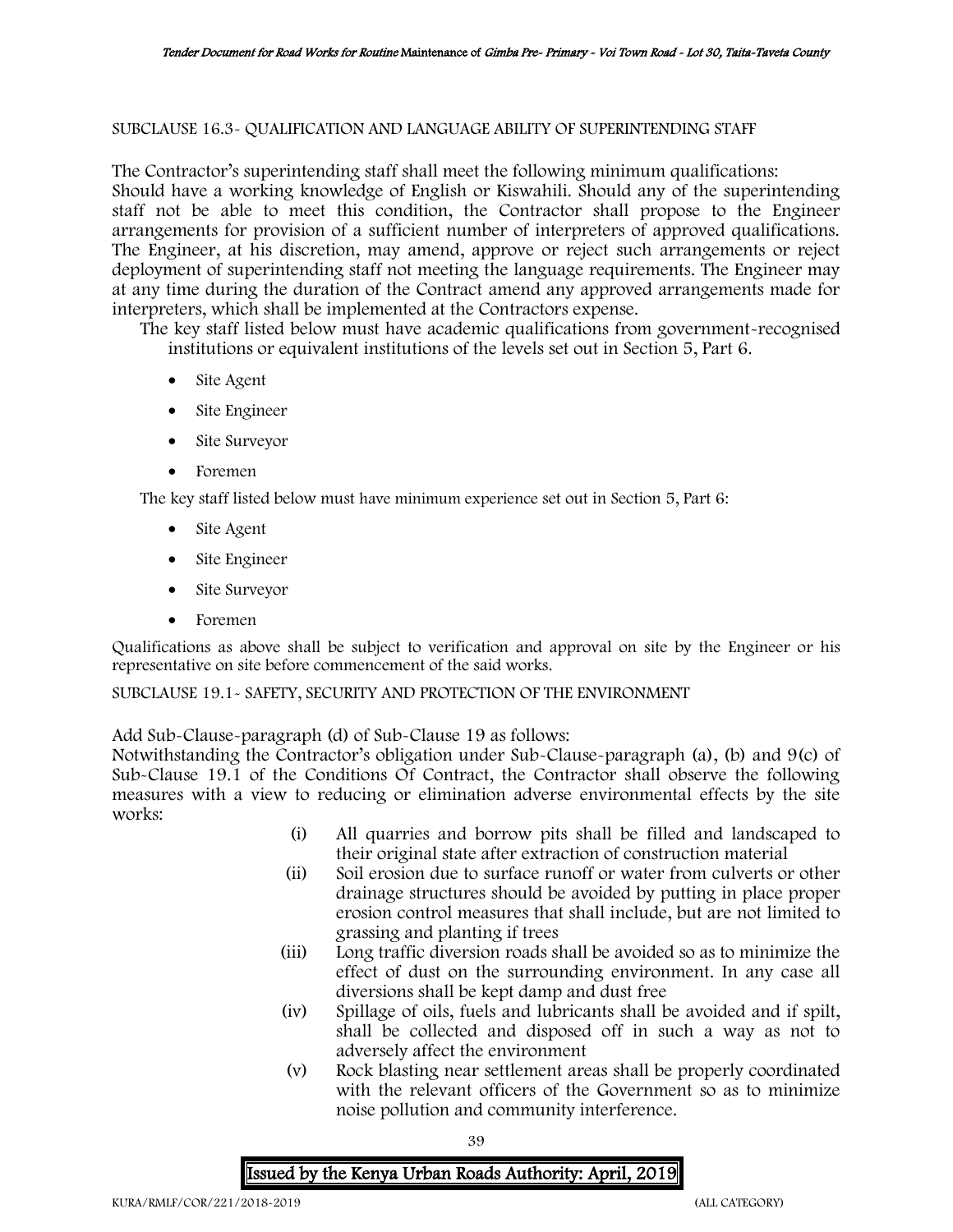### SUBCLAUSE 16.3- QUALIFICATION AND LANGUAGE ABILITY OF SUPERINTENDING STAFF

The Contractor's superintending staff shall meet the following minimum qualifications: Should have a working knowledge of English or Kiswahili. Should any of the superintending staff not be able to meet this condition, the Contractor shall propose to the Engineer arrangements for provision of a sufficient number of interpreters of approved qualifications. The Engineer, at his discretion, may amend, approve or reject such arrangements or reject deployment of superintending staff not meeting the language requirements. The Engineer may at any time during the duration of the Contract amend any approved arrangements made for interpreters, which shall be implemented at the Contractors expense.

The key staff listed below must have academic qualifications from government-recognised institutions or equivalent institutions of the levels set out in Section 5, Part 6.

- Site Agent
- Site Engineer
- Site Surveyor
- Foremen

The key staff listed below must have minimum experience set out in Section 5, Part 6:

- Site Agent
- Site Engineer
- Site Surveyor
- Foremen

Qualifications as above shall be subject to verification and approval on site by the Engineer or his representative on site before commencement of the said works.

# SUBCLAUSE 19.1- SAFETY, SECURITY AND PROTECTION OF THE ENVIRONMENT

Add Sub-Clause-paragraph (d) of Sub-Clause 19 as follows:

Notwithstanding the Contractor's obligation under Sub-Clause-paragraph (a), (b) and 9(c) of Sub-Clause 19.1 of the Conditions Of Contract, the Contractor shall observe the following measures with a view to reducing or elimination adverse environmental effects by the site works:

- (i) All quarries and borrow pits shall be filled and landscaped to their original state after extraction of construction material
- (ii) Soil erosion due to surface runoff or water from culverts or other drainage structures should be avoided by putting in place proper erosion control measures that shall include, but are not limited to grassing and planting if trees
- (iii) Long traffic diversion roads shall be avoided so as to minimize the effect of dust on the surrounding environment. In any case all diversions shall be kept damp and dust free
- (iv) Spillage of oils, fuels and lubricants shall be avoided and if spilt, shall be collected and disposed off in such a way as not to adversely affect the environment
- (v) Rock blasting near settlement areas shall be properly coordinated with the relevant officers of the Government so as to minimize noise pollution and community interference.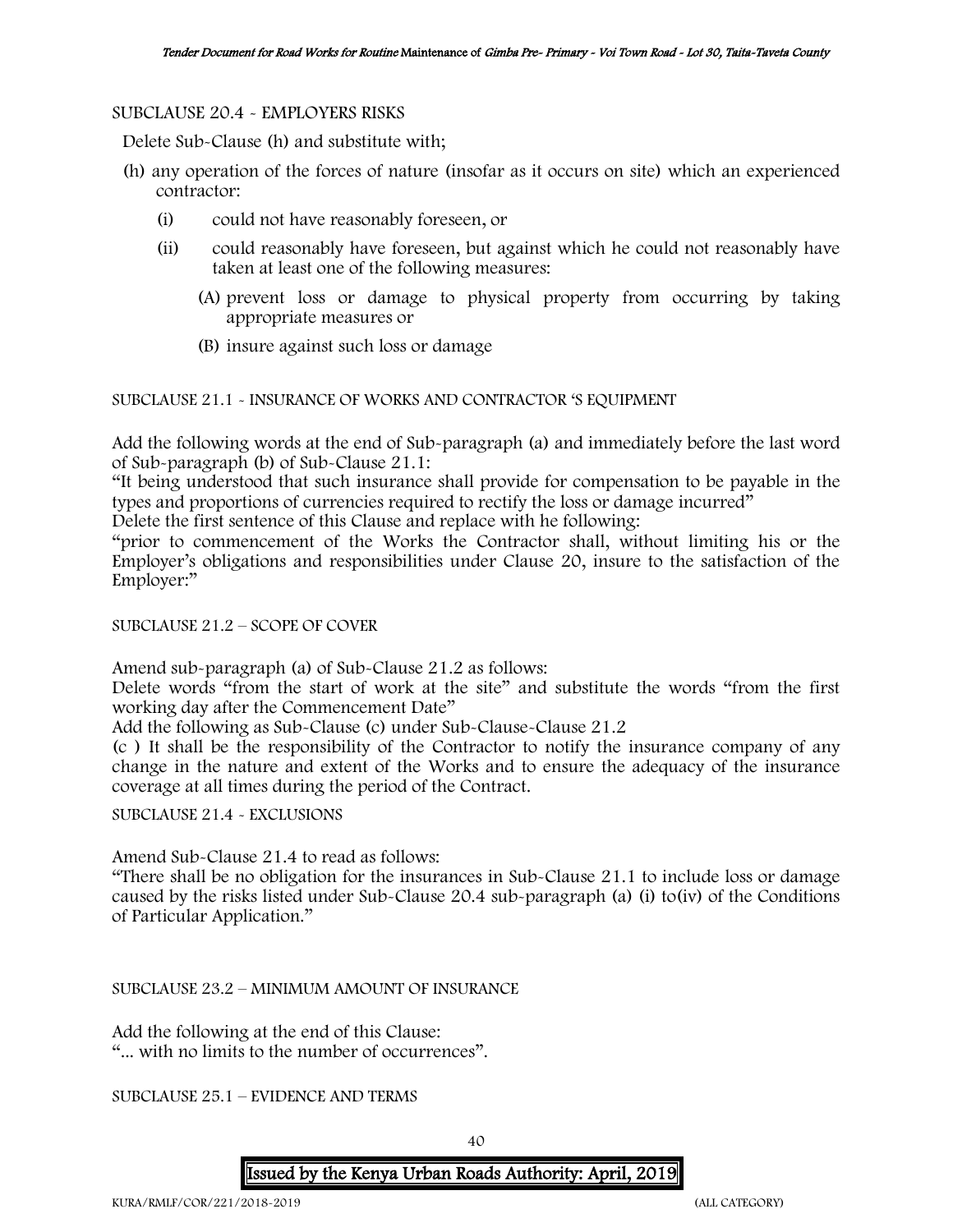#### SUBCLAUSE 20.4 - EMPLOYERS RISKS

Delete Sub-Clause (h) and substitute with;

- (h) any operation of the forces of nature (insofar as it occurs on site) which an experienced contractor:
	- (i) could not have reasonably foreseen, or
	- (ii) could reasonably have foreseen, but against which he could not reasonably have taken at least one of the following measures:
		- (A) prevent loss or damage to physical property from occurring by taking appropriate measures or
		- (B) insure against such loss or damage

SUBCLAUSE 21.1 - INSURANCE OF WORKS AND CONTRACTOR 'S EQUIPMENT

Add the following words at the end of Sub-paragraph (a) and immediately before the last word of Sub-paragraph (b) of Sub-Clause 21.1:

"It being understood that such insurance shall provide for compensation to be payable in the types and proportions of currencies required to rectify the loss or damage incurred"

Delete the first sentence of this Clause and replace with he following:

"prior to commencement of the Works the Contractor shall, without limiting his or the Employer's obligations and responsibilities under Clause 20, insure to the satisfaction of the Employer:"

SUBCLAUSE 21.2 – SCOPE OF COVER

Amend sub-paragraph (a) of Sub-Clause 21.2 as follows:

Delete words "from the start of work at the site" and substitute the words "from the first working day after the Commencement Date"

Add the following as Sub-Clause (c) under Sub-Clause-Clause 21.2

(c ) It shall be the responsibility of the Contractor to notify the insurance company of any change in the nature and extent of the Works and to ensure the adequacy of the insurance coverage at all times during the period of the Contract.

SUBCLAUSE 21.4 - EXCLUSIONS

Amend Sub-Clause 21.4 to read as follows:

"There shall be no obligation for the insurances in Sub-Clause 21.1 to include loss or damage caused by the risks listed under Sub-Clause 20.4 sub-paragraph (a) (i) to(iv) of the Conditions of Particular Application."

SUBCLAUSE 23.2 – MINIMUM AMOUNT OF INSURANCE

Add the following at the end of this Clause: "... with no limits to the number of occurrences".

SUBCLAUSE 25.1 – EVIDENCE AND TERMS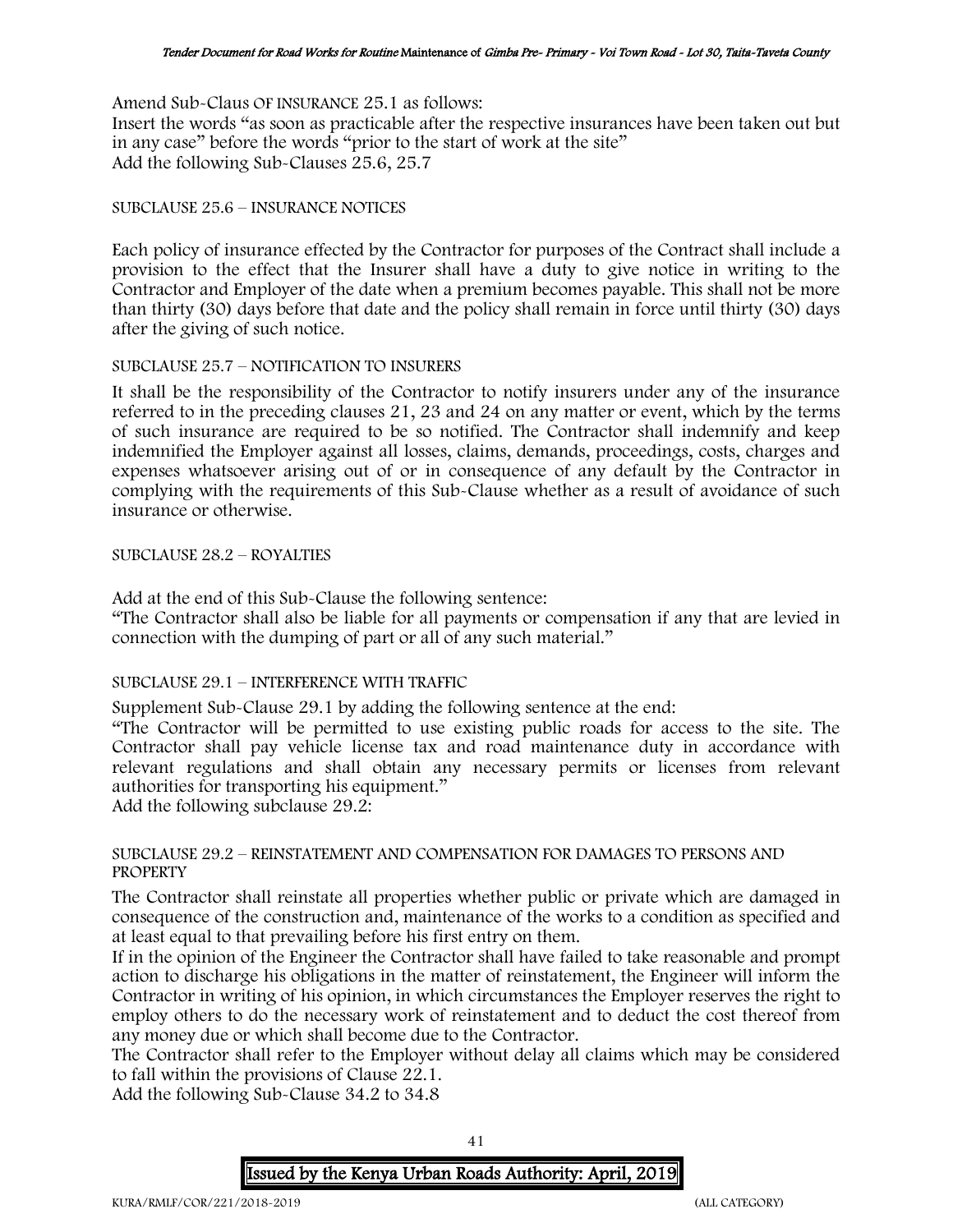Amend Sub-Claus OF INSURANCE 25.1 as follows:

Insert the words "as soon as practicable after the respective insurances have been taken out but in any case" before the words "prior to the start of work at the site" Add the following Sub-Clauses 25.6, 25.7

#### SUBCLAUSE 25.6 – INSURANCE NOTICES

Each policy of insurance effected by the Contractor for purposes of the Contract shall include a provision to the effect that the Insurer shall have a duty to give notice in writing to the Contractor and Employer of the date when a premium becomes payable. This shall not be more than thirty (30) days before that date and the policy shall remain in force until thirty (30) days after the giving of such notice.

### SUBCLAUSE 25.7 – NOTIFICATION TO INSURERS

It shall be the responsibility of the Contractor to notify insurers under any of the insurance referred to in the preceding clauses 21, 23 and 24 on any matter or event, which by the terms of such insurance are required to be so notified. The Contractor shall indemnify and keep indemnified the Employer against all losses, claims, demands, proceedings, costs, charges and expenses whatsoever arising out of or in consequence of any default by the Contractor in complying with the requirements of this Sub-Clause whether as a result of avoidance of such insurance or otherwise.

### SUBCLAUSE 28.2 – ROYALTIES

Add at the end of this Sub-Clause the following sentence:

"The Contractor shall also be liable for all payments or compensation if any that are levied in connection with the dumping of part or all of any such material."

### SUBCLAUSE 29.1 – INTERFERENCE WITH TRAFFIC

Supplement Sub-Clause 29.1 by adding the following sentence at the end:

"The Contractor will be permitted to use existing public roads for access to the site. The Contractor shall pay vehicle license tax and road maintenance duty in accordance with relevant regulations and shall obtain any necessary permits or licenses from relevant authorities for transporting his equipment."

Add the following subclause 29.2:

### SUBCLAUSE 29.2 – REINSTATEMENT AND COMPENSATION FOR DAMAGES TO PERSONS AND **PROPERTY**

The Contractor shall reinstate all properties whether public or private which are damaged in consequence of the construction and, maintenance of the works to a condition as specified and at least equal to that prevailing before his first entry on them.

If in the opinion of the Engineer the Contractor shall have failed to take reasonable and prompt action to discharge his obligations in the matter of reinstatement, the Engineer will inform the Contractor in writing of his opinion, in which circumstances the Employer reserves the right to employ others to do the necessary work of reinstatement and to deduct the cost thereof from any money due or which shall become due to the Contractor.

The Contractor shall refer to the Employer without delay all claims which may be considered to fall within the provisions of Clause 22.1.

Add the following Sub-Clause 34.2 to 34.8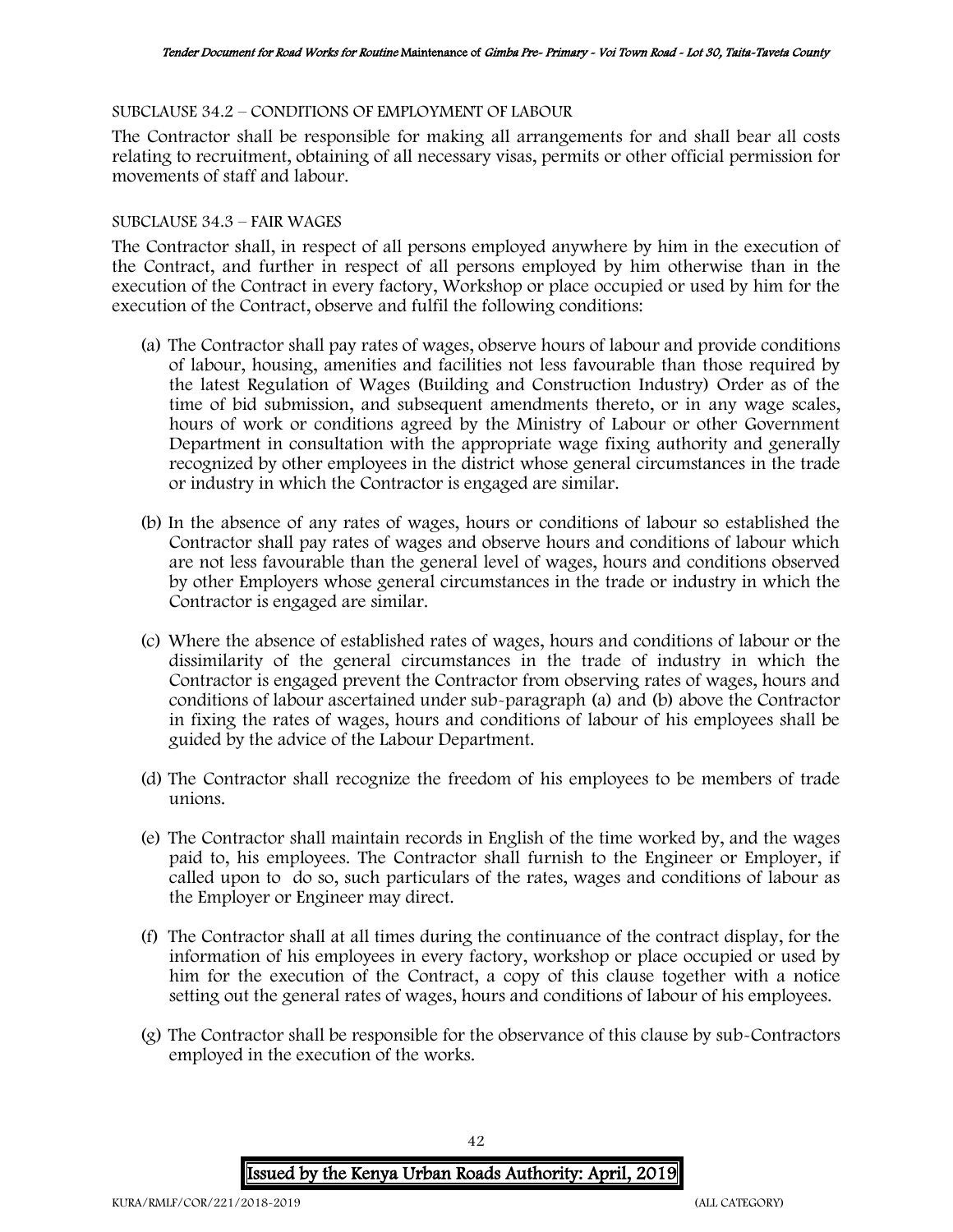#### SUBCLAUSE 34.2 – CONDITIONS OF EMPLOYMENT OF LABOUR

The Contractor shall be responsible for making all arrangements for and shall bear all costs relating to recruitment, obtaining of all necessary visas, permits or other official permission for movements of staff and labour.

## SUBCLAUSE 34.3 – FAIR WAGES

The Contractor shall, in respect of all persons employed anywhere by him in the execution of the Contract, and further in respect of all persons employed by him otherwise than in the execution of the Contract in every factory, Workshop or place occupied or used by him for the execution of the Contract, observe and fulfil the following conditions:

- (a) The Contractor shall pay rates of wages, observe hours of labour and provide conditions of labour, housing, amenities and facilities not less favourable than those required by the latest Regulation of Wages (Building and Construction Industry) Order as of the time of bid submission, and subsequent amendments thereto, or in any wage scales, hours of work or conditions agreed by the Ministry of Labour or other Government Department in consultation with the appropriate wage fixing authority and generally recognized by other employees in the district whose general circumstances in the trade or industry in which the Contractor is engaged are similar.
- (b) In the absence of any rates of wages, hours or conditions of labour so established the Contractor shall pay rates of wages and observe hours and conditions of labour which are not less favourable than the general level of wages, hours and conditions observed by other Employers whose general circumstances in the trade or industry in which the Contractor is engaged are similar.
- (c) Where the absence of established rates of wages, hours and conditions of labour or the dissimilarity of the general circumstances in the trade of industry in which the Contractor is engaged prevent the Contractor from observing rates of wages, hours and conditions of labour ascertained under sub-paragraph (a) and (b) above the Contractor in fixing the rates of wages, hours and conditions of labour of his employees shall be guided by the advice of the Labour Department.
- (d) The Contractor shall recognize the freedom of his employees to be members of trade unions.
- (e) The Contractor shall maintain records in English of the time worked by, and the wages paid to, his employees. The Contractor shall furnish to the Engineer or Employer, if called upon to do so, such particulars of the rates, wages and conditions of labour as the Employer or Engineer may direct.
- (f) The Contractor shall at all times during the continuance of the contract display, for the information of his employees in every factory, workshop or place occupied or used by him for the execution of the Contract, a copy of this clause together with a notice setting out the general rates of wages, hours and conditions of labour of his employees.
- (g) The Contractor shall be responsible for the observance of this clause by sub-Contractors employed in the execution of the works.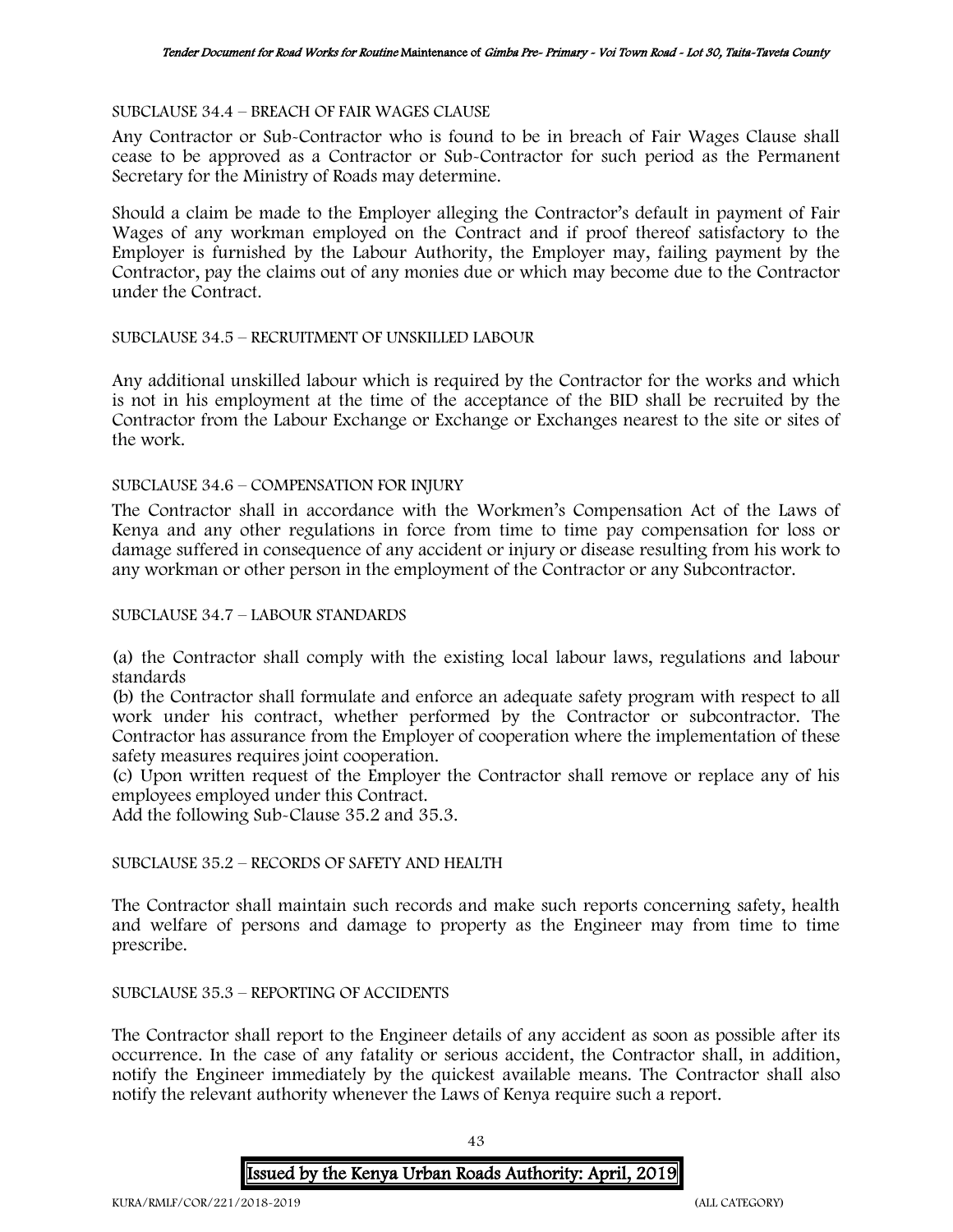#### SUBCLAUSE 34.4 – BREACH OF FAIR WAGES CLAUSE

Any Contractor or Sub-Contractor who is found to be in breach of Fair Wages Clause shall cease to be approved as a Contractor or Sub-Contractor for such period as the Permanent Secretary for the Ministry of Roads may determine.

Should a claim be made to the Employer alleging the Contractor's default in payment of Fair Wages of any workman employed on the Contract and if proof thereof satisfactory to the Employer is furnished by the Labour Authority, the Employer may, failing payment by the Contractor, pay the claims out of any monies due or which may become due to the Contractor under the Contract.

### SUBCLAUSE 34.5 – RECRUITMENT OF UNSKILLED LABOUR

Any additional unskilled labour which is required by the Contractor for the works and which is not in his employment at the time of the acceptance of the BID shall be recruited by the Contractor from the Labour Exchange or Exchange or Exchanges nearest to the site or sites of the work.

#### SUBCLAUSE 34.6 – COMPENSATION FOR INJURY

The Contractor shall in accordance with the Workmen's Compensation Act of the Laws of Kenya and any other regulations in force from time to time pay compensation for loss or damage suffered in consequence of any accident or injury or disease resulting from his work to any workman or other person in the employment of the Contractor or any Subcontractor.

#### SUBCLAUSE 34.7 – LABOUR STANDARDS

(a) the Contractor shall comply with the existing local labour laws, regulations and labour standards

(b) the Contractor shall formulate and enforce an adequate safety program with respect to all work under his contract, whether performed by the Contractor or subcontractor. The Contractor has assurance from the Employer of cooperation where the implementation of these safety measures requires joint cooperation.

(c) Upon written request of the Employer the Contractor shall remove or replace any of his employees employed under this Contract.

Add the following Sub-Clause 35.2 and 35.3.

### SUBCLAUSE 35.2 – RECORDS OF SAFETY AND HEALTH

The Contractor shall maintain such records and make such reports concerning safety, health and welfare of persons and damage to property as the Engineer may from time to time prescribe.

#### SUBCLAUSE 35.3 – REPORTING OF ACCIDENTS

The Contractor shall report to the Engineer details of any accident as soon as possible after its occurrence. In the case of any fatality or serious accident, the Contractor shall, in addition, notify the Engineer immediately by the quickest available means. The Contractor shall also notify the relevant authority whenever the Laws of Kenya require such a report.

43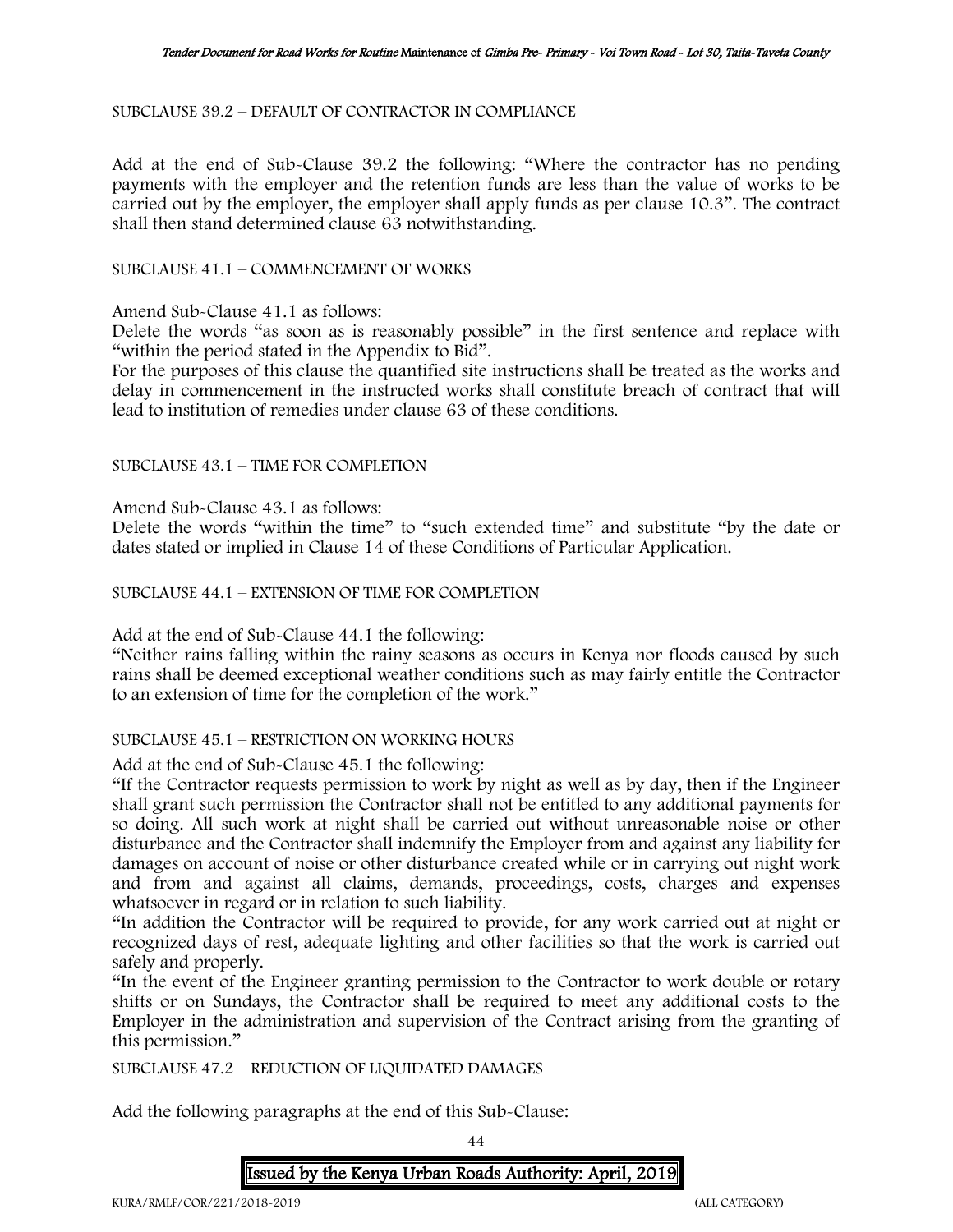SUBCLAUSE 39.2 – DEFAULT OF CONTRACTOR IN COMPLIANCE

Add at the end of Sub-Clause 39.2 the following: "Where the contractor has no pending payments with the employer and the retention funds are less than the value of works to be carried out by the employer, the employer shall apply funds as per clause 10.3". The contract shall then stand determined clause 63 notwithstanding.

SUBCLAUSE 41.1 – COMMENCEMENT OF WORKS

Amend Sub-Clause 41.1 as follows:

Delete the words "as soon as is reasonably possible" in the first sentence and replace with "within the period stated in the Appendix to Bid".

For the purposes of this clause the quantified site instructions shall be treated as the works and delay in commencement in the instructed works shall constitute breach of contract that will lead to institution of remedies under clause 63 of these conditions.

SUBCLAUSE 43.1 – TIME FOR COMPLETION

Amend Sub-Clause 43.1 as follows:

Delete the words "within the time" to "such extended time" and substitute "by the date or dates stated or implied in Clause 14 of these Conditions of Particular Application.

SUBCLAUSE 44.1 – EXTENSION OF TIME FOR COMPLETION

Add at the end of Sub-Clause 44.1 the following:

"Neither rains falling within the rainy seasons as occurs in Kenya nor floods caused by such rains shall be deemed exceptional weather conditions such as may fairly entitle the Contractor to an extension of time for the completion of the work."

### SUBCLAUSE 45.1 – RESTRICTION ON WORKING HOURS

Add at the end of Sub-Clause 45.1 the following:

"If the Contractor requests permission to work by night as well as by day, then if the Engineer shall grant such permission the Contractor shall not be entitled to any additional payments for so doing. All such work at night shall be carried out without unreasonable noise or other disturbance and the Contractor shall indemnify the Employer from and against any liability for damages on account of noise or other disturbance created while or in carrying out night work and from and against all claims, demands, proceedings, costs, charges and expenses whatsoever in regard or in relation to such liability.

"In addition the Contractor will be required to provide, for any work carried out at night or recognized days of rest, adequate lighting and other facilities so that the work is carried out safely and properly.

"In the event of the Engineer granting permission to the Contractor to work double or rotary shifts or on Sundays, the Contractor shall be required to meet any additional costs to the Employer in the administration and supervision of the Contract arising from the granting of this permission."

SUBCLAUSE 47.2 – REDUCTION OF LIQUIDATED DAMAGES

Add the following paragraphs at the end of this Sub-Clause:

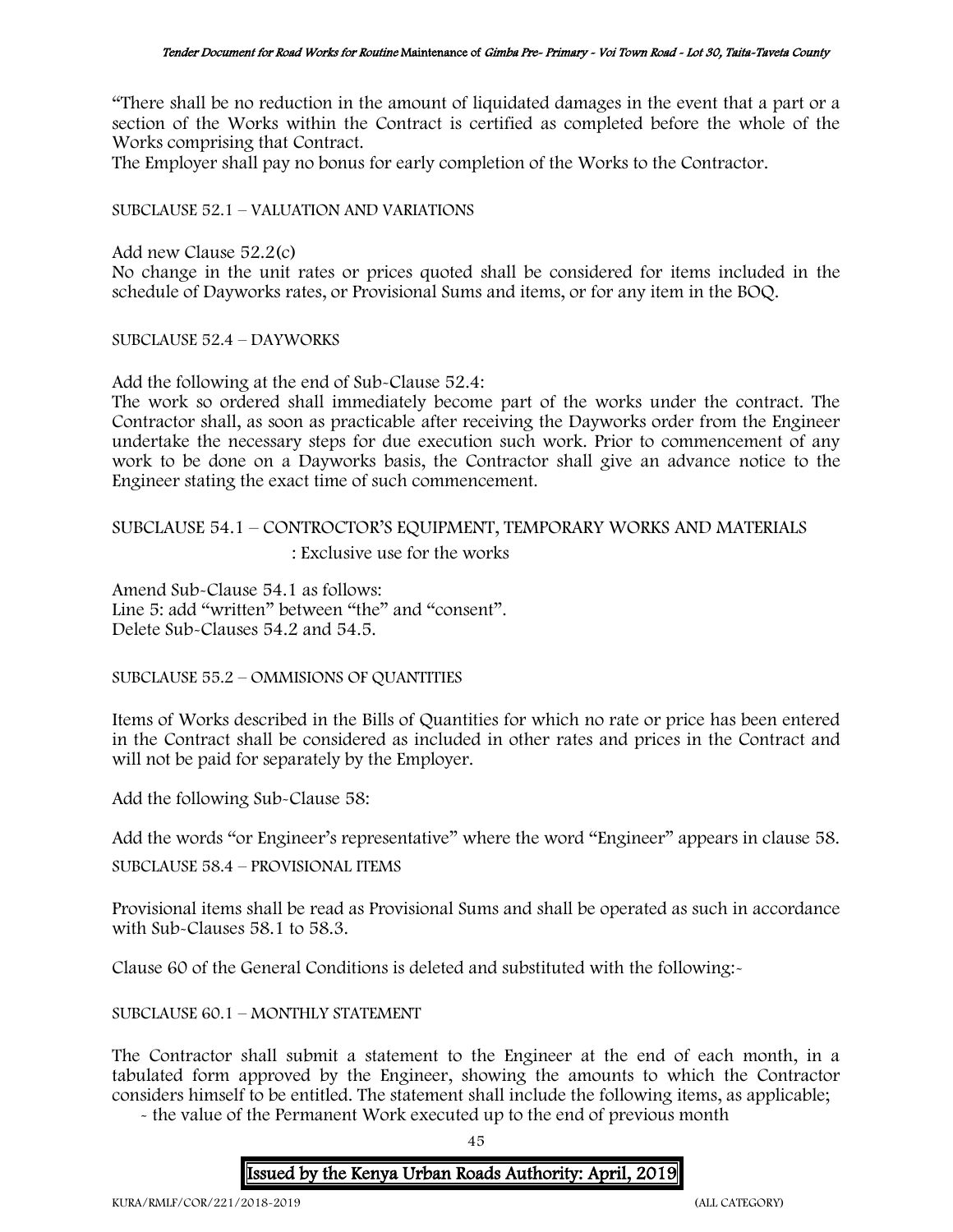"There shall be no reduction in the amount of liquidated damages in the event that a part or a section of the Works within the Contract is certified as completed before the whole of the Works comprising that Contract.

The Employer shall pay no bonus for early completion of the Works to the Contractor.

### SUBCLAUSE 52.1 – VALUATION AND VARIATIONS

Add new Clause 52.2(c)

No change in the unit rates or prices quoted shall be considered for items included in the schedule of Dayworks rates, or Provisional Sums and items, or for any item in the BOQ.

SUBCLAUSE 52.4 – DAYWORKS

Add the following at the end of Sub-Clause 52.4:

The work so ordered shall immediately become part of the works under the contract. The Contractor shall, as soon as practicable after receiving the Dayworks order from the Engineer undertake the necessary steps for due execution such work. Prior to commencement of any work to be done on a Dayworks basis, the Contractor shall give an advance notice to the Engineer stating the exact time of such commencement.

# SUBCLAUSE 54.1 – CONTROCTOR'S EQUIPMENT, TEMPORARY WORKS AND MATERIALS : Exclusive use for the works

Amend Sub-Clause 54.1 as follows: Line 5: add "written" between "the" and "consent". Delete Sub-Clauses 54.2 and 54.5.

SUBCLAUSE 55.2 – OMMISIONS OF QUANTITIES

Items of Works described in the Bills of Quantities for which no rate or price has been entered in the Contract shall be considered as included in other rates and prices in the Contract and will not be paid for separately by the Employer.

Add the following Sub-Clause 58:

```
Add the words "or Engineer's representative" where the word "Engineer" appears in clause 58.
```
SUBCLAUSE 58.4 – PROVISIONAL ITEMS

Provisional items shall be read as Provisional Sums and shall be operated as such in accordance with Sub-Clauses 58.1 to 58.3.

Clause 60 of the General Conditions is deleted and substituted with the following:-

SUBCLAUSE 60.1 – MONTHLY STATEMENT

The Contractor shall submit a statement to the Engineer at the end of each month, in a tabulated form approved by the Engineer, showing the amounts to which the Contractor considers himself to be entitled. The statement shall include the following items, as applicable;

- the value of the Permanent Work executed up to the end of previous month

45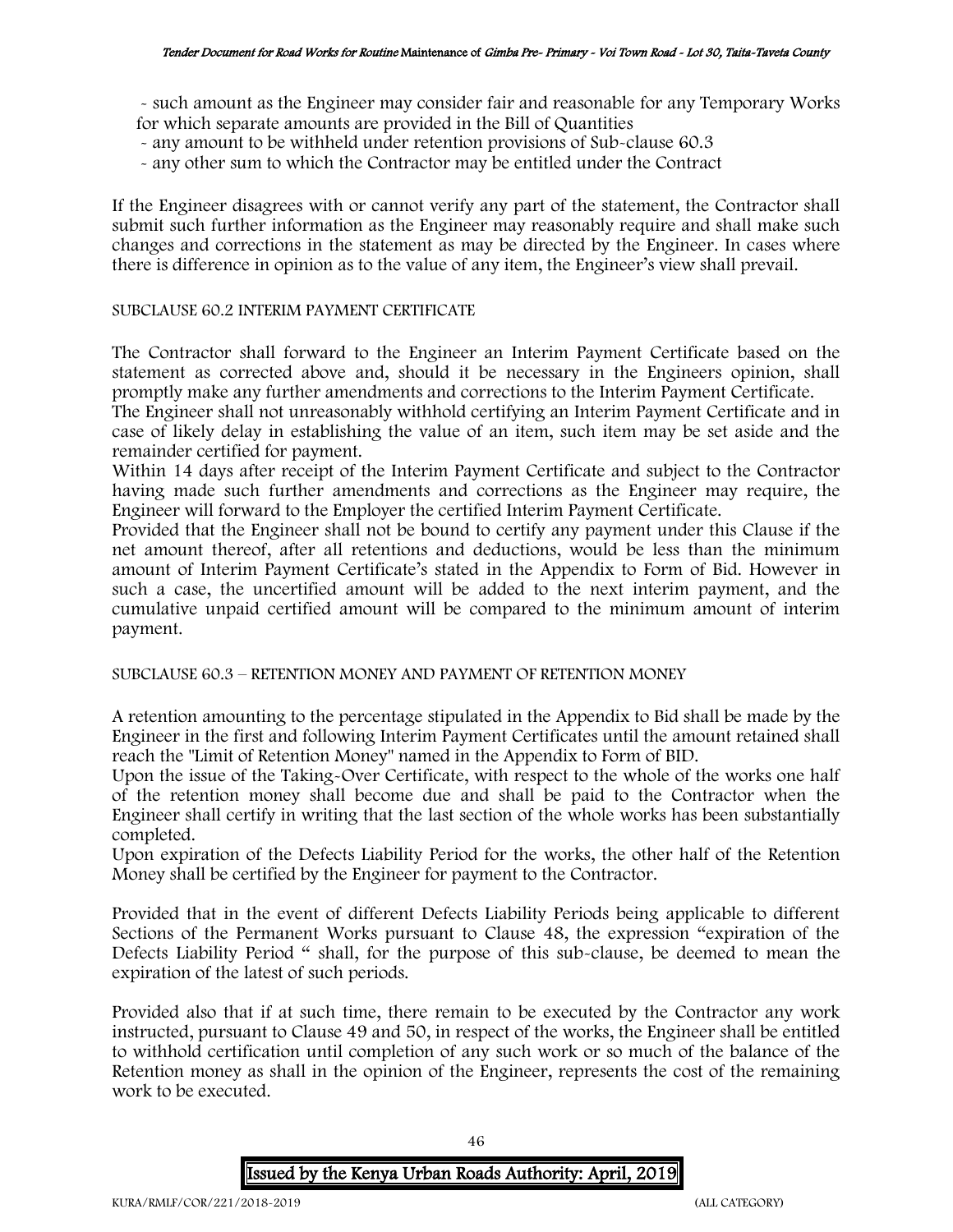- such amount as the Engineer may consider fair and reasonable for any Temporary Works for which separate amounts are provided in the Bill of Quantities

- any amount to be withheld under retention provisions of Sub-clause 60.3
- any other sum to which the Contractor may be entitled under the Contract

If the Engineer disagrees with or cannot verify any part of the statement, the Contractor shall submit such further information as the Engineer may reasonably require and shall make such changes and corrections in the statement as may be directed by the Engineer. In cases where there is difference in opinion as to the value of any item, the Engineer's view shall prevail.

## SUBCLAUSE 60.2 INTERIM PAYMENT CERTIFICATE

The Contractor shall forward to the Engineer an Interim Payment Certificate based on the statement as corrected above and, should it be necessary in the Engineers opinion, shall promptly make any further amendments and corrections to the Interim Payment Certificate.

The Engineer shall not unreasonably withhold certifying an Interim Payment Certificate and in case of likely delay in establishing the value of an item, such item may be set aside and the remainder certified for payment.

Within 14 days after receipt of the Interim Payment Certificate and subject to the Contractor having made such further amendments and corrections as the Engineer may require, the Engineer will forward to the Employer the certified Interim Payment Certificate.

Provided that the Engineer shall not be bound to certify any payment under this Clause if the net amount thereof, after all retentions and deductions, would be less than the minimum amount of Interim Payment Certificate's stated in the Appendix to Form of Bid. However in such a case, the uncertified amount will be added to the next interim payment, and the cumulative unpaid certified amount will be compared to the minimum amount of interim payment.

SUBCLAUSE 60.3 – RETENTION MONEY AND PAYMENT OF RETENTION MONEY

A retention amounting to the percentage stipulated in the Appendix to Bid shall be made by the Engineer in the first and following Interim Payment Certificates until the amount retained shall reach the "Limit of Retention Money" named in the Appendix to Form of BID.

Upon the issue of the Taking-Over Certificate, with respect to the whole of the works one half of the retention money shall become due and shall be paid to the Contractor when the Engineer shall certify in writing that the last section of the whole works has been substantially completed.

Upon expiration of the Defects Liability Period for the works, the other half of the Retention Money shall be certified by the Engineer for payment to the Contractor.

Provided that in the event of different Defects Liability Periods being applicable to different Sections of the Permanent Works pursuant to Clause 48, the expression "expiration of the Defects Liability Period " shall, for the purpose of this sub-clause, be deemed to mean the expiration of the latest of such periods.

Provided also that if at such time, there remain to be executed by the Contractor any work instructed, pursuant to Clause 49 and 50, in respect of the works, the Engineer shall be entitled to withhold certification until completion of any such work or so much of the balance of the Retention money as shall in the opinion of the Engineer, represents the cost of the remaining work to be executed.

46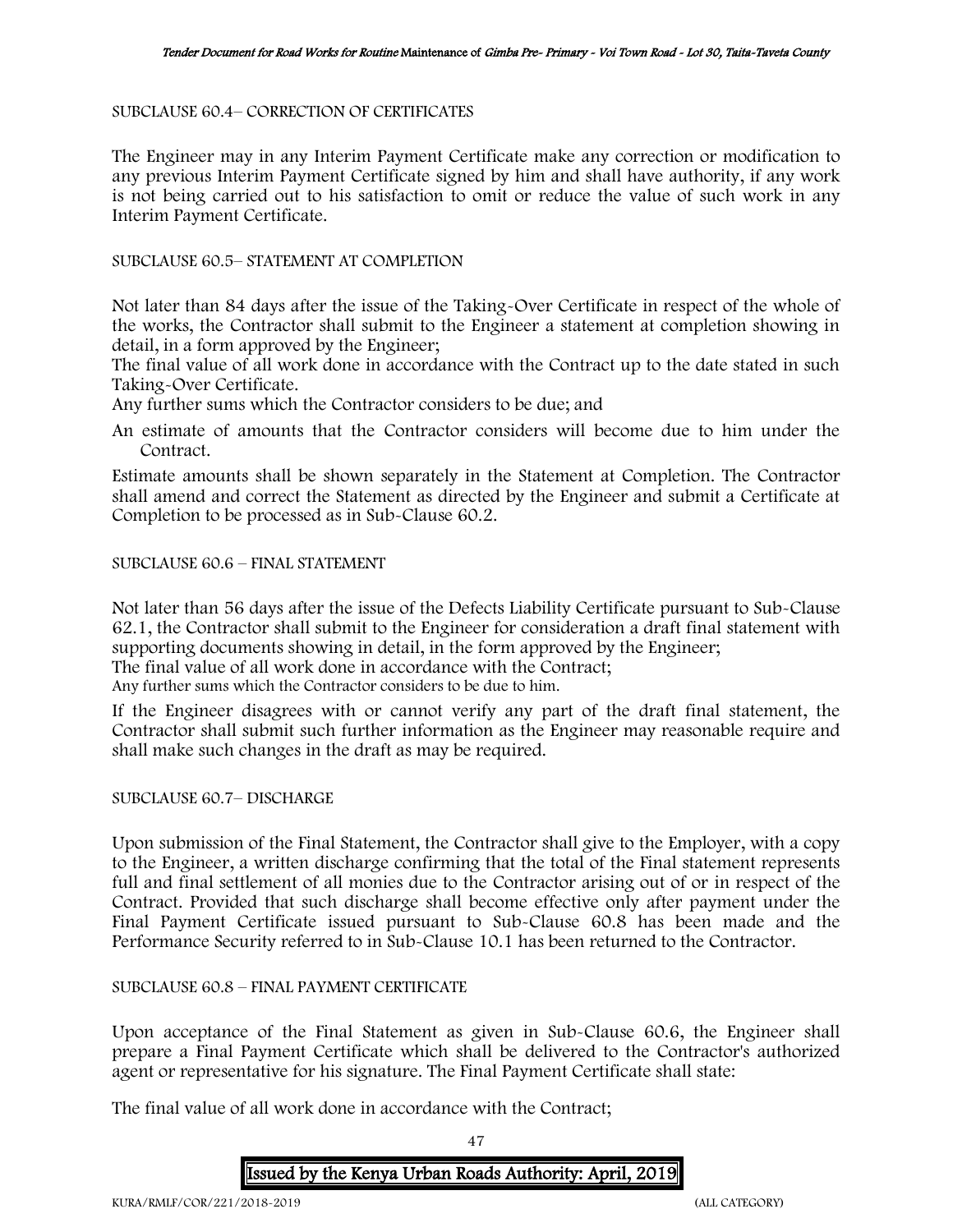### SUBCLAUSE 60.4– CORRECTION OF CERTIFICATES

The Engineer may in any Interim Payment Certificate make any correction or modification to any previous Interim Payment Certificate signed by him and shall have authority, if any work is not being carried out to his satisfaction to omit or reduce the value of such work in any Interim Payment Certificate.

### SUBCLAUSE 60.5– STATEMENT AT COMPLETION

Not later than 84 days after the issue of the Taking-Over Certificate in respect of the whole of the works, the Contractor shall submit to the Engineer a statement at completion showing in detail, in a form approved by the Engineer;

The final value of all work done in accordance with the Contract up to the date stated in such Taking-Over Certificate.

Any further sums which the Contractor considers to be due; and

An estimate of amounts that the Contractor considers will become due to him under the Contract.

Estimate amounts shall be shown separately in the Statement at Completion. The Contractor shall amend and correct the Statement as directed by the Engineer and submit a Certificate at Completion to be processed as in Sub-Clause 60.2.

# SUBCLAUSE 60.6 – FINAL STATEMENT

Not later than 56 days after the issue of the Defects Liability Certificate pursuant to Sub-Clause 62.1, the Contractor shall submit to the Engineer for consideration a draft final statement with supporting documents showing in detail, in the form approved by the Engineer; The final value of all work done in accordance with the Contract;

Any further sums which the Contractor considers to be due to him.

If the Engineer disagrees with or cannot verify any part of the draft final statement, the Contractor shall submit such further information as the Engineer may reasonable require and shall make such changes in the draft as may be required.

### SUBCLAUSE 60.7– DISCHARGE

Upon submission of the Final Statement, the Contractor shall give to the Employer, with a copy to the Engineer, a written discharge confirming that the total of the Final statement represents full and final settlement of all monies due to the Contractor arising out of or in respect of the Contract. Provided that such discharge shall become effective only after payment under the Final Payment Certificate issued pursuant to Sub-Clause 60.8 has been made and the Performance Security referred to in Sub-Clause 10.1 has been returned to the Contractor.

# SUBCLAUSE 60.8 – FINAL PAYMENT CERTIFICATE

Upon acceptance of the Final Statement as given in Sub-Clause 60.6, the Engineer shall prepare a Final Payment Certificate which shall be delivered to the Contractor's authorized agent or representative for his signature. The Final Payment Certificate shall state:

The final value of all work done in accordance with the Contract;

47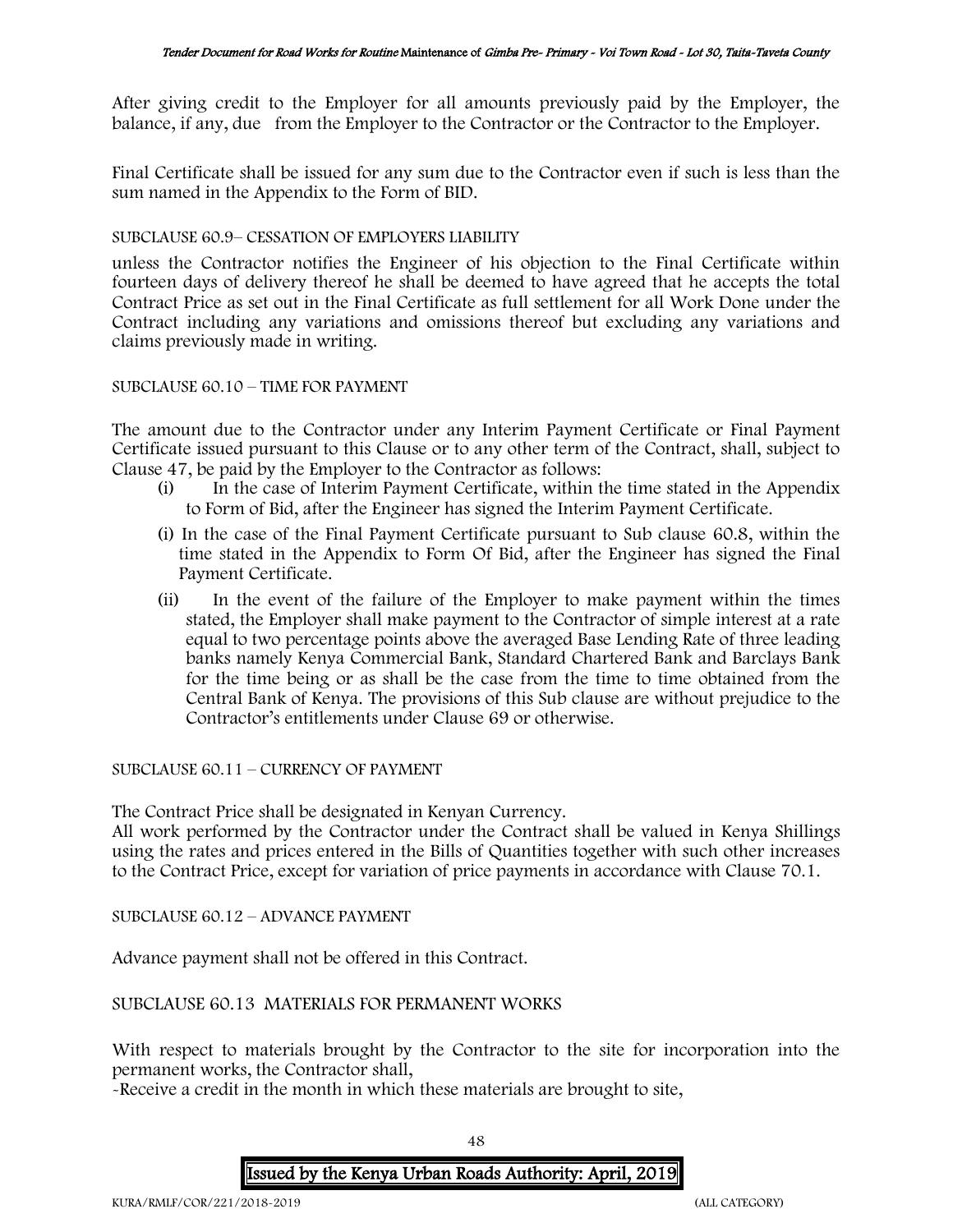After giving credit to the Employer for all amounts previously paid by the Employer, the balance, if any, due from the Employer to the Contractor or the Contractor to the Employer.

Final Certificate shall be issued for any sum due to the Contractor even if such is less than the sum named in the Appendix to the Form of BID.

### SUBCLAUSE 60.9– CESSATION OF EMPLOYERS LIABILITY

unless the Contractor notifies the Engineer of his objection to the Final Certificate within fourteen days of delivery thereof he shall be deemed to have agreed that he accepts the total Contract Price as set out in the Final Certificate as full settlement for all Work Done under the Contract including any variations and omissions thereof but excluding any variations and claims previously made in writing.

### SUBCLAUSE 60.10 – TIME FOR PAYMENT

The amount due to the Contractor under any Interim Payment Certificate or Final Payment Certificate issued pursuant to this Clause or to any other term of the Contract, shall, subject to Clause 47, be paid by the Employer to the Contractor as follows:

- (i) In the case of Interim Payment Certificate, within the time stated in the Appendix to Form of Bid, after the Engineer has signed the Interim Payment Certificate.
- (i) In the case of the Final Payment Certificate pursuant to Sub clause 60.8, within the time stated in the Appendix to Form Of Bid, after the Engineer has signed the Final Payment Certificate.
- (ii) In the event of the failure of the Employer to make payment within the times stated, the Employer shall make payment to the Contractor of simple interest at a rate equal to two percentage points above the averaged Base Lending Rate of three leading banks namely Kenya Commercial Bank, Standard Chartered Bank and Barclays Bank for the time being or as shall be the case from the time to time obtained from the Central Bank of Kenya. The provisions of this Sub clause are without prejudice to the Contractor's entitlements under Clause 69 or otherwise.

SUBCLAUSE 60.11 – CURRENCY OF PAYMENT

The Contract Price shall be designated in Kenyan Currency.

All work performed by the Contractor under the Contract shall be valued in Kenya Shillings using the rates and prices entered in the Bills of Quantities together with such other increases to the Contract Price, except for variation of price payments in accordance with Clause 70.1.

SUBCLAUSE 60.12 – ADVANCE PAYMENT

Advance payment shall not be offered in this Contract.

# SUBCLAUSE 60.13 MATERIALS FOR PERMANENT WORKS

With respect to materials brought by the Contractor to the site for incorporation into the permanent works, the Contractor shall,

-Receive a credit in the month in which these materials are brought to site,

48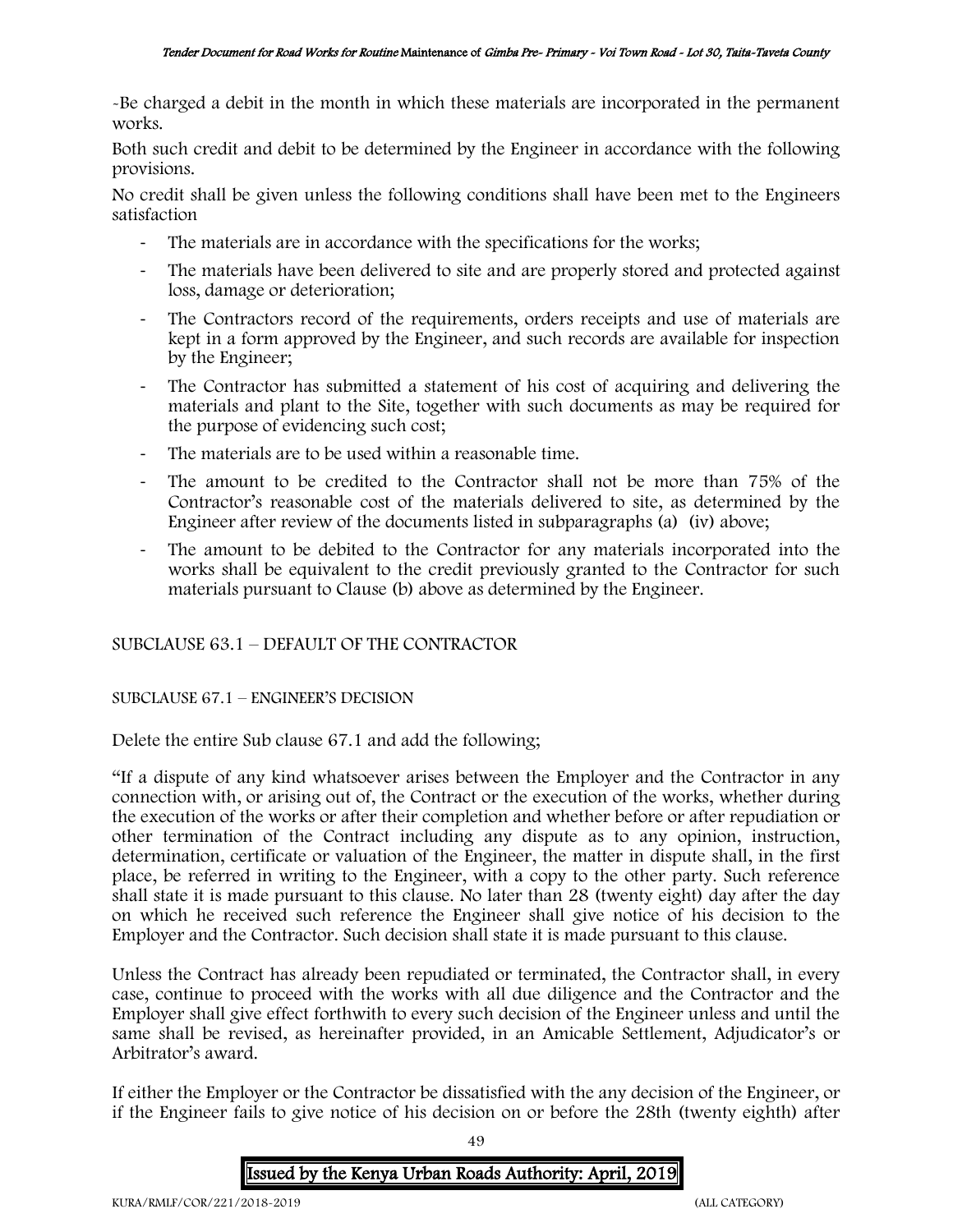-Be charged a debit in the month in which these materials are incorporated in the permanent works.

Both such credit and debit to be determined by the Engineer in accordance with the following provisions.

No credit shall be given unless the following conditions shall have been met to the Engineers satisfaction

- The materials are in accordance with the specifications for the works;
- The materials have been delivered to site and are properly stored and protected against loss, damage or deterioration;
- The Contractors record of the requirements, orders receipts and use of materials are kept in a form approved by the Engineer, and such records are available for inspection by the Engineer;
- The Contractor has submitted a statement of his cost of acquiring and delivering the materials and plant to the Site, together with such documents as may be required for the purpose of evidencing such cost;
- The materials are to be used within a reasonable time.
- The amount to be credited to the Contractor shall not be more than 75% of the Contractor's reasonable cost of the materials delivered to site, as determined by the Engineer after review of the documents listed in subparagraphs (a) (iv) above;
- The amount to be debited to the Contractor for any materials incorporated into the works shall be equivalent to the credit previously granted to the Contractor for such materials pursuant to Clause (b) above as determined by the Engineer.

# SUBCLAUSE 63.1 – DEFAULT OF THE CONTRACTOR

# SUBCLAUSE 67.1 – ENGINEER'S DECISION

Delete the entire Sub clause 67.1 and add the following;

"If a dispute of any kind whatsoever arises between the Employer and the Contractor in any connection with, or arising out of, the Contract or the execution of the works, whether during the execution of the works or after their completion and whether before or after repudiation or other termination of the Contract including any dispute as to any opinion, instruction, determination, certificate or valuation of the Engineer, the matter in dispute shall, in the first place, be referred in writing to the Engineer, with a copy to the other party. Such reference shall state it is made pursuant to this clause. No later than 28 (twenty eight) day after the day on which he received such reference the Engineer shall give notice of his decision to the Employer and the Contractor. Such decision shall state it is made pursuant to this clause.

Unless the Contract has already been repudiated or terminated, the Contractor shall, in every case, continue to proceed with the works with all due diligence and the Contractor and the Employer shall give effect forthwith to every such decision of the Engineer unless and until the same shall be revised, as hereinafter provided, in an Amicable Settlement, Adjudicator's or Arbitrator's award.

If either the Employer or the Contractor be dissatisfied with the any decision of the Engineer, or if the Engineer fails to give notice of his decision on or before the 28th (twenty eighth) after

49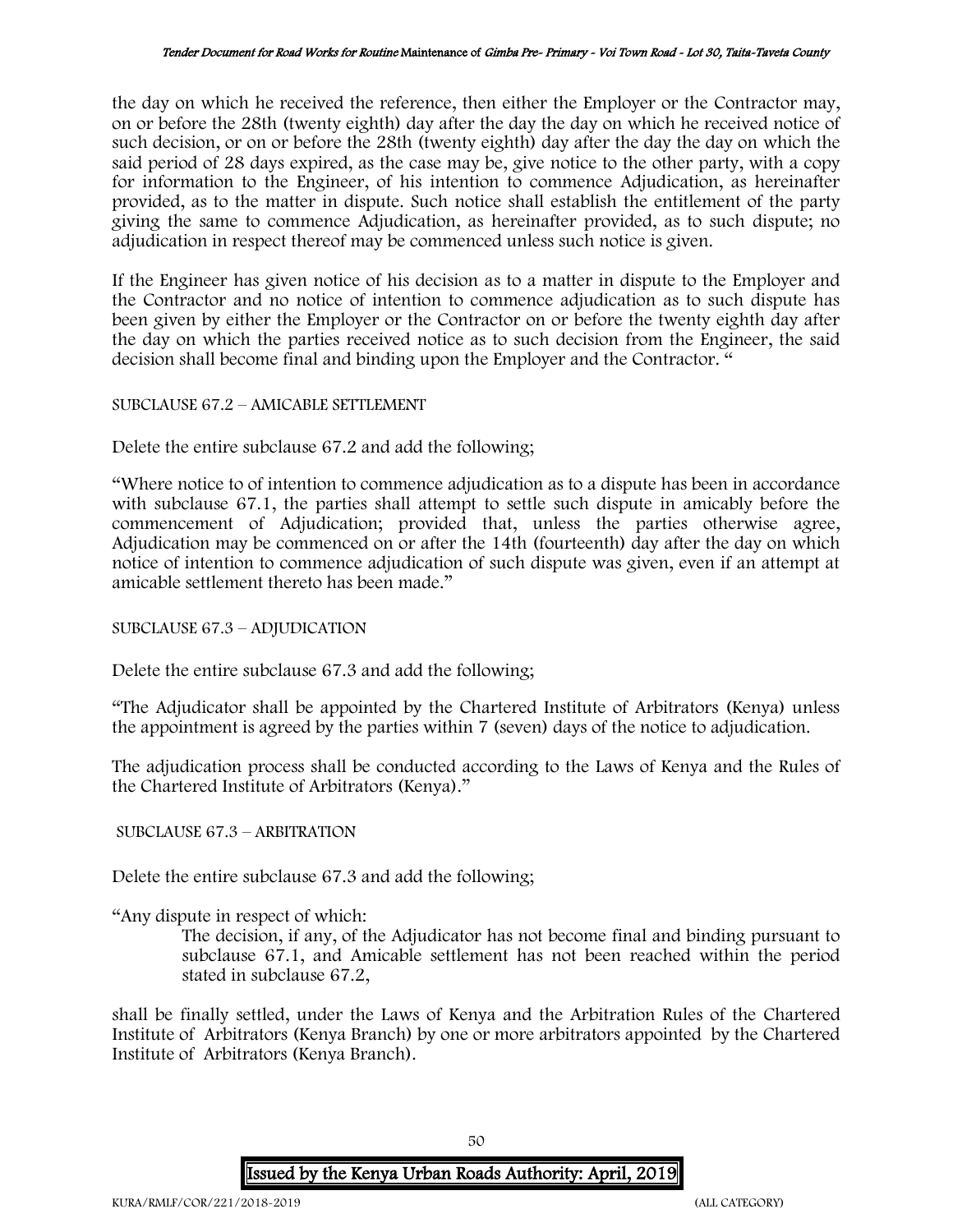the day on which he received the reference, then either the Employer or the Contractor may, on or before the 28th (twenty eighth) day after the day the day on which he received notice of such decision, or on or before the 28th (twenty eighth) day after the day the day on which the said period of 28 days expired, as the case may be, give notice to the other party, with a copy for information to the Engineer, of his intention to commence Adjudication, as hereinafter provided, as to the matter in dispute. Such notice shall establish the entitlement of the party giving the same to commence Adjudication, as hereinafter provided, as to such dispute; no adjudication in respect thereof may be commenced unless such notice is given.

If the Engineer has given notice of his decision as to a matter in dispute to the Employer and the Contractor and no notice of intention to commence adjudication as to such dispute has been given by either the Employer or the Contractor on or before the twenty eighth day after the day on which the parties received notice as to such decision from the Engineer, the said decision shall become final and binding upon the Employer and the Contractor. "

### SUBCLAUSE 67.2 – AMICABLE SETTLEMENT

Delete the entire subclause 67.2 and add the following;

"Where notice to of intention to commence adjudication as to a dispute has been in accordance with subclause 67.1, the parties shall attempt to settle such dispute in amicably before the commencement of Adjudication; provided that, unless the parties otherwise agree, Adjudication may be commenced on or after the 14th (fourteenth) day after the day on which notice of intention to commence adjudication of such dispute was given, even if an attempt at amicable settlement thereto has been made."

# SUBCLAUSE 67.3 – ADJUDICATION

Delete the entire subclause 67.3 and add the following;

"The Adjudicator shall be appointed by the Chartered Institute of Arbitrators (Kenya) unless the appointment is agreed by the parties within 7 (seven) days of the notice to adjudication.

The adjudication process shall be conducted according to the Laws of Kenya and the Rules of the Chartered Institute of Arbitrators (Kenya)."

# SUBCLAUSE 67.3 – ARBITRATION

Delete the entire subclause 67.3 and add the following;

"Any dispute in respect of which:

The decision, if any, of the Adjudicator has not become final and binding pursuant to subclause 67.1, and Amicable settlement has not been reached within the period stated in subclause 67.2,

shall be finally settled, under the Laws of Kenya and the Arbitration Rules of the Chartered Institute of Arbitrators (Kenya Branch) by one or more arbitrators appointed by the Chartered Institute of Arbitrators (Kenya Branch).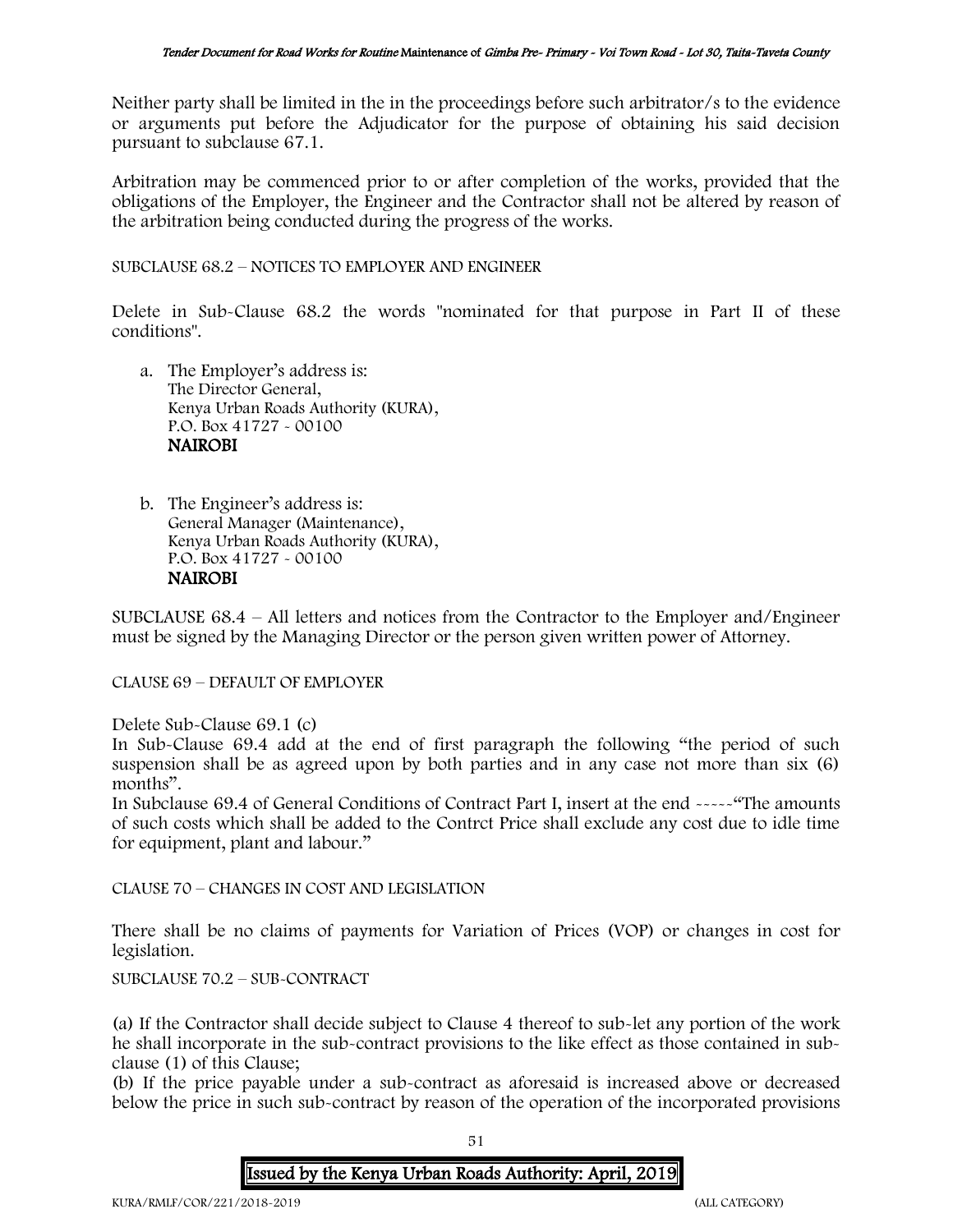Neither party shall be limited in the in the proceedings before such arbitrator/s to the evidence or arguments put before the Adjudicator for the purpose of obtaining his said decision pursuant to subclause 67.1.

Arbitration may be commenced prior to or after completion of the works, provided that the obligations of the Employer, the Engineer and the Contractor shall not be altered by reason of the arbitration being conducted during the progress of the works.

SUBCLAUSE 68.2 – NOTICES TO EMPLOYER AND ENGINEER

Delete in Sub-Clause 68.2 the words "nominated for that purpose in Part II of these conditions".

- a. The Employer's address is: The Director General, Kenya Urban Roads Authority (KURA), P.O. Box 41727 - 00100 NAIROBI
- b. The Engineer's address is: General Manager (Maintenance), Kenya Urban Roads Authority (KURA), P.O. Box 41727 - 00100 NAIROBI

SUBCLAUSE 68.4 – All letters and notices from the Contractor to the Employer and/Engineer must be signed by the Managing Director or the person given written power of Attorney.

CLAUSE 69 – DEFAULT OF EMPLOYER

Delete Sub-Clause 69.1 (c)

In Sub-Clause 69.4 add at the end of first paragraph the following "the period of such suspension shall be as agreed upon by both parties and in any case not more than six (6) months".

In Subclause 69.4 of General Conditions of Contract Part I, insert at the end -----"The amounts of such costs which shall be added to the Contrct Price shall exclude any cost due to idle time for equipment, plant and labour."

CLAUSE 70 – CHANGES IN COST AND LEGISLATION

There shall be no claims of payments for Variation of Prices (VOP) or changes in cost for legislation.

SUBCLAUSE 70.2 – SUB-CONTRACT

(a) If the Contractor shall decide subject to Clause 4 thereof to sub-let any portion of the work he shall incorporate in the sub-contract provisions to the like effect as those contained in subclause (1) of this Clause;

(b) If the price payable under a sub-contract as aforesaid is increased above or decreased below the price in such sub-contract by reason of the operation of the incorporated provisions

51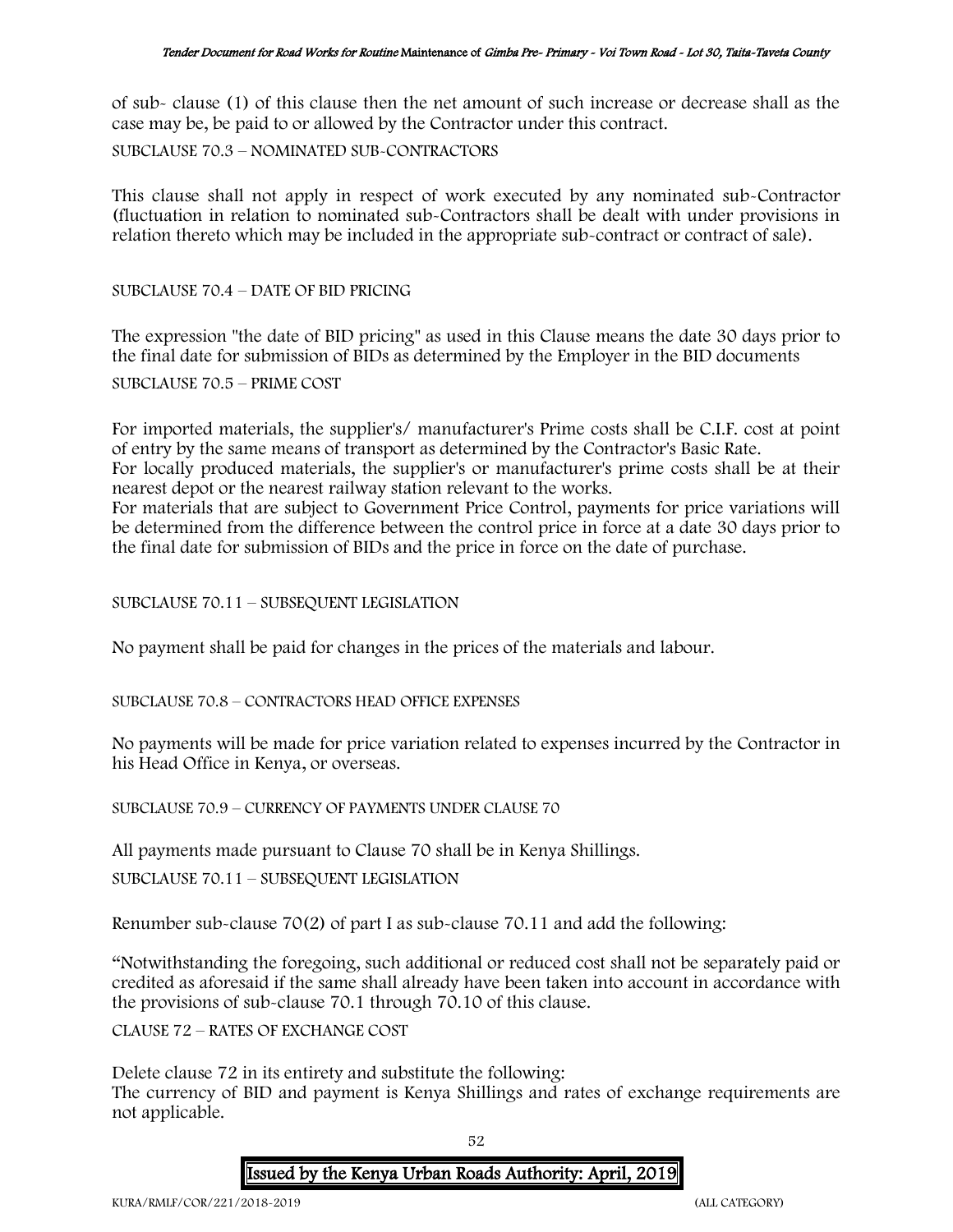of sub- clause (1) of this clause then the net amount of such increase or decrease shall as the case may be, be paid to or allowed by the Contractor under this contract.

SUBCLAUSE 70.3 – NOMINATED SUB-CONTRACTORS

This clause shall not apply in respect of work executed by any nominated sub-Contractor (fluctuation in relation to nominated sub-Contractors shall be dealt with under provisions in relation thereto which may be included in the appropriate sub-contract or contract of sale).

SUBCLAUSE 70.4 – DATE OF BID PRICING

The expression "the date of BID pricing" as used in this Clause means the date 30 days prior to the final date for submission of BIDs as determined by the Employer in the BID documents

SUBCLAUSE 70.5 – PRIME COST

For imported materials, the supplier's/ manufacturer's Prime costs shall be C.I.F. cost at point of entry by the same means of transport as determined by the Contractor's Basic Rate. For locally produced materials, the supplier's or manufacturer's prime costs shall be at their nearest depot or the nearest railway station relevant to the works. For materials that are subject to Government Price Control, payments for price variations will be determined from the difference between the control price in force at a date 30 days prior to the final date for submission of BIDs and the price in force on the date of purchase.

SUBCLAUSE 70.11 – SUBSEQUENT LEGISLATION

No payment shall be paid for changes in the prices of the materials and labour.

SUBCLAUSE 70.8 – CONTRACTORS HEAD OFFICE EXPENSES

No payments will be made for price variation related to expenses incurred by the Contractor in his Head Office in Kenya, or overseas.

SUBCLAUSE 70.9 – CURRENCY OF PAYMENTS UNDER CLAUSE 70

All payments made pursuant to Clause 70 shall be in Kenya Shillings.

SUBCLAUSE 70.11 – SUBSEQUENT LEGISLATION

Renumber sub-clause 70(2) of part I as sub-clause 70.11 and add the following:

"Notwithstanding the foregoing, such additional or reduced cost shall not be separately paid or credited as aforesaid if the same shall already have been taken into account in accordance with the provisions of sub-clause 70.1 through 70.10 of this clause.

CLAUSE 72 – RATES OF EXCHANGE COST

Delete clause 72 in its entirety and substitute the following:

The currency of BID and payment is Kenya Shillings and rates of exchange requirements are not applicable.

52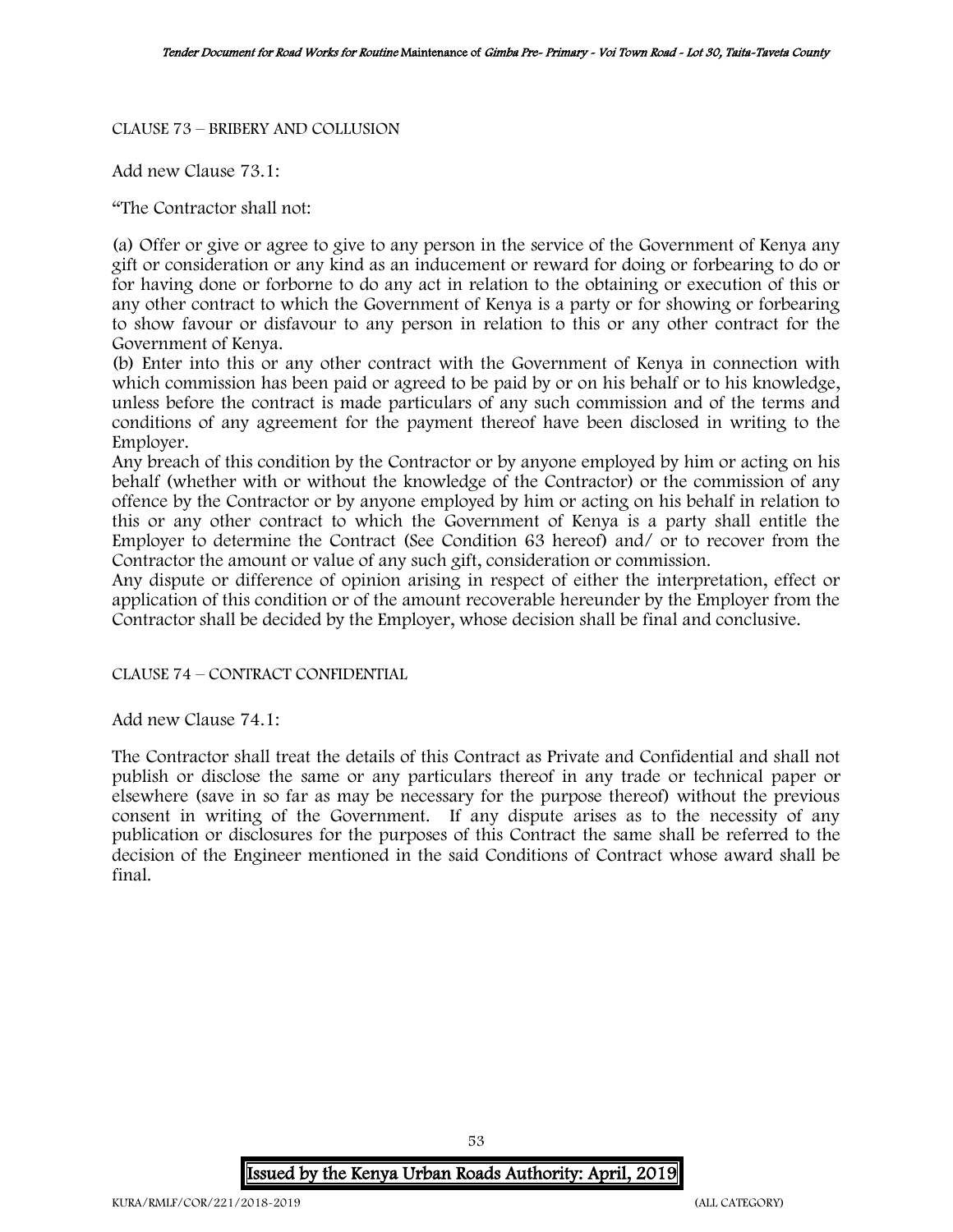#### CLAUSE 73 – BRIBERY AND COLLUSION

Add new Clause 73.1:

"The Contractor shall not:

(a) Offer or give or agree to give to any person in the service of the Government of Kenya any gift or consideration or any kind as an inducement or reward for doing or forbearing to do or for having done or forborne to do any act in relation to the obtaining or execution of this or any other contract to which the Government of Kenya is a party or for showing or forbearing to show favour or disfavour to any person in relation to this or any other contract for the Government of Kenya.

(b) Enter into this or any other contract with the Government of Kenya in connection with which commission has been paid or agreed to be paid by or on his behalf or to his knowledge, unless before the contract is made particulars of any such commission and of the terms and conditions of any agreement for the payment thereof have been disclosed in writing to the Employer.

Any breach of this condition by the Contractor or by anyone employed by him or acting on his behalf (whether with or without the knowledge of the Contractor) or the commission of any offence by the Contractor or by anyone employed by him or acting on his behalf in relation to this or any other contract to which the Government of Kenya is a party shall entitle the Employer to determine the Contract (See Condition 63 hereof) and/ or to recover from the Contractor the amount or value of any such gift, consideration or commission.

Any dispute or difference of opinion arising in respect of either the interpretation, effect or application of this condition or of the amount recoverable hereunder by the Employer from the Contractor shall be decided by the Employer, whose decision shall be final and conclusive.

CLAUSE 74 – CONTRACT CONFIDENTIAL

Add new Clause 74.1:

The Contractor shall treat the details of this Contract as Private and Confidential and shall not publish or disclose the same or any particulars thereof in any trade or technical paper or elsewhere (save in so far as may be necessary for the purpose thereof) without the previous consent in writing of the Government. If any dispute arises as to the necessity of any publication or disclosures for the purposes of this Contract the same shall be referred to the decision of the Engineer mentioned in the said Conditions of Contract whose award shall be final.

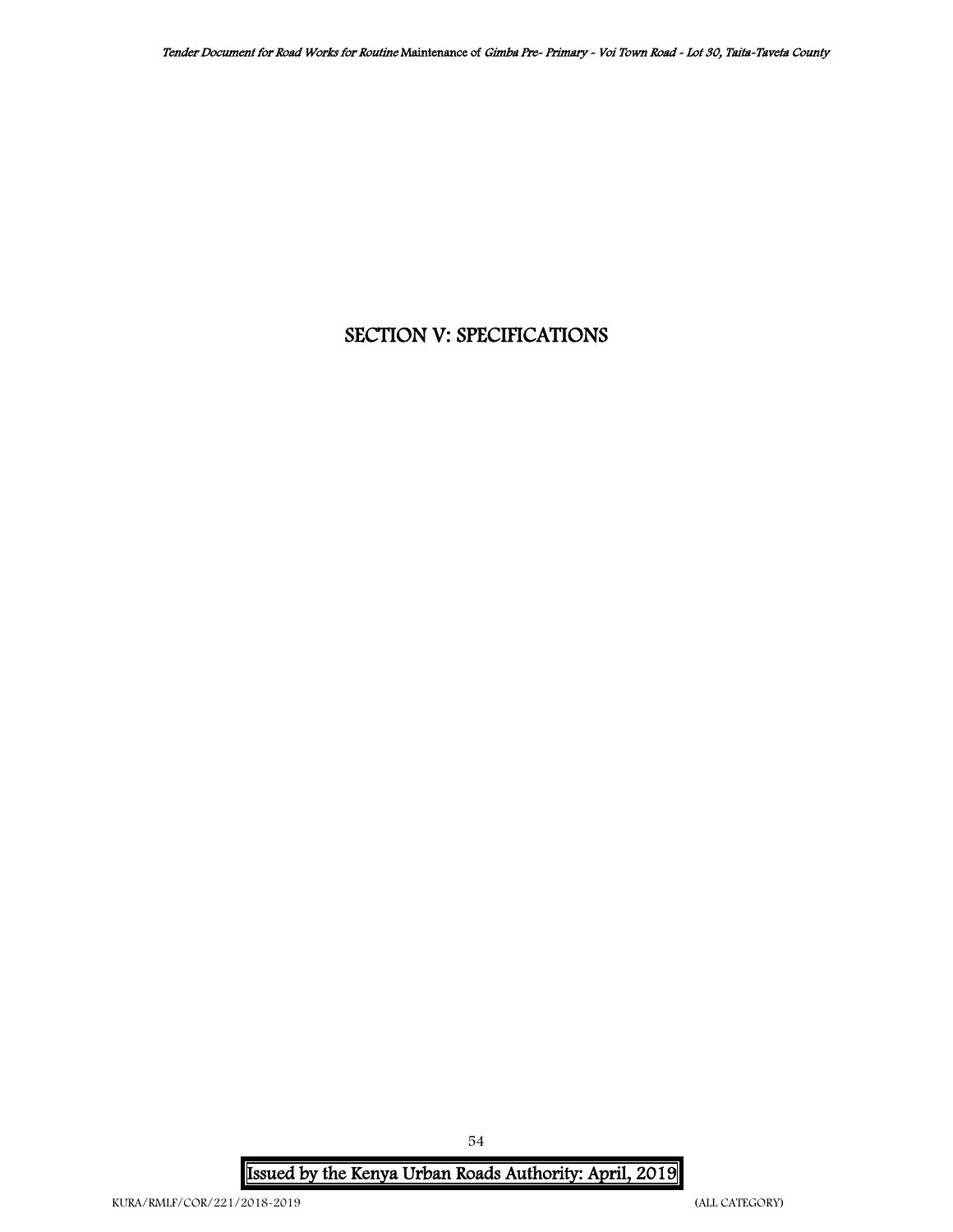# SECTION V: SPECIFICATIONS

Issued by the Kenya Urban Roads Authority: April, 2019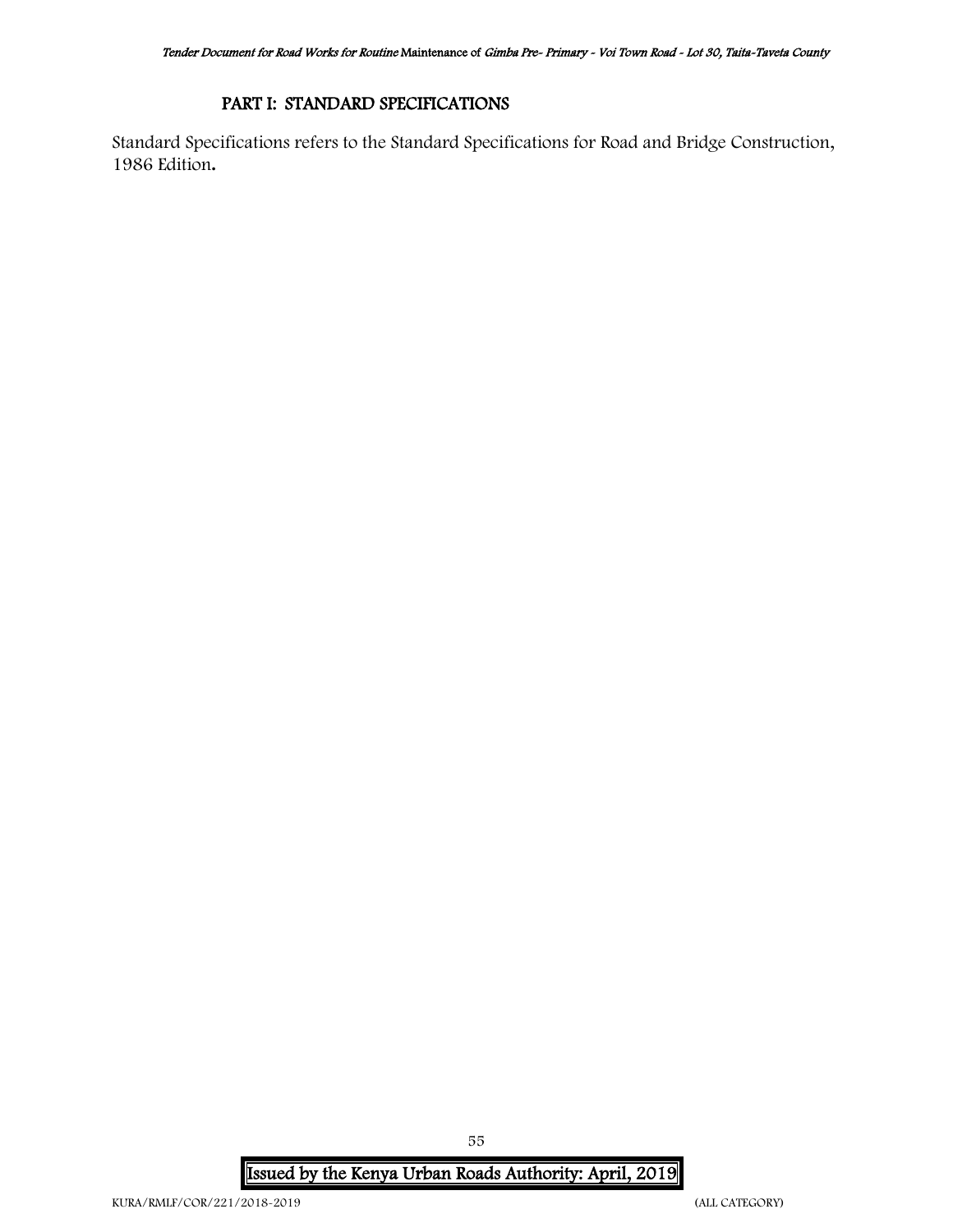# PART I: STANDARD SPECIFICATIONS

Standard Specifications refers to the Standard Specifications for Road and Bridge Construction, 1986 Edition**.**

Issued by the Kenya Urban Roads Authority: April, 2019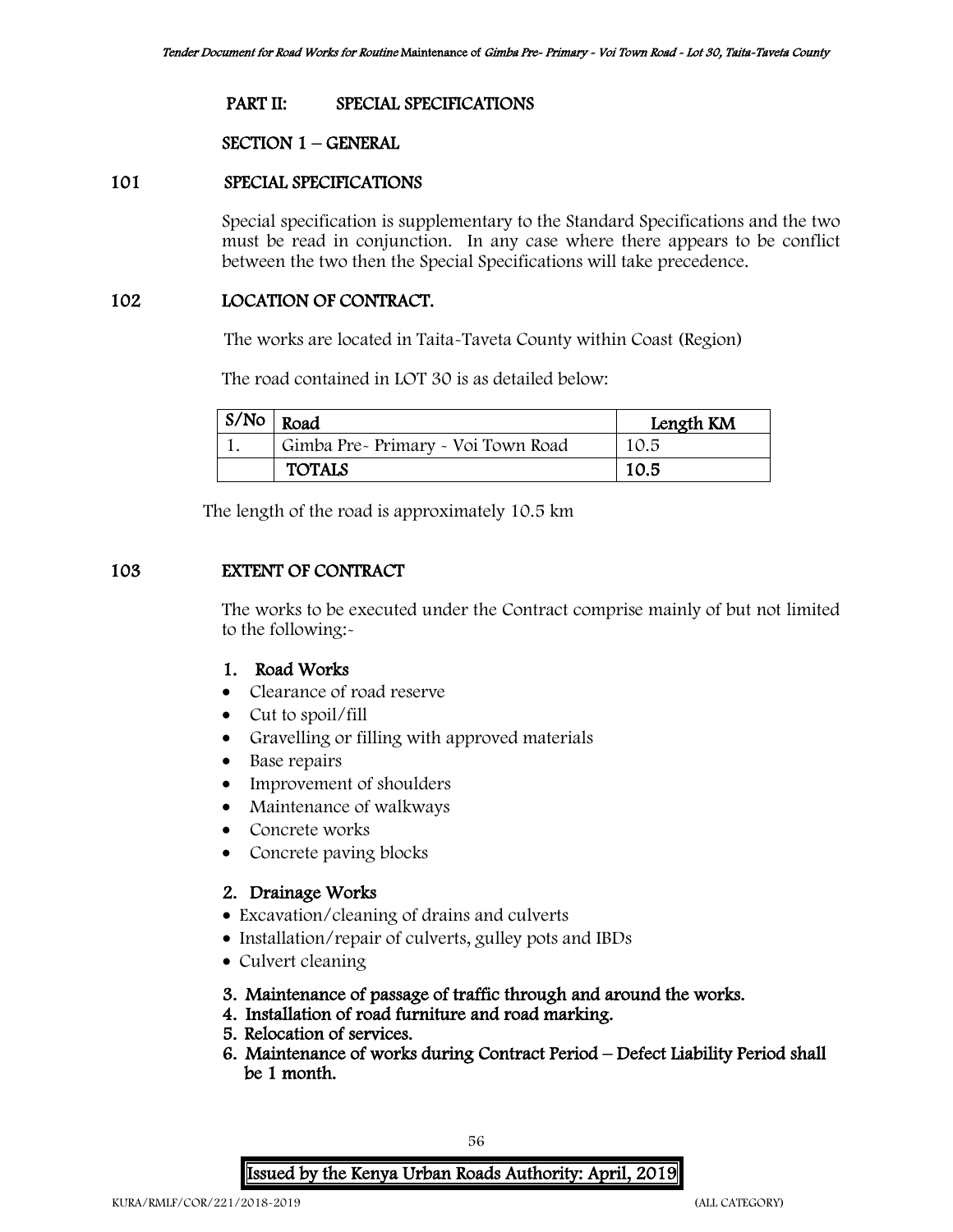### PART II: SPECIAL SPECIFICATIONS

### SECTION 1 – GENERAL

## 101 SPECIAL SPECIFICATIONS

Special specification is supplementary to the Standard Specifications and the two must be read in conjunction. In any case where there appears to be conflict between the two then the Special Specifications will take precedence.

### 102 LOCATION OF CONTRACT.

The works are located in Taita-Taveta County within Coast (Region)

The road contained in LOT 30 is as detailed below:

| $S/N$ o | Road                               | Length KM |
|---------|------------------------------------|-----------|
|         | Gimba Pre- Primary - Voi Town Road | 10.5      |
|         | <b>TOTALS</b>                      | 10.5      |

The length of the road is approximately 10.5 km

# 103 EXTENT OF CONTRACT

The works to be executed under the Contract comprise mainly of but not limited to the following:-

# 1. Road Works

- Clearance of road reserve
- Cut to spoil/fill
- Gravelling or filling with approved materials
- Base repairs
- Improvement of shoulders
- Maintenance of walkways
- Concrete works
- Concrete paving blocks

# 2. Drainage Works

- Excavation/cleaning of drains and culverts
- Installation/repair of culverts, gulley pots and IBDs
- Culvert cleaning
- 3. Maintenance of passage of traffic through and around the works.
- 4. Installation of road furniture and road marking.
- 5. Relocation of services.
- 6. Maintenance of works during Contract Period Defect Liability Period shall be 1 month.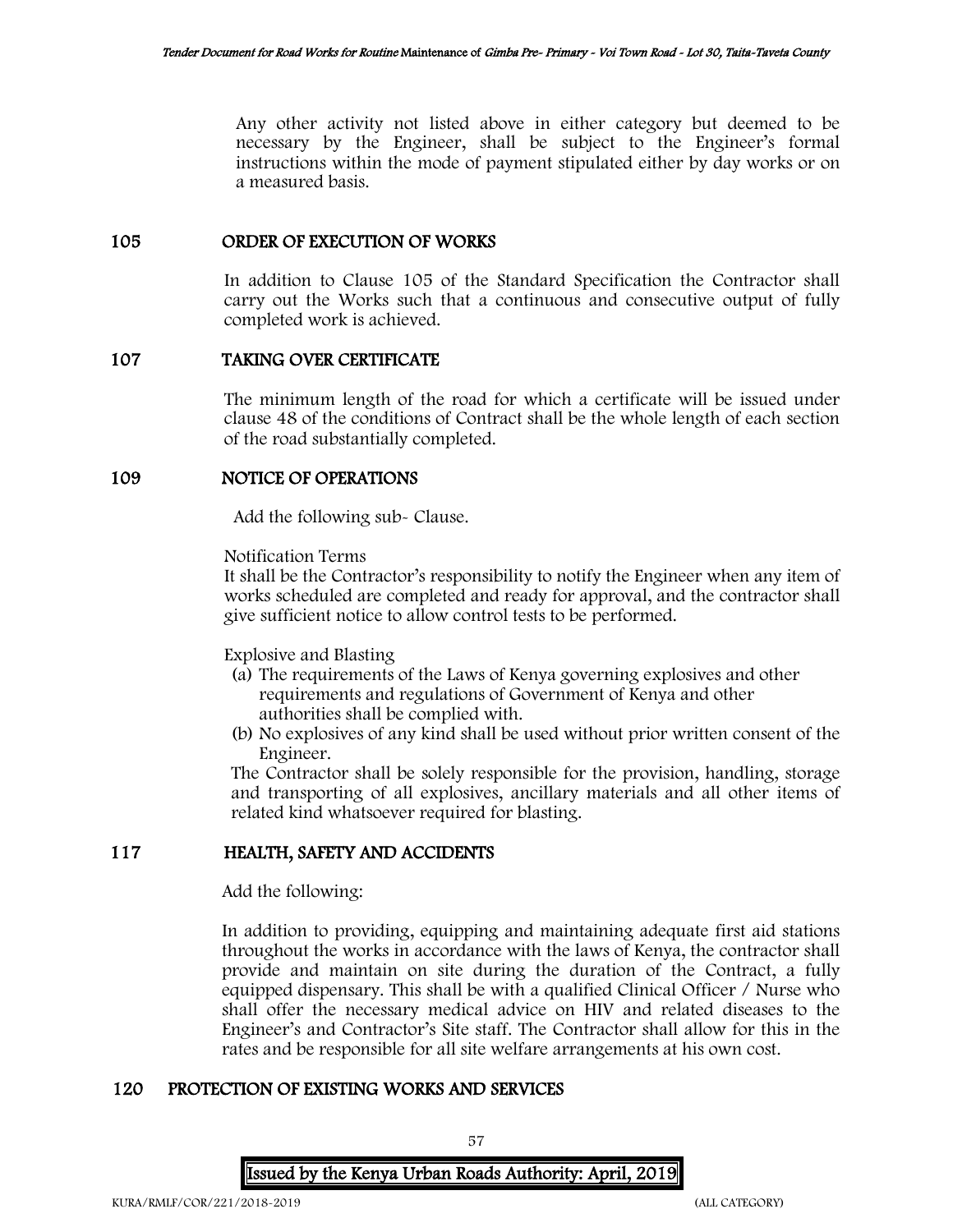Any other activity not listed above in either category but deemed to be necessary by the Engineer, shall be subject to the Engineer's formal instructions within the mode of payment stipulated either by day works or on a measured basis.

### 105 ORDER OF EXECUTION OF WORKS

In addition to Clause 105 of the Standard Specification the Contractor shall carry out the Works such that a continuous and consecutive output of fully completed work is achieved.

# 107 TAKING OVER CERTIFICATE

The minimum length of the road for which a certificate will be issued under clause 48 of the conditions of Contract shall be the whole length of each section of the road substantially completed.

### 109 NOTICE OF OPERATIONS

Add the following sub- Clause.

Notification Terms

It shall be the Contractor's responsibility to notify the Engineer when any item of works scheduled are completed and ready for approval, and the contractor shall give sufficient notice to allow control tests to be performed.

Explosive and Blasting

- (a) The requirements of the Laws of Kenya governing explosives and other requirements and regulations of Government of Kenya and other authorities shall be complied with.
- (b) No explosives of any kind shall be used without prior written consent of the Engineer.

The Contractor shall be solely responsible for the provision, handling, storage and transporting of all explosives, ancillary materials and all other items of related kind whatsoever required for blasting.

### 117 HEALTH, SAFETY AND ACCIDENTS

Add the following:

In addition to providing, equipping and maintaining adequate first aid stations throughout the works in accordance with the laws of Kenya, the contractor shall provide and maintain on site during the duration of the Contract, a fully equipped dispensary. This shall be with a qualified Clinical Officer / Nurse who shall offer the necessary medical advice on HIV and related diseases to the Engineer's and Contractor's Site staff. The Contractor shall allow for this in the rates and be responsible for all site welfare arrangements at his own cost.

### 120 PROTECTION OF EXISTING WORKS AND SERVICES

57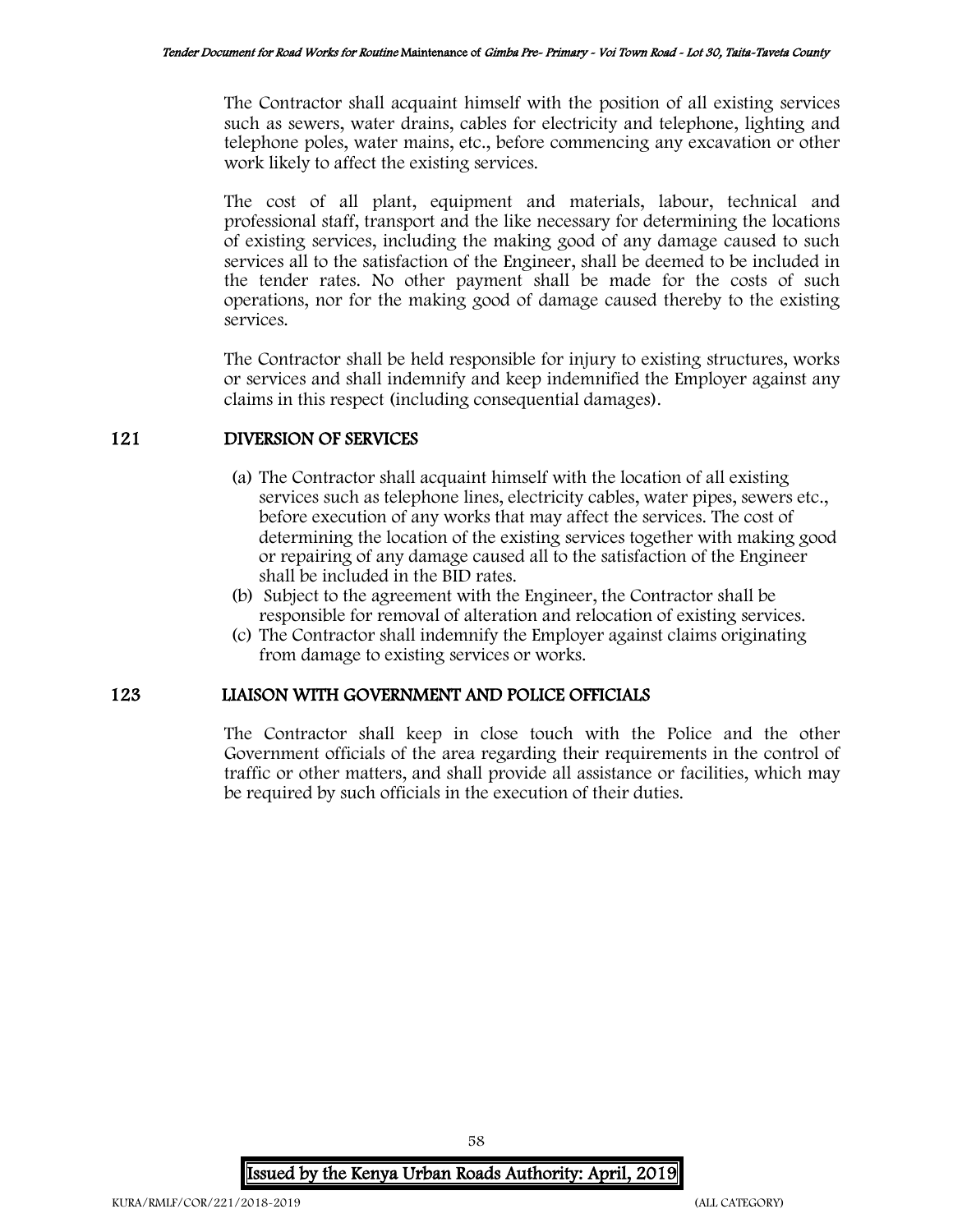The Contractor shall acquaint himself with the position of all existing services such as sewers, water drains, cables for electricity and telephone, lighting and telephone poles, water mains, etc., before commencing any excavation or other work likely to affect the existing services.

The cost of all plant, equipment and materials, labour, technical and professional staff, transport and the like necessary for determining the locations of existing services, including the making good of any damage caused to such services all to the satisfaction of the Engineer, shall be deemed to be included in the tender rates. No other payment shall be made for the costs of such operations, nor for the making good of damage caused thereby to the existing services.

The Contractor shall be held responsible for injury to existing structures, works or services and shall indemnify and keep indemnified the Employer against any claims in this respect (including consequential damages).

# 121 DIVERSION OF SERVICES

- (a) The Contractor shall acquaint himself with the location of all existing services such as telephone lines, electricity cables, water pipes, sewers etc., before execution of any works that may affect the services. The cost of determining the location of the existing services together with making good or repairing of any damage caused all to the satisfaction of the Engineer shall be included in the BID rates.
- (b) Subject to the agreement with the Engineer, the Contractor shall be responsible for removal of alteration and relocation of existing services.
- (c) The Contractor shall indemnify the Employer against claims originating from damage to existing services or works.

### 123 LIAISON WITH GOVERNMENT AND POLICE OFFICIALS

The Contractor shall keep in close touch with the Police and the other Government officials of the area regarding their requirements in the control of traffic or other matters, and shall provide all assistance or facilities, which may be required by such officials in the execution of their duties.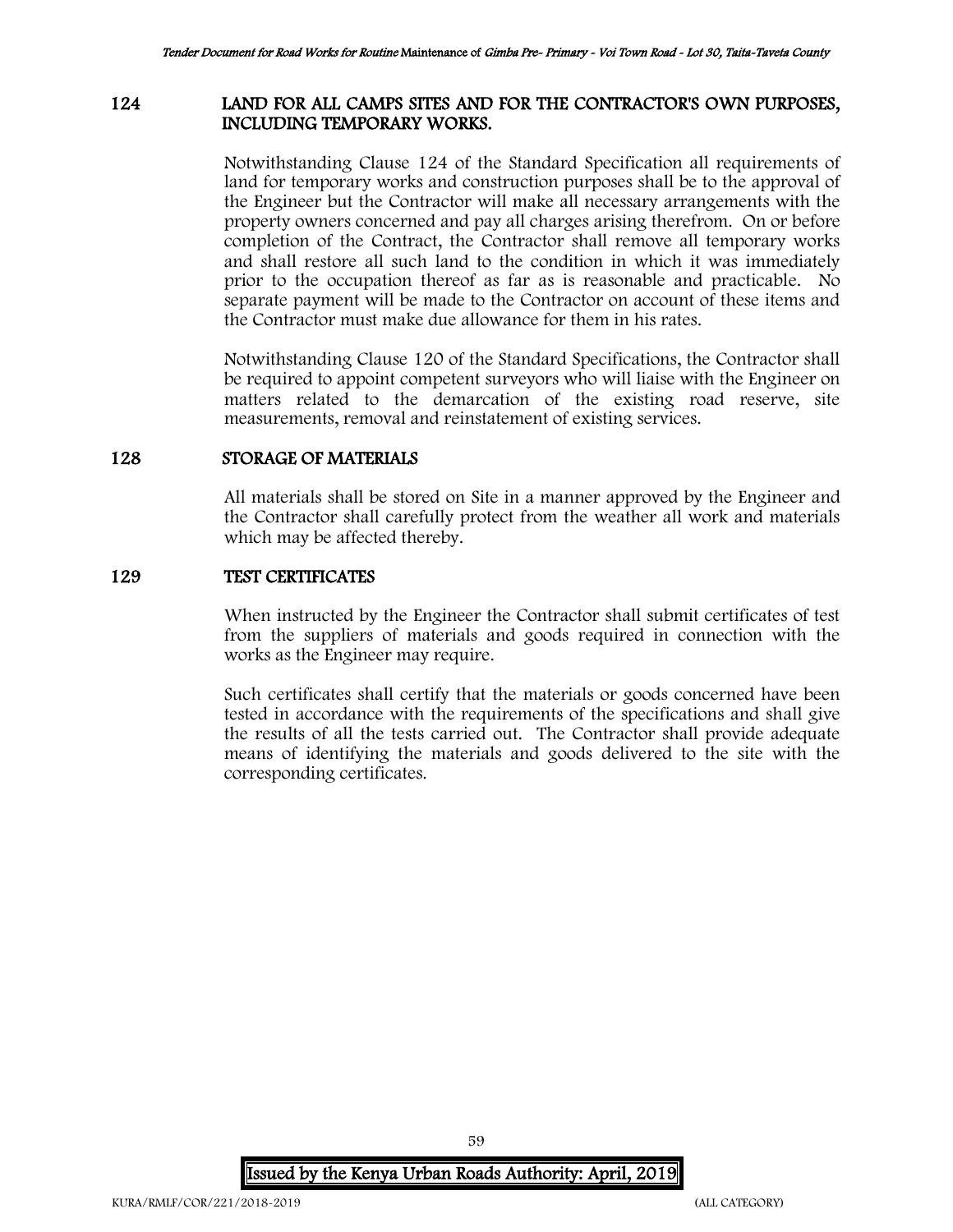# 124 LAND FOR ALL CAMPS SITES AND FOR THE CONTRACTOR'S OWN PURPOSES, INCLUDING TEMPORARY WORKS.

Notwithstanding Clause 124 of the Standard Specification all requirements of land for temporary works and construction purposes shall be to the approval of the Engineer but the Contractor will make all necessary arrangements with the property owners concerned and pay all charges arising therefrom. On or before completion of the Contract, the Contractor shall remove all temporary works and shall restore all such land to the condition in which it was immediately prior to the occupation thereof as far as is reasonable and practicable. No separate payment will be made to the Contractor on account of these items and the Contractor must make due allowance for them in his rates.

Notwithstanding Clause 120 of the Standard Specifications, the Contractor shall be required to appoint competent surveyors who will liaise with the Engineer on matters related to the demarcation of the existing road reserve, site measurements, removal and reinstatement of existing services.

### 128 STORAGE OF MATERIALS

All materials shall be stored on Site in a manner approved by the Engineer and the Contractor shall carefully protect from the weather all work and materials which may be affected thereby.

### 129 TEST CERTIFICATES

When instructed by the Engineer the Contractor shall submit certificates of test from the suppliers of materials and goods required in connection with the works as the Engineer may require.

Such certificates shall certify that the materials or goods concerned have been tested in accordance with the requirements of the specifications and shall give the results of all the tests carried out. The Contractor shall provide adequate means of identifying the materials and goods delivered to the site with the corresponding certificates.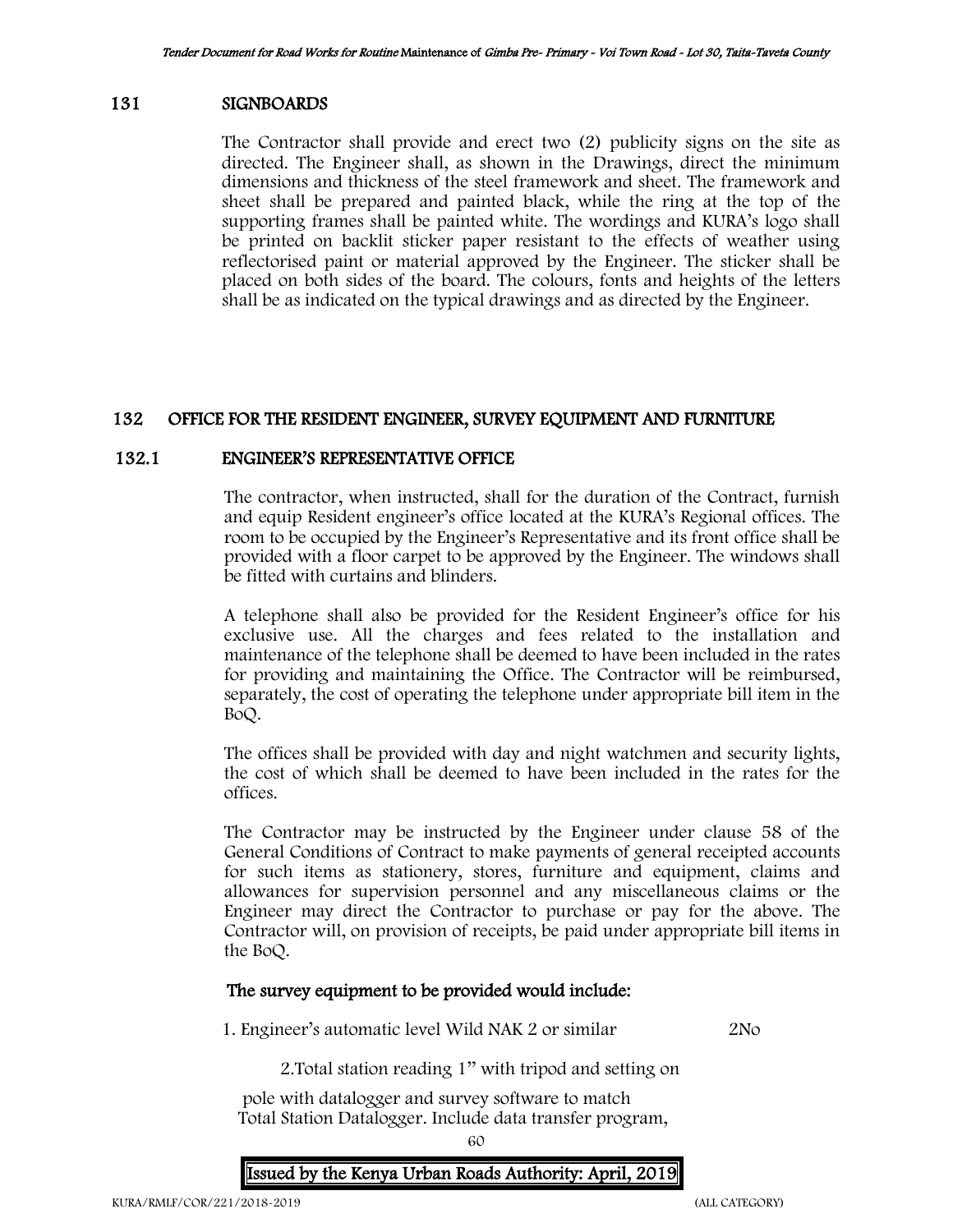## 131 SIGNBOARDS

The Contractor shall provide and erect two (2) publicity signs on the site as directed. The Engineer shall, as shown in the Drawings, direct the minimum dimensions and thickness of the steel framework and sheet. The framework and sheet shall be prepared and painted black, while the ring at the top of the supporting frames shall be painted white. The wordings and KURA's logo shall be printed on backlit sticker paper resistant to the effects of weather using reflectorised paint or material approved by the Engineer. The sticker shall be placed on both sides of the board. The colours, fonts and heights of the letters shall be as indicated on the typical drawings and as directed by the Engineer.

# 132 OFFICE FOR THE RESIDENT ENGINEER, SURVEY EQUIPMENT AND FURNITURE

## 132.1 ENGINEER'S REPRESENTATIVE OFFICE

The contractor, when instructed, shall for the duration of the Contract, furnish and equip Resident engineer's office located at the KURA's Regional offices. The room to be occupied by the Engineer's Representative and its front office shall be provided with a floor carpet to be approved by the Engineer. The windows shall be fitted with curtains and blinders.

A telephone shall also be provided for the Resident Engineer's office for his exclusive use. All the charges and fees related to the installation and maintenance of the telephone shall be deemed to have been included in the rates for providing and maintaining the Office. The Contractor will be reimbursed, separately, the cost of operating the telephone under appropriate bill item in the BoQ.

The offices shall be provided with day and night watchmen and security lights, the cost of which shall be deemed to have been included in the rates for the offices.

The Contractor may be instructed by the Engineer under clause 58 of the General Conditions of Contract to make payments of general receipted accounts for such items as stationery, stores, furniture and equipment, claims and allowances for supervision personnel and any miscellaneous claims or the Engineer may direct the Contractor to purchase or pay for the above. The Contractor will, on provision of receipts, be paid under appropriate bill items in the BoQ.

### The survey equipment to be provided would include:

1. Engineer's automatic level Wild NAK 2 or similar 2No

2.Total station reading 1'' with tripod and setting on

 pole with datalogger and survey software to match Total Station Datalogger. Include data transfer program,

60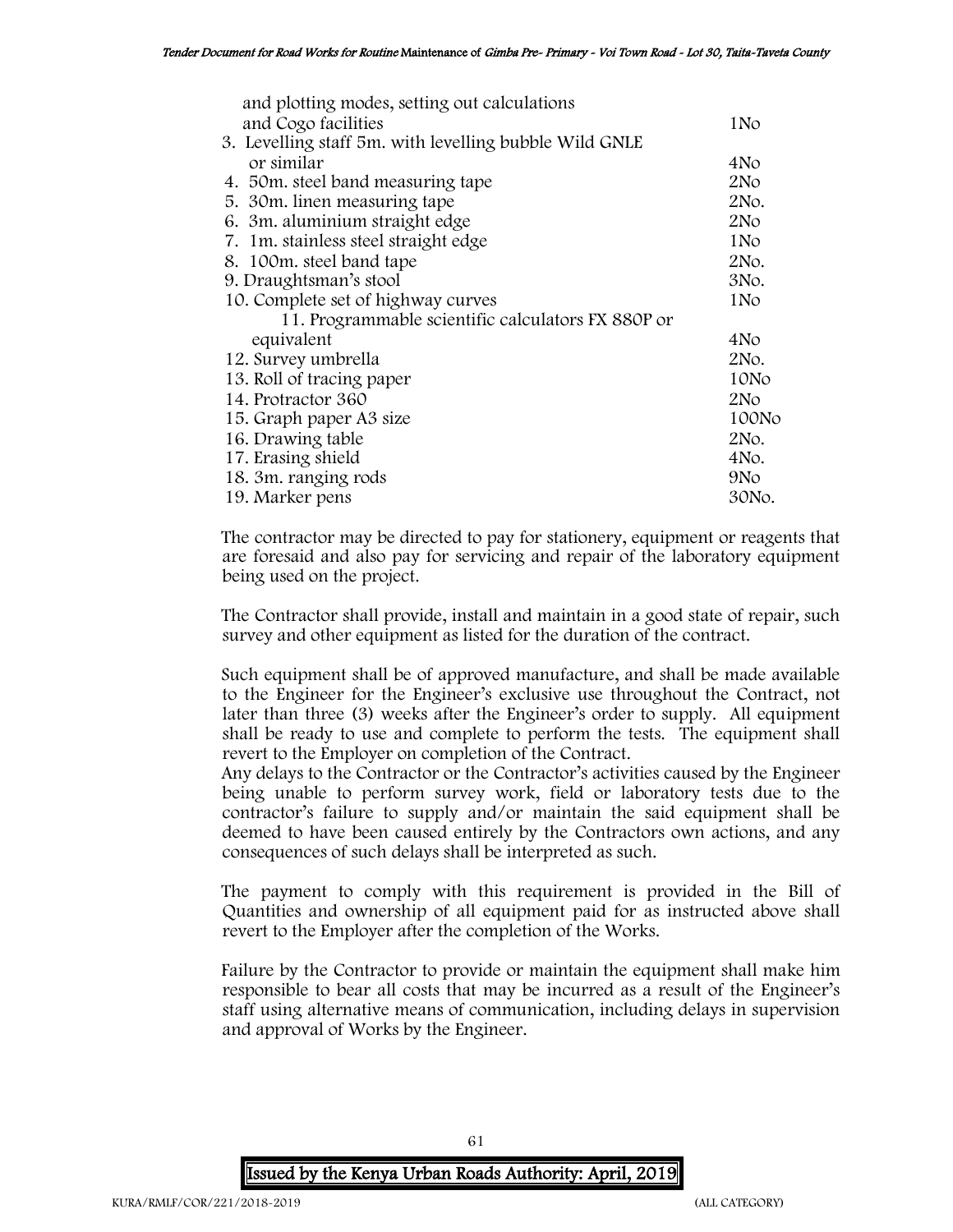| and plotting modes, setting out calculations           |                 |
|--------------------------------------------------------|-----------------|
| and Cogo facilities                                    | 1No             |
| 3. Levelling staff 5m. with levelling bubble Wild GNLE |                 |
| or similar                                             | 4No             |
| 4. 50m. steel band measuring tape                      | 2No             |
| 5. 30 m. linen measuring tape                          | 2No.            |
| 6. 3m. aluminium straight edge                         | 2N <sub>O</sub> |
| 7. 1m. stainless steel straight edge                   | 1No             |
| 8. 100m. steel band tape                               | 2No.            |
| 9. Draughtsman's stool                                 |                 |
| 10. Complete set of highway curves                     |                 |
| 11. Programmable scientific calculators FX 880P or     |                 |
| equivalent                                             | 4No             |
| 12. Survey umbrella                                    |                 |
| 13. Roll of tracing paper                              |                 |
| 14. Protractor 360                                     | 2N <sub>O</sub> |
| 15. Graph paper A3 size                                | 100No           |
| 16. Drawing table                                      | 2No.            |
| 17. Erasing shield                                     | 4No.            |
| 18. 3m. ranging rods                                   |                 |
| 19. Marker pens                                        |                 |

The contractor may be directed to pay for stationery, equipment or reagents that are foresaid and also pay for servicing and repair of the laboratory equipment being used on the project.

The Contractor shall provide, install and maintain in a good state of repair, such survey and other equipment as listed for the duration of the contract.

Such equipment shall be of approved manufacture, and shall be made available to the Engineer for the Engineer's exclusive use throughout the Contract, not later than three (3) weeks after the Engineer's order to supply. All equipment shall be ready to use and complete to perform the tests. The equipment shall revert to the Employer on completion of the Contract.

Any delays to the Contractor or the Contractor's activities caused by the Engineer being unable to perform survey work, field or laboratory tests due to the contractor's failure to supply and/or maintain the said equipment shall be deemed to have been caused entirely by the Contractors own actions, and any consequences of such delays shall be interpreted as such.

The payment to comply with this requirement is provided in the Bill of Quantities and ownership of all equipment paid for as instructed above shall revert to the Employer after the completion of the Works.

Failure by the Contractor to provide or maintain the equipment shall make him responsible to bear all costs that may be incurred as a result of the Engineer's staff using alternative means of communication, including delays in supervision and approval of Works by the Engineer.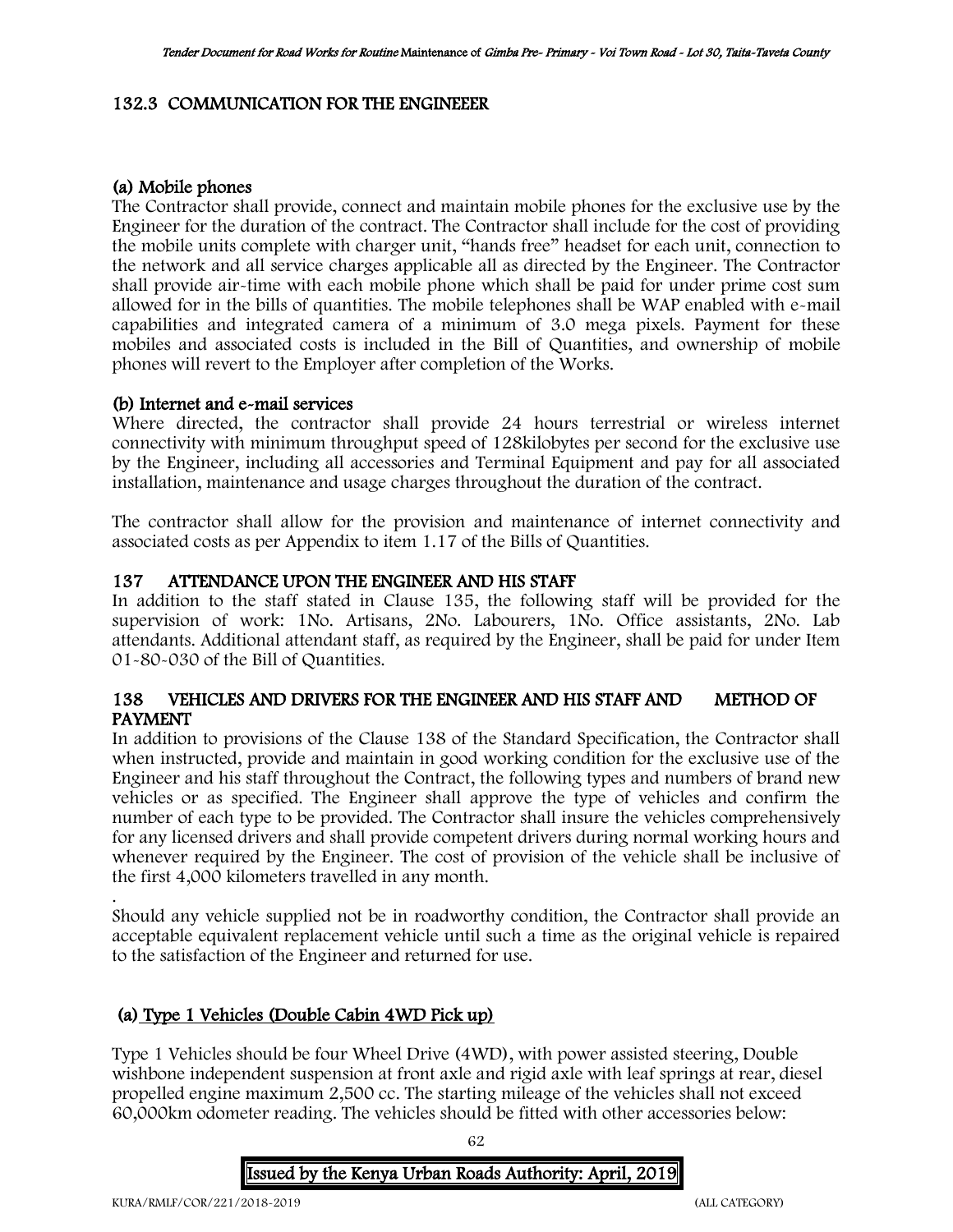# 132.3 COMMUNICATION FOR THE ENGINEEER

# (a) Mobile phones

The Contractor shall provide, connect and maintain mobile phones for the exclusive use by the Engineer for the duration of the contract. The Contractor shall include for the cost of providing the mobile units complete with charger unit, "hands free" headset for each unit, connection to the network and all service charges applicable all as directed by the Engineer. The Contractor shall provide air-time with each mobile phone which shall be paid for under prime cost sum allowed for in the bills of quantities. The mobile telephones shall be WAP enabled with e-mail capabilities and integrated camera of a minimum of 3.0 mega pixels. Payment for these mobiles and associated costs is included in the Bill of Quantities, and ownership of mobile phones will revert to the Employer after completion of the Works.

# (b) Internet and e-mail services

Where directed, the contractor shall provide 24 hours terrestrial or wireless internet connectivity with minimum throughput speed of 128kilobytes per second for the exclusive use by the Engineer, including all accessories and Terminal Equipment and pay for all associated installation, maintenance and usage charges throughout the duration of the contract.

The contractor shall allow for the provision and maintenance of internet connectivity and associated costs as per Appendix to item 1.17 of the Bills of Quantities.

# 137 ATTENDANCE UPON THE ENGINEER AND HIS STAFF

In addition to the staff stated in Clause 135, the following staff will be provided for the supervision of work: 1No. Artisans, 2No. Labourers, 1No. Office assistants, 2No. Lab attendants. Additional attendant staff, as required by the Engineer, shall be paid for under Item 01-80-030 of the Bill of Quantities.

# 138 VEHICLES AND DRIVERS FOR THE ENGINEER AND HIS STAFF AND METHOD OF PAYMENT

In addition to provisions of the Clause 138 of the Standard Specification, the Contractor shall when instructed, provide and maintain in good working condition for the exclusive use of the Engineer and his staff throughout the Contract, the following types and numbers of brand new vehicles or as specified. The Engineer shall approve the type of vehicles and confirm the number of each type to be provided. The Contractor shall insure the vehicles comprehensively for any licensed drivers and shall provide competent drivers during normal working hours and whenever required by the Engineer. The cost of provision of the vehicle shall be inclusive of the first 4,000 kilometers travelled in any month.

. Should any vehicle supplied not be in roadworthy condition, the Contractor shall provide an acceptable equivalent replacement vehicle until such a time as the original vehicle is repaired to the satisfaction of the Engineer and returned for use.

# (a) Type 1 Vehicles (Double Cabin 4WD Pick up)

Type 1 Vehicles should be four Wheel Drive (4WD), with power assisted steering, Double wishbone independent suspension at front axle and rigid axle with leaf springs at rear, diesel propelled engine maximum 2,500 cc. The starting mileage of the vehicles shall not exceed 60,000km odometer reading. The vehicles should be fitted with other accessories below:

62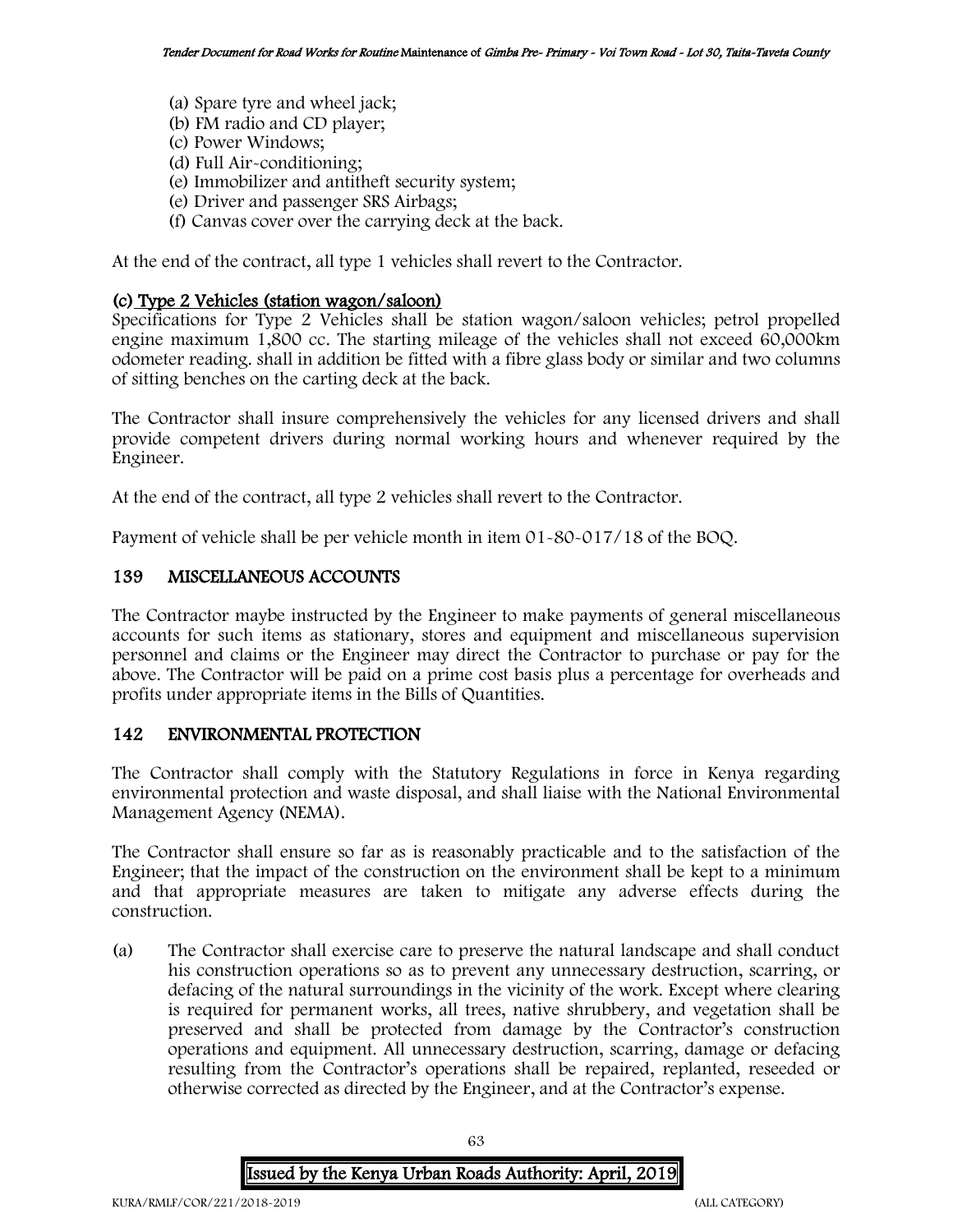- (a) Spare tyre and wheel jack;
- (b) FM radio and CD player;
- (c) Power Windows;
- (d) Full Air-conditioning;
- (e) Immobilizer and antitheft security system;
- (e) Driver and passenger SRS Airbags;
- (f) Canvas cover over the carrying deck at the back.

At the end of the contract, all type 1 vehicles shall revert to the Contractor.

# (c) Type 2 Vehicles (station wagon/saloon)

Specifications for Type 2 Vehicles shall be station wagon/saloon vehicles; petrol propelled engine maximum 1,800 cc. The starting mileage of the vehicles shall not exceed 60,000km odometer reading. shall in addition be fitted with a fibre glass body or similar and two columns of sitting benches on the carting deck at the back.

The Contractor shall insure comprehensively the vehicles for any licensed drivers and shall provide competent drivers during normal working hours and whenever required by the Engineer.

At the end of the contract, all type 2 vehicles shall revert to the Contractor.

Payment of vehicle shall be per vehicle month in item 01-80-017/18 of the BOQ.

# 139 MISCELLANEOUS ACCOUNTS

The Contractor maybe instructed by the Engineer to make payments of general miscellaneous accounts for such items as stationary, stores and equipment and miscellaneous supervision personnel and claims or the Engineer may direct the Contractor to purchase or pay for the above. The Contractor will be paid on a prime cost basis plus a percentage for overheads and profits under appropriate items in the Bills of Quantities.

# 142 ENVIRONMENTAL PROTECTION

The Contractor shall comply with the Statutory Regulations in force in Kenya regarding environmental protection and waste disposal, and shall liaise with the National Environmental Management Agency (NEMA).

The Contractor shall ensure so far as is reasonably practicable and to the satisfaction of the Engineer; that the impact of the construction on the environment shall be kept to a minimum and that appropriate measures are taken to mitigate any adverse effects during the construction.

(a) The Contractor shall exercise care to preserve the natural landscape and shall conduct his construction operations so as to prevent any unnecessary destruction, scarring, or defacing of the natural surroundings in the vicinity of the work. Except where clearing is required for permanent works, all trees, native shrubbery, and vegetation shall be preserved and shall be protected from damage by the Contractor's construction operations and equipment. All unnecessary destruction, scarring, damage or defacing resulting from the Contractor's operations shall be repaired, replanted, reseeded or otherwise corrected as directed by the Engineer, and at the Contractor's expense.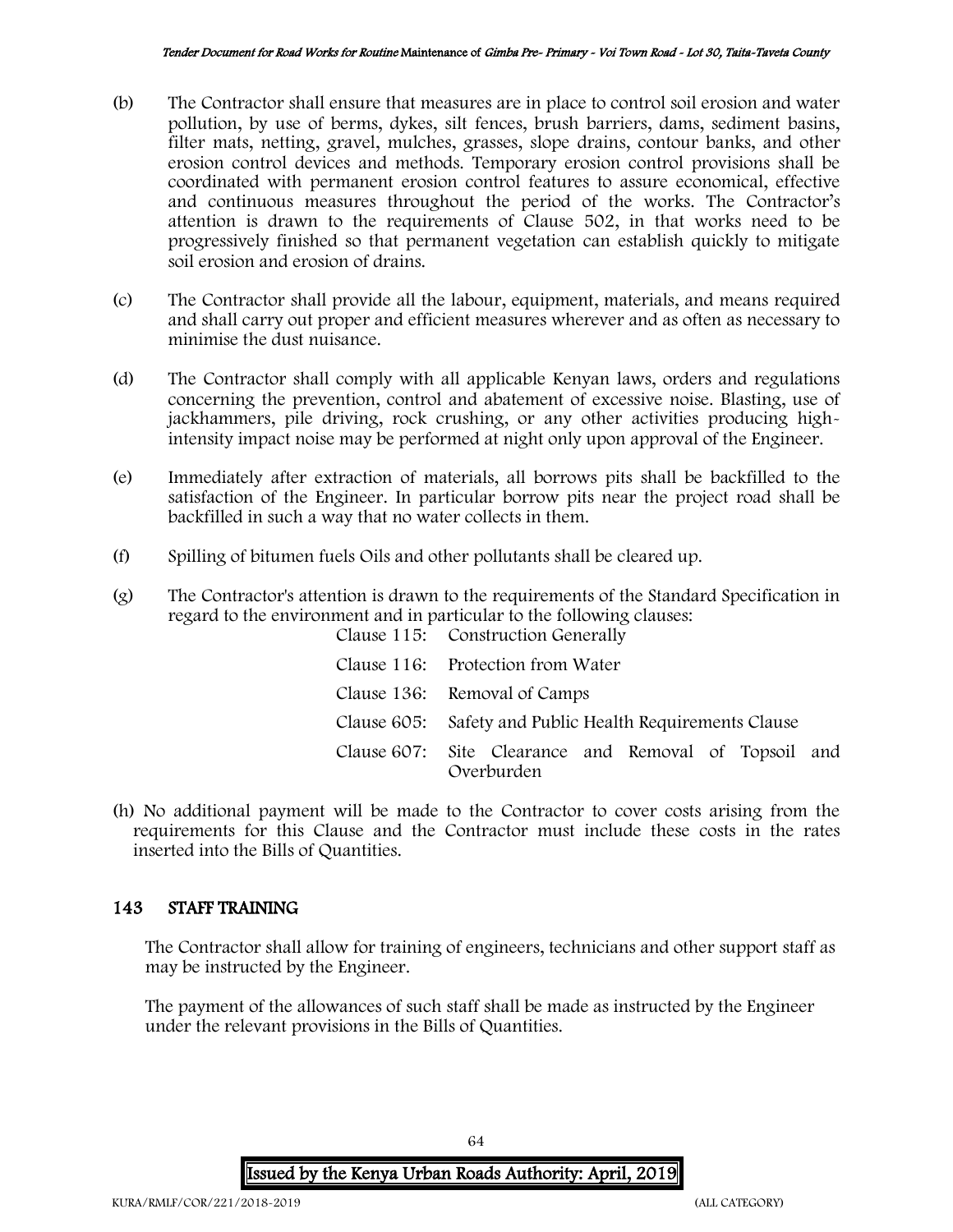- (b) The Contractor shall ensure that measures are in place to control soil erosion and water pollution, by use of berms, dykes, silt fences, brush barriers, dams, sediment basins, filter mats, netting, gravel, mulches, grasses, slope drains, contour banks, and other erosion control devices and methods. Temporary erosion control provisions shall be coordinated with permanent erosion control features to assure economical, effective and continuous measures throughout the period of the works. The Contractor's attention is drawn to the requirements of Clause 502, in that works need to be progressively finished so that permanent vegetation can establish quickly to mitigate soil erosion and erosion of drains.
- (c) The Contractor shall provide all the labour, equipment, materials, and means required and shall carry out proper and efficient measures wherever and as often as necessary to minimise the dust nuisance.
- (d) The Contractor shall comply with all applicable Kenyan laws, orders and regulations concerning the prevention, control and abatement of excessive noise. Blasting, use of jackhammers, pile driving, rock crushing, or any other activities producing highintensity impact noise may be performed at night only upon approval of the Engineer.
- (e) Immediately after extraction of materials, all borrows pits shall be backfilled to the satisfaction of the Engineer. In particular borrow pits near the project road shall be backfilled in such a way that no water collects in them.
- (f) Spilling of bitumen fuels Oils and other pollutants shall be cleared up.
- (g) The Contractor's attention is drawn to the requirements of the Standard Specification in regard to the environment and in particular to the following clauses: Clause 115: Construction Generally

| Clause 116: Protection from Water                                   |
|---------------------------------------------------------------------|
| Clause 136: Removal of Camps                                        |
| Clause 605: Safety and Public Health Requirements Clause            |
| Clause 607: Site Clearance and Removal of Topsoil and<br>Overburden |

(h) No additional payment will be made to the Contractor to cover costs arising from the requirements for this Clause and the Contractor must include these costs in the rates inserted into the Bills of Quantities.

# 143 STAFF TRAINING

The Contractor shall allow for training of engineers, technicians and other support staff as may be instructed by the Engineer.

The payment of the allowances of such staff shall be made as instructed by the Engineer under the relevant provisions in the Bills of Quantities.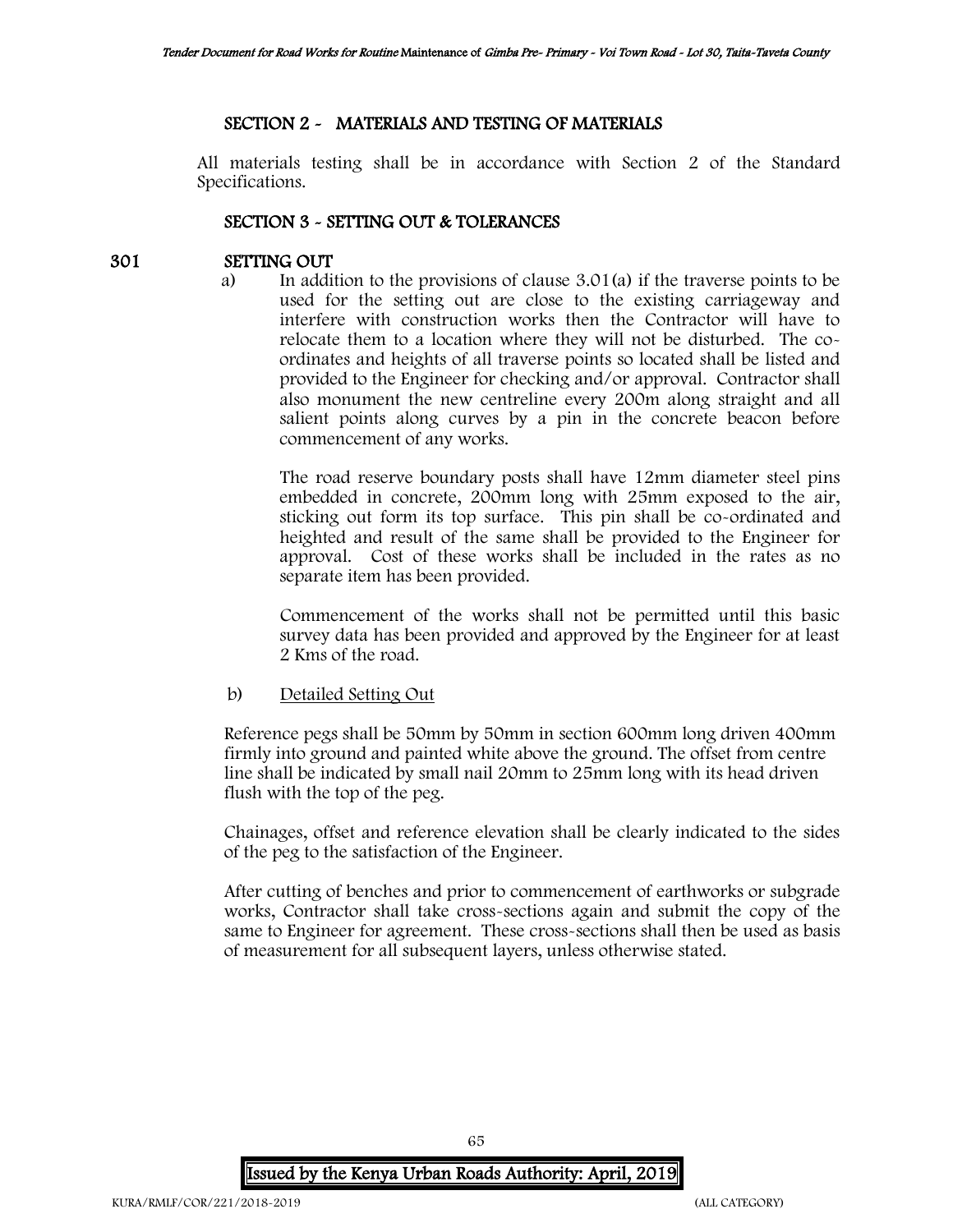# SECTION 2 - MATERIALS AND TESTING OF MATERIALS

All materials testing shall be in accordance with Section 2 of the Standard Specifications.

### SECTION 3 - SETTING OUT & TOLERANCES

### 301 SETTING OUT

a) In addition to the provisions of clause 3.01(a) if the traverse points to be used for the setting out are close to the existing carriageway and interfere with construction works then the Contractor will have to relocate them to a location where they will not be disturbed. The coordinates and heights of all traverse points so located shall be listed and provided to the Engineer for checking and/or approval. Contractor shall also monument the new centreline every 200m along straight and all salient points along curves by a pin in the concrete beacon before commencement of any works.

The road reserve boundary posts shall have 12mm diameter steel pins embedded in concrete, 200mm long with 25mm exposed to the air, sticking out form its top surface. This pin shall be co-ordinated and heighted and result of the same shall be provided to the Engineer for approval. Cost of these works shall be included in the rates as no separate item has been provided.

Commencement of the works shall not be permitted until this basic survey data has been provided and approved by the Engineer for at least 2 Kms of the road.

### b) Detailed Setting Out

Reference pegs shall be 50mm by 50mm in section 600mm long driven 400mm firmly into ground and painted white above the ground. The offset from centre line shall be indicated by small nail 20mm to 25mm long with its head driven flush with the top of the peg.

Chainages, offset and reference elevation shall be clearly indicated to the sides of the peg to the satisfaction of the Engineer.

After cutting of benches and prior to commencement of earthworks or subgrade works, Contractor shall take cross-sections again and submit the copy of the same to Engineer for agreement. These cross-sections shall then be used as basis of measurement for all subsequent layers, unless otherwise stated.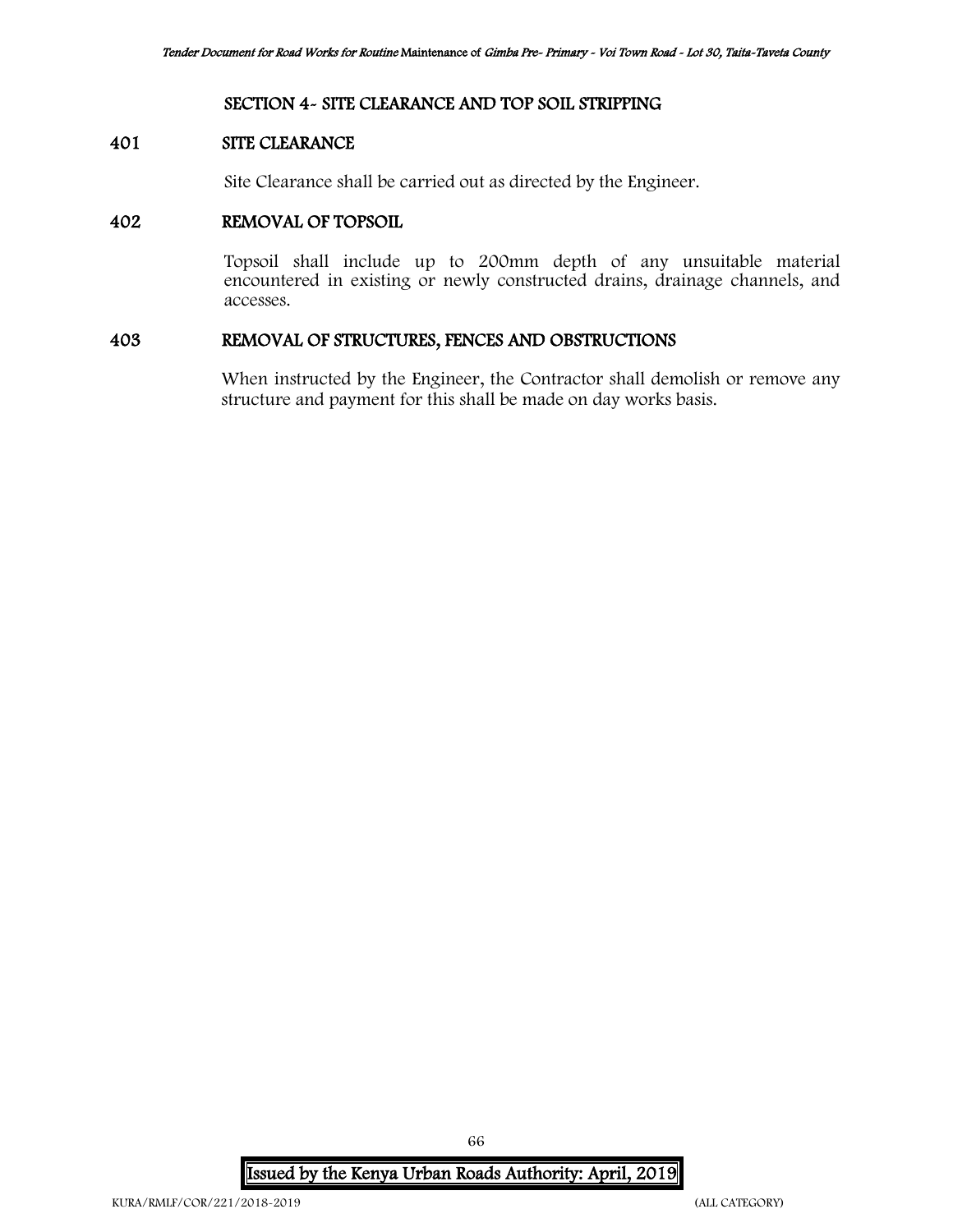# SECTION 4- SITE CLEARANCE AND TOP SOIL STRIPPING

# 401 SITE CLEARANCE

Site Clearance shall be carried out as directed by the Engineer.

## 402 REMOVAL OF TOPSOIL

Topsoil shall include up to 200mm depth of any unsuitable material encountered in existing or newly constructed drains, drainage channels, and accesses.

# 403 REMOVAL OF STRUCTURES, FENCES AND OBSTRUCTIONS

When instructed by the Engineer, the Contractor shall demolish or remove any structure and payment for this shall be made on day works basis.

Issued by the Kenya Urban Roads Authority: April, 2019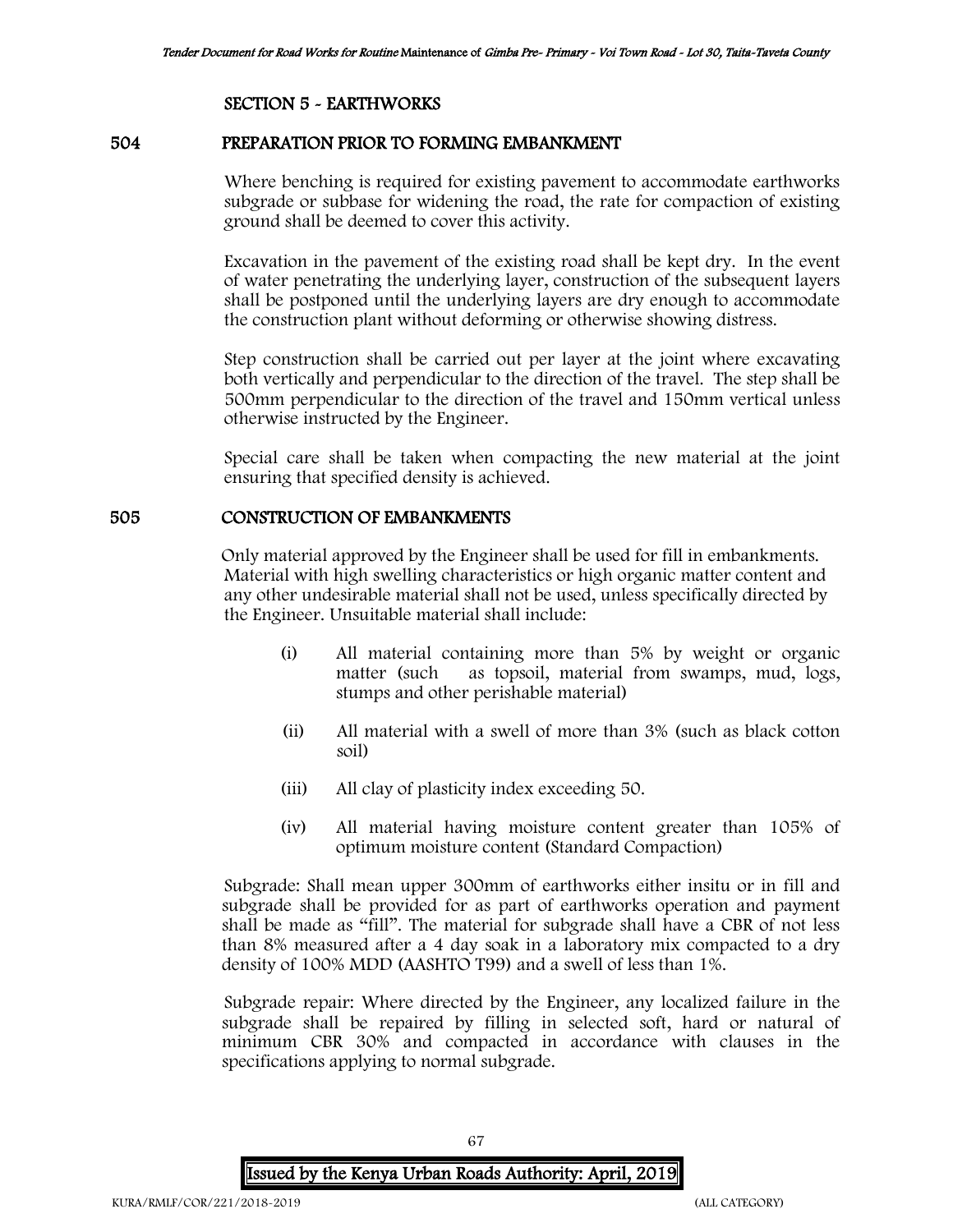# SECTION 5 - EARTHWORKS

#### 504 PREPARATION PRIOR TO FORMING EMBANKMENT

Where benching is required for existing pavement to accommodate earthworks subgrade or subbase for widening the road, the rate for compaction of existing ground shall be deemed to cover this activity.

Excavation in the pavement of the existing road shall be kept dry. In the event of water penetrating the underlying layer, construction of the subsequent layers shall be postponed until the underlying layers are dry enough to accommodate the construction plant without deforming or otherwise showing distress.

Step construction shall be carried out per layer at the joint where excavating both vertically and perpendicular to the direction of the travel. The step shall be 500mm perpendicular to the direction of the travel and 150mm vertical unless otherwise instructed by the Engineer.

Special care shall be taken when compacting the new material at the joint ensuring that specified density is achieved.

### 505 CONSTRUCTION OF EMBANKMENTS

Only material approved by the Engineer shall be used for fill in embankments. Material with high swelling characteristics or high organic matter content and any other undesirable material shall not be used, unless specifically directed by the Engineer. Unsuitable material shall include:

- (i) All material containing more than 5% by weight or organic matter (such as topsoil, material from swamps, mud, logs, stumps and other perishable material)
- (ii) All material with a swell of more than 3% (such as black cotton soil)
- (iii) All clay of plasticity index exceeding 50.
- (iv) All material having moisture content greater than 105% of optimum moisture content (Standard Compaction)

Subgrade: Shall mean upper 300mm of earthworks either insitu or in fill and subgrade shall be provided for as part of earthworks operation and payment shall be made as "fill". The material for subgrade shall have a CBR of not less than 8% measured after a 4 day soak in a laboratory mix compacted to a dry density of 100% MDD (AASHTO T99) and a swell of less than 1%.

Subgrade repair: Where directed by the Engineer, any localized failure in the subgrade shall be repaired by filling in selected soft, hard or natural of minimum CBR 30% and compacted in accordance with clauses in the specifications applying to normal subgrade.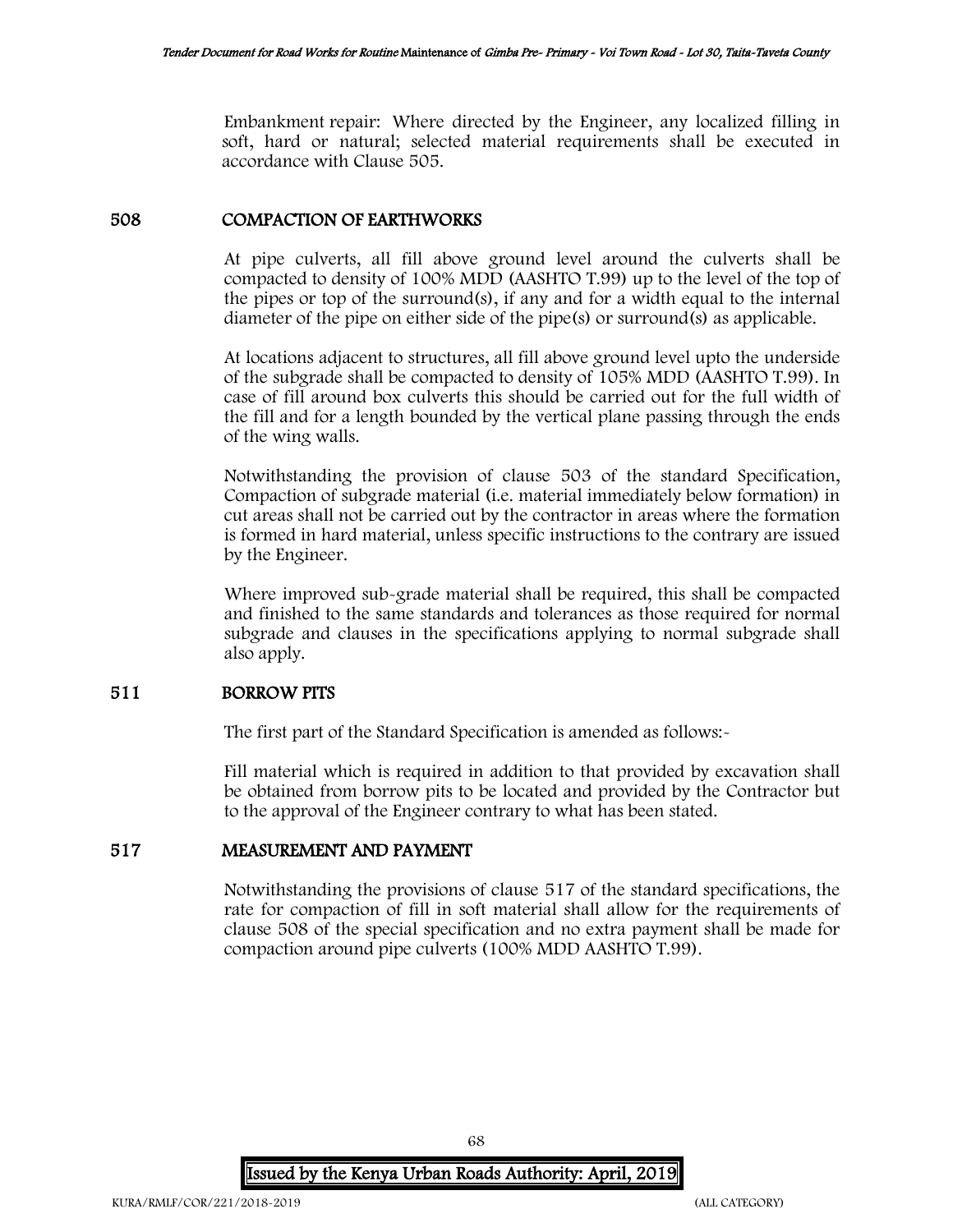Embankment repair: Where directed by the Engineer, any localized filling in soft, hard or natural; selected material requirements shall be executed in accordance with Clause 505.

### 508 COMPACTION OF EARTHWORKS

At pipe culverts, all fill above ground level around the culverts shall be compacted to density of 100% MDD (AASHTO T.99) up to the level of the top of the pipes or top of the surround(s), if any and for a width equal to the internal diameter of the pipe on either side of the pipe(s) or surround(s) as applicable.

At locations adjacent to structures, all fill above ground level upto the underside of the subgrade shall be compacted to density of 105% MDD (AASHTO T.99). In case of fill around box culverts this should be carried out for the full width of the fill and for a length bounded by the vertical plane passing through the ends of the wing walls.

Notwithstanding the provision of clause 503 of the standard Specification, Compaction of subgrade material (i.e. material immediately below formation) in cut areas shall not be carried out by the contractor in areas where the formation is formed in hard material, unless specific instructions to the contrary are issued by the Engineer.

Where improved sub-grade material shall be required, this shall be compacted and finished to the same standards and tolerances as those required for normal subgrade and clauses in the specifications applying to normal subgrade shall also apply.

# 511 BORROW PITS

The first part of the Standard Specification is amended as follows:-

Fill material which is required in addition to that provided by excavation shall be obtained from borrow pits to be located and provided by the Contractor but to the approval of the Engineer contrary to what has been stated.

### 517 MEASUREMENT AND PAYMENT

Notwithstanding the provisions of clause 517 of the standard specifications, the rate for compaction of fill in soft material shall allow for the requirements of clause 508 of the special specification and no extra payment shall be made for compaction around pipe culverts (100% MDD AASHTO T.99).

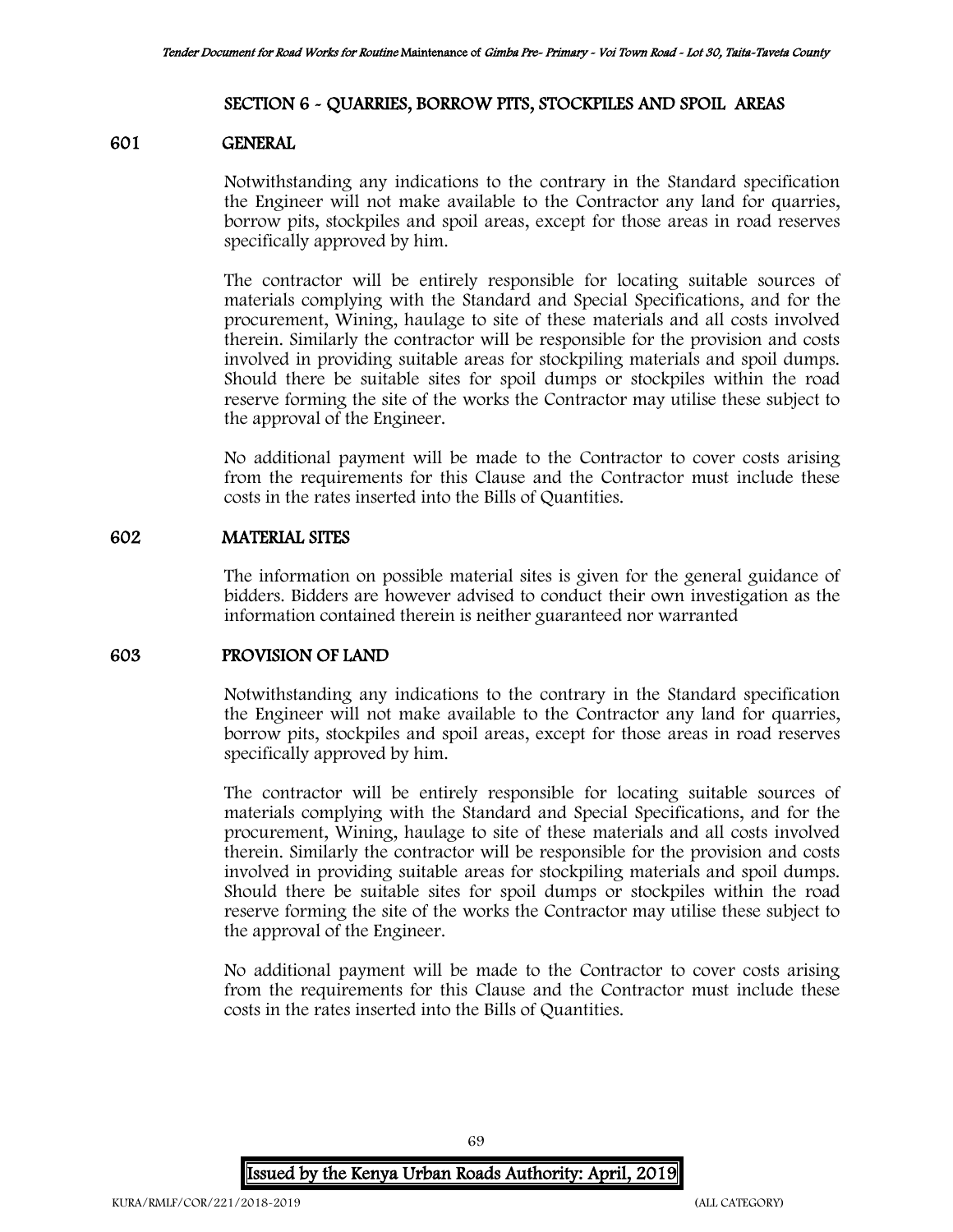### SECTION 6 - QUARRIES, BORROW PITS, STOCKPILES AND SPOIL AREAS

#### 601 GENERAL

Notwithstanding any indications to the contrary in the Standard specification the Engineer will not make available to the Contractor any land for quarries, borrow pits, stockpiles and spoil areas, except for those areas in road reserves specifically approved by him.

The contractor will be entirely responsible for locating suitable sources of materials complying with the Standard and Special Specifications, and for the procurement, Wining, haulage to site of these materials and all costs involved therein. Similarly the contractor will be responsible for the provision and costs involved in providing suitable areas for stockpiling materials and spoil dumps. Should there be suitable sites for spoil dumps or stockpiles within the road reserve forming the site of the works the Contractor may utilise these subject to the approval of the Engineer.

No additional payment will be made to the Contractor to cover costs arising from the requirements for this Clause and the Contractor must include these costs in the rates inserted into the Bills of Quantities.

### 602 MATERIAL SITES

The information on possible material sites is given for the general guidance of bidders. Bidders are however advised to conduct their own investigation as the information contained therein is neither guaranteed nor warranted

## 603 PROVISION OF LAND

Notwithstanding any indications to the contrary in the Standard specification the Engineer will not make available to the Contractor any land for quarries, borrow pits, stockpiles and spoil areas, except for those areas in road reserves specifically approved by him.

The contractor will be entirely responsible for locating suitable sources of materials complying with the Standard and Special Specifications, and for the procurement, Wining, haulage to site of these materials and all costs involved therein. Similarly the contractor will be responsible for the provision and costs involved in providing suitable areas for stockpiling materials and spoil dumps. Should there be suitable sites for spoil dumps or stockpiles within the road reserve forming the site of the works the Contractor may utilise these subject to the approval of the Engineer.

No additional payment will be made to the Contractor to cover costs arising from the requirements for this Clause and the Contractor must include these costs in the rates inserted into the Bills of Quantities.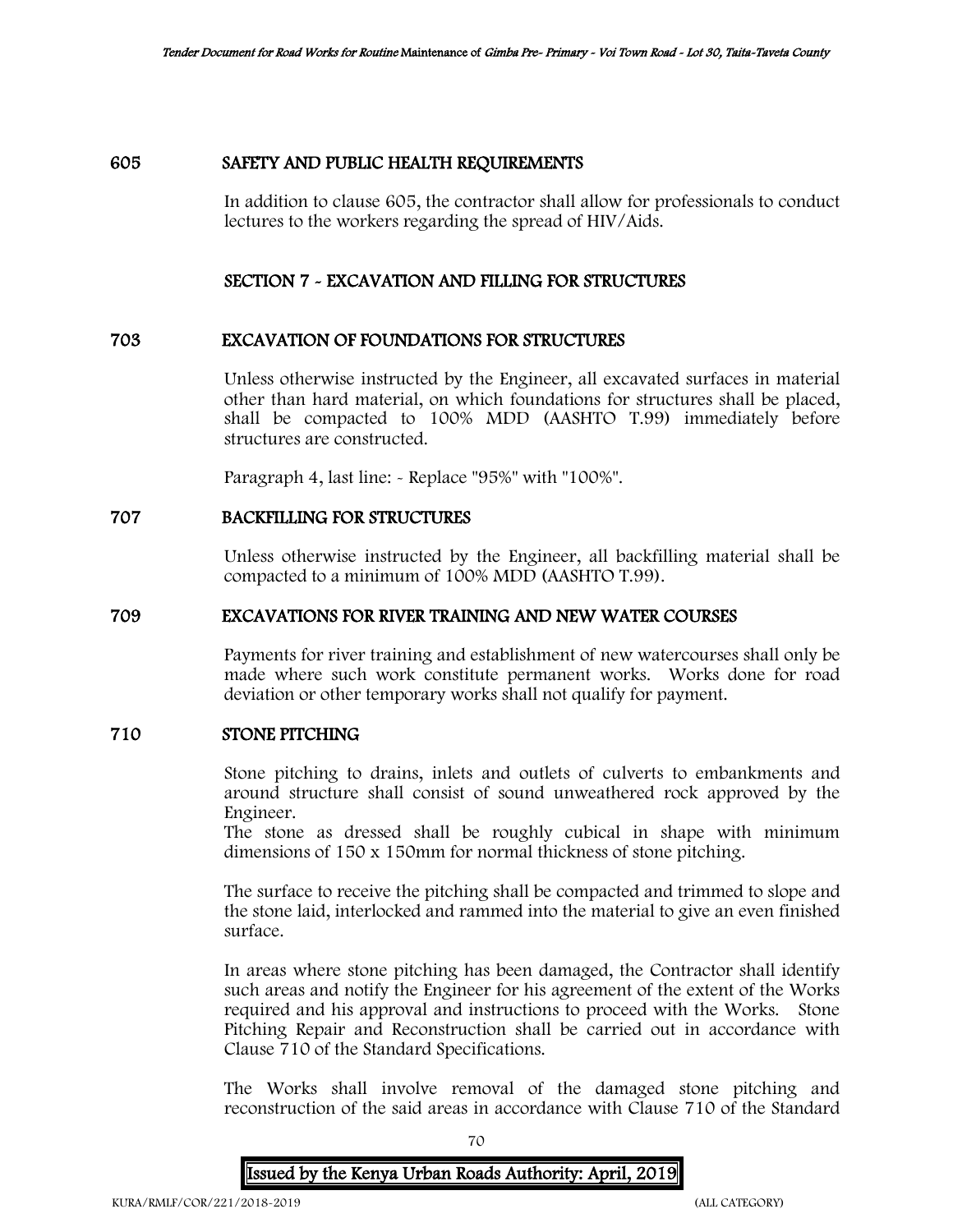# 605 SAFETY AND PUBLIC HEALTH REQUIREMENTS

In addition to clause 605, the contractor shall allow for professionals to conduct lectures to the workers regarding the spread of HIV/Aids.

### SECTION 7 - EXCAVATION AND FILLING FOR STRUCTURES

### 703 EXCAVATION OF FOUNDATIONS FOR STRUCTURES

Unless otherwise instructed by the Engineer, all excavated surfaces in material other than hard material, on which foundations for structures shall be placed, shall be compacted to 100% MDD (AASHTO T.99) immediately before structures are constructed.

Paragraph 4, last line: - Replace "95%" with "100%".

# 707 BACKFILLING FOR STRUCTURES

Unless otherwise instructed by the Engineer, all backfilling material shall be compacted to a minimum of 100% MDD (AASHTO T.99).

# 709 EXCAVATIONS FOR RIVER TRAINING AND NEW WATER COURSES

Payments for river training and establishment of new watercourses shall only be made where such work constitute permanent works. Works done for road deviation or other temporary works shall not qualify for payment.

## 710 STONE PITCHING

Stone pitching to drains, inlets and outlets of culverts to embankments and around structure shall consist of sound unweathered rock approved by the Engineer.

The stone as dressed shall be roughly cubical in shape with minimum dimensions of 150 x 150mm for normal thickness of stone pitching.

The surface to receive the pitching shall be compacted and trimmed to slope and the stone laid, interlocked and rammed into the material to give an even finished surface.

In areas where stone pitching has been damaged, the Contractor shall identify such areas and notify the Engineer for his agreement of the extent of the Works required and his approval and instructions to proceed with the Works. Stone Pitching Repair and Reconstruction shall be carried out in accordance with Clause 710 of the Standard Specifications.

The Works shall involve removal of the damaged stone pitching and reconstruction of the said areas in accordance with Clause 710 of the Standard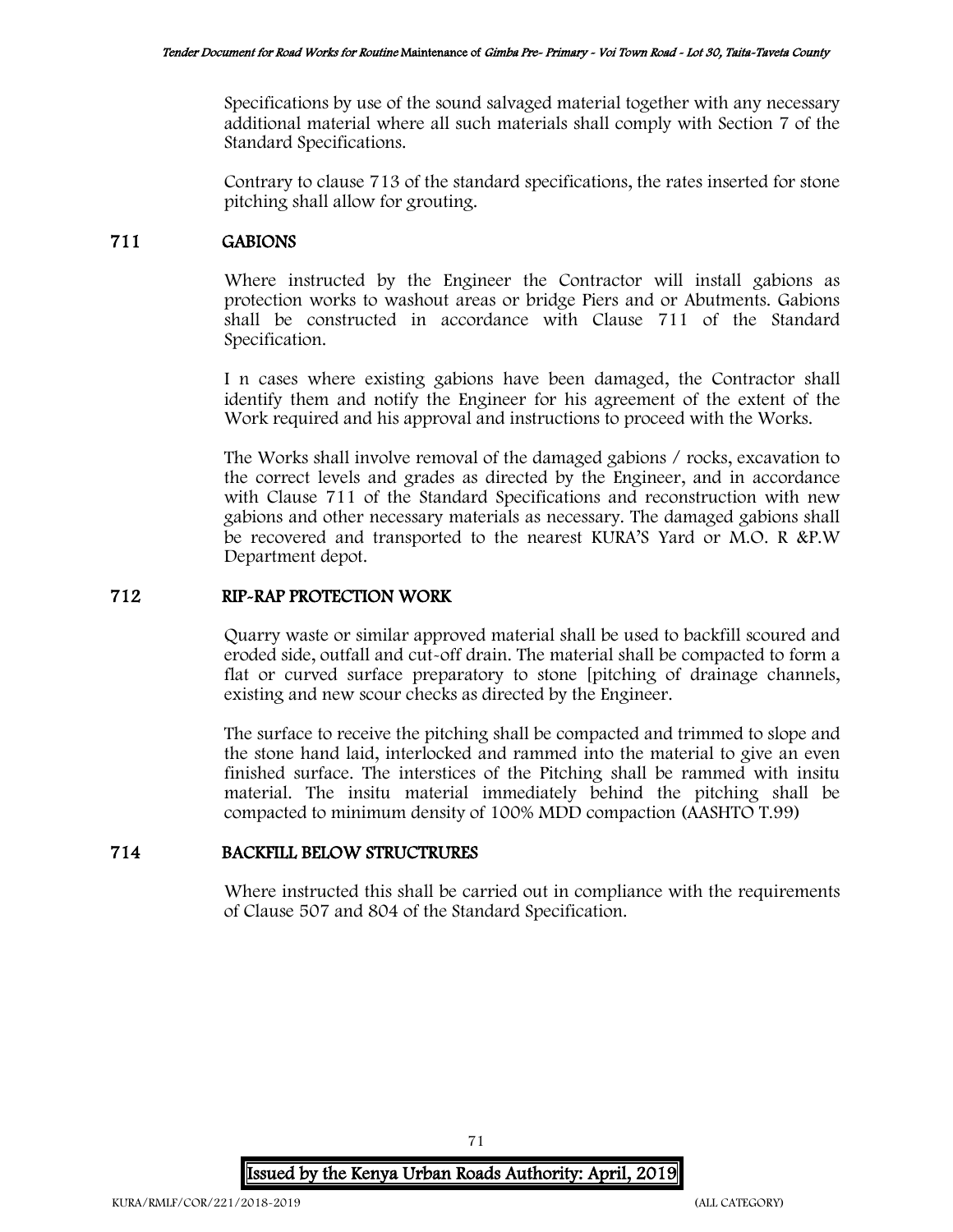Specifications by use of the sound salvaged material together with any necessary additional material where all such materials shall comply with Section 7 of the Standard Specifications.

Contrary to clause 713 of the standard specifications, the rates inserted for stone pitching shall allow for grouting.

# 711 GABIONS

Where instructed by the Engineer the Contractor will install gabions as protection works to washout areas or bridge Piers and or Abutments. Gabions shall be constructed in accordance with Clause 711 of the Standard Specification.

I n cases where existing gabions have been damaged, the Contractor shall identify them and notify the Engineer for his agreement of the extent of the Work required and his approval and instructions to proceed with the Works.

The Works shall involve removal of the damaged gabions / rocks, excavation to the correct levels and grades as directed by the Engineer, and in accordance with Clause 711 of the Standard Specifications and reconstruction with new gabions and other necessary materials as necessary. The damaged gabions shall be recovered and transported to the nearest KURA'S Yard or M.O. R &P.W Department depot.

# 712 RIP-RAP PROTECTION WORK

Quarry waste or similar approved material shall be used to backfill scoured and eroded side, outfall and cut-off drain. The material shall be compacted to form a flat or curved surface preparatory to stone [pitching of drainage channels, existing and new scour checks as directed by the Engineer.

The surface to receive the pitching shall be compacted and trimmed to slope and the stone hand laid, interlocked and rammed into the material to give an even finished surface. The interstices of the Pitching shall be rammed with insitu material. The insitu material immediately behind the pitching shall be compacted to minimum density of 100% MDD compaction (AASHTO T.99)

# 714 BACKFILL BELOW STRUCTRURES

Where instructed this shall be carried out in compliance with the requirements of Clause 507 and 804 of the Standard Specification.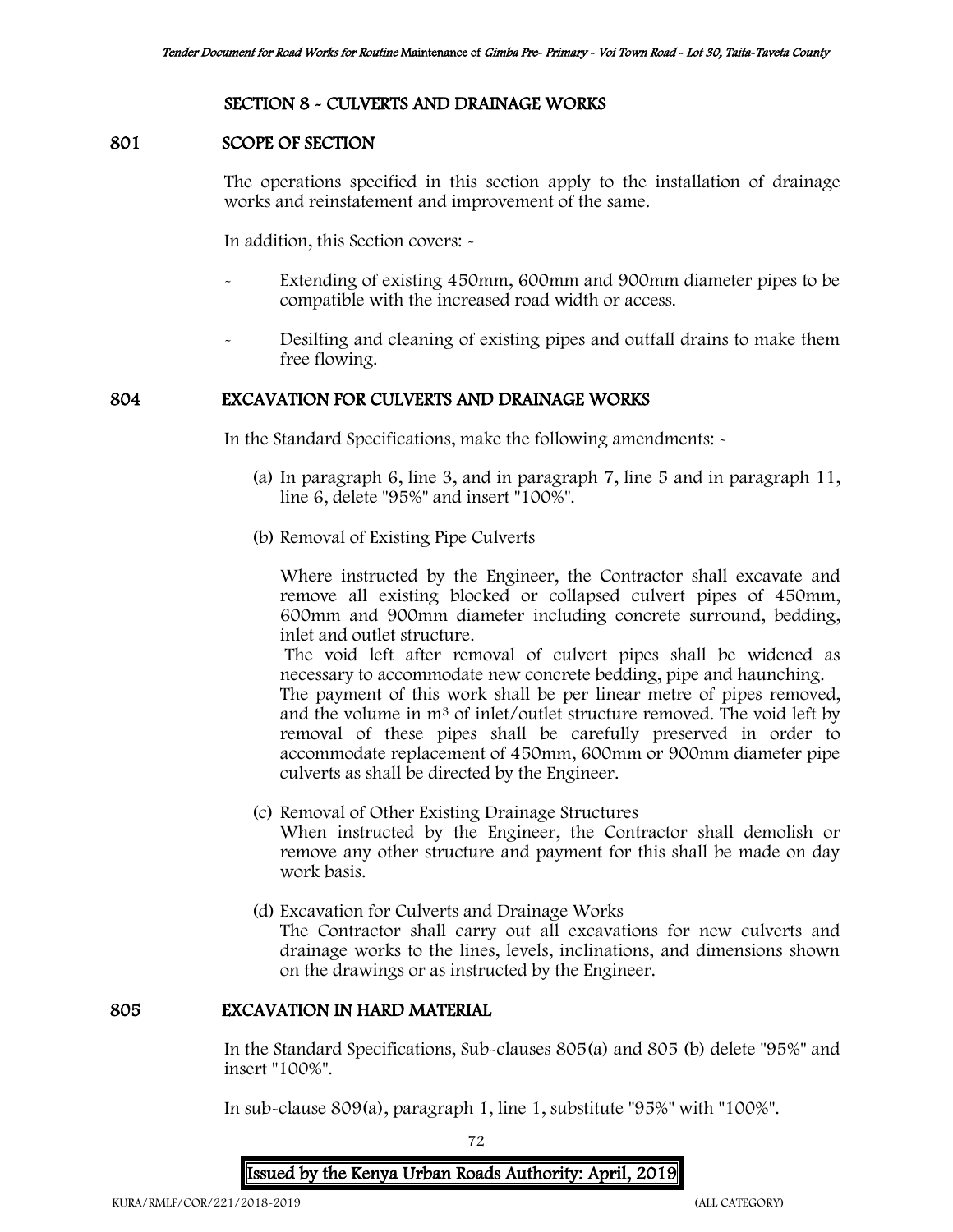# SECTION 8 - CULVERTS AND DRAINAGE WORKS

### 801 SCOPE OF SECTION

The operations specified in this section apply to the installation of drainage works and reinstatement and improvement of the same.

In addition, this Section covers: -

- Extending of existing 450mm, 600mm and 900mm diameter pipes to be compatible with the increased road width or access.
- Desilting and cleaning of existing pipes and outfall drains to make them free flowing.

### 804 EXCAVATION FOR CULVERTS AND DRAINAGE WORKS

In the Standard Specifications, make the following amendments: -

- (a) In paragraph 6, line 3, and in paragraph 7, line 5 and in paragraph 11, line 6, delete "95%" and insert "100%".
- (b) Removal of Existing Pipe Culverts

Where instructed by the Engineer, the Contractor shall excavate and remove all existing blocked or collapsed culvert pipes of 450mm, 600mm and 900mm diameter including concrete surround, bedding, inlet and outlet structure.

The void left after removal of culvert pipes shall be widened as necessary to accommodate new concrete bedding, pipe and haunching.

The payment of this work shall be per linear metre of pipes removed, and the volume in m<sup>3</sup> of inlet/outlet structure removed. The void left by removal of these pipes shall be carefully preserved in order to accommodate replacement of 450mm, 600mm or 900mm diameter pipe culverts as shall be directed by the Engineer.

- (c) Removal of Other Existing Drainage Structures When instructed by the Engineer, the Contractor shall demolish or remove any other structure and payment for this shall be made on day work basis.
- (d) Excavation for Culverts and Drainage Works The Contractor shall carry out all excavations for new culverts and drainage works to the lines, levels, inclinations, and dimensions shown on the drawings or as instructed by the Engineer.

# 805 EXCAVATION IN HARD MATERIAL

In the Standard Specifications, Sub-clauses 805(a) and 805 (b) delete "95%" and insert "100%".

In sub-clause 809(a), paragraph 1, line 1, substitute "95%" with "100%".

72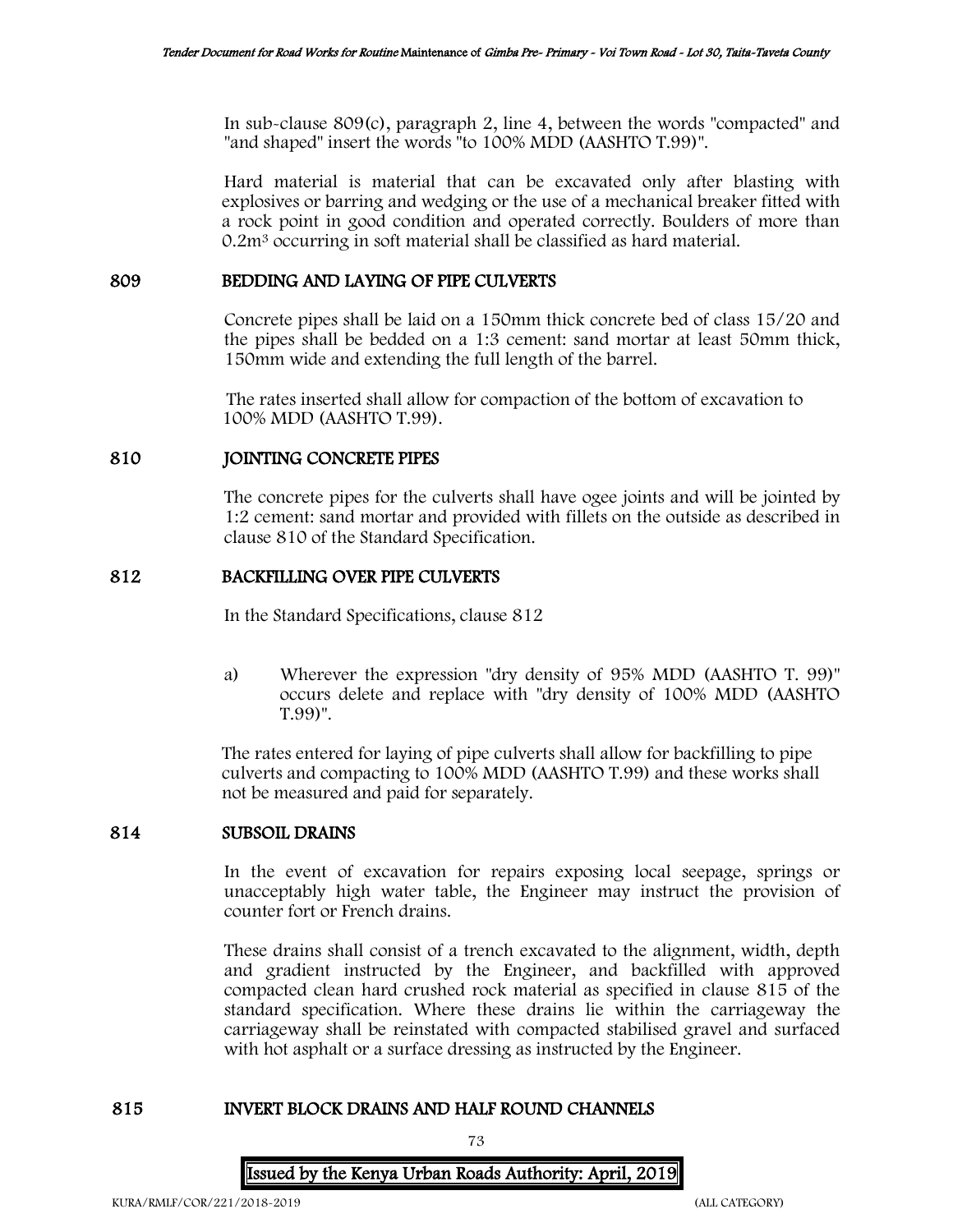In sub-clause 809(c), paragraph 2, line 4, between the words "compacted" and "and shaped" insert the words "to 100% MDD (AASHTO T.99)".

Hard material is material that can be excavated only after blasting with explosives or barring and wedging or the use of a mechanical breaker fitted with a rock point in good condition and operated correctly. Boulders of more than 0.2m<sup>3</sup> occurring in soft material shall be classified as hard material.

### 809 BEDDING AND LAYING OF PIPE CULVERTS

Concrete pipes shall be laid on a 150mm thick concrete bed of class 15/20 and the pipes shall be bedded on a 1:3 cement: sand mortar at least 50mm thick, 150mm wide and extending the full length of the barrel.

The rates inserted shall allow for compaction of the bottom of excavation to 100% MDD (AASHTO T.99).

# 810 JOINTING CONCRETE PIPES

The concrete pipes for the culverts shall have ogee joints and will be jointed by 1:2 cement: sand mortar and provided with fillets on the outside as described in clause 810 of the Standard Specification.

## 812 BACKFILLING OVER PIPE CULVERTS

In the Standard Specifications, clause 812

a) Wherever the expression "dry density of 95% MDD (AASHTO T. 99)" occurs delete and replace with "dry density of 100% MDD (AASHTO T.99)".

The rates entered for laying of pipe culverts shall allow for backfilling to pipe culverts and compacting to 100% MDD (AASHTO T.99) and these works shall not be measured and paid for separately.

### 814 SUBSOIL DRAINS

In the event of excavation for repairs exposing local seepage, springs or unacceptably high water table, the Engineer may instruct the provision of counter fort or French drains.

These drains shall consist of a trench excavated to the alignment, width, depth and gradient instructed by the Engineer, and backfilled with approved compacted clean hard crushed rock material as specified in clause 815 of the standard specification. Where these drains lie within the carriageway the carriageway shall be reinstated with compacted stabilised gravel and surfaced with hot asphalt or a surface dressing as instructed by the Engineer.

## 815 INVERT BLOCK DRAINS AND HALF ROUND CHANNELS

73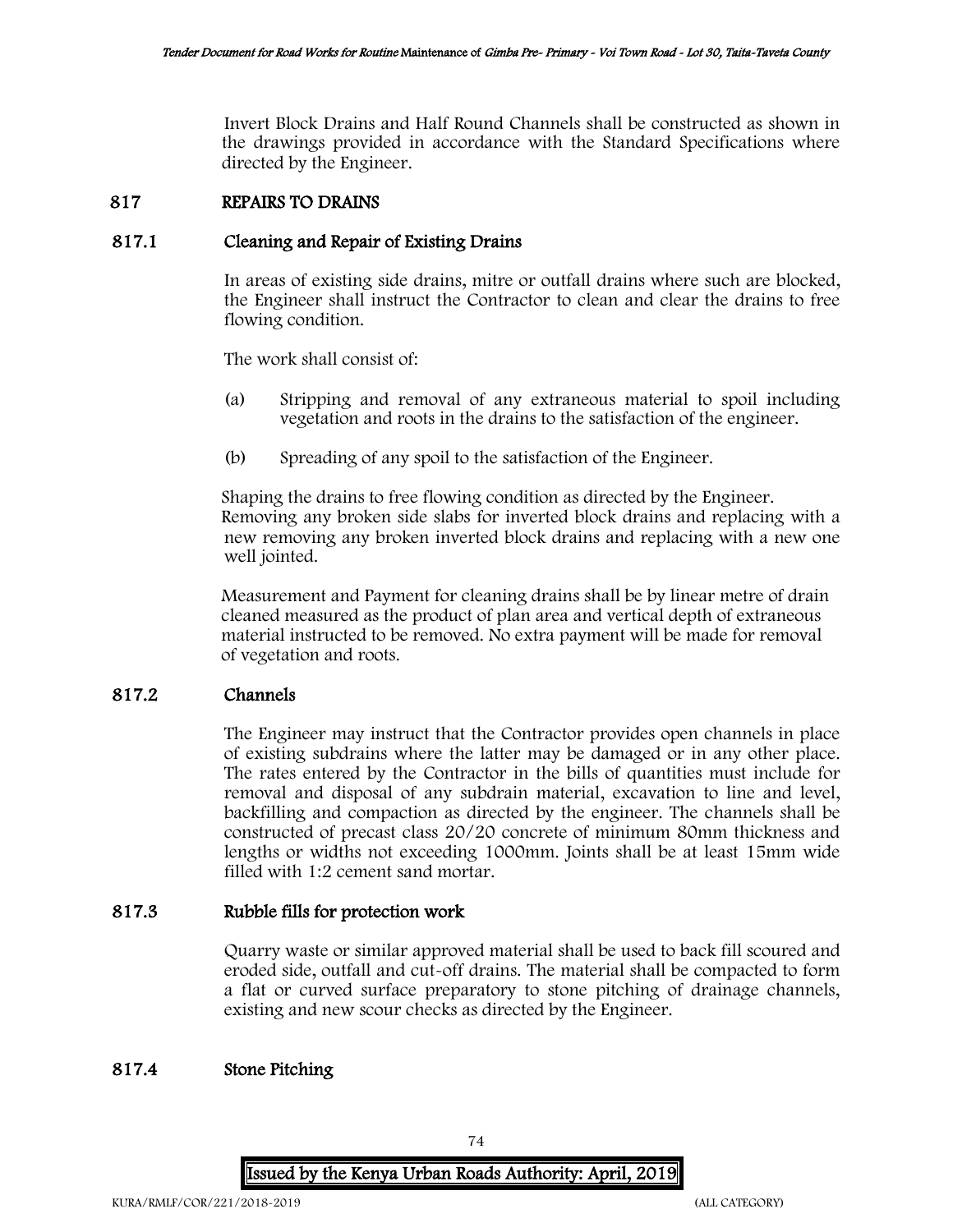Invert Block Drains and Half Round Channels shall be constructed as shown in the drawings provided in accordance with the Standard Specifications where directed by the Engineer.

## 817 REPAIRS TO DRAINS

## 817.1 Cleaning and Repair of Existing Drains

In areas of existing side drains, mitre or outfall drains where such are blocked, the Engineer shall instruct the Contractor to clean and clear the drains to free flowing condition.

The work shall consist of:

- (a) Stripping and removal of any extraneous material to spoil including vegetation and roots in the drains to the satisfaction of the engineer.
- (b) Spreading of any spoil to the satisfaction of the Engineer.

Shaping the drains to free flowing condition as directed by the Engineer. Removing any broken side slabs for inverted block drains and replacing with a new removing any broken inverted block drains and replacing with a new one well jointed.

Measurement and Payment for cleaning drains shall be by linear metre of drain cleaned measured as the product of plan area and vertical depth of extraneous material instructed to be removed. No extra payment will be made for removal of vegetation and roots.

### 817.2 Channels

The Engineer may instruct that the Contractor provides open channels in place of existing subdrains where the latter may be damaged or in any other place. The rates entered by the Contractor in the bills of quantities must include for removal and disposal of any subdrain material, excavation to line and level, backfilling and compaction as directed by the engineer. The channels shall be constructed of precast class 20/20 concrete of minimum 80mm thickness and lengths or widths not exceeding 1000mm. Joints shall be at least 15mm wide filled with 1:2 cement sand mortar.

## 817.3 Rubble fills for protection work

Quarry waste or similar approved material shall be used to back fill scoured and eroded side, outfall and cut-off drains. The material shall be compacted to form a flat or curved surface preparatory to stone pitching of drainage channels, existing and new scour checks as directed by the Engineer.

## 817.4 Stone Pitching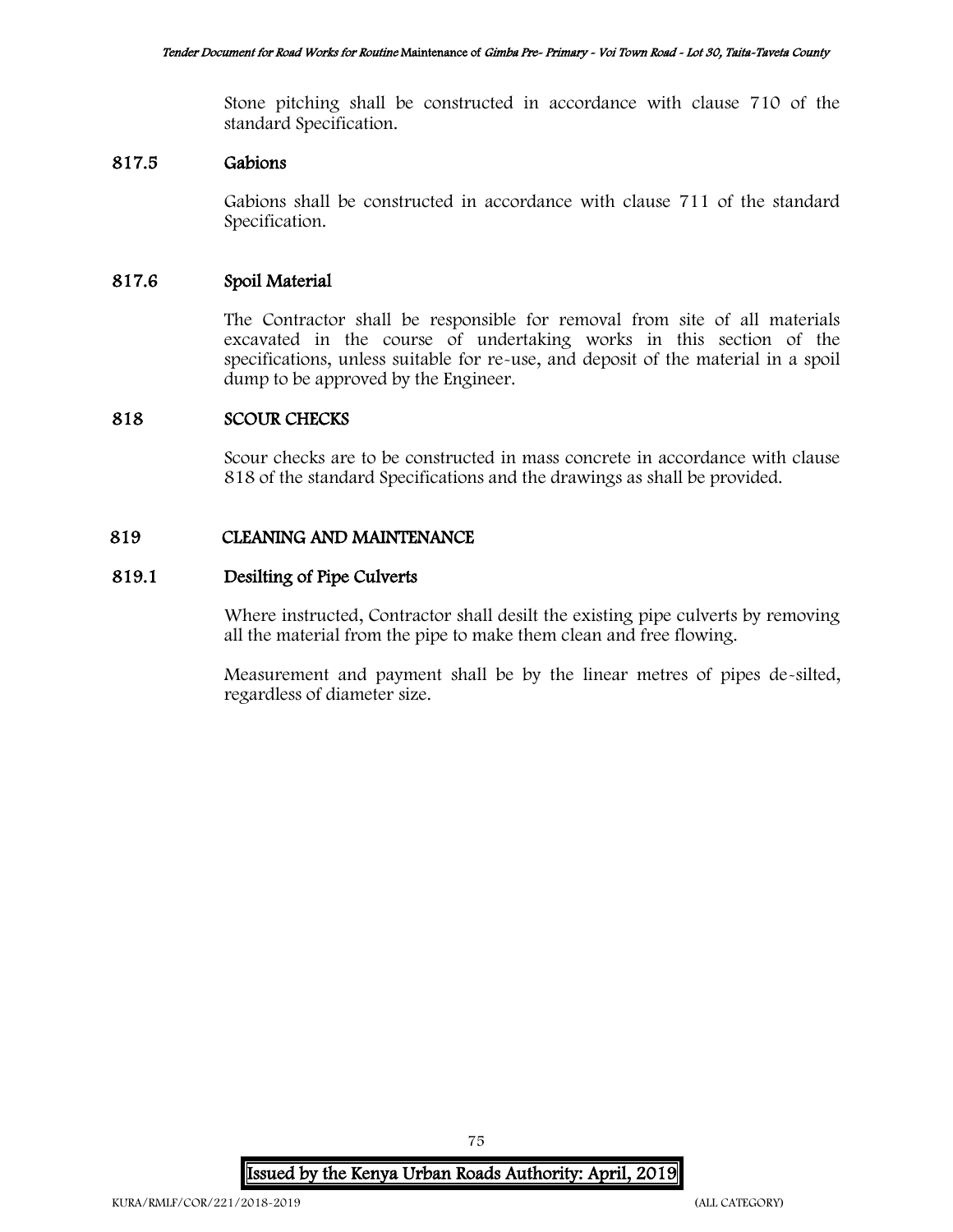Stone pitching shall be constructed in accordance with clause 710 of the standard Specification.

## 817.5 Gabions

Gabions shall be constructed in accordance with clause 711 of the standard Specification.

# 817.6 Spoil Material

The Contractor shall be responsible for removal from site of all materials excavated in the course of undertaking works in this section of the specifications, unless suitable for re-use, and deposit of the material in a spoil dump to be approved by the Engineer.

## 818 SCOUR CHECKS

Scour checks are to be constructed in mass concrete in accordance with clause 818 of the standard Specifications and the drawings as shall be provided.

### 819 CLEANING AND MAINTENANCE

## 819.1 Desilting of Pipe Culverts

Where instructed, Contractor shall desilt the existing pipe culverts by removing all the material from the pipe to make them clean and free flowing.

Measurement and payment shall be by the linear metres of pipes de-silted, regardless of diameter size.

Issued by the Kenya Urban Roads Authority: April, 2019

75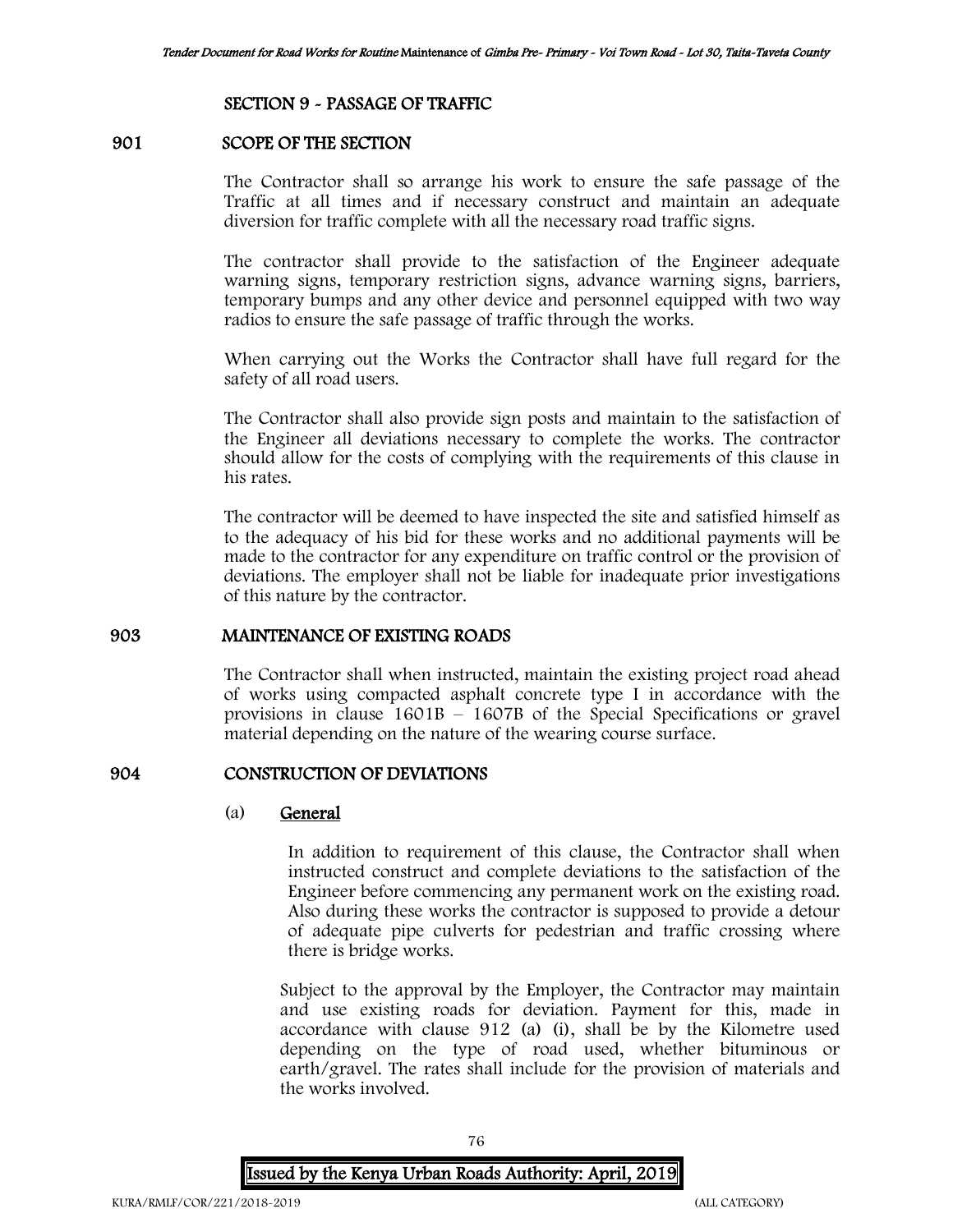### SECTION 9 - PASSAGE OF TRAFFIC

#### 901 SCOPE OF THE SECTION

The Contractor shall so arrange his work to ensure the safe passage of the Traffic at all times and if necessary construct and maintain an adequate diversion for traffic complete with all the necessary road traffic signs.

The contractor shall provide to the satisfaction of the Engineer adequate warning signs, temporary restriction signs, advance warning signs, barriers, temporary bumps and any other device and personnel equipped with two way radios to ensure the safe passage of traffic through the works.

When carrying out the Works the Contractor shall have full regard for the safety of all road users.

The Contractor shall also provide sign posts and maintain to the satisfaction of the Engineer all deviations necessary to complete the works. The contractor should allow for the costs of complying with the requirements of this clause in his rates.

The contractor will be deemed to have inspected the site and satisfied himself as to the adequacy of his bid for these works and no additional payments will be made to the contractor for any expenditure on traffic control or the provision of deviations. The employer shall not be liable for inadequate prior investigations of this nature by the contractor.

### 903 MAINTENANCE OF EXISTING ROADS

The Contractor shall when instructed, maintain the existing project road ahead of works using compacted asphalt concrete type I in accordance with the provisions in clause  $1601B - 1607B$  of the Special Specifications or gravel material depending on the nature of the wearing course surface.

### 904 CONSTRUCTION OF DEVIATIONS

#### (a) General

In addition to requirement of this clause, the Contractor shall when instructed construct and complete deviations to the satisfaction of the Engineer before commencing any permanent work on the existing road. Also during these works the contractor is supposed to provide a detour of adequate pipe culverts for pedestrian and traffic crossing where there is bridge works.

Subject to the approval by the Employer, the Contractor may maintain and use existing roads for deviation. Payment for this, made in accordance with clause 912 (a) (i), shall be by the Kilometre used depending on the type of road used, whether bituminous or earth/gravel. The rates shall include for the provision of materials and the works involved.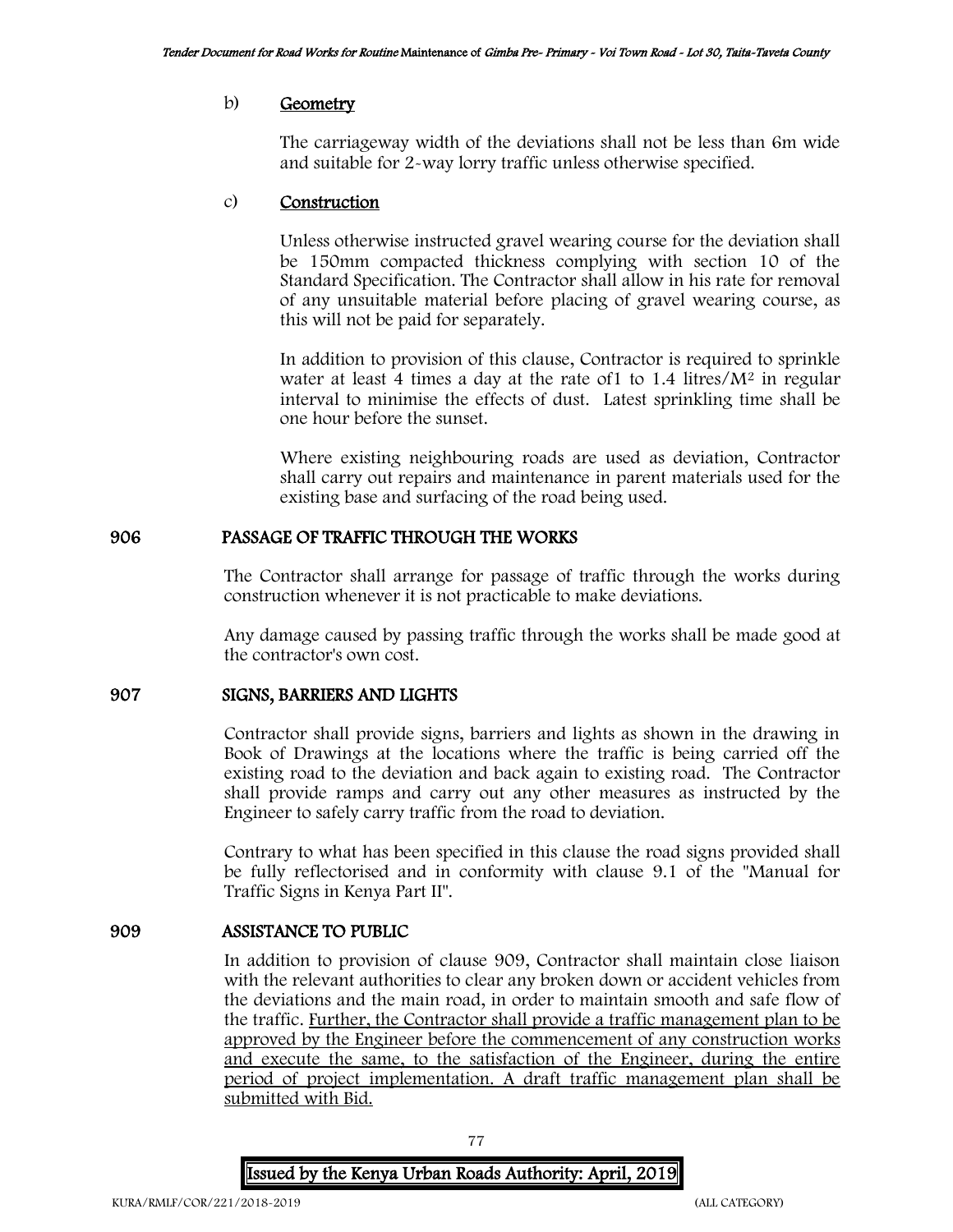#### b) Geometry

The carriageway width of the deviations shall not be less than 6m wide and suitable for 2-way lorry traffic unless otherwise specified.

### c) Construction

Unless otherwise instructed gravel wearing course for the deviation shall be 150mm compacted thickness complying with section 10 of the Standard Specification. The Contractor shall allow in his rate for removal of any unsuitable material before placing of gravel wearing course, as this will not be paid for separately.

In addition to provision of this clause, Contractor is required to sprinkle water at least 4 times a day at the rate of  $1$  to  $1.4$  litres/ $M<sup>2</sup>$  in regular interval to minimise the effects of dust. Latest sprinkling time shall be one hour before the sunset.

Where existing neighbouring roads are used as deviation, Contractor shall carry out repairs and maintenance in parent materials used for the existing base and surfacing of the road being used.

### 906 PASSAGE OF TRAFFIC THROUGH THE WORKS

The Contractor shall arrange for passage of traffic through the works during construction whenever it is not practicable to make deviations.

Any damage caused by passing traffic through the works shall be made good at the contractor's own cost.

#### 907 SIGNS, BARRIERS AND LIGHTS

Contractor shall provide signs, barriers and lights as shown in the drawing in Book of Drawings at the locations where the traffic is being carried off the existing road to the deviation and back again to existing road. The Contractor shall provide ramps and carry out any other measures as instructed by the Engineer to safely carry traffic from the road to deviation.

Contrary to what has been specified in this clause the road signs provided shall be fully reflectorised and in conformity with clause 9.1 of the "Manual for Traffic Signs in Kenya Part II".

## 909 ASSISTANCE TO PUBLIC

In addition to provision of clause 909, Contractor shall maintain close liaison with the relevant authorities to clear any broken down or accident vehicles from the deviations and the main road, in order to maintain smooth and safe flow of the traffic. Further, the Contractor shall provide a traffic management plan to be approved by the Engineer before the commencement of any construction works and execute the same, to the satisfaction of the Engineer, during the entire period of project implementation. A draft traffic management plan shall be submitted with Bid.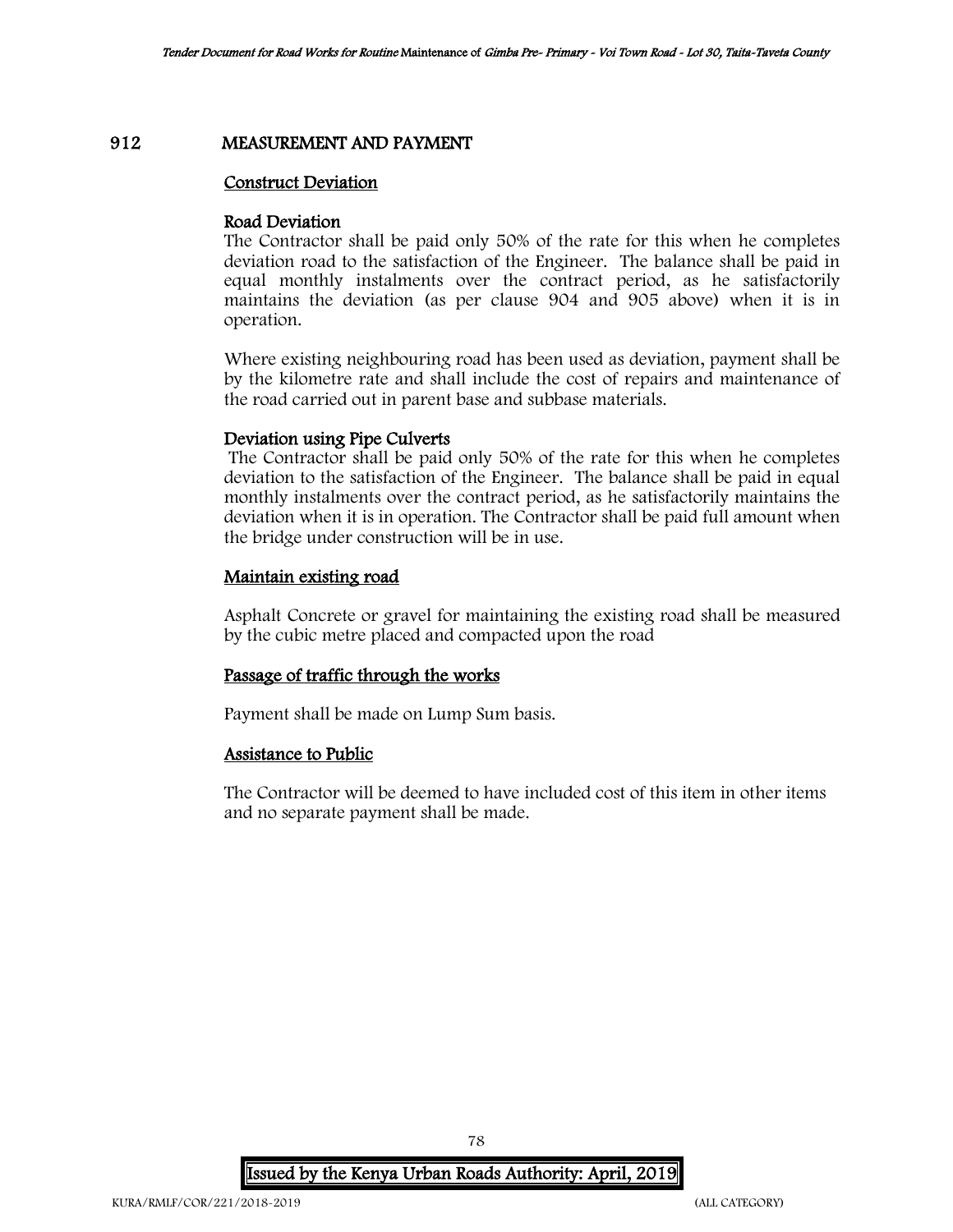### 912 MEASUREMENT AND PAYMENT

### Construct Deviation

### Road Deviation

The Contractor shall be paid only 50% of the rate for this when he completes deviation road to the satisfaction of the Engineer. The balance shall be paid in equal monthly instalments over the contract period, as he satisfactorily maintains the deviation (as per clause 904 and 905 above) when it is in operation.

Where existing neighbouring road has been used as deviation, payment shall be by the kilometre rate and shall include the cost of repairs and maintenance of the road carried out in parent base and subbase materials.

### Deviation using Pipe Culverts

The Contractor shall be paid only 50% of the rate for this when he completes deviation to the satisfaction of the Engineer. The balance shall be paid in equal monthly instalments over the contract period, as he satisfactorily maintains the deviation when it is in operation. The Contractor shall be paid full amount when the bridge under construction will be in use.

### Maintain existing road

Asphalt Concrete or gravel for maintaining the existing road shall be measured by the cubic metre placed and compacted upon the road

#### Passage of traffic through the works

Payment shall be made on Lump Sum basis.

### Assistance to Public

The Contractor will be deemed to have included cost of this item in other items and no separate payment shall be made.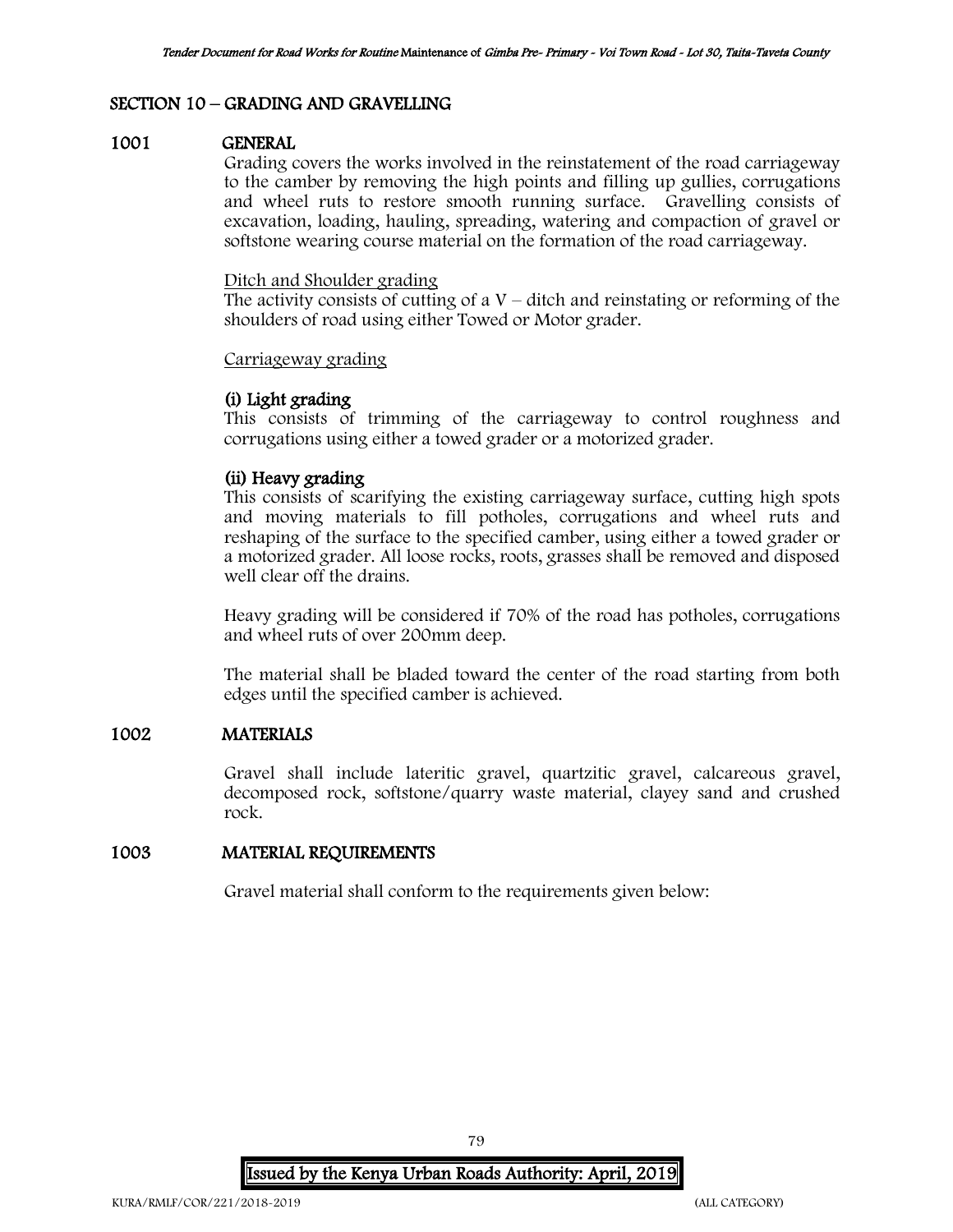## SECTION 10 – GRADING AND GRAVELLING

#### 1001 GENERAL

Grading covers the works involved in the reinstatement of the road carriageway to the camber by removing the high points and filling up gullies, corrugations and wheel ruts to restore smooth running surface. Gravelling consists of excavation, loading, hauling, spreading, watering and compaction of gravel or softstone wearing course material on the formation of the road carriageway.

### Ditch and Shoulder grading

The activity consists of cutting of a  $V$  – ditch and reinstating or reforming of the shoulders of road using either Towed or Motor grader.

### Carriageway grading

# (i) Light grading

This consists of trimming of the carriageway to control roughness and corrugations using either a towed grader or a motorized grader.

## (ii) Heavy grading

This consists of scarifying the existing carriageway surface, cutting high spots and moving materials to fill potholes, corrugations and wheel ruts and reshaping of the surface to the specified camber, using either a towed grader or a motorized grader. All loose rocks, roots, grasses shall be removed and disposed well clear off the drains.

Heavy grading will be considered if 70% of the road has potholes, corrugations and wheel ruts of over 200mm deep.

The material shall be bladed toward the center of the road starting from both edges until the specified camber is achieved.

## 1002 MATERIALS

Gravel shall include lateritic gravel, quartzitic gravel, calcareous gravel, decomposed rock, softstone/quarry waste material, clayey sand and crushed rock.

## 1003 MATERIAL REQUIREMENTS

Gravel material shall conform to the requirements given below: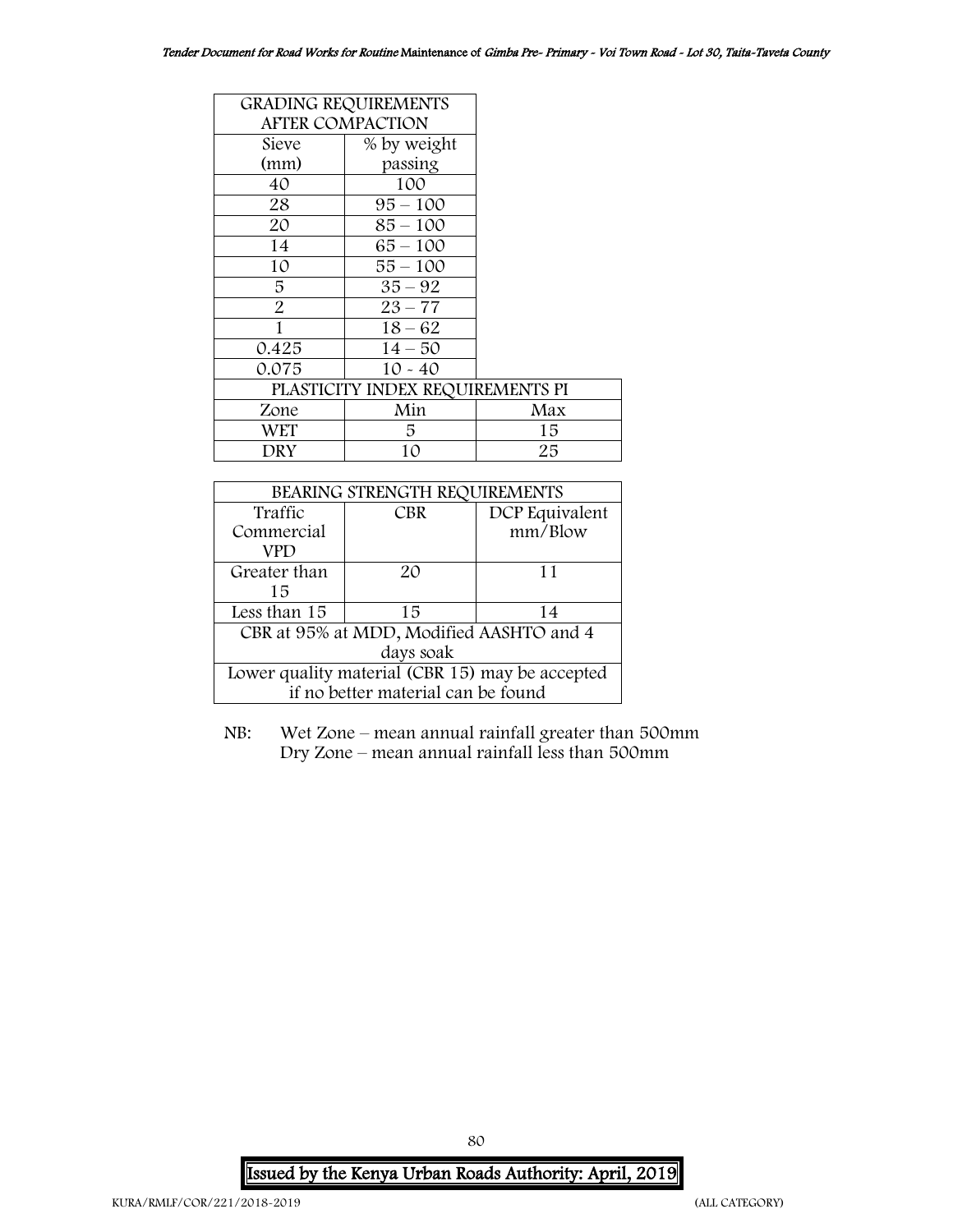| <b>GRADING REQUIREMENTS</b>      |             |     |  |
|----------------------------------|-------------|-----|--|
| <b>AFTER COMPACTION</b>          |             |     |  |
| Sieve                            | % by weight |     |  |
| (mm)                             | passing     |     |  |
| 40                               | 100         |     |  |
| 28                               | $95 - 100$  |     |  |
| 20                               | 85 – 100    |     |  |
| 14                               | $65 - 100$  |     |  |
| 10                               | $55 - 100$  |     |  |
| 5                                | $35 - 92$   |     |  |
| $\overline{2}$                   | $23 - 77$   |     |  |
|                                  | $18 - 62$   |     |  |
| 0.425                            | $14 - 50$   |     |  |
| 0.075                            | $10 - 40$   |     |  |
| PLASTICITY INDEX REQUIREMENTS PI |             |     |  |
| Zone                             | Min         | Max |  |
| WET                              | 5           | 15  |  |
| DRY                              | 10          | 25  |  |

| BEARING STRENGTH REQUIREMENTS                   |            |                |  |  |
|-------------------------------------------------|------------|----------------|--|--|
| Traffic                                         | <b>CBR</b> | DCP Equivalent |  |  |
| Commercial                                      |            | mm/Blow        |  |  |
| VPD                                             |            |                |  |  |
| Greater than                                    | 20         | 11             |  |  |
| 15                                              |            |                |  |  |
| Less than 15                                    | 15         | 14             |  |  |
| CBR at 95% at MDD, Modified AASHTO and 4        |            |                |  |  |
| days soak                                       |            |                |  |  |
| Lower quality material (CBR 15) may be accepted |            |                |  |  |
| if no better material can be found              |            |                |  |  |

NB: Wet Zone – mean annual rainfall greater than 500mm Dry Zone – mean annual rainfall less than 500mm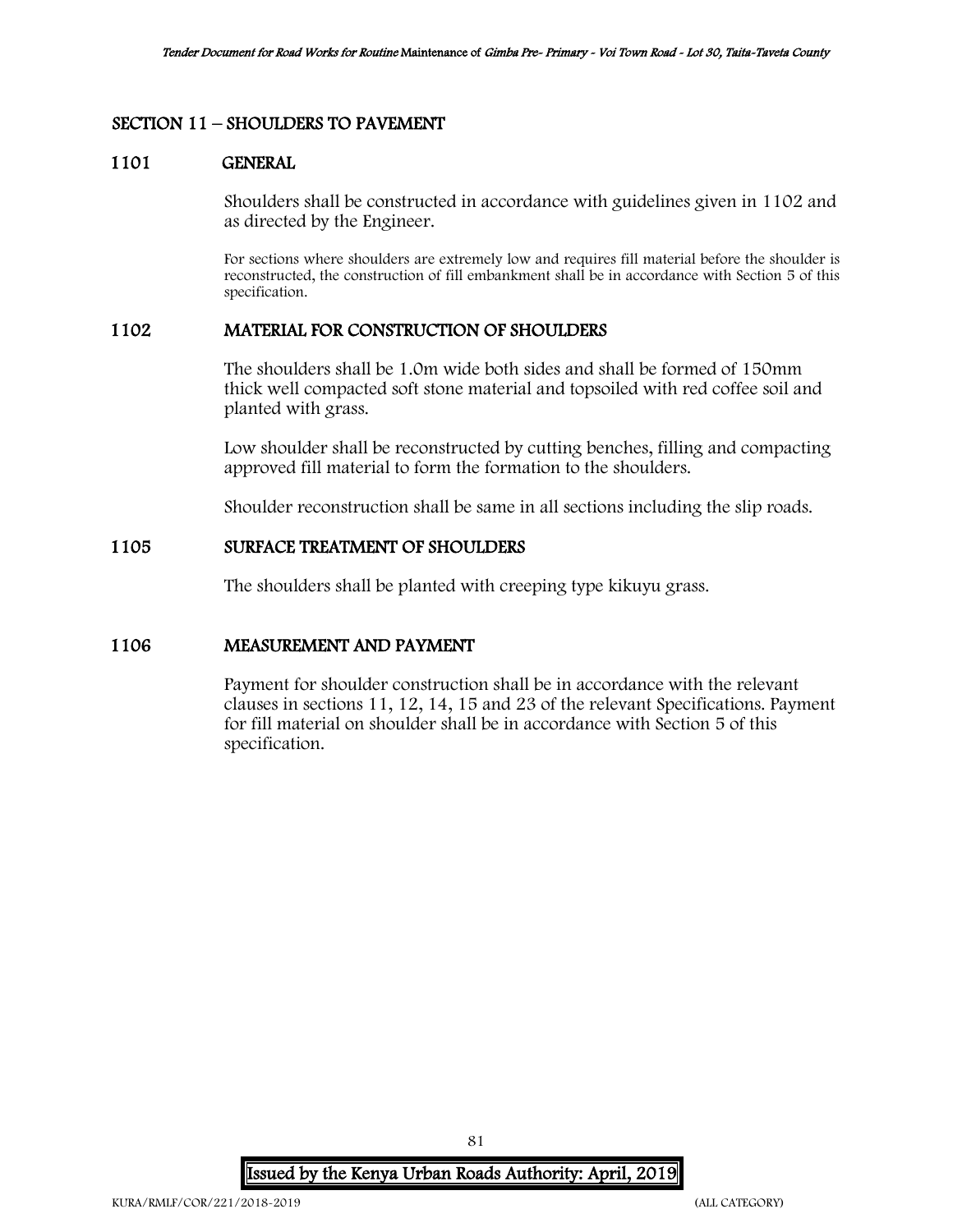## SECTION 11 – SHOULDERS TO PAVEMENT

## 1101 GENERAL

Shoulders shall be constructed in accordance with guidelines given in 1102 and as directed by the Engineer.

For sections where shoulders are extremely low and requires fill material before the shoulder is reconstructed, the construction of fill embankment shall be in accordance with Section 5 of this specification.

## 1102 MATERIAL FOR CONSTRUCTION OF SHOULDERS

The shoulders shall be 1.0m wide both sides and shall be formed of 150mm thick well compacted soft stone material and topsoiled with red coffee soil and planted with grass.

Low shoulder shall be reconstructed by cutting benches, filling and compacting approved fill material to form the formation to the shoulders.

Shoulder reconstruction shall be same in all sections including the slip roads.

## 1105 SURFACE TREATMENT OF SHOULDERS

The shoulders shall be planted with creeping type kikuyu grass.

### 1106 MEASUREMENT AND PAYMENT

Payment for shoulder construction shall be in accordance with the relevant clauses in sections 11, 12, 14, 15 and 23 of the relevant Specifications. Payment for fill material on shoulder shall be in accordance with Section 5 of this specification.

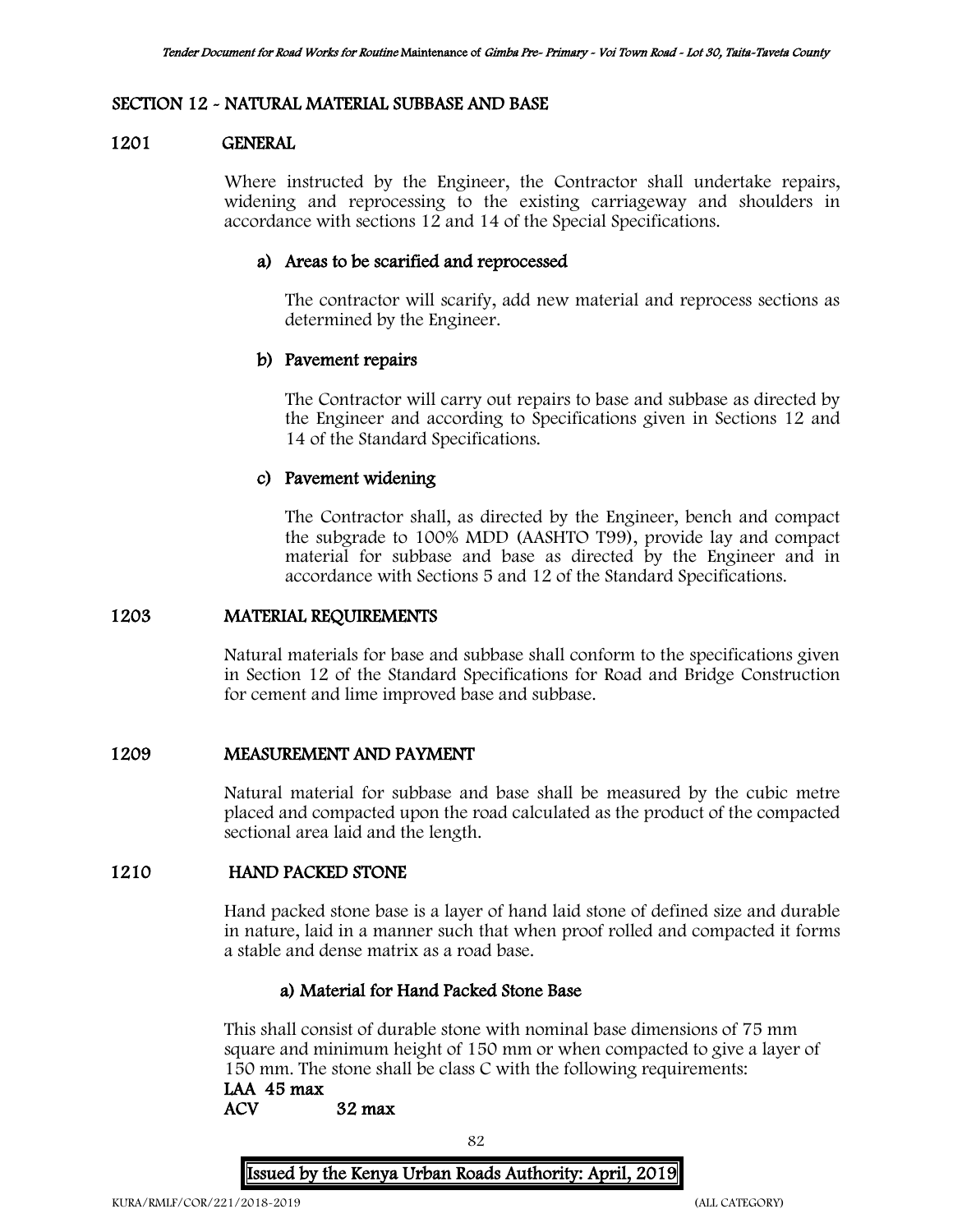## SECTION 12 - NATURAL MATERIAL SUBBASE AND BASE

### 1201 GENERAL

Where instructed by the Engineer, the Contractor shall undertake repairs, widening and reprocessing to the existing carriageway and shoulders in accordance with sections 12 and 14 of the Special Specifications.

## a) Areas to be scarified and reprocessed

The contractor will scarify, add new material and reprocess sections as determined by the Engineer.

## b) Pavement repairs

The Contractor will carry out repairs to base and subbase as directed by the Engineer and according to Specifications given in Sections 12 and 14 of the Standard Specifications.

## c) Pavement widening

The Contractor shall, as directed by the Engineer, bench and compact the subgrade to 100% MDD (AASHTO T99), provide lay and compact material for subbase and base as directed by the Engineer and in accordance with Sections 5 and 12 of the Standard Specifications.

### 1203 MATERIAL REQUIREMENTS

Natural materials for base and subbase shall conform to the specifications given in Section 12 of the Standard Specifications for Road and Bridge Construction for cement and lime improved base and subbase.

### 1209 MEASUREMENT AND PAYMENT

Natural material for subbase and base shall be measured by the cubic metre placed and compacted upon the road calculated as the product of the compacted sectional area laid and the length.

# 1210 HAND PACKED STONE

Hand packed stone base is a layer of hand laid stone of defined size and durable in nature, laid in a manner such that when proof rolled and compacted it forms a stable and dense matrix as a road base.

#### a) Material for Hand Packed Stone Base

This shall consist of durable stone with nominal base dimensions of 75 mm square and minimum height of 150 mm or when compacted to give a layer of 150 mm. The stone shall be class C with the following requirements:

# LAA 45 max

ACV 32 max

82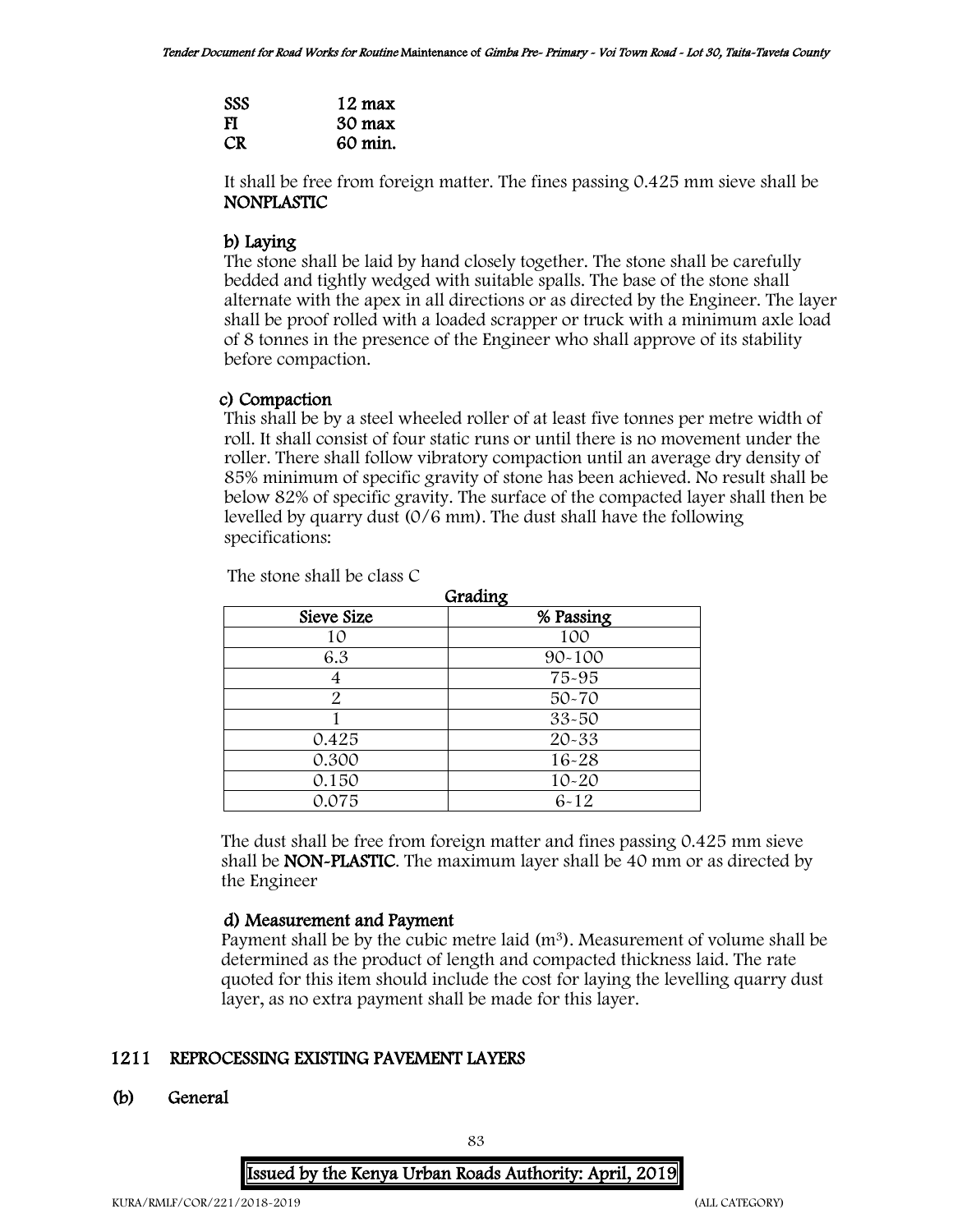| <b>SSS</b> | 12 max           |
|------------|------------------|
| FI         | $30 \text{ max}$ |
| <b>CR</b>  | 60 min.          |

It shall be free from foreign matter. The fines passing 0.425 mm sieve shall be NONPLASTIC

# b) Laying

The stone shall be laid by hand closely together. The stone shall be carefully bedded and tightly wedged with suitable spalls. The base of the stone shall alternate with the apex in all directions or as directed by the Engineer. The layer shall be proof rolled with a loaded scrapper or truck with a minimum axle load of 8 tonnes in the presence of the Engineer who shall approve of its stability before compaction.

## c) Compaction

This shall be by a steel wheeled roller of at least five tonnes per metre width of roll. It shall consist of four static runs or until there is no movement under the roller. There shall follow vibratory compaction until an average dry density of 85% minimum of specific gravity of stone has been achieved. No result shall be below 82% of specific gravity. The surface of the compacted layer shall then be levelled by quarry dust (0/6 mm). The dust shall have the following specifications:

| The stone shall be class C |         |
|----------------------------|---------|
|                            | Grading |

| $\alpha$ <i>laami</i> z |            |  |  |  |
|-------------------------|------------|--|--|--|
| Sieve Size              | % Passing  |  |  |  |
| 10                      | 100        |  |  |  |
| 6.3                     | $90 - 100$ |  |  |  |
|                         | 75-95      |  |  |  |
| 2                       | $50 - 70$  |  |  |  |
|                         | 33-50      |  |  |  |
| 0.425                   | $20 - 33$  |  |  |  |
| 0.300                   | 16-28      |  |  |  |
| 0.150                   | $10 - 20$  |  |  |  |
| 0.075                   | $6 - 12$   |  |  |  |

The dust shall be free from foreign matter and fines passing 0.425 mm sieve shall be NON-PLASTIC. The maximum layer shall be 40 mm or as directed by the Engineer

# d) Measurement and Payment

Payment shall be by the cubic metre laid  $(m<sup>3</sup>)$ . Measurement of volume shall be determined as the product of length and compacted thickness laid. The rate quoted for this item should include the cost for laying the levelling quarry dust layer, as no extra payment shall be made for this layer.

# 1211 REPROCESSING EXISTING PAVEMENT LAYERS

## (b) General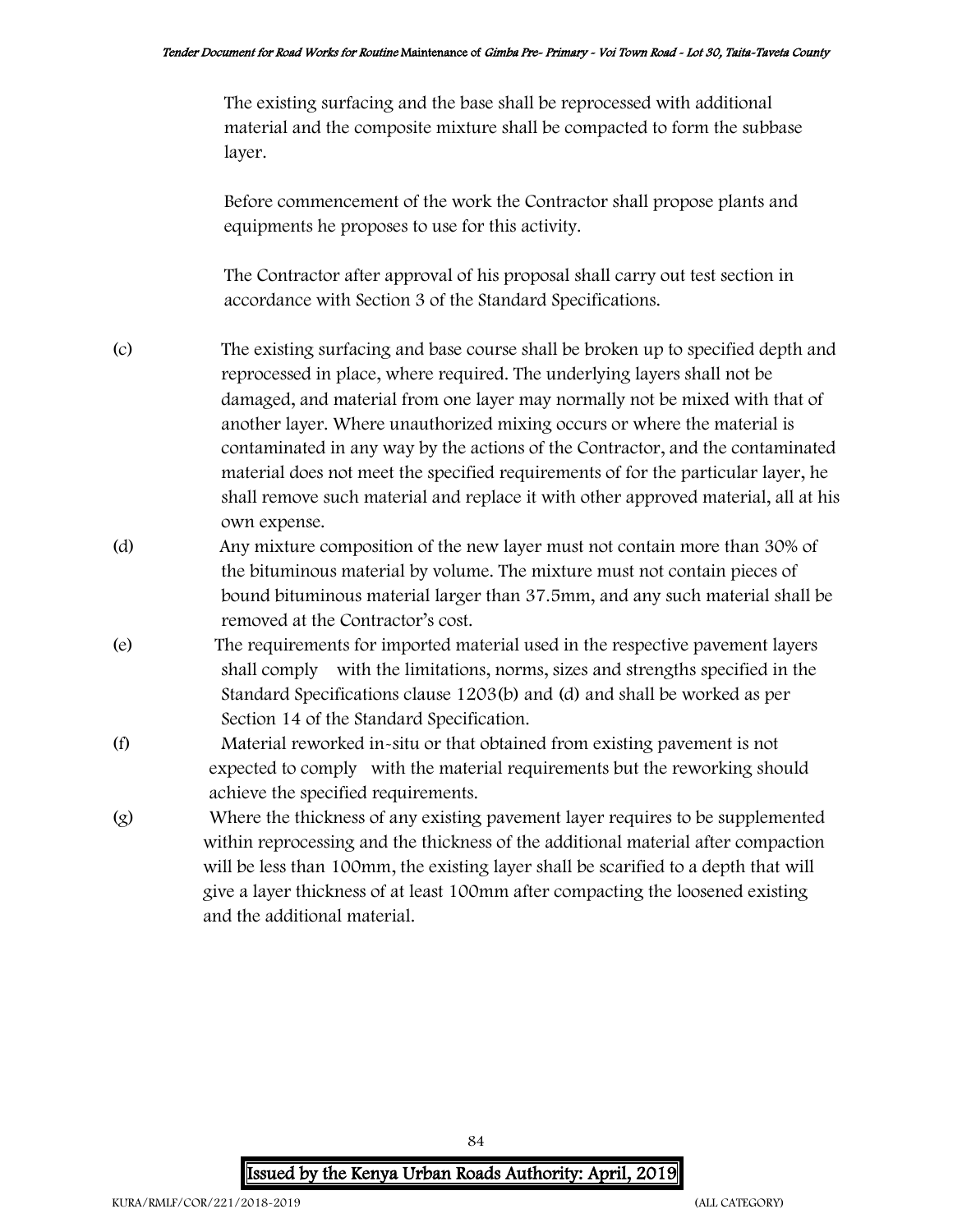The existing surfacing and the base shall be reprocessed with additional material and the composite mixture shall be compacted to form the subbase layer.

Before commencement of the work the Contractor shall propose plants and equipments he proposes to use for this activity.

The Contractor after approval of his proposal shall carry out test section in accordance with Section 3 of the Standard Specifications.

- (c) The existing surfacing and base course shall be broken up to specified depth and reprocessed in place, where required. The underlying layers shall not be damaged, and material from one layer may normally not be mixed with that of another layer. Where unauthorized mixing occurs or where the material is contaminated in any way by the actions of the Contractor, and the contaminated material does not meet the specified requirements of for the particular layer, he shall remove such material and replace it with other approved material, all at his own expense.
- (d) Any mixture composition of the new layer must not contain more than 30% of the bituminous material by volume. The mixture must not contain pieces of bound bituminous material larger than 37.5mm, and any such material shall be removed at the Contractor's cost.
- (e) The requirements for imported material used in the respective pavement layers shall comply with the limitations, norms, sizes and strengths specified in the Standard Specifications clause 1203(b) and (d) and shall be worked as per Section 14 of the Standard Specification.
- (f) Material reworked in-situ or that obtained from existing pavement is not expected to comply with the material requirements but the reworking should achieve the specified requirements.
- (g) Where the thickness of any existing pavement layer requires to be supplemented within reprocessing and the thickness of the additional material after compaction will be less than 100mm, the existing layer shall be scarified to a depth that will give a layer thickness of at least 100mm after compacting the loosened existing and the additional material.

Issued by the Kenya Urban Roads Authority: April, 2019

84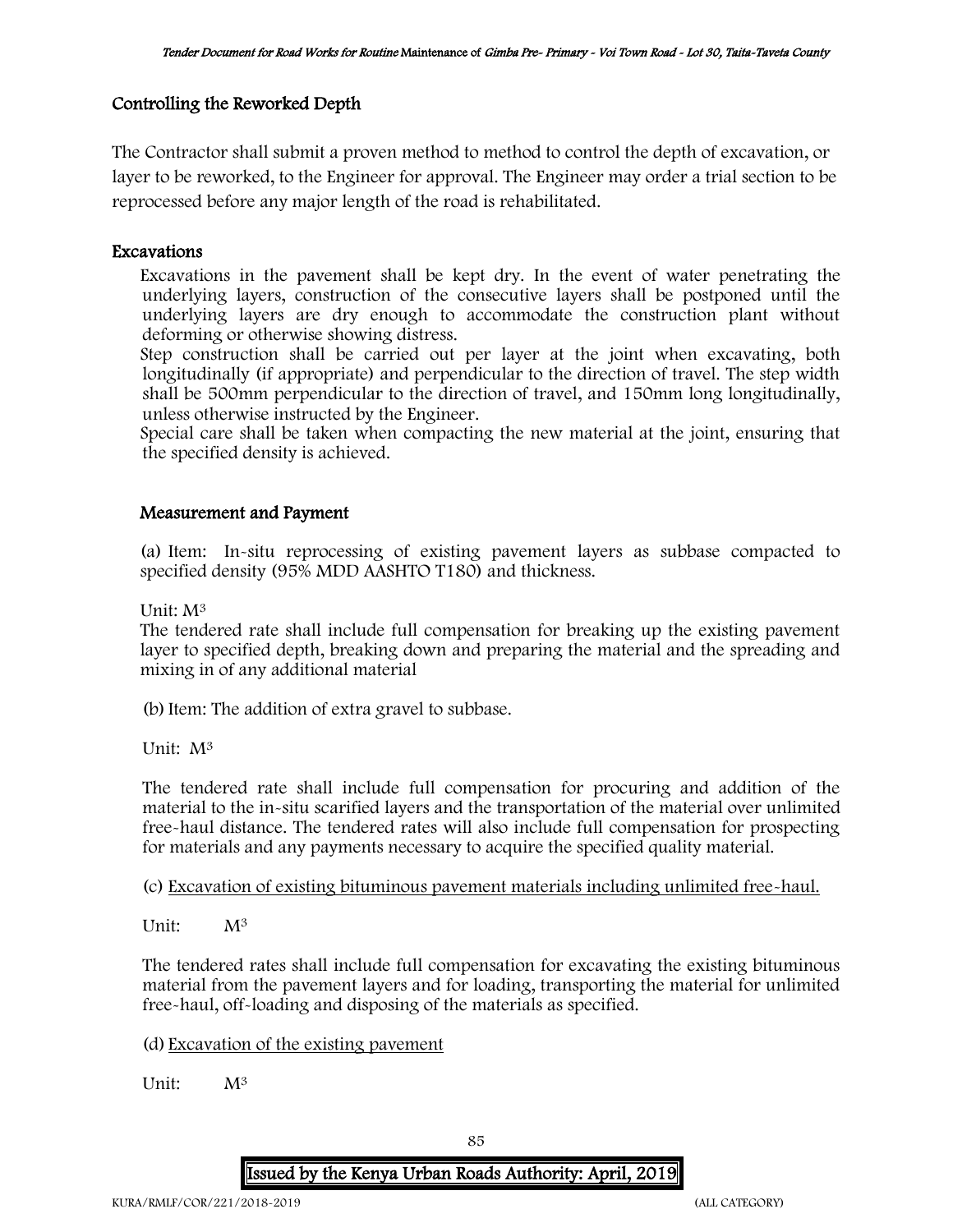# Controlling the Reworked Depth

The Contractor shall submit a proven method to method to control the depth of excavation, or layer to be reworked, to the Engineer for approval. The Engineer may order a trial section to be reprocessed before any major length of the road is rehabilitated.

## Excavations

Excavations in the pavement shall be kept dry. In the event of water penetrating the underlying layers, construction of the consecutive layers shall be postponed until the underlying layers are dry enough to accommodate the construction plant without deforming or otherwise showing distress.

Step construction shall be carried out per layer at the joint when excavating, both longitudinally (if appropriate) and perpendicular to the direction of travel. The step width shall be 500mm perpendicular to the direction of travel, and 150mm long longitudinally, unless otherwise instructed by the Engineer.

Special care shall be taken when compacting the new material at the joint, ensuring that the specified density is achieved.

## Measurement and Payment

(a) Item: In-situ reprocessing of existing pavement layers as subbase compacted to specified density (95% MDD AASHTO T180) and thickness.

Unit: M<sup>3</sup>

The tendered rate shall include full compensation for breaking up the existing pavement layer to specified depth, breaking down and preparing the material and the spreading and mixing in of any additional material

(b)Item: The addition of extra gravel to subbase.

Unit: M<sup>3</sup>

The tendered rate shall include full compensation for procuring and addition of the material to the in-situ scarified layers and the transportation of the material over unlimited free-haul distance. The tendered rates will also include full compensation for prospecting for materials and any payments necessary to acquire the specified quality material.

(c) Excavation of existing bituminous pavement materials including unlimited free-haul.

Unit:  $M^3$ 

The tendered rates shall include full compensation for excavating the existing bituminous material from the pavement layers and for loading, transporting the material for unlimited free-haul, off-loading and disposing of the materials as specified.

(d) Excavation of the existing pavement

Unit: M<sup>3</sup>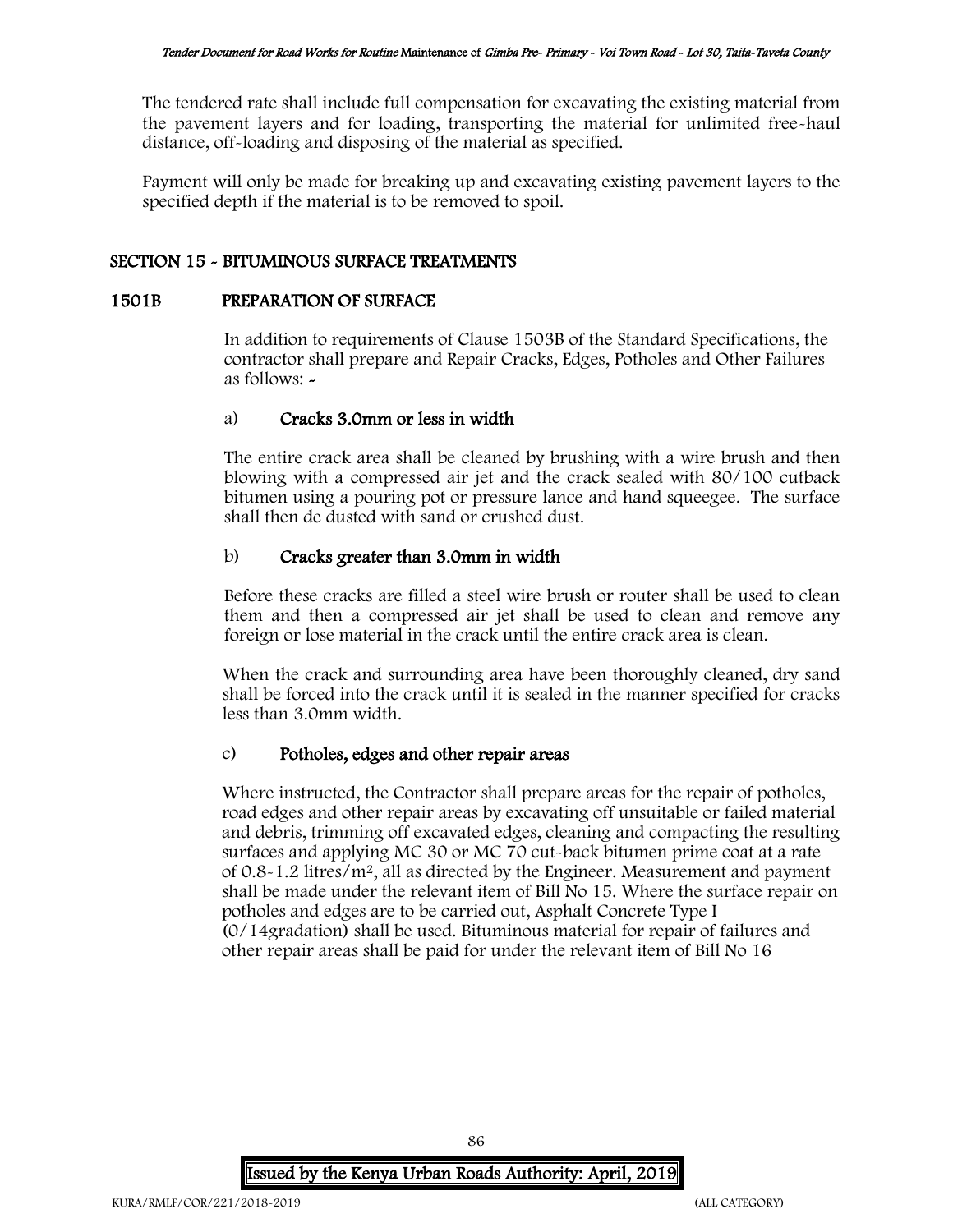The tendered rate shall include full compensation for excavating the existing material from the pavement layers and for loading, transporting the material for unlimited free-haul distance, off-loading and disposing of the material as specified.

Payment will only be made for breaking up and excavating existing pavement layers to the specified depth if the material is to be removed to spoil.

# SECTION 15 - BITUMINOUS SURFACE TREATMENTS

## 1501B PREPARATION OF SURFACE

In addition to requirements of Clause 1503B of the Standard Specifications, the contractor shall prepare and Repair Cracks, Edges, Potholes and Other Failures as follows: -

# a) Cracks 3.0mm or less in width

The entire crack area shall be cleaned by brushing with a wire brush and then blowing with a compressed air jet and the crack sealed with 80/100 cutback bitumen using a pouring pot or pressure lance and hand squeegee. The surface shall then de dusted with sand or crushed dust.

# b) Cracks greater than 3.0mm in width

Before these cracks are filled a steel wire brush or router shall be used to clean them and then a compressed air jet shall be used to clean and remove any foreign or lose material in the crack until the entire crack area is clean.

When the crack and surrounding area have been thoroughly cleaned, dry sand shall be forced into the crack until it is sealed in the manner specified for cracks less than 3.0mm width.

# c) Potholes, edges and other repair areas

Where instructed, the Contractor shall prepare areas for the repair of potholes, road edges and other repair areas by excavating off unsuitable or failed material and debris, trimming off excavated edges, cleaning and compacting the resulting surfaces and applying MC 30 or MC 70 cut-back bitumen prime coat at a rate of 0.8-1.2 litres/m<sup>2</sup>, all as directed by the Engineer. Measurement and payment shall be made under the relevant item of Bill No 15. Where the surface repair on potholes and edges are to be carried out, Asphalt Concrete Type I (0/14gradation) shall be used. Bituminous material for repair of failures and other repair areas shall be paid for under the relevant item of Bill No 16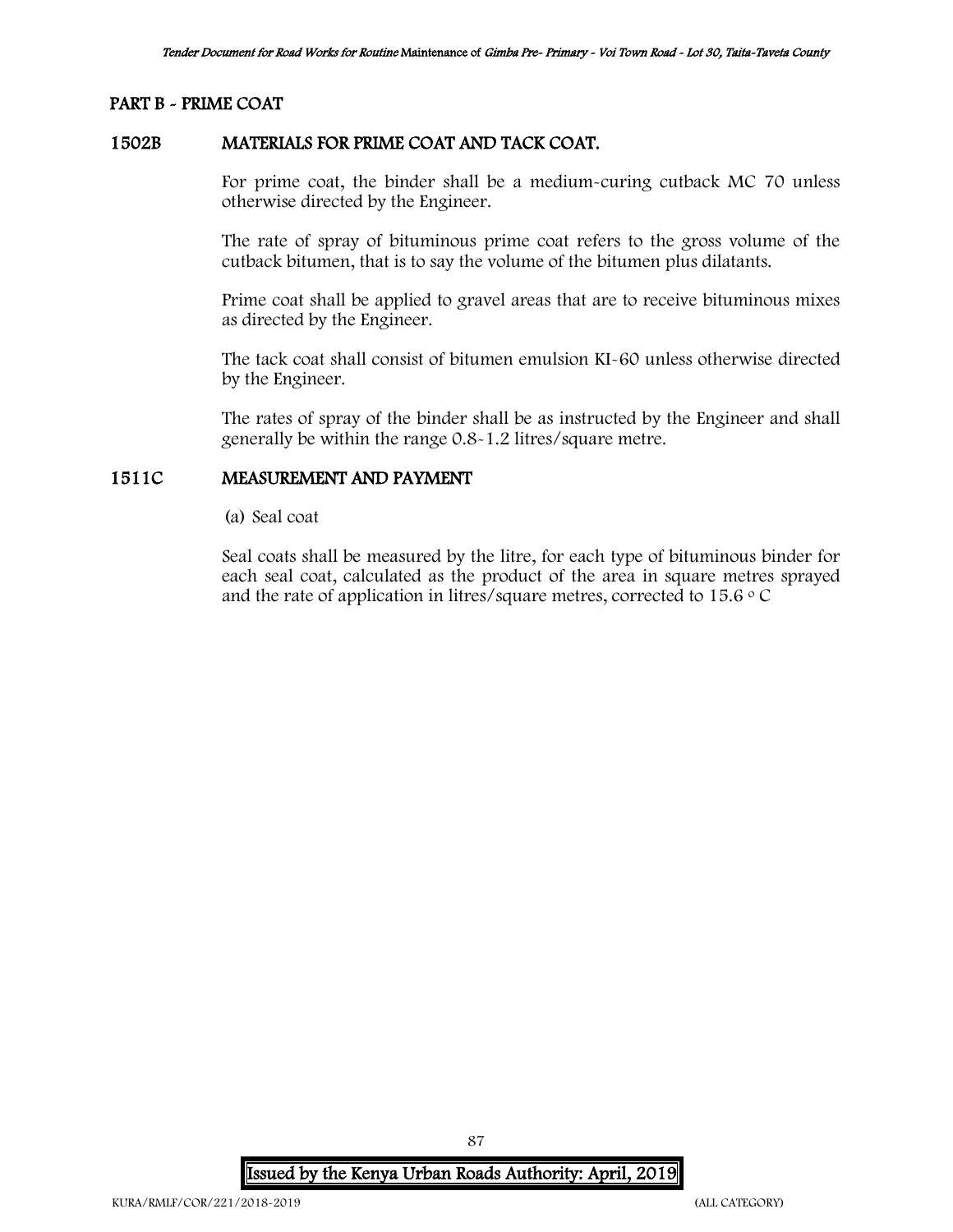## PART B - PRIME COAT

### 1502B MATERIALS FOR PRIME COAT AND TACK COAT.

For prime coat, the binder shall be a medium-curing cutback MC 70 unless otherwise directed by the Engineer.

The rate of spray of bituminous prime coat refers to the gross volume of the cutback bitumen, that is to say the volume of the bitumen plus dilatants.

Prime coat shall be applied to gravel areas that are to receive bituminous mixes as directed by the Engineer.

The tack coat shall consist of bitumen emulsion KI-60 unless otherwise directed by the Engineer.

The rates of spray of the binder shall be as instructed by the Engineer and shall generally be within the range 0.8-1.2 litres/square metre.

## 1511C MEASUREMENT AND PAYMENT

(a) Seal coat

Seal coats shall be measured by the litre, for each type of bituminous binder for each seal coat, calculated as the product of the area in square metres sprayed and the rate of application in litres/square metres, corrected to  $15.6 \degree$  C

Issued by the Kenya Urban Roads Authority: April, 2019

87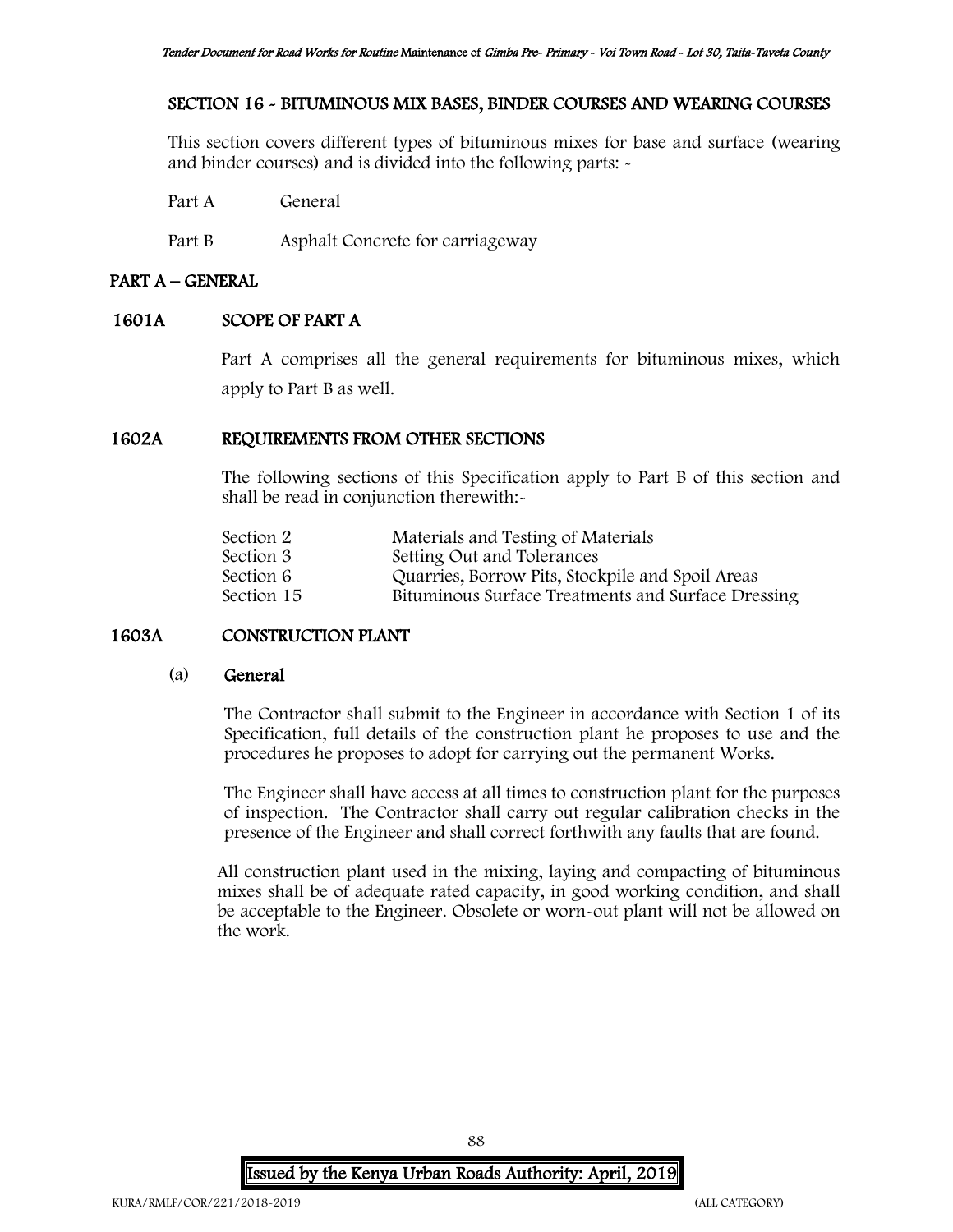## SECTION 16 - BITUMINOUS MIX BASES, BINDER COURSES AND WEARING COURSES

This section covers different types of bituminous mixes for base and surface (wearing and binder courses) and is divided into the following parts: -

Part A General

Part B Asphalt Concrete for carriageway

## PART A – GENERAL

## 1601A SCOPE OF PART A

Part A comprises all the general requirements for bituminous mixes, which apply to Part B as well.

# 1602A REQUIREMENTS FROM OTHER SECTIONS

The following sections of this Specification apply to Part B of this section and shall be read in conjunction therewith:-

| Materials and Testing of Materials                 |
|----------------------------------------------------|
| Setting Out and Tolerances                         |
| Quarries, Borrow Pits, Stockpile and Spoil Areas   |
| Bituminous Surface Treatments and Surface Dressing |
|                                                    |

# 1603A CONSTRUCTION PLANT

## (a) General

The Contractor shall submit to the Engineer in accordance with Section 1 of its Specification, full details of the construction plant he proposes to use and the procedures he proposes to adopt for carrying out the permanent Works.

The Engineer shall have access at all times to construction plant for the purposes of inspection. The Contractor shall carry out regular calibration checks in the presence of the Engineer and shall correct forthwith any faults that are found.

All construction plant used in the mixing, laying and compacting of bituminous mixes shall be of adequate rated capacity, in good working condition, and shall be acceptable to the Engineer. Obsolete or worn-out plant will not be allowed on the work.

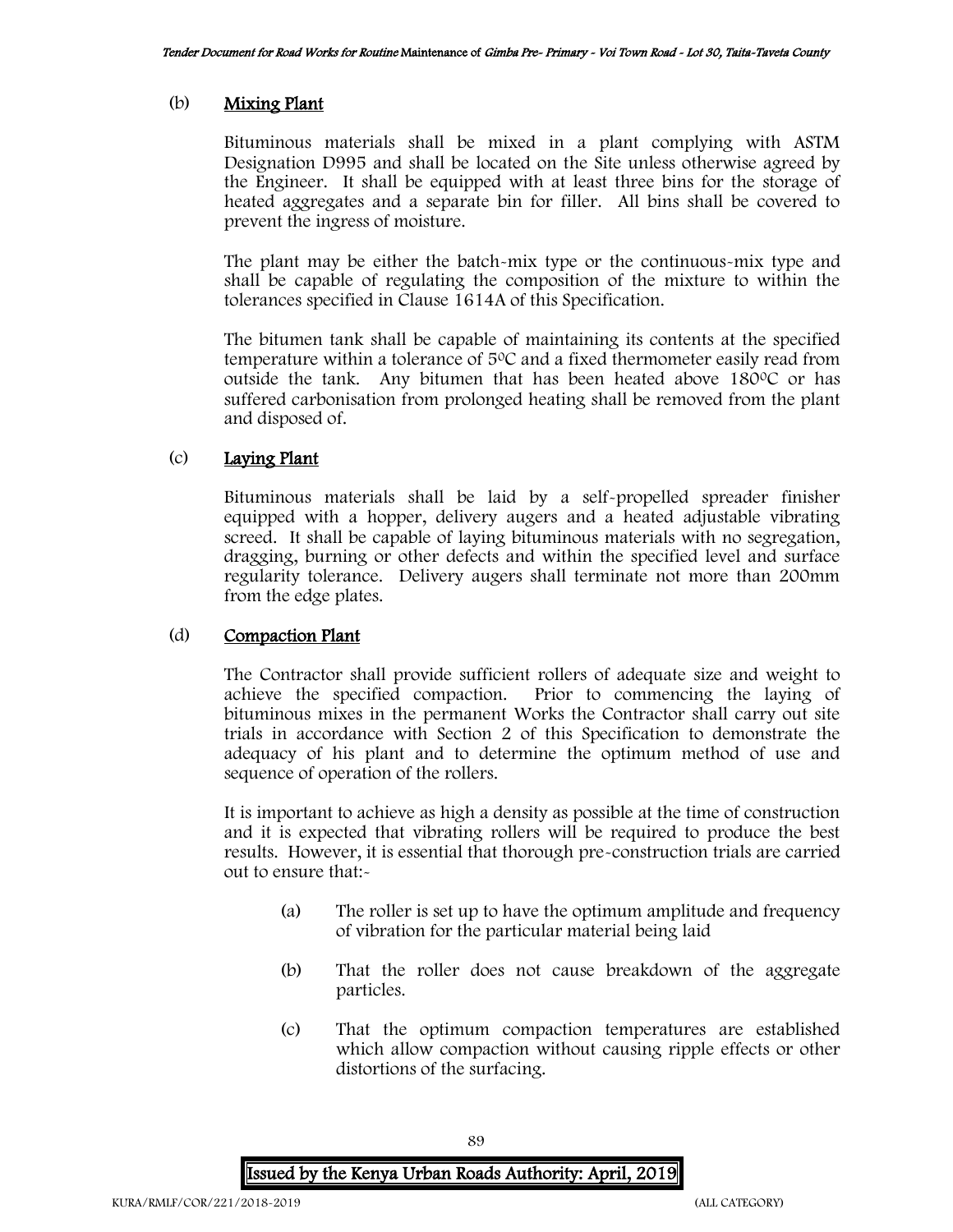## (b) Mixing Plant

Bituminous materials shall be mixed in a plant complying with ASTM Designation D995 and shall be located on the Site unless otherwise agreed by the Engineer. It shall be equipped with at least three bins for the storage of heated aggregates and a separate bin for filler. All bins shall be covered to prevent the ingress of moisture.

The plant may be either the batch-mix type or the continuous-mix type and shall be capable of regulating the composition of the mixture to within the tolerances specified in Clause 1614A of this Specification.

The bitumen tank shall be capable of maintaining its contents at the specified temperature within a tolerance of 5<sup>0</sup>C and a fixed thermometer easily read from outside the tank. Any bitumen that has been heated above  $180^{\circ}$ C or has suffered carbonisation from prolonged heating shall be removed from the plant and disposed of.

# (c) Laying Plant

Bituminous materials shall be laid by a self-propelled spreader finisher equipped with a hopper, delivery augers and a heated adjustable vibrating screed. It shall be capable of laying bituminous materials with no segregation, dragging, burning or other defects and within the specified level and surface regularity tolerance. Delivery augers shall terminate not more than 200mm from the edge plates.

## (d) Compaction Plant

The Contractor shall provide sufficient rollers of adequate size and weight to achieve the specified compaction. Prior to commencing the laying of bituminous mixes in the permanent Works the Contractor shall carry out site trials in accordance with Section 2 of this Specification to demonstrate the adequacy of his plant and to determine the optimum method of use and sequence of operation of the rollers.

It is important to achieve as high a density as possible at the time of construction and it is expected that vibrating rollers will be required to produce the best results. However, it is essential that thorough pre-construction trials are carried out to ensure that:-

- (a) The roller is set up to have the optimum amplitude and frequency of vibration for the particular material being laid
- (b) That the roller does not cause breakdown of the aggregate particles.
- (c) That the optimum compaction temperatures are established which allow compaction without causing ripple effects or other distortions of the surfacing.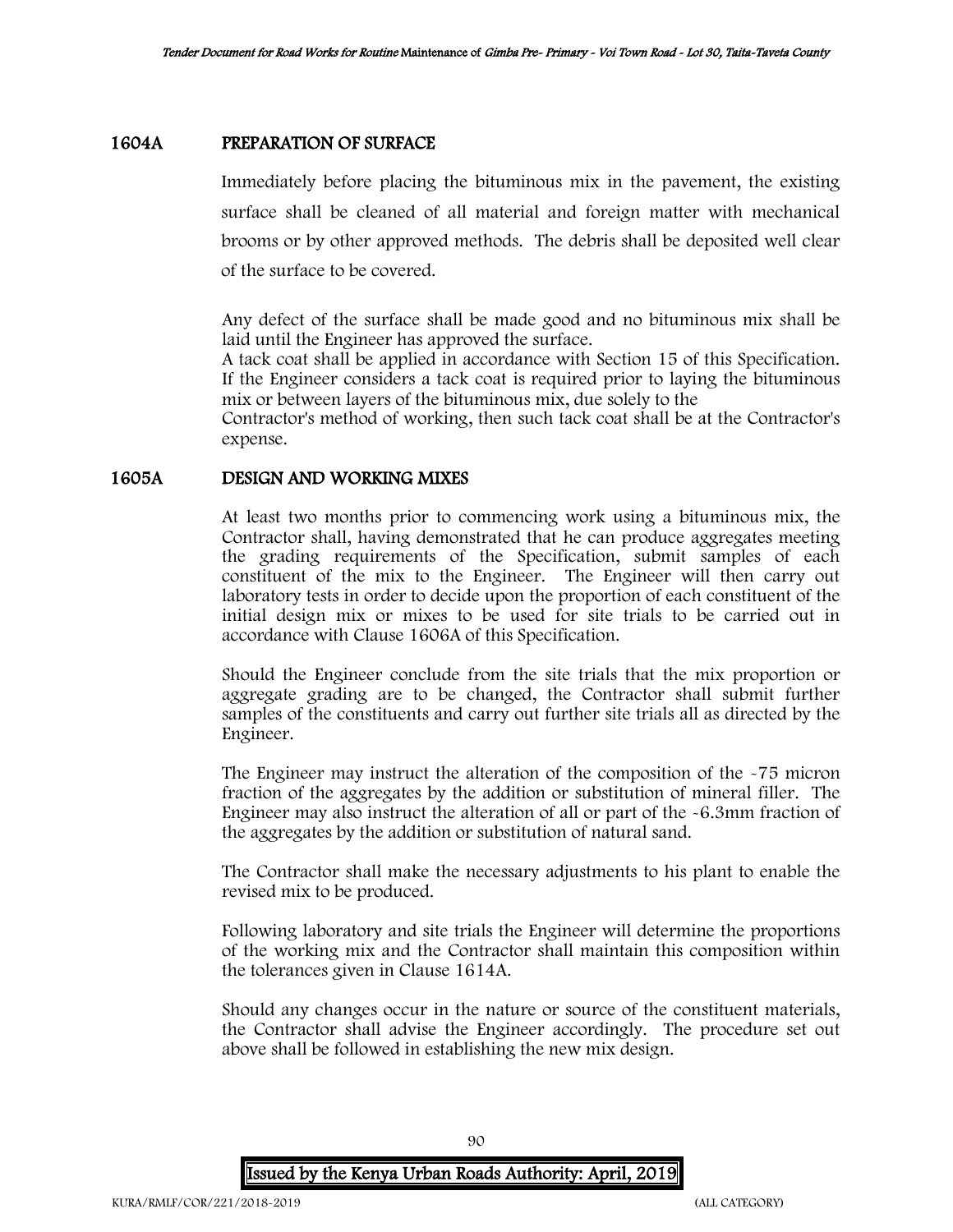### 1604A PREPARATION OF SURFACE

Immediately before placing the bituminous mix in the pavement, the existing surface shall be cleaned of all material and foreign matter with mechanical brooms or by other approved methods. The debris shall be deposited well clear of the surface to be covered.

Any defect of the surface shall be made good and no bituminous mix shall be laid until the Engineer has approved the surface.

A tack coat shall be applied in accordance with Section 15 of this Specification. If the Engineer considers a tack coat is required prior to laying the bituminous mix or between layers of the bituminous mix, due solely to the

Contractor's method of working, then such tack coat shall be at the Contractor's expense.

### 1605A DESIGN AND WORKING MIXES

At least two months prior to commencing work using a bituminous mix, the Contractor shall, having demonstrated that he can produce aggregates meeting the grading requirements of the Specification, submit samples of each constituent of the mix to the Engineer. The Engineer will then carry out laboratory tests in order to decide upon the proportion of each constituent of the initial design mix or mixes to be used for site trials to be carried out in accordance with Clause 1606A of this Specification.

Should the Engineer conclude from the site trials that the mix proportion or aggregate grading are to be changed, the Contractor shall submit further samples of the constituents and carry out further site trials all as directed by the Engineer.

The Engineer may instruct the alteration of the composition of the -75 micron fraction of the aggregates by the addition or substitution of mineral filler. The Engineer may also instruct the alteration of all or part of the -6.3mm fraction of the aggregates by the addition or substitution of natural sand.

The Contractor shall make the necessary adjustments to his plant to enable the revised mix to be produced.

Following laboratory and site trials the Engineer will determine the proportions of the working mix and the Contractor shall maintain this composition within the tolerances given in Clause 1614A.

Should any changes occur in the nature or source of the constituent materials, the Contractor shall advise the Engineer accordingly. The procedure set out above shall be followed in establishing the new mix design.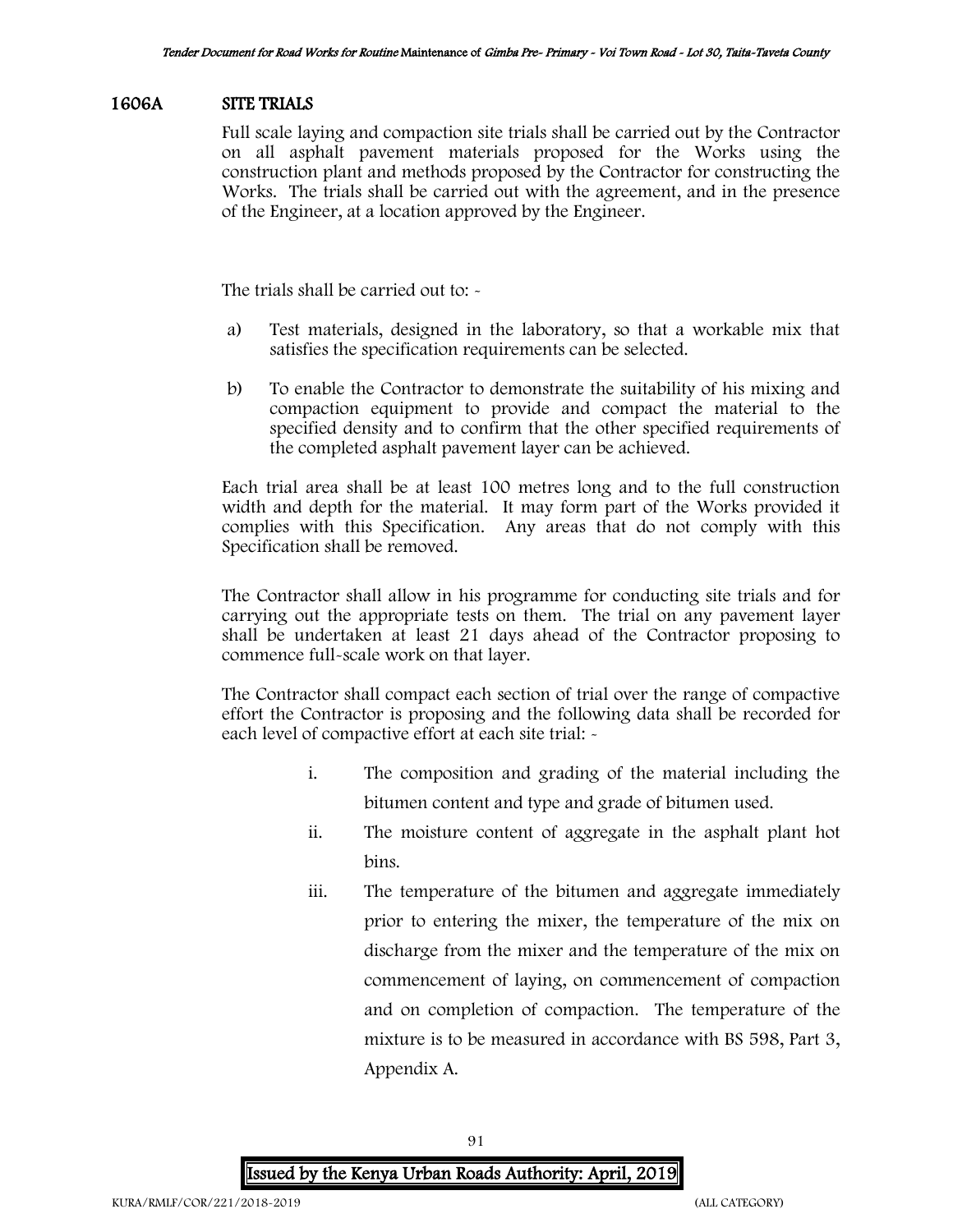## 1606A SITE TRIALS

Full scale laying and compaction site trials shall be carried out by the Contractor on all asphalt pavement materials proposed for the Works using the construction plant and methods proposed by the Contractor for constructing the Works. The trials shall be carried out with the agreement, and in the presence of the Engineer, at a location approved by the Engineer.

The trials shall be carried out to: -

- a) Test materials, designed in the laboratory, so that a workable mix that satisfies the specification requirements can be selected.
- b) To enable the Contractor to demonstrate the suitability of his mixing and compaction equipment to provide and compact the material to the specified density and to confirm that the other specified requirements of the completed asphalt pavement layer can be achieved.

Each trial area shall be at least 100 metres long and to the full construction width and depth for the material. It may form part of the Works provided it complies with this Specification. Any areas that do not comply with this Specification shall be removed.

The Contractor shall allow in his programme for conducting site trials and for carrying out the appropriate tests on them. The trial on any pavement layer shall be undertaken at least 21 days ahead of the Contractor proposing to commence full-scale work on that layer.

The Contractor shall compact each section of trial over the range of compactive effort the Contractor is proposing and the following data shall be recorded for each level of compactive effort at each site trial:  $\sim$ 

- i. The composition and grading of the material including the bitumen content and type and grade of bitumen used.
- ii. The moisture content of aggregate in the asphalt plant hot bins.
- iii. The temperature of the bitumen and aggregate immediately prior to entering the mixer, the temperature of the mix on discharge from the mixer and the temperature of the mix on commencement of laying, on commencement of compaction and on completion of compaction. The temperature of the mixture is to be measured in accordance with BS 598, Part 3, Appendix A.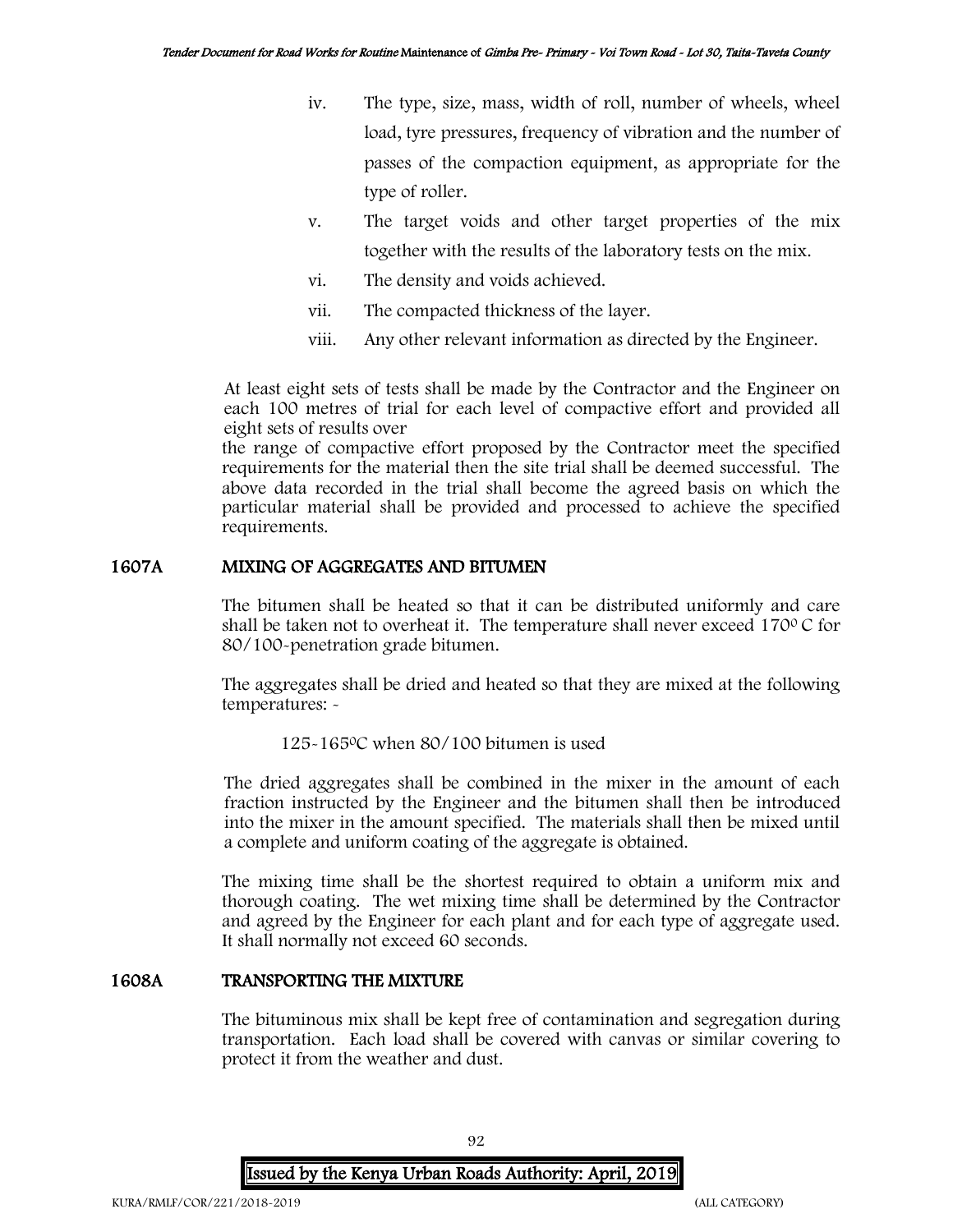- iv. The type, size, mass, width of roll, number of wheels, wheel load, tyre pressures, frequency of vibration and the number of passes of the compaction equipment, as appropriate for the type of roller.
- v. The target voids and other target properties of the mix together with the results of the laboratory tests on the mix.
- vi. The density and voids achieved.
- vii. The compacted thickness of the layer.
- viii. Any other relevant information as directed by the Engineer.

At least eight sets of tests shall be made by the Contractor and the Engineer on each 100 metres of trial for each level of compactive effort and provided all eight sets of results over

the range of compactive effort proposed by the Contractor meet the specified requirements for the material then the site trial shall be deemed successful. The above data recorded in the trial shall become the agreed basis on which the particular material shall be provided and processed to achieve the specified requirements.

# 1607A MIXING OF AGGREGATES AND BITUMEN

The bitumen shall be heated so that it can be distributed uniformly and care shall be taken not to overheat it. The temperature shall never exceed  $170^{\circ}$ C for 80/100-penetration grade bitumen.

The aggregates shall be dried and heated so that they are mixed at the following temperatures: -

## 125-165<sup>0</sup>C when 80/100 bitumen is used

The dried aggregates shall be combined in the mixer in the amount of each fraction instructed by the Engineer and the bitumen shall then be introduced into the mixer in the amount specified. The materials shall then be mixed until a complete and uniform coating of the aggregate is obtained.

The mixing time shall be the shortest required to obtain a uniform mix and thorough coating. The wet mixing time shall be determined by the Contractor and agreed by the Engineer for each plant and for each type of aggregate used. It shall normally not exceed 60 seconds.

### 1608A TRANSPORTING THE MIXTURE

The bituminous mix shall be kept free of contamination and segregation during transportation. Each load shall be covered with canvas or similar covering to protect it from the weather and dust.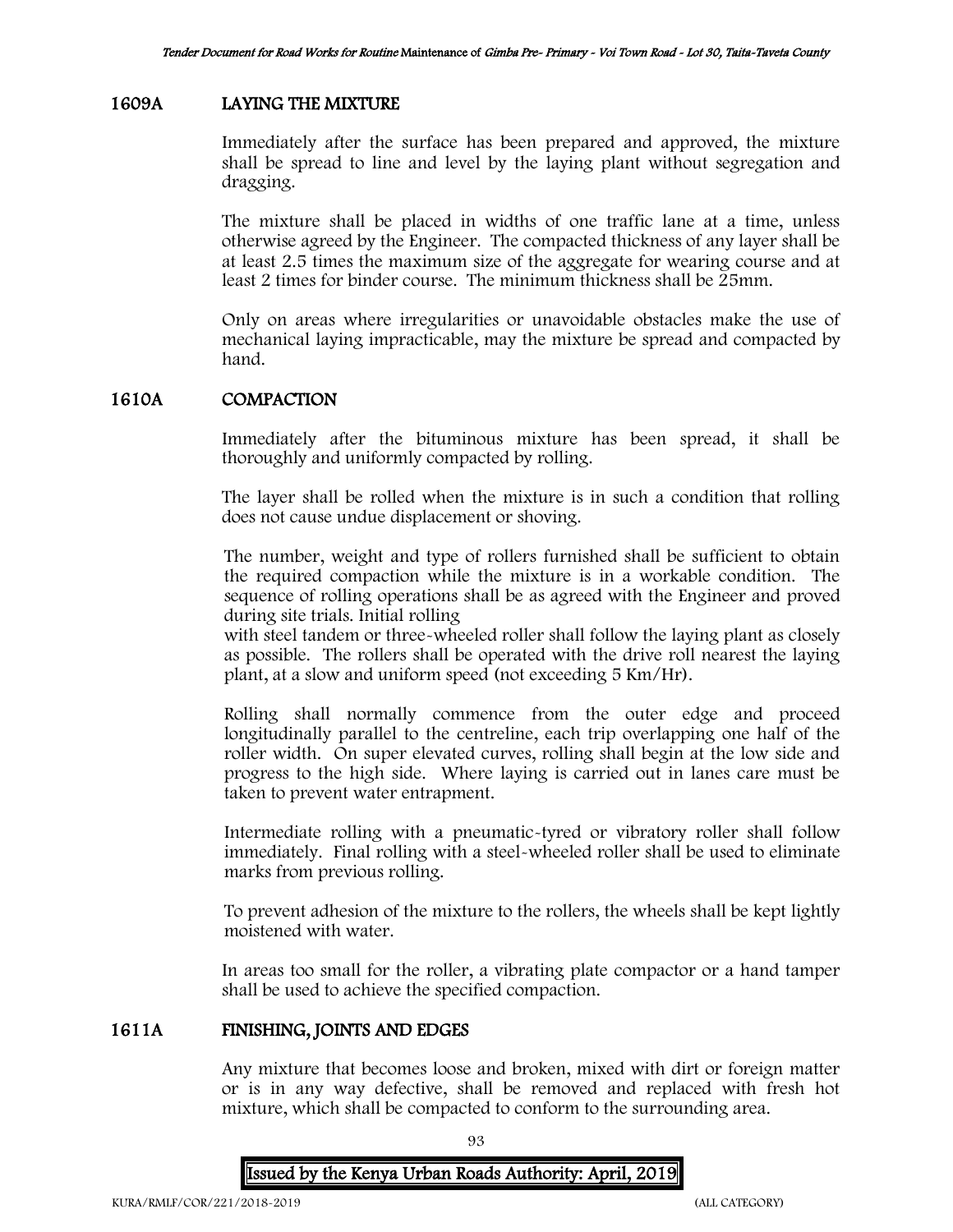## 1609A LAYING THE MIXTURE

Immediately after the surface has been prepared and approved, the mixture shall be spread to line and level by the laying plant without segregation and dragging.

The mixture shall be placed in widths of one traffic lane at a time, unless otherwise agreed by the Engineer. The compacted thickness of any layer shall be at least 2.5 times the maximum size of the aggregate for wearing course and at least 2 times for binder course. The minimum thickness shall be 25mm.

Only on areas where irregularities or unavoidable obstacles make the use of mechanical laying impracticable, may the mixture be spread and compacted by hand.

### 1610A COMPACTION

Immediately after the bituminous mixture has been spread, it shall be thoroughly and uniformly compacted by rolling.

The layer shall be rolled when the mixture is in such a condition that rolling does not cause undue displacement or shoving.

The number, weight and type of rollers furnished shall be sufficient to obtain the required compaction while the mixture is in a workable condition. The sequence of rolling operations shall be as agreed with the Engineer and proved during site trials. Initial rolling

with steel tandem or three-wheeled roller shall follow the laying plant as closely as possible. The rollers shall be operated with the drive roll nearest the laying plant, at a slow and uniform speed (not exceeding 5 Km/Hr).

Rolling shall normally commence from the outer edge and proceed longitudinally parallel to the centreline, each trip overlapping one half of the roller width. On super elevated curves, rolling shall begin at the low side and progress to the high side. Where laying is carried out in lanes care must be taken to prevent water entrapment.

Intermediate rolling with a pneumatic-tyred or vibratory roller shall follow immediately. Final rolling with a steel-wheeled roller shall be used to eliminate marks from previous rolling.

To prevent adhesion of the mixture to the rollers, the wheels shall be kept lightly moistened with water.

In areas too small for the roller, a vibrating plate compactor or a hand tamper shall be used to achieve the specified compaction.

#### 1611A FINISHING, JOINTS AND EDGES

Any mixture that becomes loose and broken, mixed with dirt or foreign matter or is in any way defective, shall be removed and replaced with fresh hot mixture, which shall be compacted to conform to the surrounding area.

93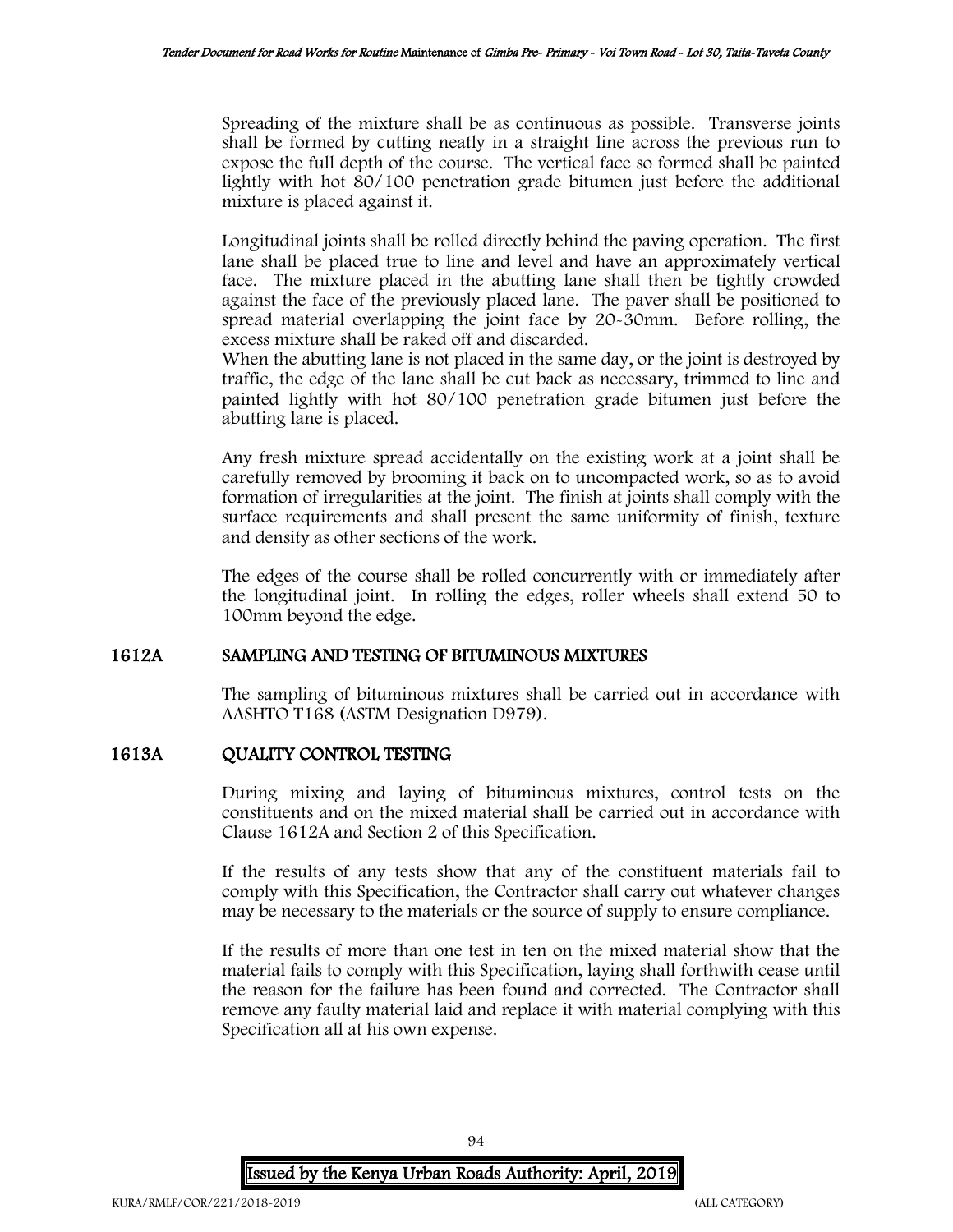Spreading of the mixture shall be as continuous as possible. Transverse joints shall be formed by cutting neatly in a straight line across the previous run to expose the full depth of the course. The vertical face so formed shall be painted lightly with hot 80/100 penetration grade bitumen just before the additional mixture is placed against it.

Longitudinal joints shall be rolled directly behind the paving operation. The first lane shall be placed true to line and level and have an approximately vertical face. The mixture placed in the abutting lane shall then be tightly crowded against the face of the previously placed lane. The paver shall be positioned to spread material overlapping the joint face by 20-30mm. Before rolling, the excess mixture shall be raked off and discarded.

When the abutting lane is not placed in the same day, or the joint is destroyed by traffic, the edge of the lane shall be cut back as necessary, trimmed to line and painted lightly with hot 80/100 penetration grade bitumen just before the abutting lane is placed.

Any fresh mixture spread accidentally on the existing work at a joint shall be carefully removed by brooming it back on to uncompacted work, so as to avoid formation of irregularities at the joint. The finish at joints shall comply with the surface requirements and shall present the same uniformity of finish, texture and density as other sections of the work.

The edges of the course shall be rolled concurrently with or immediately after the longitudinal joint. In rolling the edges, roller wheels shall extend 50 to 100mm beyond the edge.

## 1612A SAMPLING AND TESTING OF BITUMINOUS MIXTURES

The sampling of bituminous mixtures shall be carried out in accordance with AASHTO T168 (ASTM Designation D979).

## 1613A QUALITY CONTROL TESTING

During mixing and laying of bituminous mixtures, control tests on the constituents and on the mixed material shall be carried out in accordance with Clause 1612A and Section 2 of this Specification.

If the results of any tests show that any of the constituent materials fail to comply with this Specification, the Contractor shall carry out whatever changes may be necessary to the materials or the source of supply to ensure compliance.

If the results of more than one test in ten on the mixed material show that the material fails to comply with this Specification, laying shall forthwith cease until the reason for the failure has been found and corrected. The Contractor shall remove any faulty material laid and replace it with material complying with this Specification all at his own expense.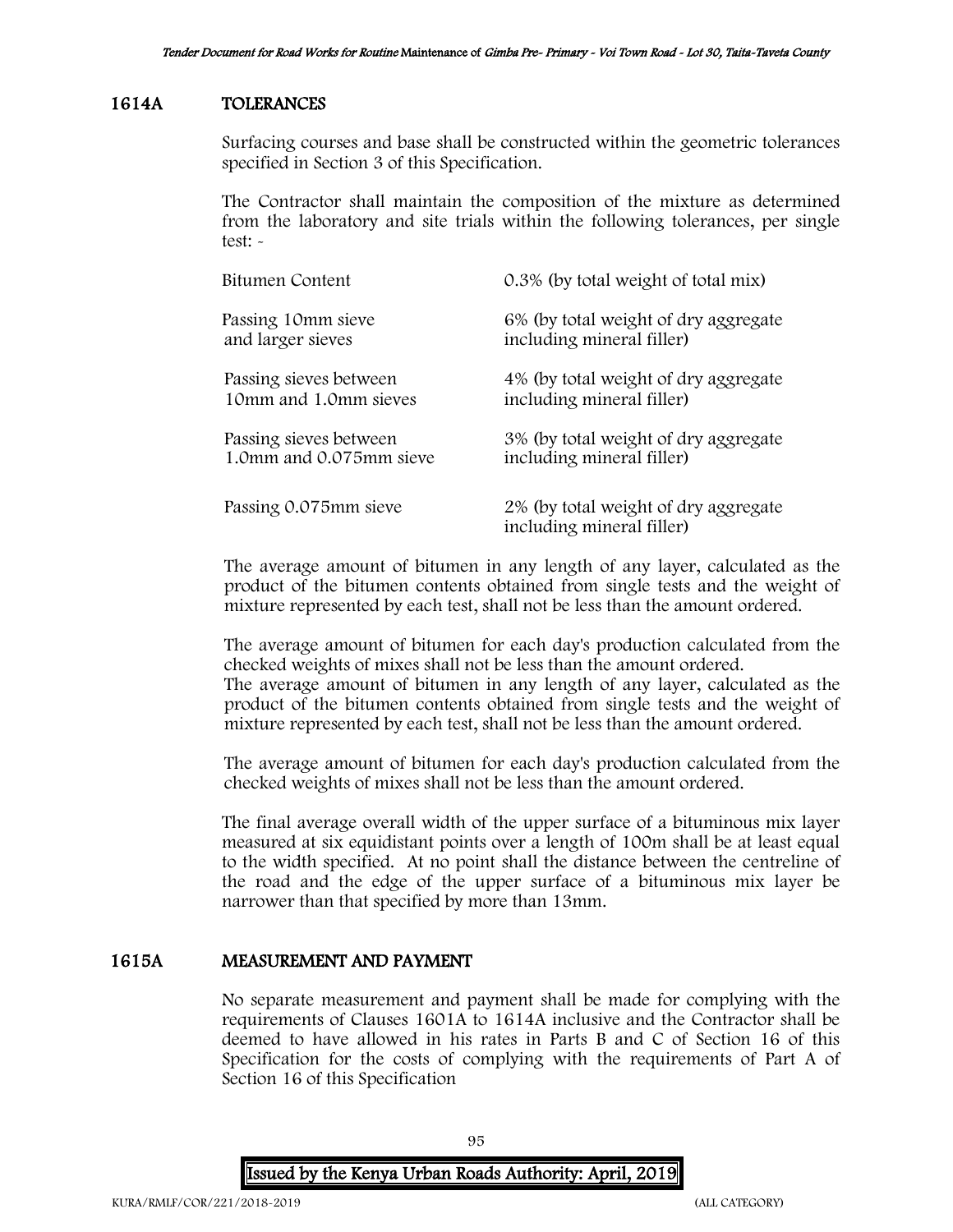## 1614A TOLERANCES

Surfacing courses and base shall be constructed within the geometric tolerances specified in Section 3 of this Specification.

The Contractor shall maintain the composition of the mixture as determined from the laboratory and site trials within the following tolerances, per single test: -

| Bitumen Content         | 0.3% (by total weight of total mix)                               |
|-------------------------|-------------------------------------------------------------------|
| Passing 10mm sieve      | 6% (by total weight of dry aggregate                              |
| and larger sieves       | including mineral filler)                                         |
| Passing sieves between  | 4% (by total weight of dry aggregate                              |
| 10mm and 1.0mm sieves   | including mineral filler)                                         |
| Passing sieves between  | 3% (by total weight of dry aggregate                              |
| 1.0mm and 0.075mm sieve | including mineral filler)                                         |
| Passing 0.075mm sieve   | 2% (by total weight of dry aggregate<br>including mineral filler) |

The average amount of bitumen in any length of any layer, calculated as the product of the bitumen contents obtained from single tests and the weight of mixture represented by each test, shall not be less than the amount ordered.

The average amount of bitumen for each day's production calculated from the checked weights of mixes shall not be less than the amount ordered. The average amount of bitumen in any length of any layer, calculated as the product of the bitumen contents obtained from single tests and the weight of mixture represented by each test, shall not be less than the amount ordered.

The average amount of bitumen for each day's production calculated from the checked weights of mixes shall not be less than the amount ordered.

The final average overall width of the upper surface of a bituminous mix layer measured at six equidistant points over a length of 100m shall be at least equal to the width specified. At no point shall the distance between the centreline of the road and the edge of the upper surface of a bituminous mix layer be narrower than that specified by more than 13mm.

## 1615A MEASUREMENT AND PAYMENT

No separate measurement and payment shall be made for complying with the requirements of Clauses 1601A to 1614A inclusive and the Contractor shall be deemed to have allowed in his rates in Parts B and C of Section 16 of this Specification for the costs of complying with the requirements of Part A of Section 16 of this Specification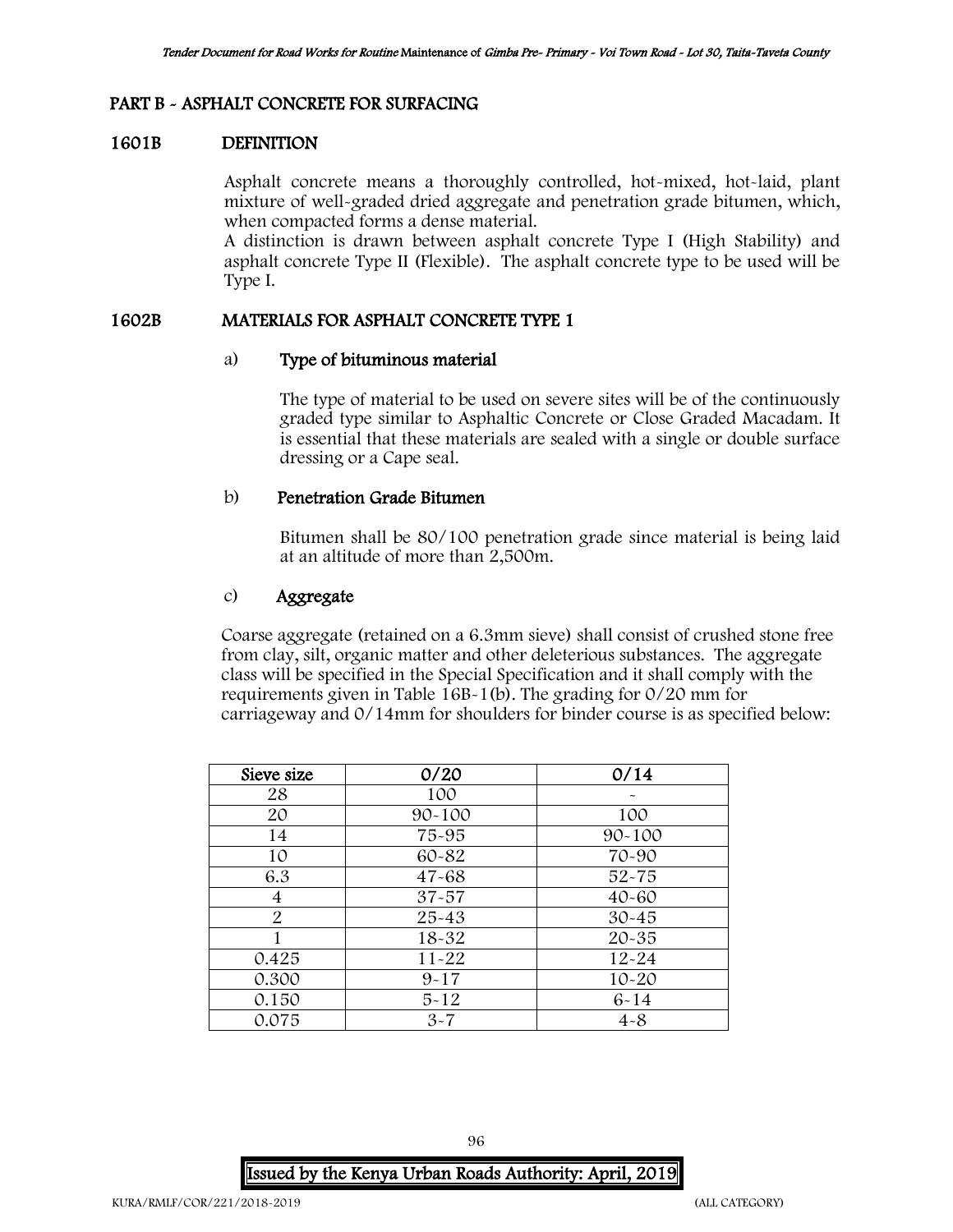## PART B - ASPHALT CONCRETE FOR SURFACING

### 1601B DEFINITION

Asphalt concrete means a thoroughly controlled, hot-mixed, hot-laid, plant mixture of well-graded dried aggregate and penetration grade bitumen, which, when compacted forms a dense material.

A distinction is drawn between asphalt concrete Type I (High Stability) and asphalt concrete Type II (Flexible). The asphalt concrete type to be used will be Type I.

### 1602B MATERIALS FOR ASPHALT CONCRETE TYPE 1

### a) Type of bituminous material

The type of material to be used on severe sites will be of the continuously graded type similar to Asphaltic Concrete or Close Graded Macadam. It is essential that these materials are sealed with a single or double surface dressing or a Cape seal.

## b) Penetration Grade Bitumen

Bitumen shall be 80/100 penetration grade since material is being laid at an altitude of more than 2,500m.

## c) Aggregate

Coarse aggregate (retained on a 6.3mm sieve) shall consist of crushed stone free from clay, silt, organic matter and other deleterious substances. The aggregate class will be specified in the Special Specification and it shall comply with the requirements given in Table 16B-1(b). The grading for 0/20 mm for carriageway and 0/14mm for shoulders for binder course is as specified below:

| Sieve size     | 0/20       | 0/14       |
|----------------|------------|------------|
| 28             | 100        |            |
| 20             | $90 - 100$ | 100        |
| 14             | 75-95      | $90 - 100$ |
| 10             | 60-82      | 70-90      |
| 6.3            | $47 - 68$  | $52 - 75$  |
| 4              | $37 - 57$  | $40 - 60$  |
| $\overline{2}$ | $25 - 43$  | $30 - 45$  |
|                | $18 - 32$  | $20 - 35$  |
| 0.425          | $11 - 22$  | $12 - 24$  |
| 0.300          | $9 - 17$   | $10 - 20$  |
| 0.150          | $5 - 12$   | $6 - 14$   |
| 0.075          | $3 - 7$    | $4 - 8$    |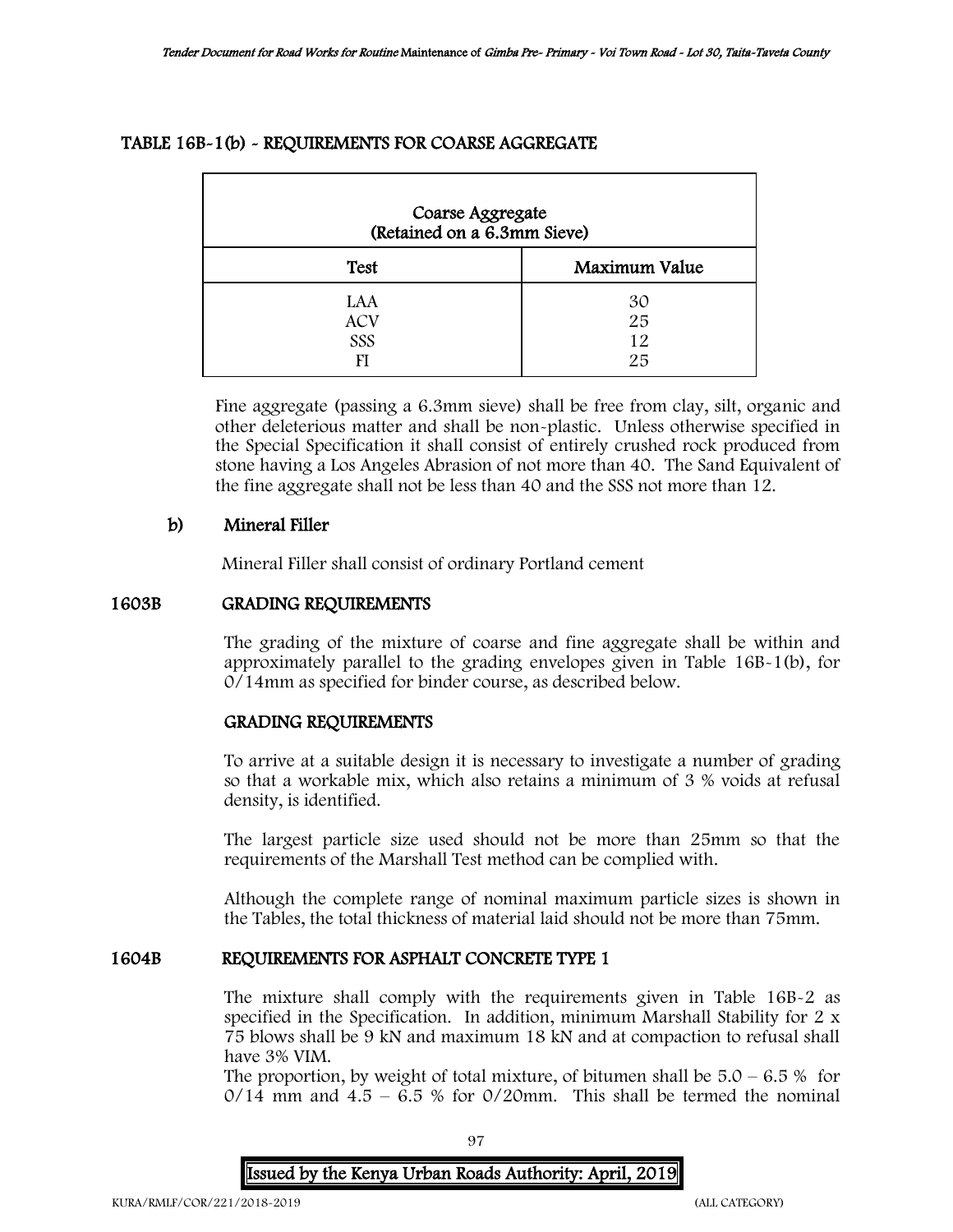# TABLE 16B-1(b) - REQUIREMENTS FOR COARSE AGGREGATE

| Coarse Aggregate<br>(Retained on a 6.3mm Sieve) |                      |  |  |
|-------------------------------------------------|----------------------|--|--|
| <b>Test</b>                                     | Maximum Value        |  |  |
| LAA<br><b>ACV</b><br>SSS                        | 30<br>25<br>12<br>25 |  |  |

Fine aggregate (passing a 6.3mm sieve) shall be free from clay, silt, organic and other deleterious matter and shall be non-plastic. Unless otherwise specified in the Special Specification it shall consist of entirely crushed rock produced from stone having a Los Angeles Abrasion of not more than 40. The Sand Equivalent of the fine aggregate shall not be less than 40 and the SSS not more than 12.

# b) Mineral Filler

Mineral Filler shall consist of ordinary Portland cement

### 1603B GRADING REQUIREMENTS

The grading of the mixture of coarse and fine aggregate shall be within and approximately parallel to the grading envelopes given in Table 16B-1(b), for 0/14mm as specified for binder course, as described below.

## GRADING REQUIREMENTS

To arrive at a suitable design it is necessary to investigate a number of grading so that a workable mix, which also retains a minimum of 3 % voids at refusal density, is identified.

The largest particle size used should not be more than 25mm so that the requirements of the Marshall Test method can be complied with.

Although the complete range of nominal maximum particle sizes is shown in the Tables, the total thickness of material laid should not be more than 75mm.

## 1604B REQUIREMENTS FOR ASPHALT CONCRETE TYPE 1

The mixture shall comply with the requirements given in Table 16B-2 as specified in the Specification. In addition, minimum Marshall Stability for 2 x 75 blows shall be 9 kN and maximum 18 kN and at compaction to refusal shall have 3% VIM.

The proportion, by weight of total mixture, of bitumen shall be  $5.0 - 6.5 %$  for  $0/14$  mm and  $4.5 - 6.5$  % for  $0/20$ mm. This shall be termed the nominal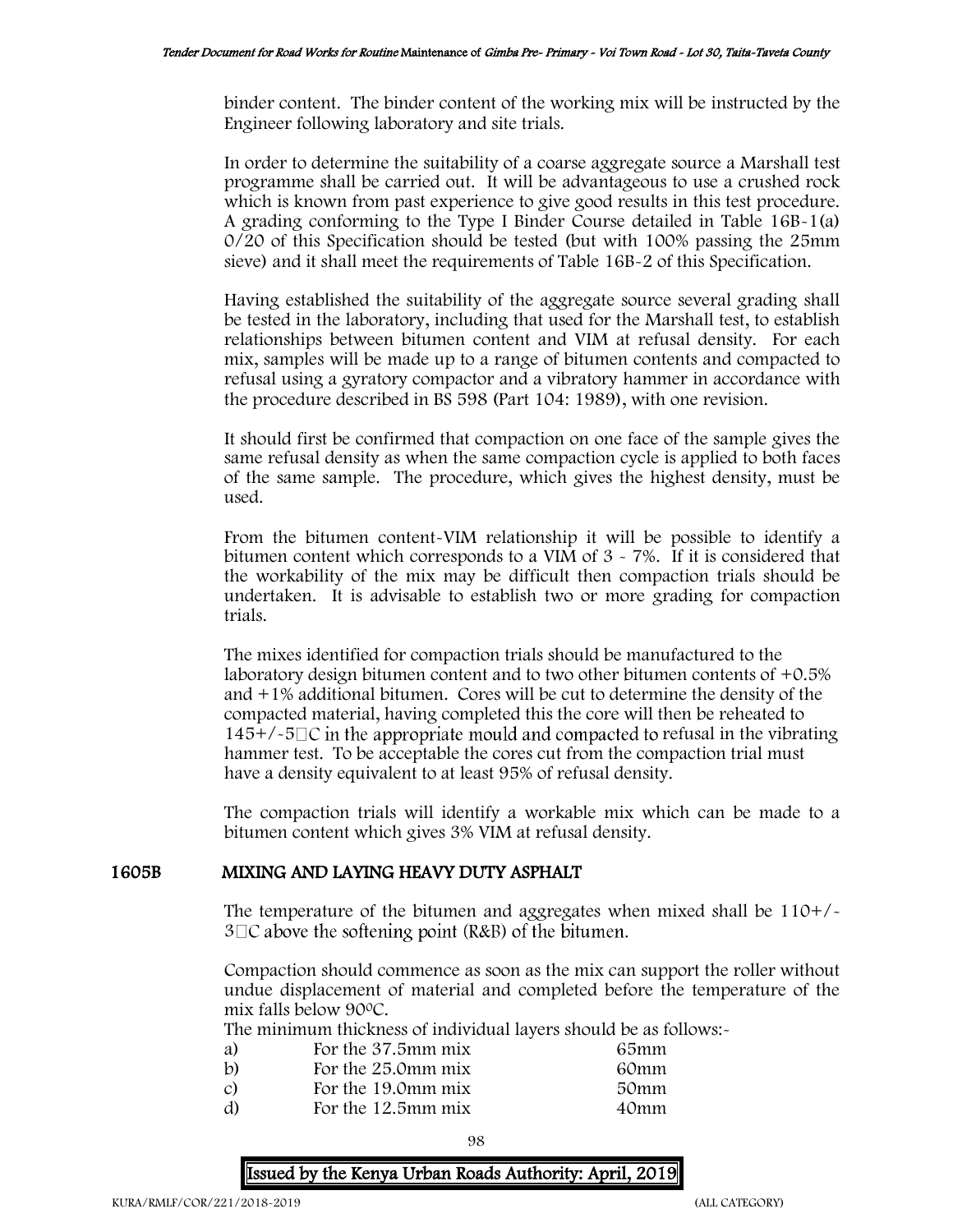binder content. The binder content of the working mix will be instructed by the Engineer following laboratory and site trials.

In order to determine the suitability of a coarse aggregate source a Marshall test programme shall be carried out. It will be advantageous to use a crushed rock which is known from past experience to give good results in this test procedure. A grading conforming to the Type I Binder Course detailed in Table 16B-1(a) 0/20 of this Specification should be tested (but with 100% passing the 25mm sieve) and it shall meet the requirements of Table 16B-2 of this Specification.

Having established the suitability of the aggregate source several grading shall be tested in the laboratory, including that used for the Marshall test, to establish relationships between bitumen content and VIM at refusal density. For each mix, samples will be made up to a range of bitumen contents and compacted to refusal using a gyratory compactor and a vibratory hammer in accordance with the procedure described in BS 598 (Part 104: 1989), with one revision.

It should first be confirmed that compaction on one face of the sample gives the same refusal density as when the same compaction cycle is applied to both faces of the same sample. The procedure, which gives the highest density, must be used.

From the bitumen content-VIM relationship it will be possible to identify a bitumen content which corresponds to a VIM of 3 - 7%. If it is considered that the workability of the mix may be difficult then compaction trials should be undertaken. It is advisable to establish two or more grading for compaction trials.

The mixes identified for compaction trials should be manufactured to the laboratory design bitumen content and to two other bitumen contents of +0.5% and +1% additional bitumen. Cores will be cut to determine the density of the compacted material, having completed this the core will then be reheated to  $145+/-5\degree$  in the appropriate mould and compacted to refusal in the vibrating hammer test. To be acceptable the cores cut from the compaction trial must have a density equivalent to at least 95% of refusal density.

The compaction trials will identify a workable mix which can be made to a bitumen content which gives 3% VIM at refusal density.

## 1605B MIXING AND LAYING HEAVY DUTY ASPHALT

The temperature of the bitumen and aggregates when mixed shall be  $110+/$  $3\Box C$  above the softening point (R&B) of the bitumen.

Compaction should commence as soon as the mix can support the roller without undue displacement of material and completed before the temperature of the mix falls below 90<sup>0</sup>C.

The minimum thickness of individual layers should be as follows:-

| For the 37.5mm mix | 65mm |
|--------------------|------|
| For the 25.0mm mix | 60mm |
| For the 19.0mm mix | 50mm |
| For the 12.5mm mix | 40mm |
|                    |      |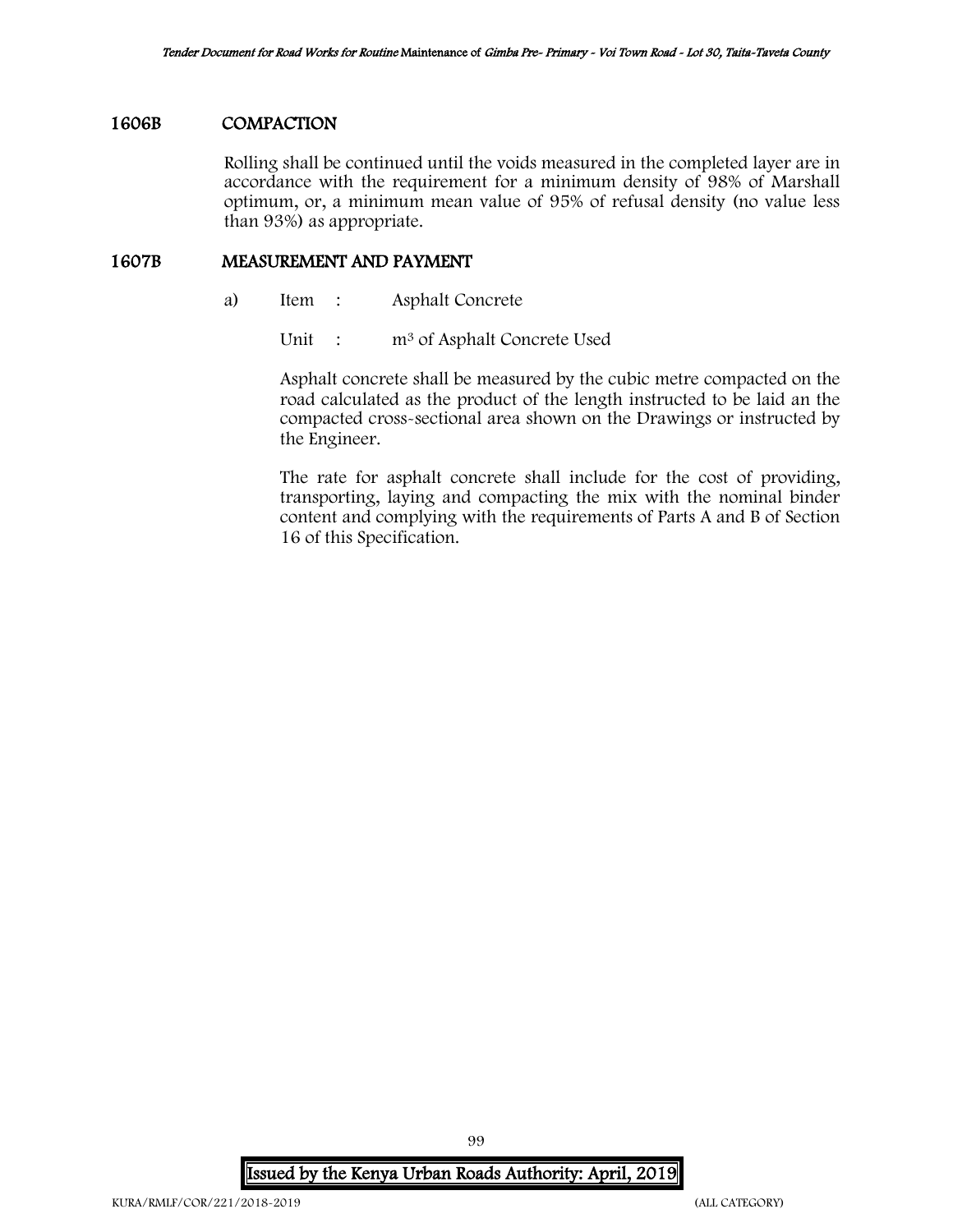### 1606B COMPACTION

Rolling shall be continued until the voids measured in the completed layer are in accordance with the requirement for a minimum density of 98% of Marshall optimum, or, a minimum mean value of 95% of refusal density (no value less than 93%) as appropriate.

## 1607B MEASUREMENT AND PAYMENT

- a) Item : Asphalt Concrete
	- Unit : m<sup>3</sup> of Asphalt Concrete Used

Asphalt concrete shall be measured by the cubic metre compacted on the road calculated as the product of the length instructed to be laid an the compacted cross-sectional area shown on the Drawings or instructed by the Engineer.

The rate for asphalt concrete shall include for the cost of providing, transporting, laying and compacting the mix with the nominal binder content and complying with the requirements of Parts A and B of Section 16 of this Specification.

Issued by the Kenya Urban Roads Authority: April, 2019

99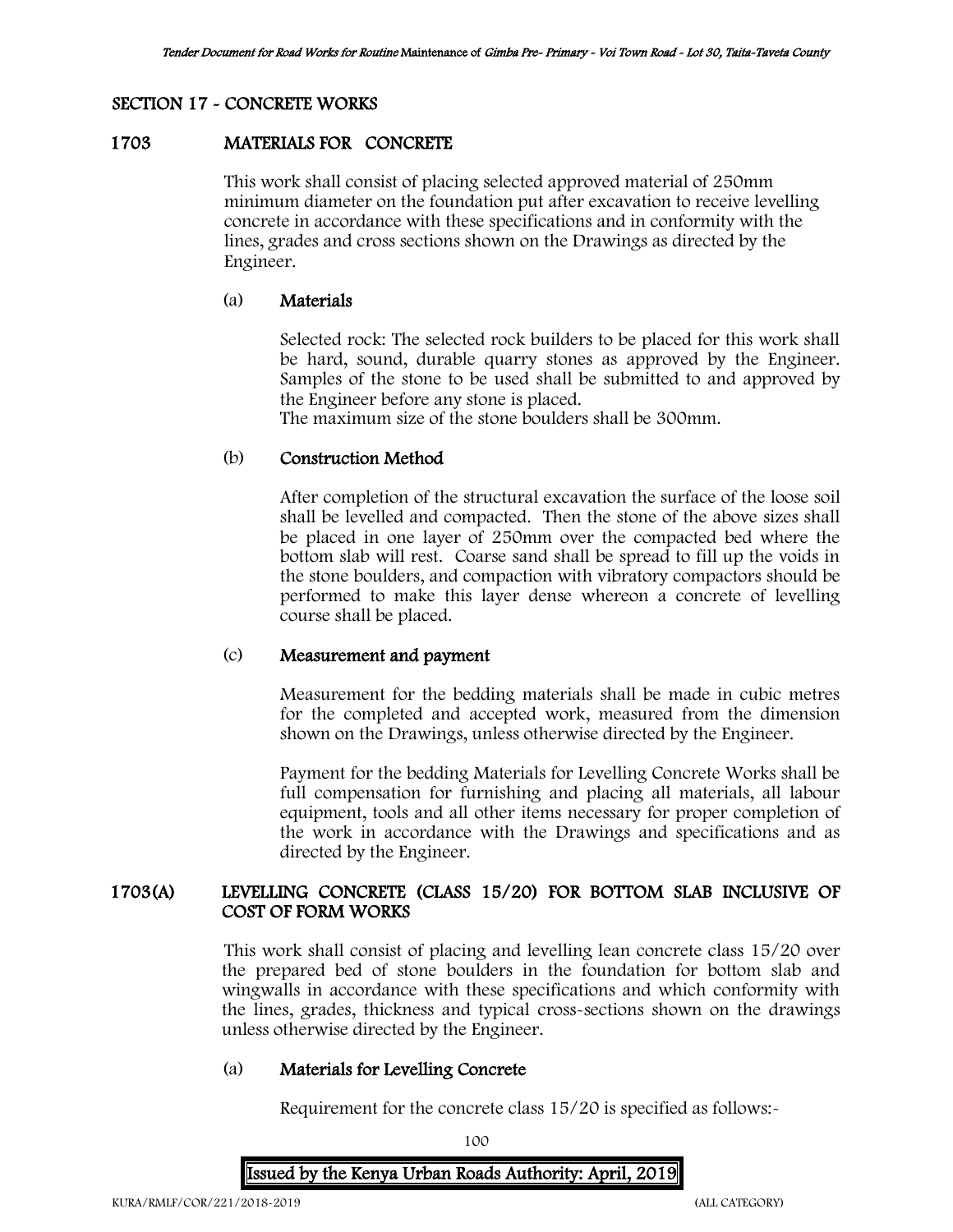# SECTION 17 - CONCRETE WORKS

## 1703 MATERIALS FOR CONCRETE

This work shall consist of placing selected approved material of 250mm minimum diameter on the foundation put after excavation to receive levelling concrete in accordance with these specifications and in conformity with the lines, grades and cross sections shown on the Drawings as directed by the Engineer.

### (a) Materials

Selected rock: The selected rock builders to be placed for this work shall be hard, sound, durable quarry stones as approved by the Engineer. Samples of the stone to be used shall be submitted to and approved by the Engineer before any stone is placed.

The maximum size of the stone boulders shall be 300mm.

## (b) Construction Method

After completion of the structural excavation the surface of the loose soil shall be levelled and compacted. Then the stone of the above sizes shall be placed in one layer of 250mm over the compacted bed where the bottom slab will rest. Coarse sand shall be spread to fill up the voids in the stone boulders, and compaction with vibratory compactors should be performed to make this layer dense whereon a concrete of levelling course shall be placed.

## (c) Measurement and payment

Measurement for the bedding materials shall be made in cubic metres for the completed and accepted work, measured from the dimension shown on the Drawings, unless otherwise directed by the Engineer.

Payment for the bedding Materials for Levelling Concrete Works shall be full compensation for furnishing and placing all materials, all labour equipment, tools and all other items necessary for proper completion of the work in accordance with the Drawings and specifications and as directed by the Engineer.

## 1703(A) LEVELLING CONCRETE (CLASS 15/20) FOR BOTTOM SLAB INCLUSIVE OF COST OF FORM WORKS

This work shall consist of placing and levelling lean concrete class 15/20 over the prepared bed of stone boulders in the foundation for bottom slab and wingwalls in accordance with these specifications and which conformity with the lines, grades, thickness and typical cross-sections shown on the drawings unless otherwise directed by the Engineer.

#### (a) Materials for Levelling Concrete

Requirement for the concrete class 15/20 is specified as follows:-

100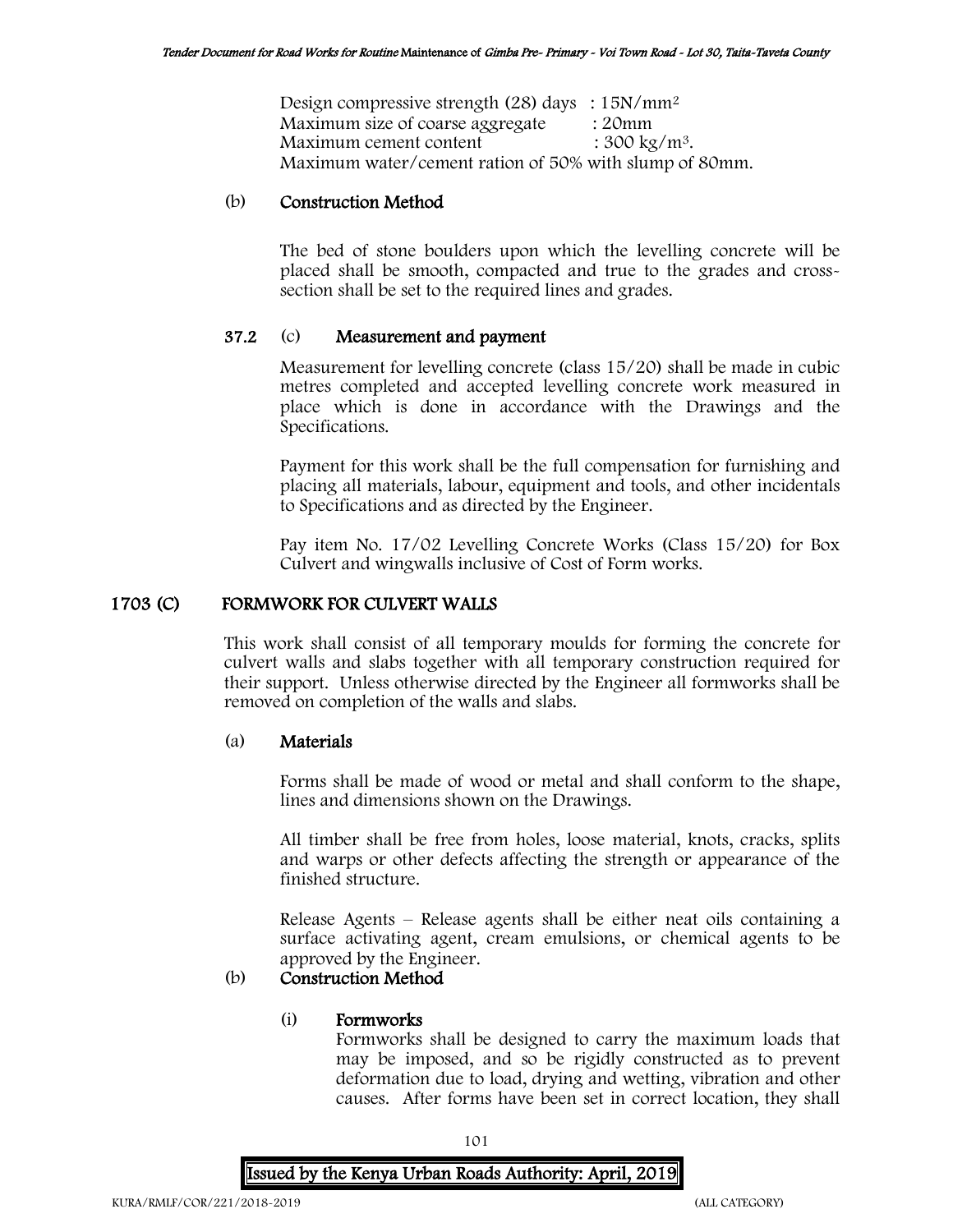Design compressive strength (28) days : 15N/mm<sup>2</sup> Maximum size of coarse aggregate : 20mm Maximum cement content  $: 300 \text{ kg/m}^3$ . Maximum water/cement ration of 50% with slump of 80mm.

### (b) Construction Method

The bed of stone boulders upon which the levelling concrete will be placed shall be smooth, compacted and true to the grades and crosssection shall be set to the required lines and grades.

### 37.2 (c) Measurement and payment

Measurement for levelling concrete (class 15/20) shall be made in cubic metres completed and accepted levelling concrete work measured in place which is done in accordance with the Drawings and the Specifications.

Payment for this work shall be the full compensation for furnishing and placing all materials, labour, equipment and tools, and other incidentals to Specifications and as directed by the Engineer.

Pay item No. 17/02 Levelling Concrete Works (Class 15/20) for Box Culvert and wingwalls inclusive of Cost of Form works.

## 1703 (C) FORMWORK FOR CULVERT WALLS

This work shall consist of all temporary moulds for forming the concrete for culvert walls and slabs together with all temporary construction required for their support. Unless otherwise directed by the Engineer all formworks shall be removed on completion of the walls and slabs.

#### (a) Materials

Forms shall be made of wood or metal and shall conform to the shape, lines and dimensions shown on the Drawings.

All timber shall be free from holes, loose material, knots, cracks, splits and warps or other defects affecting the strength or appearance of the finished structure.

Release Agents – Release agents shall be either neat oils containing a surface activating agent, cream emulsions, or chemical agents to be approved by the Engineer.

# (b) Construction Method

### (i) Formworks

Formworks shall be designed to carry the maximum loads that may be imposed, and so be rigidly constructed as to prevent deformation due to load, drying and wetting, vibration and other causes. After forms have been set in correct location, they shall

101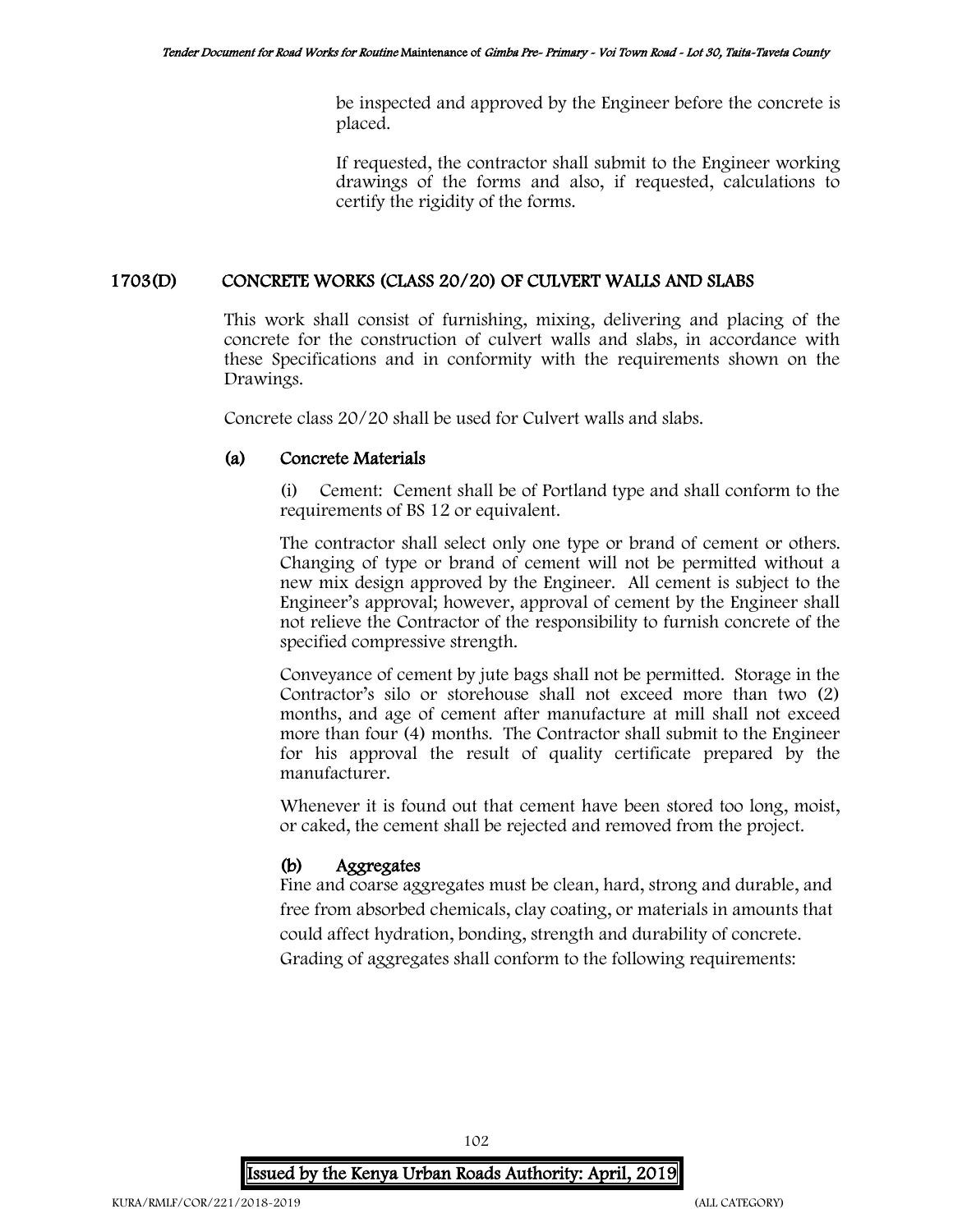be inspected and approved by the Engineer before the concrete is placed.

If requested, the contractor shall submit to the Engineer working drawings of the forms and also, if requested, calculations to certify the rigidity of the forms.

## 1703(D) CONCRETE WORKS (CLASS 20/20) OF CULVERT WALLS AND SLABS

This work shall consist of furnishing, mixing, delivering and placing of the concrete for the construction of culvert walls and slabs, in accordance with these Specifications and in conformity with the requirements shown on the Drawings.

Concrete class 20/20 shall be used for Culvert walls and slabs.

## (a) Concrete Materials

(i) Cement: Cement shall be of Portland type and shall conform to the requirements of BS 12 or equivalent.

The contractor shall select only one type or brand of cement or others. Changing of type or brand of cement will not be permitted without a new mix design approved by the Engineer. All cement is subject to the Engineer's approval; however, approval of cement by the Engineer shall not relieve the Contractor of the responsibility to furnish concrete of the specified compressive strength.

Conveyance of cement by jute bags shall not be permitted. Storage in the Contractor's silo or storehouse shall not exceed more than two (2) months, and age of cement after manufacture at mill shall not exceed more than four (4) months. The Contractor shall submit to the Engineer for his approval the result of quality certificate prepared by the manufacturer.

Whenever it is found out that cement have been stored too long, moist, or caked, the cement shall be rejected and removed from the project.

# (b) Aggregates

Fine and coarse aggregates must be clean, hard, strong and durable, and free from absorbed chemicals, clay coating, or materials in amounts that could affect hydration, bonding, strength and durability of concrete. Grading of aggregates shall conform to the following requirements:

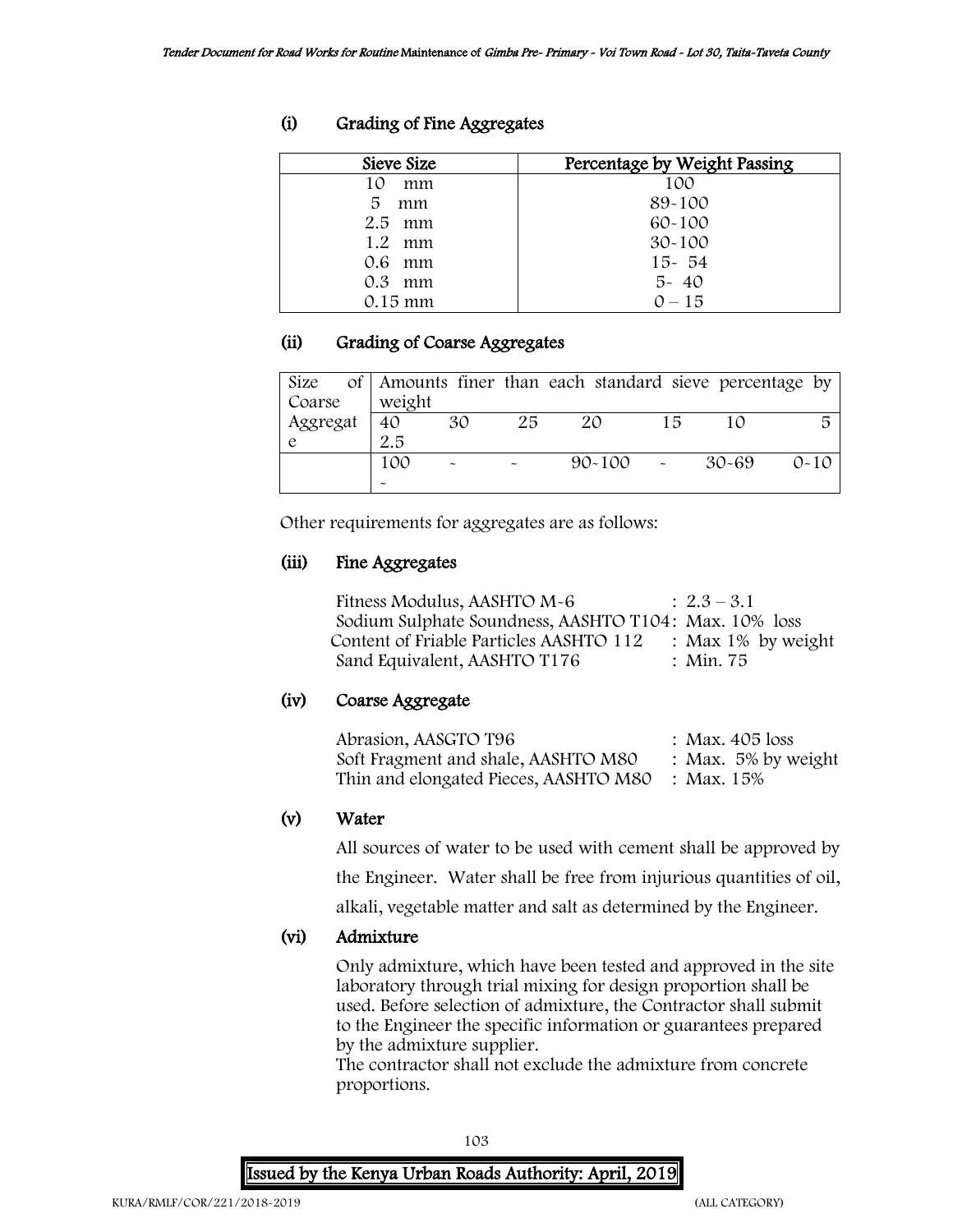| Sieve Size        | Percentage by Weight Passing |
|-------------------|------------------------------|
| 10<br>mm          | 100                          |
| 5<br>mm           | 89-100                       |
| $2.5$ mm          | $60 - 100$                   |
| $1.2 \cdot mm$    | $30 - 100$                   |
| 0.6 mm            | $15 - 54$                    |
| $0.3$ mm          | $5 - 40$                     |
| $0.15 \text{ mm}$ | $0 - 15$                     |

# (i) Grading of Fine Aggregates

# (ii) Grading of Coarse Aggregates

|          |        |    |    | Size of   Amounts finer than each standard sieve percentage by |    |       |          |
|----------|--------|----|----|----------------------------------------------------------------|----|-------|----------|
| Coarse   | weight |    |    |                                                                |    |       |          |
| Aggregat | 40     | 30 | 25 | 20                                                             | 15 |       |          |
|          | 2.5    |    |    |                                                                |    |       |          |
|          | 100    |    |    | $90 - 100$                                                     |    | 30-69 | $O - 10$ |
|          |        |    |    |                                                                |    |       |          |

Other requirements for aggregates are as follows:

## (iii) Fine Aggregates

| Fitness Modulus, AASHTO M-6                           | $: 2.3 - 3.1$         |
|-------------------------------------------------------|-----------------------|
| Sodium Sulphate Soundness, AASHTO T104: Max. 10% loss |                       |
| Content of Friable Particles AASHTO 112               | : Max $1\%$ by weight |
| Sand Equivalent, AASHTO T176                          | : Min. 75             |

## (iv) Coarse Aggregate

| Abrasion, AASGTO T96                             | : Max. 405 loss        |
|--------------------------------------------------|------------------------|
| Soft Fragment and shale, AASHTO M80              | : Max. $5\%$ by weight |
| Thin and elongated Pieces, AASHTO M80 : Max. 15% |                        |

## (v) Water

All sources of water to be used with cement shall be approved by

the Engineer. Water shall be free from injurious quantities of oil,

alkali, vegetable matter and salt as determined by the Engineer.

# (vi) Admixture

Only admixture, which have been tested and approved in the site laboratory through trial mixing for design proportion shall be used. Before selection of admixture, the Contractor shall submit to the Engineer the specific information or guarantees prepared by the admixture supplier.

The contractor shall not exclude the admixture from concrete proportions.

103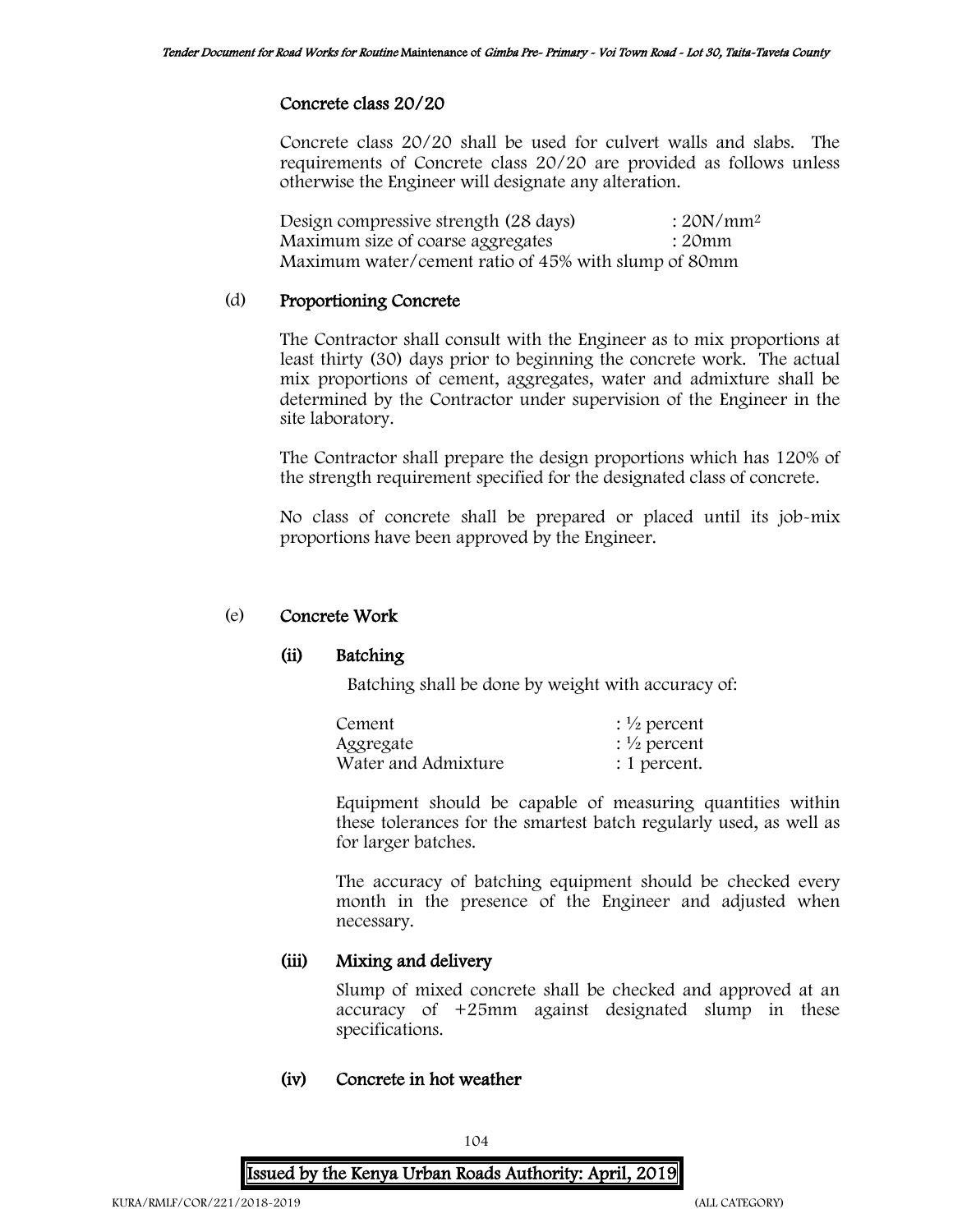### Concrete class 20/20

Concrete class 20/20 shall be used for culvert walls and slabs. The requirements of Concrete class 20/20 are provided as follows unless otherwise the Engineer will designate any alteration.

| Design compressive strength (28 days)                | $:20N/mm^2$ |
|------------------------------------------------------|-------------|
| Maximum size of coarse aggregates                    | : 20mm      |
| Maximum water/cement ratio of 45% with slump of 80mm |             |

### (d) Proportioning Concrete

The Contractor shall consult with the Engineer as to mix proportions at least thirty (30) days prior to beginning the concrete work. The actual mix proportions of cement, aggregates, water and admixture shall be determined by the Contractor under supervision of the Engineer in the site laboratory.

The Contractor shall prepare the design proportions which has 120% of the strength requirement specified for the designated class of concrete.

No class of concrete shall be prepared or placed until its job-mix proportions have been approved by the Engineer.

## (e) Concrete Work

## (ii) Batching

Batching shall be done by weight with accuracy of:

| Cement              | : $\frac{1}{2}$ percent |
|---------------------|-------------------------|
| Aggregate           | : $\frac{1}{2}$ percent |
| Water and Admixture | : 1 percent.            |

Equipment should be capable of measuring quantities within these tolerances for the smartest batch regularly used, as well as for larger batches.

The accuracy of batching equipment should be checked every month in the presence of the Engineer and adjusted when necessary.

## (iii) Mixing and delivery

Slump of mixed concrete shall be checked and approved at an accuracy of +25mm against designated slump in these specifications.

## (iv) Concrete in hot weather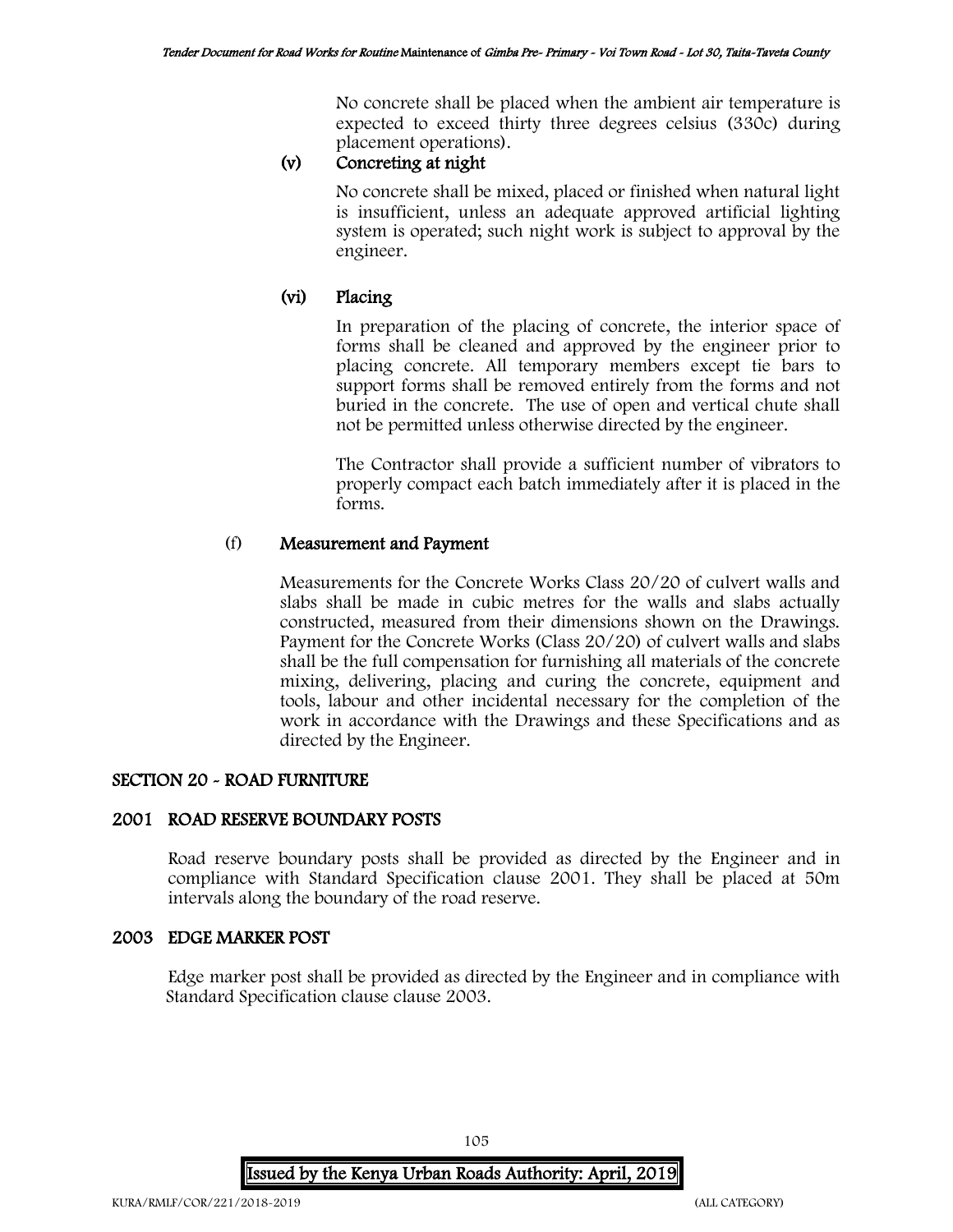No concrete shall be placed when the ambient air temperature is expected to exceed thirty three degrees celsius (330c) during placement operations).

# (v) Concreting at night

No concrete shall be mixed, placed or finished when natural light is insufficient, unless an adequate approved artificial lighting system is operated; such night work is subject to approval by the engineer.

# (vi) Placing

In preparation of the placing of concrete, the interior space of forms shall be cleaned and approved by the engineer prior to placing concrete. All temporary members except tie bars to support forms shall be removed entirely from the forms and not buried in the concrete. The use of open and vertical chute shall not be permitted unless otherwise directed by the engineer.

The Contractor shall provide a sufficient number of vibrators to properly compact each batch immediately after it is placed in the forms.

# (f) Measurement and Payment

Measurements for the Concrete Works Class 20/20 of culvert walls and slabs shall be made in cubic metres for the walls and slabs actually constructed, measured from their dimensions shown on the Drawings. Payment for the Concrete Works (Class 20/20) of culvert walls and slabs shall be the full compensation for furnishing all materials of the concrete mixing, delivering, placing and curing the concrete, equipment and tools, labour and other incidental necessary for the completion of the work in accordance with the Drawings and these Specifications and as directed by the Engineer.

## SECTION 20 - ROAD FURNITURE

## 2001 ROAD RESERVE BOUNDARY POSTS

Road reserve boundary posts shall be provided as directed by the Engineer and in compliance with Standard Specification clause 2001. They shall be placed at 50m intervals along the boundary of the road reserve.

## 2003 EDGE MARKER POST

Edge marker post shall be provided as directed by the Engineer and in compliance with Standard Specification clause clause 2003.

105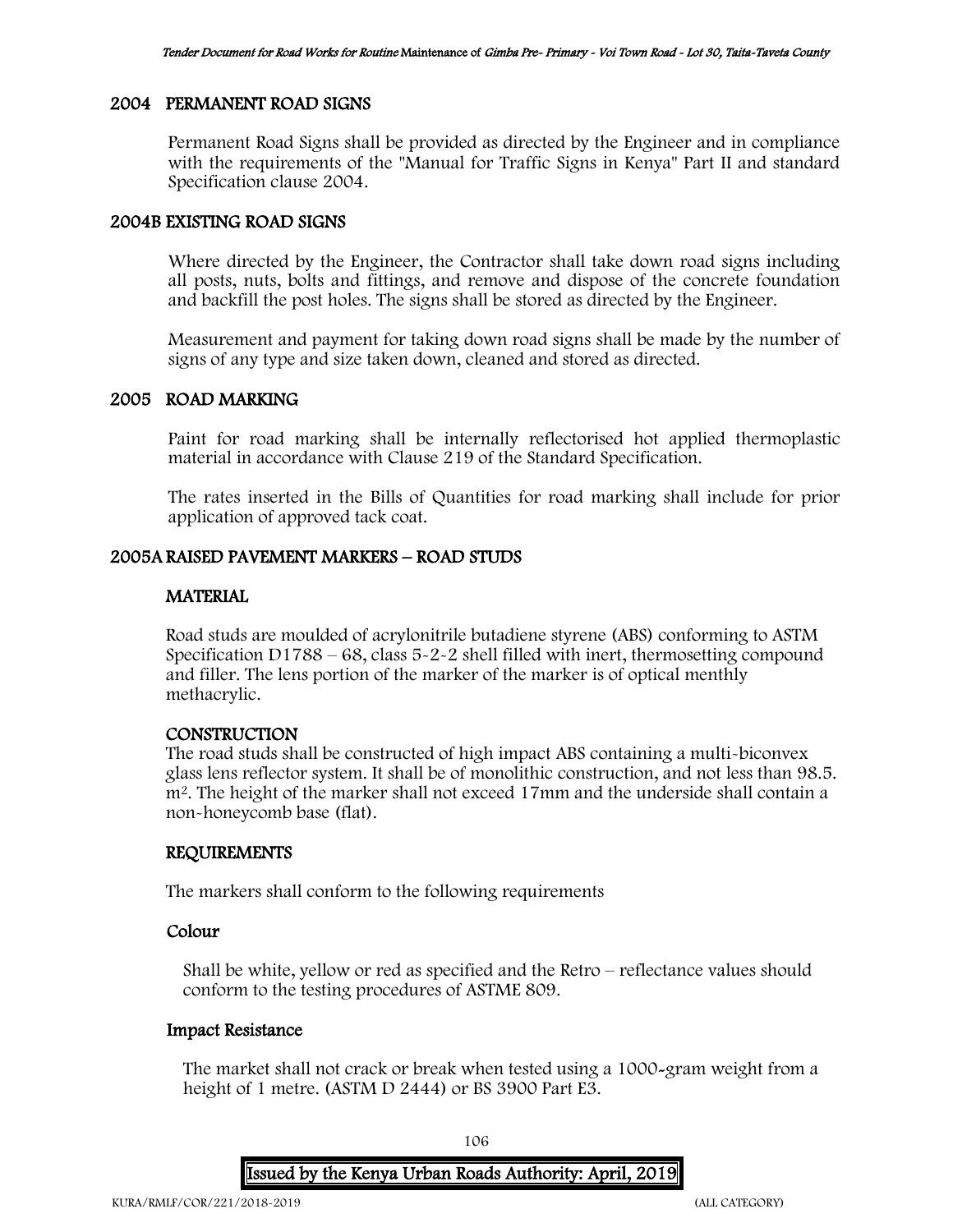### 2004 PERMANENT ROAD SIGNS

Permanent Road Signs shall be provided as directed by the Engineer and in compliance with the requirements of the "Manual for Traffic Signs in Kenya" Part II and standard Specification clause 2004.

### 2004B EXISTING ROAD SIGNS

Where directed by the Engineer, the Contractor shall take down road signs including all posts, nuts, bolts and fittings, and remove and dispose of the concrete foundation and backfill the post holes. The signs shall be stored as directed by the Engineer.

Measurement and payment for taking down road signs shall be made by the number of signs of any type and size taken down, cleaned and stored as directed.

#### 2005 ROAD MARKING

Paint for road marking shall be internally reflectorised hot applied thermoplastic material in accordance with Clause 219 of the Standard Specification.

The rates inserted in the Bills of Quantities for road marking shall include for prior application of approved tack coat.

### 2005A RAISED PAVEMENT MARKERS – ROAD STUDS

#### MATERIAL

Road studs are moulded of acrylonitrile butadiene styrene (ABS) conforming to ASTM Specification D1788 – 68, class  $5-2-2$  shell filled with inert, thermosetting compound and filler. The lens portion of the marker of the marker is of optical menthly methacrylic.

#### **CONSTRUCTION**

The road studs shall be constructed of high impact ABS containing a multi-biconvex glass lens reflector system. It shall be of monolithic construction, and not less than 98.5. m<sup>2</sup>. The height of the marker shall not exceed 17mm and the underside shall contain a non-honeycomb base (flat).

#### REQUIREMENTS

The markers shall conform to the following requirements

## Colour

Shall be white, yellow or red as specified and the Retro – reflectance values should conform to the testing procedures of ASTME 809.

#### Impact Resistance

The market shall not crack or break when tested using a 1000-gram weight from a height of 1 metre. (ASTM D 2444) or BS 3900 Part E3.

106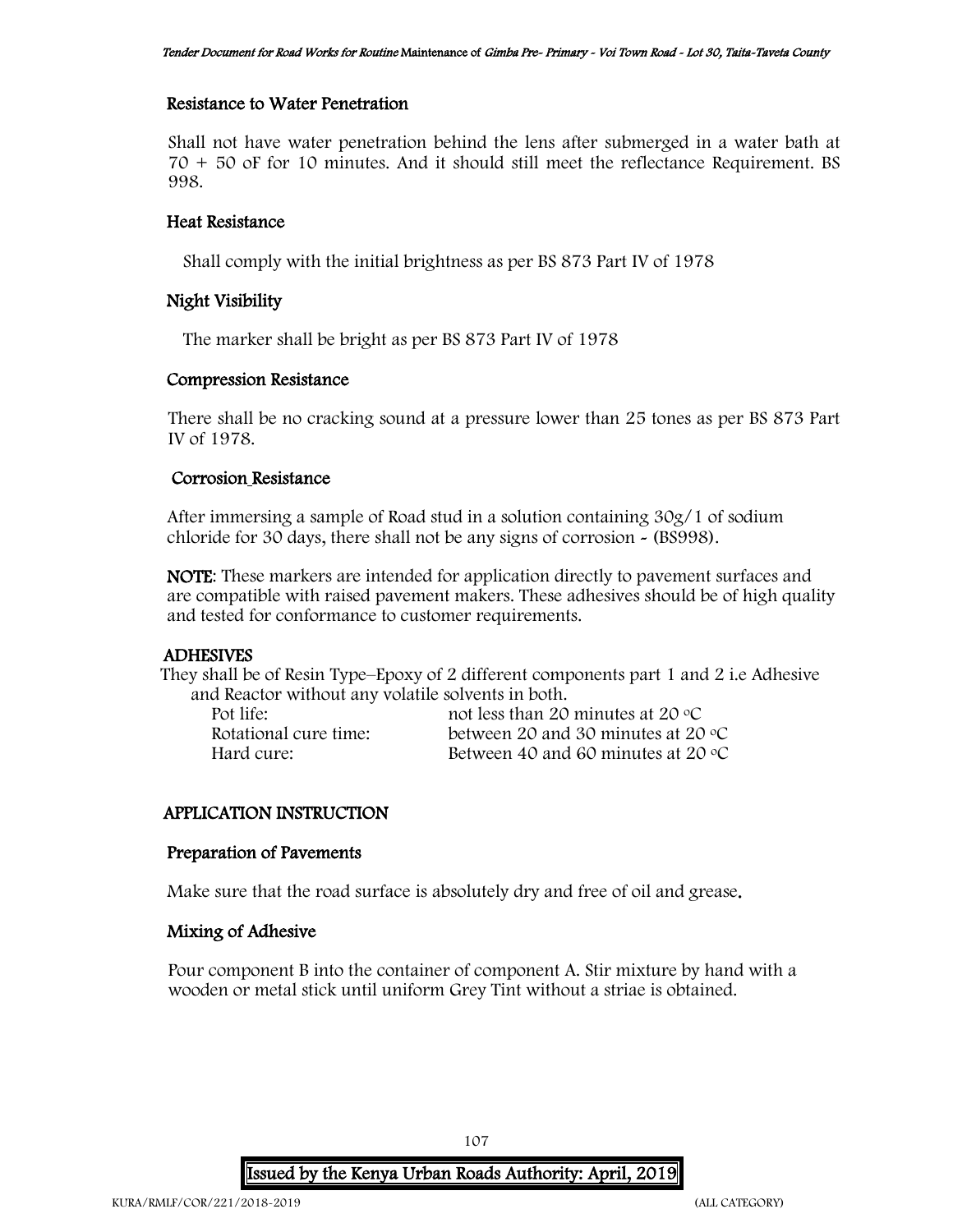### Resistance to Water Penetration

Shall not have water penetration behind the lens after submerged in a water bath at 70 + 50 oF for 10 minutes. And it should still meet the reflectance Requirement. BS 998.

### Heat Resistance

Shall comply with the initial brightness as per BS 873 Part IV of 1978

## Night Visibility

The marker shall be bright as per BS 873 Part IV of 1978

### Compression Resistance

There shall be no cracking sound at a pressure lower than 25 tones as per BS 873 Part IV of 1978.

### Corrosion Resistance

After immersing a sample of Road stud in a solution containing 30g/1 of sodium chloride for 30 days, there shall not be any signs of corrosion - (BS998).

NOTE: These markers are intended for application directly to pavement surfaces and are compatible with raised pavement makers. These adhesives should be of high quality and tested for conformance to customer requirements.

#### ADHESIVES

They shall be of Resin Type–Epoxy of 2 different components part 1 and 2 i.e Adhesive and Reactor without any volatile solvents in both.

Pot life: not less than 20 minutes at 20 °C Rotational cure time: between 20 and 30 minutes at 20 °C<br>Hard cure: Between 40 and 60 minutes at 20 °C Between 40 and 60 minutes at 20  $\degree$ C

## APPLICATION INSTRUCTION

#### Preparation of Pavements

Make sure that the road surface is absolutely dry and free of oil and grease.

## Mixing of Adhesive

Pour component B into the container of component A. Stir mixture by hand with a wooden or metal stick until uniform Grey Tint without a striae is obtained.

107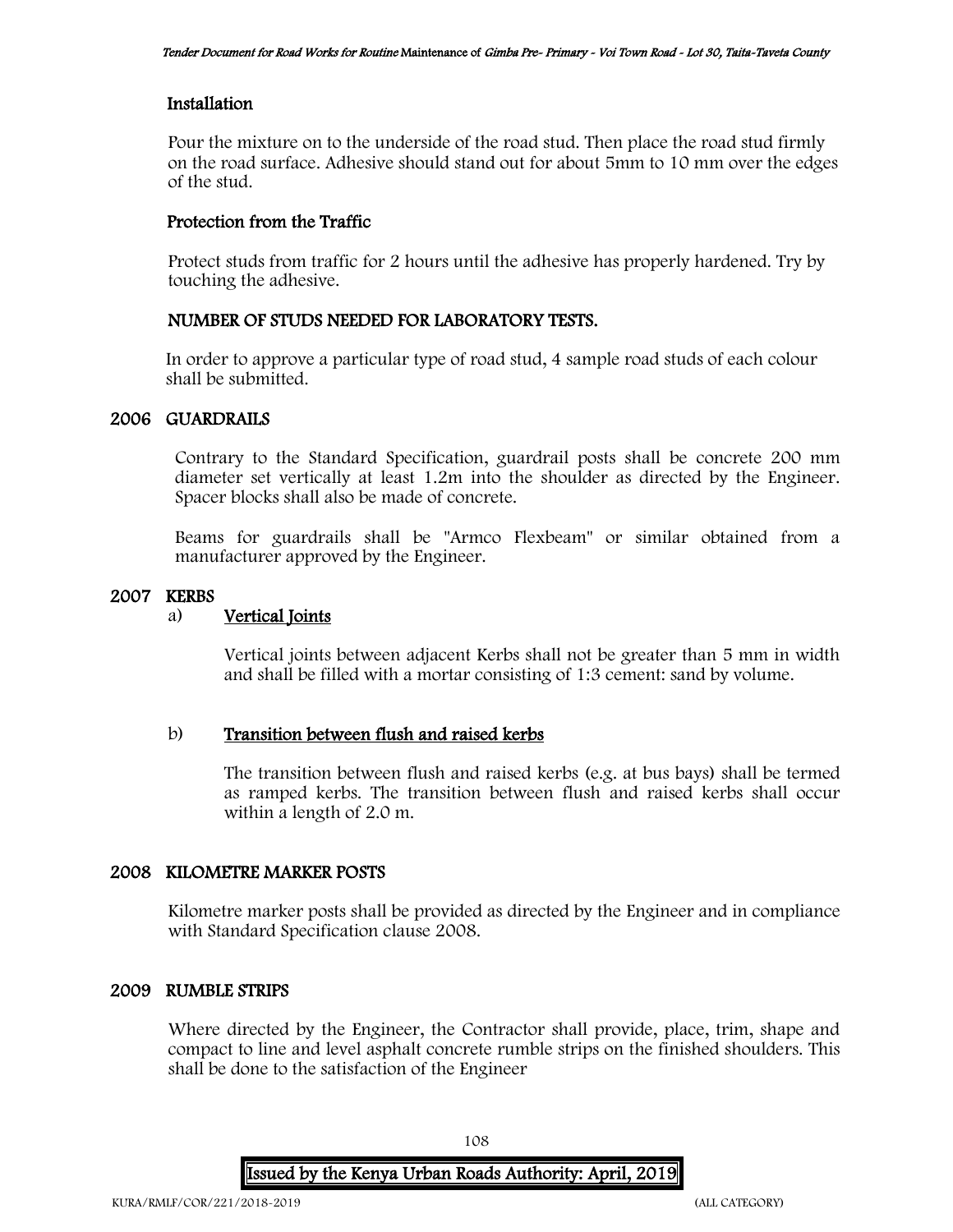### Installation

Pour the mixture on to the underside of the road stud. Then place the road stud firmly on the road surface. Adhesive should stand out for about 5mm to 10 mm over the edges of the stud.

## Protection from the Traffic

Protect studs from traffic for 2 hours until the adhesive has properly hardened. Try by touching the adhesive.

### NUMBER OF STUDS NEEDED FOR LABORATORY TESTS.

In order to approve a particular type of road stud, 4 sample road studs of each colour shall be submitted.

## 2006 GUARDRAILS

Contrary to the Standard Specification, guardrail posts shall be concrete 200 mm diameter set vertically at least 1.2m into the shoulder as directed by the Engineer. Spacer blocks shall also be made of concrete.

Beams for guardrails shall be "Armco Flexbeam" or similar obtained from a manufacturer approved by the Engineer.

### 2007 KERBS

## a) Vertical Joints

Vertical joints between adjacent Kerbs shall not be greater than 5 mm in width and shall be filled with a mortar consisting of 1:3 cement: sand by volume.

#### b) Transition between flush and raised kerbs

The transition between flush and raised kerbs (e.g. at bus bays) shall be termed as ramped kerbs. The transition between flush and raised kerbs shall occur within a length of 2.0 m.

#### 2008 KILOMETRE MARKER POSTS

Kilometre marker posts shall be provided as directed by the Engineer and in compliance with Standard Specification clause 2008.

#### 2009 RUMBLE STRIPS

Where directed by the Engineer, the Contractor shall provide, place, trim, shape and compact to line and level asphalt concrete rumble strips on the finished shoulders. This shall be done to the satisfaction of the Engineer

108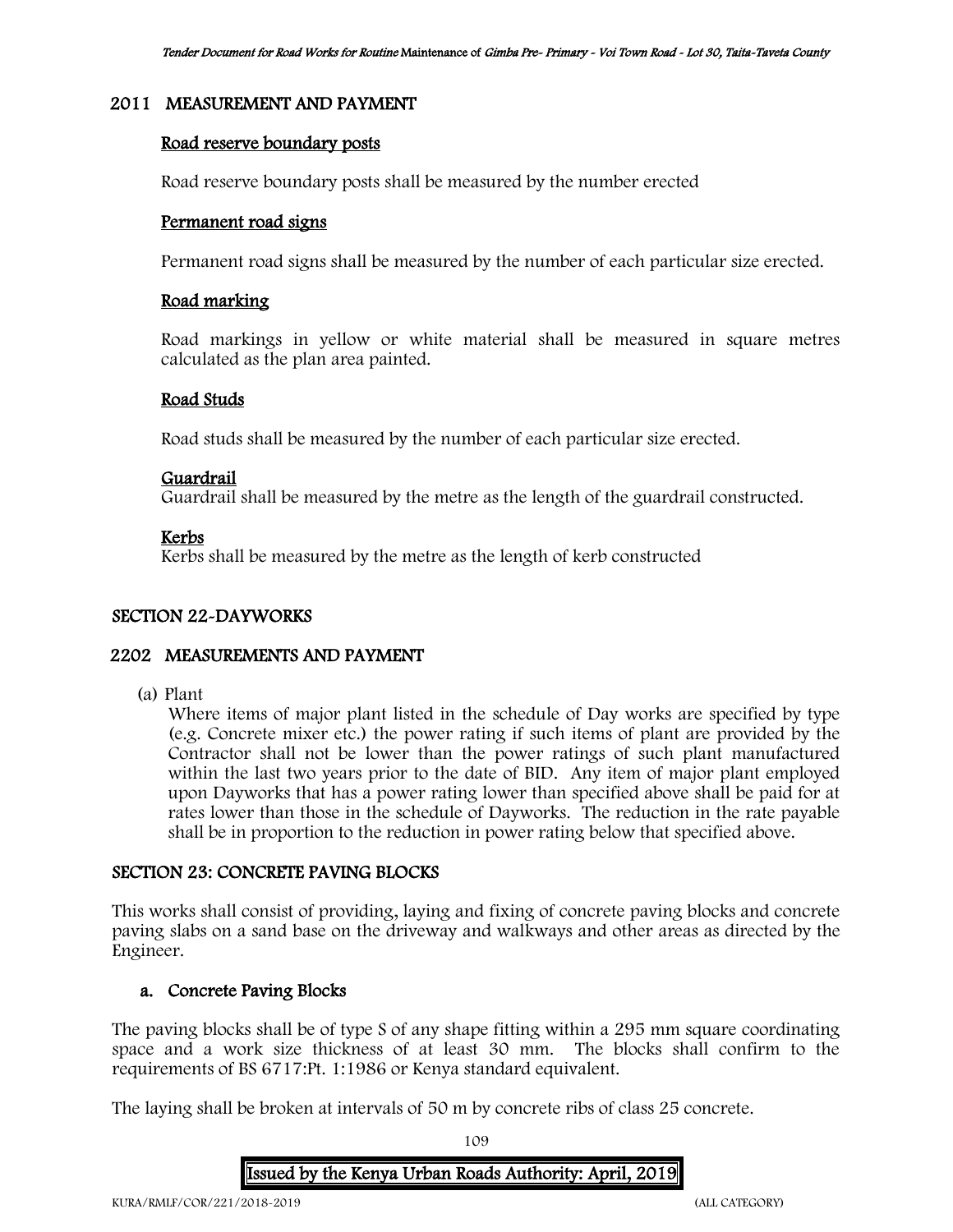### 2011 MEASUREMENT AND PAYMENT

### Road reserve boundary posts

Road reserve boundary posts shall be measured by the number erected

### Permanent road signs

Permanent road signs shall be measured by the number of each particular size erected.

### Road marking

Road markings in yellow or white material shall be measured in square metres calculated as the plan area painted.

### Road Studs

Road studs shall be measured by the number of each particular size erected.

### Guardrail

Guardrail shall be measured by the metre as the length of the guardrail constructed.

### Kerbs

Kerbs shall be measured by the metre as the length of kerb constructed

### SECTION 22-DAYWORKS

### 2202 MEASUREMENTS AND PAYMENT

(a) Plant

Where items of major plant listed in the schedule of Day works are specified by type (e.g. Concrete mixer etc.) the power rating if such items of plant are provided by the Contractor shall not be lower than the power ratings of such plant manufactured within the last two years prior to the date of BID. Any item of major plant employed upon Dayworks that has a power rating lower than specified above shall be paid for at rates lower than those in the schedule of Dayworks. The reduction in the rate payable shall be in proportion to the reduction in power rating below that specified above.

### SECTION 23: CONCRETE PAVING BLOCKS

This works shall consist of providing, laying and fixing of concrete paving blocks and concrete paving slabs on a sand base on the driveway and walkways and other areas as directed by the Engineer.

### a. Concrete Paving Blocks

The paving blocks shall be of type S of any shape fitting within a 295 mm square coordinating space and a work size thickness of at least 30 mm. The blocks shall confirm to the requirements of BS 6717:Pt. 1:1986 or Kenya standard equivalent.

The laying shall be broken at intervals of 50 m by concrete ribs of class 25 concrete.

109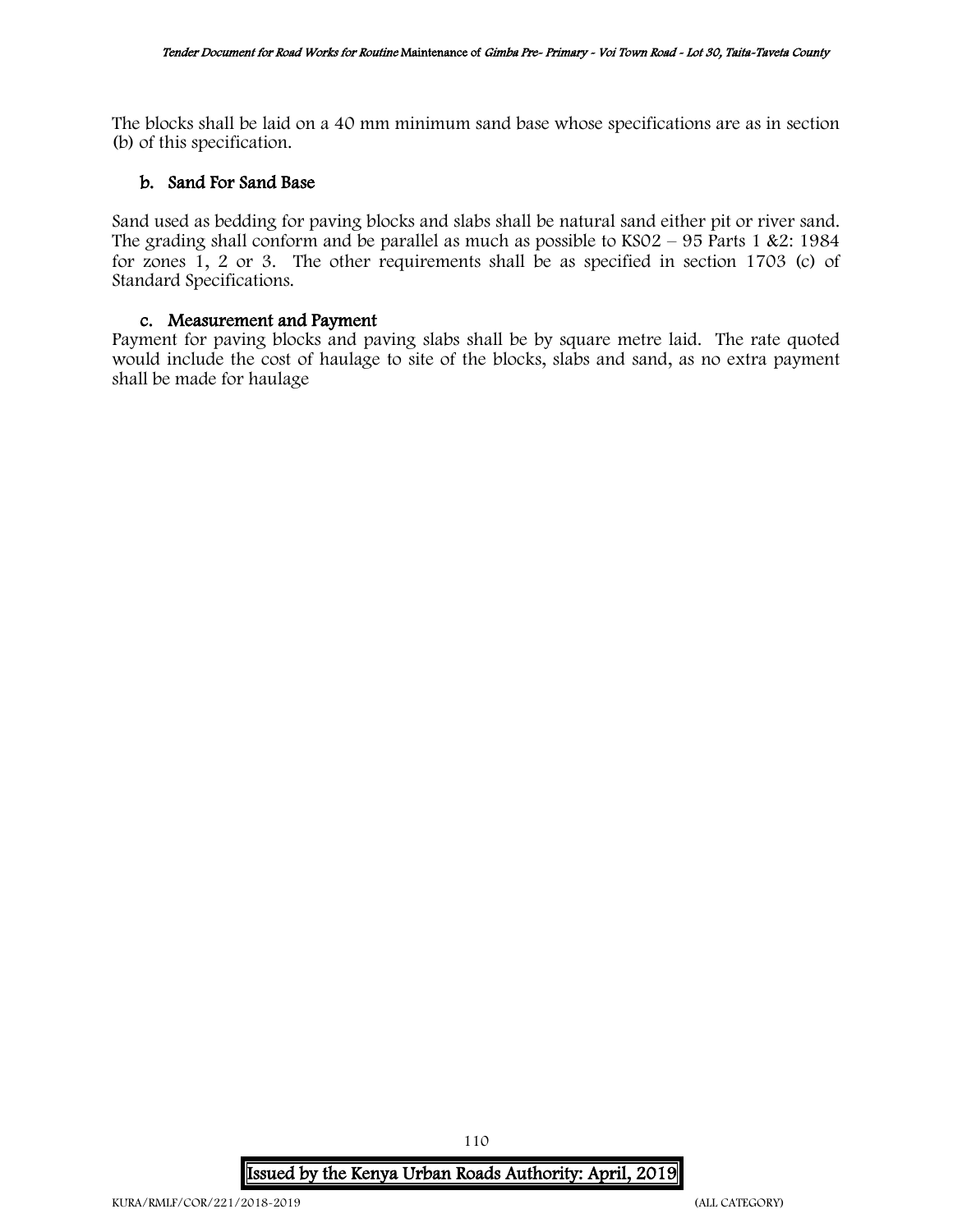The blocks shall be laid on a 40 mm minimum sand base whose specifications are as in section (b) of this specification.

### b. Sand For Sand Base

Sand used as bedding for paving blocks and slabs shall be natural sand either pit or river sand. The grading shall conform and be parallel as much as possible to  $KSO2 - 95$  Parts 1 &2: 1984 for zones 1, 2 or 3. The other requirements shall be as specified in section 1703 (c) of Standard Specifications.

### c. Measurement and Payment

Payment for paving blocks and paving slabs shall be by square metre laid. The rate quoted would include the cost of haulage to site of the blocks, slabs and sand, as no extra payment shall be made for haulage

# Issued by the Kenya Urban Roads Authority: April, 2019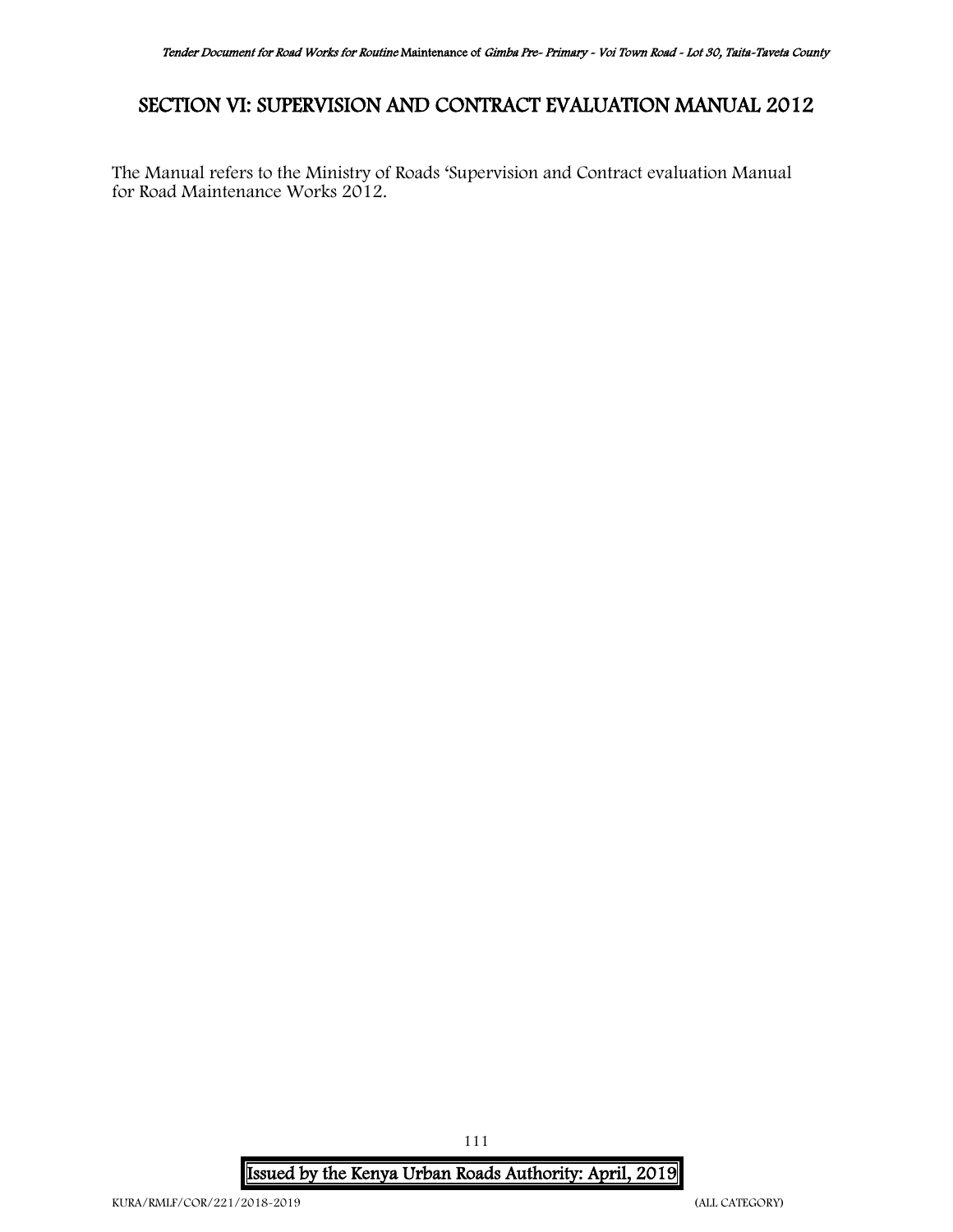# SECTION VI: SUPERVISION AND CONTRACT EVALUATION MANUAL 2012

The Manual refers to the Ministry of Roads 'Supervision and Contract evaluation Manual for Road Maintenance Works 2012.

Issued by the Kenya Urban Roads Authority: April, 2019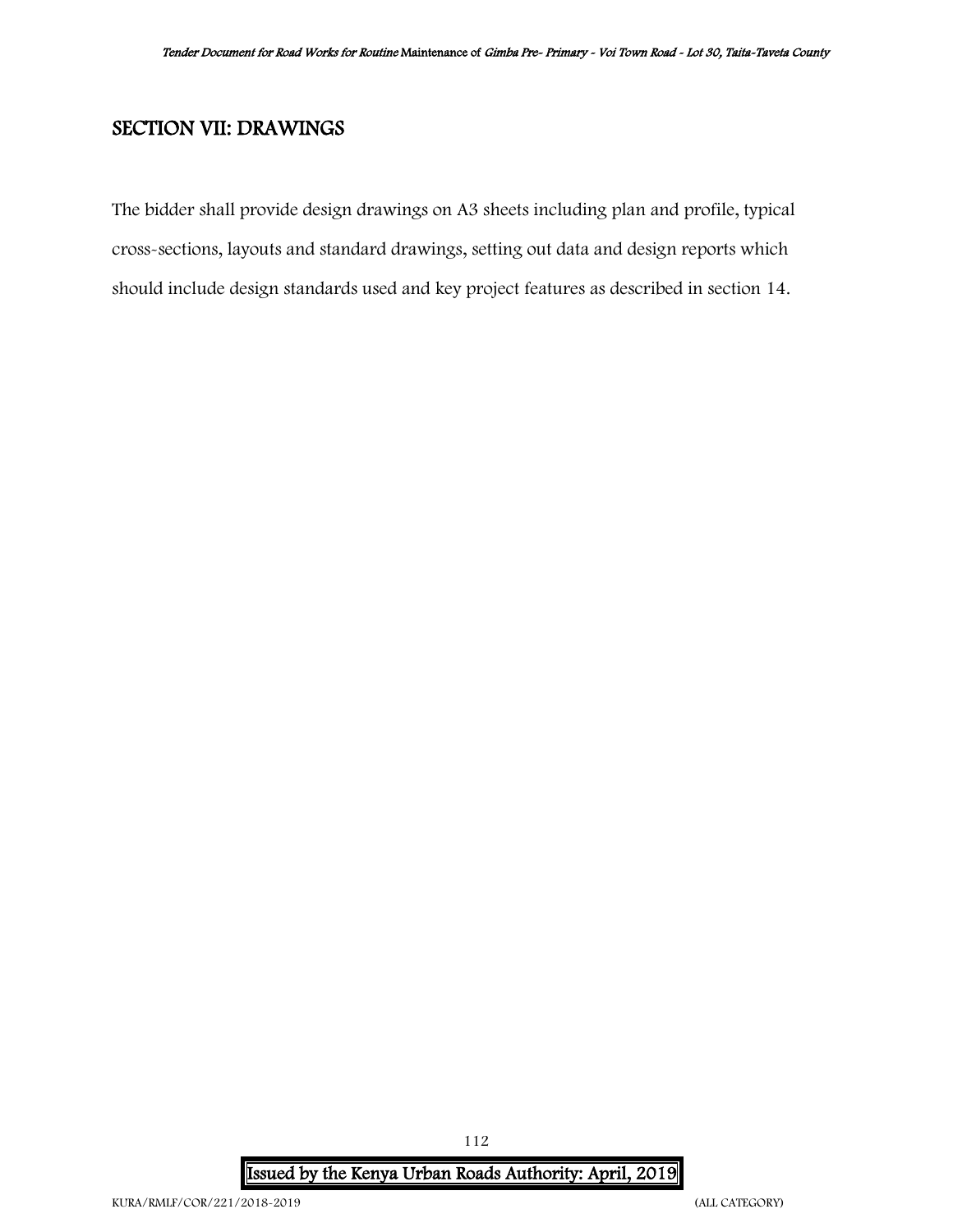# SECTION VII: DRAWINGS

The bidder shall provide design drawings on A3 sheets including plan and profile, typical cross-sections, layouts and standard drawings, setting out data and design reports which should include design standards used and key project features as described in section 14.

Issued by the Kenya Urban Roads Authority: April, 2019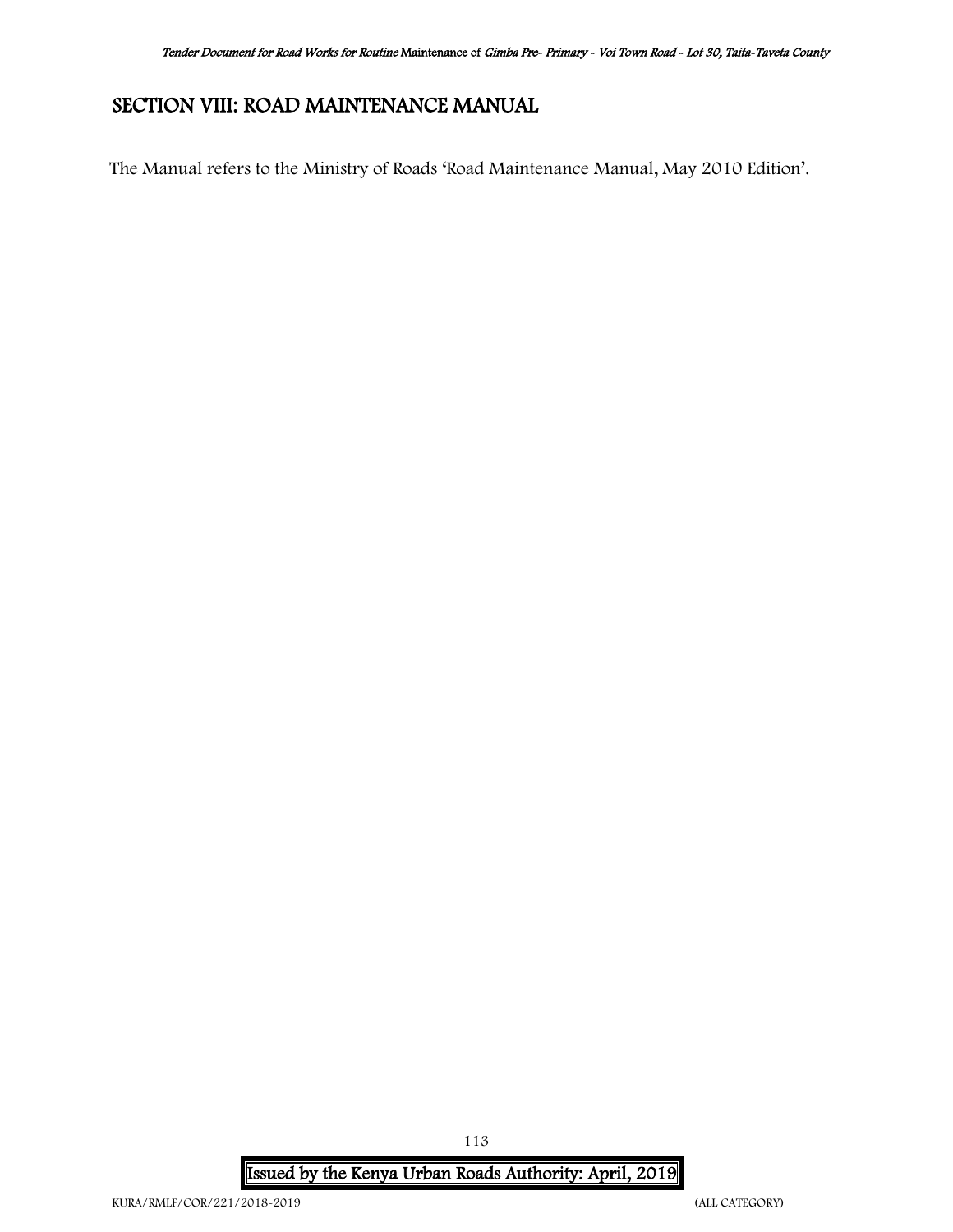# SECTION VIII: ROAD MAINTENANCE MANUAL

The Manual refers to the Ministry of Roads 'Road Maintenance Manual, May 2010 Edition'.

Issued by the Kenya Urban Roads Authority: April, 2019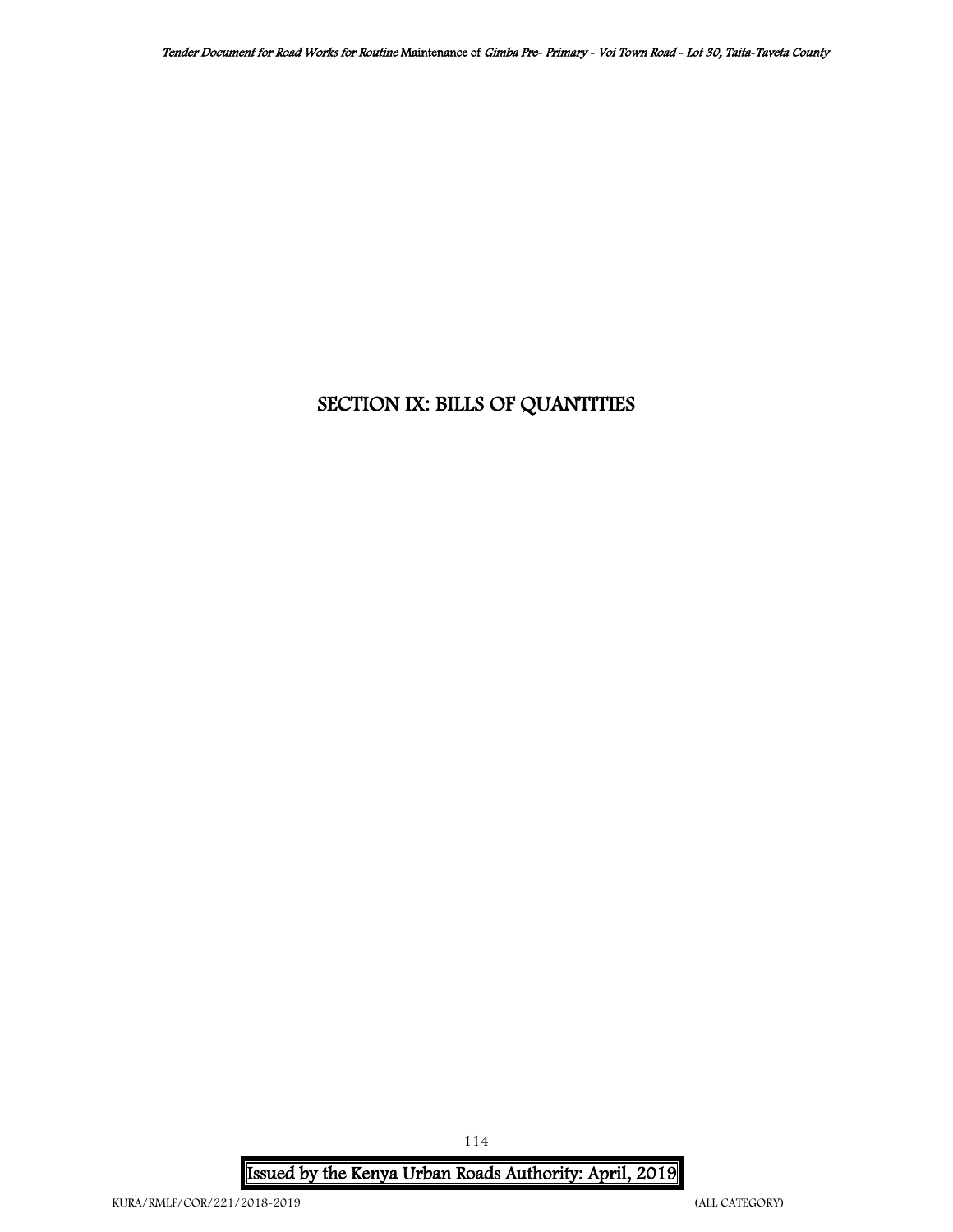# SECTION IX: BILLS OF QUANTITIES

Issued by the Kenya Urban Roads Authority: April, 2019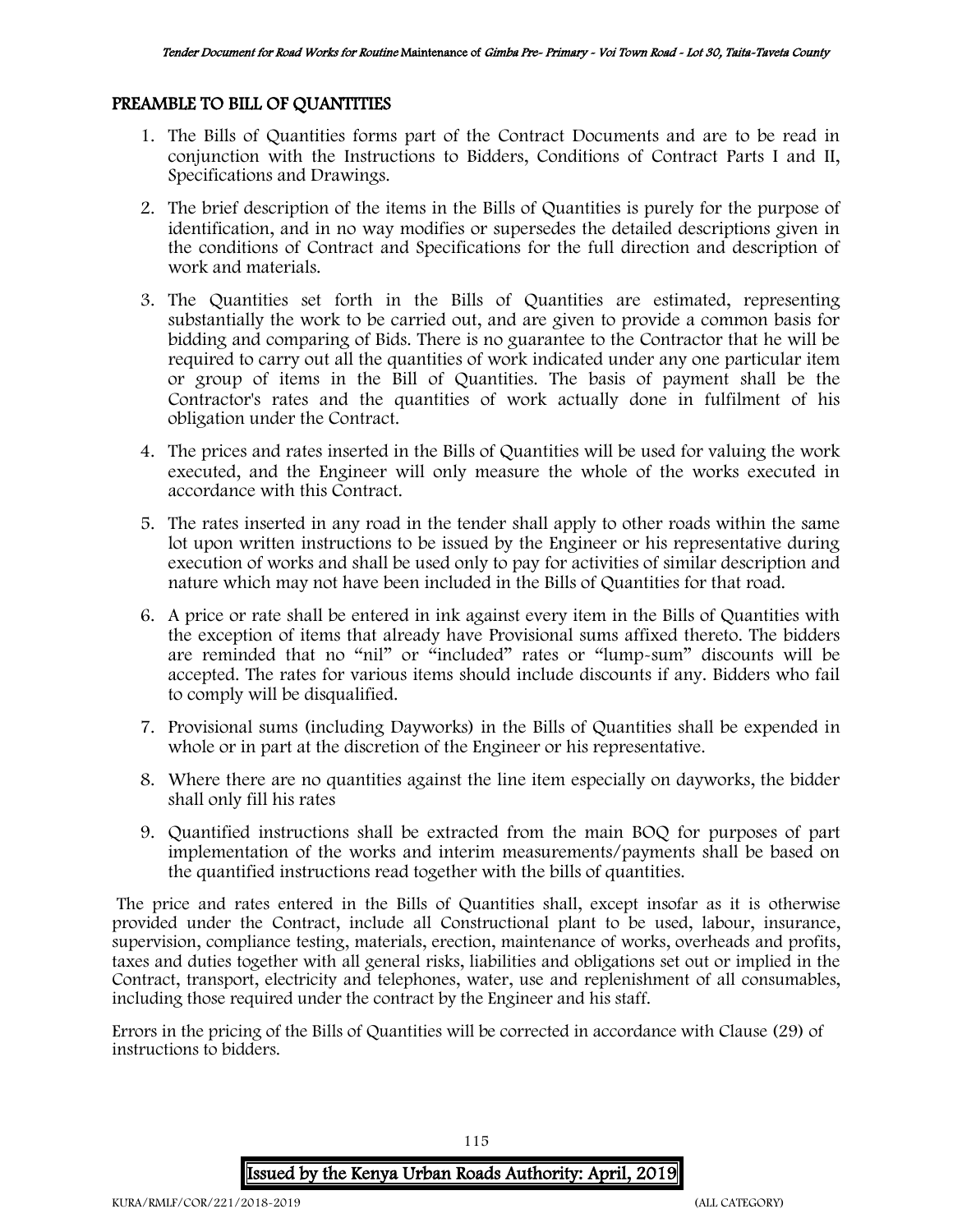### PREAMBLE TO BILL OF QUANTITIES

- 1. The Bills of Quantities forms part of the Contract Documents and are to be read in conjunction with the Instructions to Bidders, Conditions of Contract Parts I and II, Specifications and Drawings.
- 2. The brief description of the items in the Bills of Quantities is purely for the purpose of identification, and in no way modifies or supersedes the detailed descriptions given in the conditions of Contract and Specifications for the full direction and description of work and materials.
- 3. The Quantities set forth in the Bills of Quantities are estimated, representing substantially the work to be carried out, and are given to provide a common basis for bidding and comparing of Bids. There is no guarantee to the Contractor that he will be required to carry out all the quantities of work indicated under any one particular item or group of items in the Bill of Quantities. The basis of payment shall be the Contractor's rates and the quantities of work actually done in fulfilment of his obligation under the Contract.
- 4. The prices and rates inserted in the Bills of Quantities will be used for valuing the work executed, and the Engineer will only measure the whole of the works executed in accordance with this Contract.
- 5. The rates inserted in any road in the tender shall apply to other roads within the same lot upon written instructions to be issued by the Engineer or his representative during execution of works and shall be used only to pay for activities of similar description and nature which may not have been included in the Bills of Quantities for that road.
- 6. A price or rate shall be entered in ink against every item in the Bills of Quantities with the exception of items that already have Provisional sums affixed thereto. The bidders are reminded that no "nil" or "included" rates or "lump-sum" discounts will be accepted. The rates for various items should include discounts if any. Bidders who fail to comply will be disqualified.
- 7. Provisional sums (including Dayworks) in the Bills of Quantities shall be expended in whole or in part at the discretion of the Engineer or his representative.
- 8. Where there are no quantities against the line item especially on dayworks, the bidder shall only fill his rates
- 9. Quantified instructions shall be extracted from the main BOQ for purposes of part implementation of the works and interim measurements/payments shall be based on the quantified instructions read together with the bills of quantities.

The price and rates entered in the Bills of Quantities shall, except insofar as it is otherwise provided under the Contract, include all Constructional plant to be used, labour, insurance, supervision, compliance testing, materials, erection, maintenance of works, overheads and profits, taxes and duties together with all general risks, liabilities and obligations set out or implied in the Contract, transport, electricity and telephones, water, use and replenishment of all consumables, including those required under the contract by the Engineer and his staff.

Errors in the pricing of the Bills of Quantities will be corrected in accordance with Clause (29) of instructions to bidders.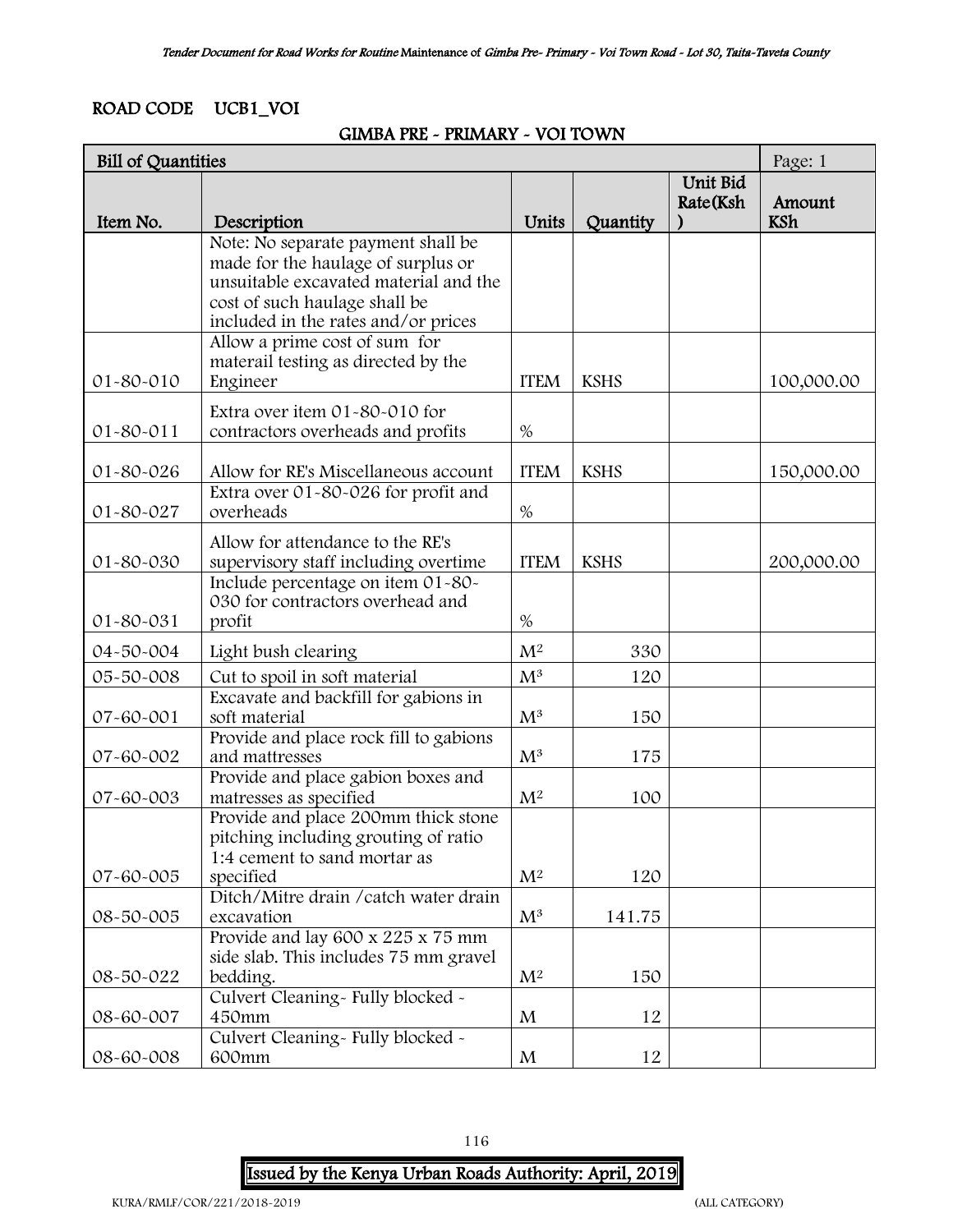## ROAD CODE UCB1\_VOI

### GIMBA PRE - PRIMARY - VOI TOWN

| Unit Bid<br>Rate(Ksh<br>Amount<br>Item No.<br>Units<br><b>KSh</b><br>Description<br>Quantity<br>Note: No separate payment shall be<br>made for the haulage of surplus or<br>unsuitable excavated material and the<br>cost of such haulage shall be<br>included in the rates and/or prices<br>Allow a prime cost of sum for<br>materail testing as directed by the<br>Engineer<br><b>KSHS</b><br>01-80-010<br><b>ITEM</b><br>100,000.00<br>Extra over item 01-80-010 for<br>01-80-011<br>contractors overheads and profits<br>$\%$<br>Allow for RE's Miscellaneous account<br><b>KSHS</b><br>01-80-026<br><b>ITEM</b><br>150,000.00<br>Extra over 01-80-026 for profit and<br>overheads<br>$\%$<br>01-80-027<br>Allow for attendance to the RE's<br>01-80-030<br>supervisory staff including overtime<br><b>ITEM</b><br><b>KSHS</b><br>200,000.00<br>Include percentage on item 01-80-<br>030 for contractors overhead and<br>profit<br>$\%$<br>01-80-031<br>M <sup>2</sup><br>330<br>04-50-004<br>Light bush clearing<br>$M^3$<br>Cut to spoil in soft material<br>05-50-008<br>120<br>Excavate and backfill for gabions in<br>soft material<br>07-60-001<br>$M^3$<br>150<br>Provide and place rock fill to gabions<br>$M^3$<br>07-60-002<br>and mattresses<br>175<br>Provide and place gabion boxes and<br>$M^2$<br>07-60-003<br>matresses as specified<br>100<br>Provide and place 200mm thick stone<br>pitching including grouting of ratio<br>1:4 cement to sand mortar as<br>07-60-005<br>M <sup>2</sup><br>120<br>specified<br>Ditch/Mitre drain / catch water drain<br>$\mathbf{M}^3$<br>08-50-005<br>excavation<br>141.75<br>Provide and lay 600 x 225 x 75 mm | <b>Bill of Quantities</b> |                                       |  |  |  | Page: 1 |
|------------------------------------------------------------------------------------------------------------------------------------------------------------------------------------------------------------------------------------------------------------------------------------------------------------------------------------------------------------------------------------------------------------------------------------------------------------------------------------------------------------------------------------------------------------------------------------------------------------------------------------------------------------------------------------------------------------------------------------------------------------------------------------------------------------------------------------------------------------------------------------------------------------------------------------------------------------------------------------------------------------------------------------------------------------------------------------------------------------------------------------------------------------------------------------------------------------------------------------------------------------------------------------------------------------------------------------------------------------------------------------------------------------------------------------------------------------------------------------------------------------------------------------------------------------------------------------------------------------------------------------------------------------------------|---------------------------|---------------------------------------|--|--|--|---------|
|                                                                                                                                                                                                                                                                                                                                                                                                                                                                                                                                                                                                                                                                                                                                                                                                                                                                                                                                                                                                                                                                                                                                                                                                                                                                                                                                                                                                                                                                                                                                                                                                                                                                        |                           |                                       |  |  |  |         |
|                                                                                                                                                                                                                                                                                                                                                                                                                                                                                                                                                                                                                                                                                                                                                                                                                                                                                                                                                                                                                                                                                                                                                                                                                                                                                                                                                                                                                                                                                                                                                                                                                                                                        |                           |                                       |  |  |  |         |
|                                                                                                                                                                                                                                                                                                                                                                                                                                                                                                                                                                                                                                                                                                                                                                                                                                                                                                                                                                                                                                                                                                                                                                                                                                                                                                                                                                                                                                                                                                                                                                                                                                                                        |                           |                                       |  |  |  |         |
|                                                                                                                                                                                                                                                                                                                                                                                                                                                                                                                                                                                                                                                                                                                                                                                                                                                                                                                                                                                                                                                                                                                                                                                                                                                                                                                                                                                                                                                                                                                                                                                                                                                                        |                           |                                       |  |  |  |         |
|                                                                                                                                                                                                                                                                                                                                                                                                                                                                                                                                                                                                                                                                                                                                                                                                                                                                                                                                                                                                                                                                                                                                                                                                                                                                                                                                                                                                                                                                                                                                                                                                                                                                        |                           |                                       |  |  |  |         |
|                                                                                                                                                                                                                                                                                                                                                                                                                                                                                                                                                                                                                                                                                                                                                                                                                                                                                                                                                                                                                                                                                                                                                                                                                                                                                                                                                                                                                                                                                                                                                                                                                                                                        |                           |                                       |  |  |  |         |
|                                                                                                                                                                                                                                                                                                                                                                                                                                                                                                                                                                                                                                                                                                                                                                                                                                                                                                                                                                                                                                                                                                                                                                                                                                                                                                                                                                                                                                                                                                                                                                                                                                                                        |                           |                                       |  |  |  |         |
|                                                                                                                                                                                                                                                                                                                                                                                                                                                                                                                                                                                                                                                                                                                                                                                                                                                                                                                                                                                                                                                                                                                                                                                                                                                                                                                                                                                                                                                                                                                                                                                                                                                                        |                           |                                       |  |  |  |         |
|                                                                                                                                                                                                                                                                                                                                                                                                                                                                                                                                                                                                                                                                                                                                                                                                                                                                                                                                                                                                                                                                                                                                                                                                                                                                                                                                                                                                                                                                                                                                                                                                                                                                        |                           |                                       |  |  |  |         |
|                                                                                                                                                                                                                                                                                                                                                                                                                                                                                                                                                                                                                                                                                                                                                                                                                                                                                                                                                                                                                                                                                                                                                                                                                                                                                                                                                                                                                                                                                                                                                                                                                                                                        |                           |                                       |  |  |  |         |
|                                                                                                                                                                                                                                                                                                                                                                                                                                                                                                                                                                                                                                                                                                                                                                                                                                                                                                                                                                                                                                                                                                                                                                                                                                                                                                                                                                                                                                                                                                                                                                                                                                                                        |                           |                                       |  |  |  |         |
|                                                                                                                                                                                                                                                                                                                                                                                                                                                                                                                                                                                                                                                                                                                                                                                                                                                                                                                                                                                                                                                                                                                                                                                                                                                                                                                                                                                                                                                                                                                                                                                                                                                                        |                           |                                       |  |  |  |         |
|                                                                                                                                                                                                                                                                                                                                                                                                                                                                                                                                                                                                                                                                                                                                                                                                                                                                                                                                                                                                                                                                                                                                                                                                                                                                                                                                                                                                                                                                                                                                                                                                                                                                        |                           |                                       |  |  |  |         |
|                                                                                                                                                                                                                                                                                                                                                                                                                                                                                                                                                                                                                                                                                                                                                                                                                                                                                                                                                                                                                                                                                                                                                                                                                                                                                                                                                                                                                                                                                                                                                                                                                                                                        |                           |                                       |  |  |  |         |
|                                                                                                                                                                                                                                                                                                                                                                                                                                                                                                                                                                                                                                                                                                                                                                                                                                                                                                                                                                                                                                                                                                                                                                                                                                                                                                                                                                                                                                                                                                                                                                                                                                                                        |                           |                                       |  |  |  |         |
|                                                                                                                                                                                                                                                                                                                                                                                                                                                                                                                                                                                                                                                                                                                                                                                                                                                                                                                                                                                                                                                                                                                                                                                                                                                                                                                                                                                                                                                                                                                                                                                                                                                                        |                           |                                       |  |  |  |         |
|                                                                                                                                                                                                                                                                                                                                                                                                                                                                                                                                                                                                                                                                                                                                                                                                                                                                                                                                                                                                                                                                                                                                                                                                                                                                                                                                                                                                                                                                                                                                                                                                                                                                        |                           |                                       |  |  |  |         |
|                                                                                                                                                                                                                                                                                                                                                                                                                                                                                                                                                                                                                                                                                                                                                                                                                                                                                                                                                                                                                                                                                                                                                                                                                                                                                                                                                                                                                                                                                                                                                                                                                                                                        |                           |                                       |  |  |  |         |
|                                                                                                                                                                                                                                                                                                                                                                                                                                                                                                                                                                                                                                                                                                                                                                                                                                                                                                                                                                                                                                                                                                                                                                                                                                                                                                                                                                                                                                                                                                                                                                                                                                                                        |                           |                                       |  |  |  |         |
|                                                                                                                                                                                                                                                                                                                                                                                                                                                                                                                                                                                                                                                                                                                                                                                                                                                                                                                                                                                                                                                                                                                                                                                                                                                                                                                                                                                                                                                                                                                                                                                                                                                                        |                           |                                       |  |  |  |         |
|                                                                                                                                                                                                                                                                                                                                                                                                                                                                                                                                                                                                                                                                                                                                                                                                                                                                                                                                                                                                                                                                                                                                                                                                                                                                                                                                                                                                                                                                                                                                                                                                                                                                        |                           |                                       |  |  |  |         |
|                                                                                                                                                                                                                                                                                                                                                                                                                                                                                                                                                                                                                                                                                                                                                                                                                                                                                                                                                                                                                                                                                                                                                                                                                                                                                                                                                                                                                                                                                                                                                                                                                                                                        |                           |                                       |  |  |  |         |
|                                                                                                                                                                                                                                                                                                                                                                                                                                                                                                                                                                                                                                                                                                                                                                                                                                                                                                                                                                                                                                                                                                                                                                                                                                                                                                                                                                                                                                                                                                                                                                                                                                                                        |                           |                                       |  |  |  |         |
|                                                                                                                                                                                                                                                                                                                                                                                                                                                                                                                                                                                                                                                                                                                                                                                                                                                                                                                                                                                                                                                                                                                                                                                                                                                                                                                                                                                                                                                                                                                                                                                                                                                                        |                           |                                       |  |  |  |         |
|                                                                                                                                                                                                                                                                                                                                                                                                                                                                                                                                                                                                                                                                                                                                                                                                                                                                                                                                                                                                                                                                                                                                                                                                                                                                                                                                                                                                                                                                                                                                                                                                                                                                        |                           |                                       |  |  |  |         |
|                                                                                                                                                                                                                                                                                                                                                                                                                                                                                                                                                                                                                                                                                                                                                                                                                                                                                                                                                                                                                                                                                                                                                                                                                                                                                                                                                                                                                                                                                                                                                                                                                                                                        |                           |                                       |  |  |  |         |
|                                                                                                                                                                                                                                                                                                                                                                                                                                                                                                                                                                                                                                                                                                                                                                                                                                                                                                                                                                                                                                                                                                                                                                                                                                                                                                                                                                                                                                                                                                                                                                                                                                                                        |                           |                                       |  |  |  |         |
|                                                                                                                                                                                                                                                                                                                                                                                                                                                                                                                                                                                                                                                                                                                                                                                                                                                                                                                                                                                                                                                                                                                                                                                                                                                                                                                                                                                                                                                                                                                                                                                                                                                                        |                           |                                       |  |  |  |         |
|                                                                                                                                                                                                                                                                                                                                                                                                                                                                                                                                                                                                                                                                                                                                                                                                                                                                                                                                                                                                                                                                                                                                                                                                                                                                                                                                                                                                                                                                                                                                                                                                                                                                        |                           |                                       |  |  |  |         |
|                                                                                                                                                                                                                                                                                                                                                                                                                                                                                                                                                                                                                                                                                                                                                                                                                                                                                                                                                                                                                                                                                                                                                                                                                                                                                                                                                                                                                                                                                                                                                                                                                                                                        |                           |                                       |  |  |  |         |
|                                                                                                                                                                                                                                                                                                                                                                                                                                                                                                                                                                                                                                                                                                                                                                                                                                                                                                                                                                                                                                                                                                                                                                                                                                                                                                                                                                                                                                                                                                                                                                                                                                                                        |                           |                                       |  |  |  |         |
|                                                                                                                                                                                                                                                                                                                                                                                                                                                                                                                                                                                                                                                                                                                                                                                                                                                                                                                                                                                                                                                                                                                                                                                                                                                                                                                                                                                                                                                                                                                                                                                                                                                                        |                           |                                       |  |  |  |         |
|                                                                                                                                                                                                                                                                                                                                                                                                                                                                                                                                                                                                                                                                                                                                                                                                                                                                                                                                                                                                                                                                                                                                                                                                                                                                                                                                                                                                                                                                                                                                                                                                                                                                        |                           |                                       |  |  |  |         |
|                                                                                                                                                                                                                                                                                                                                                                                                                                                                                                                                                                                                                                                                                                                                                                                                                                                                                                                                                                                                                                                                                                                                                                                                                                                                                                                                                                                                                                                                                                                                                                                                                                                                        |                           |                                       |  |  |  |         |
|                                                                                                                                                                                                                                                                                                                                                                                                                                                                                                                                                                                                                                                                                                                                                                                                                                                                                                                                                                                                                                                                                                                                                                                                                                                                                                                                                                                                                                                                                                                                                                                                                                                                        |                           |                                       |  |  |  |         |
|                                                                                                                                                                                                                                                                                                                                                                                                                                                                                                                                                                                                                                                                                                                                                                                                                                                                                                                                                                                                                                                                                                                                                                                                                                                                                                                                                                                                                                                                                                                                                                                                                                                                        |                           | side slab. This includes 75 mm gravel |  |  |  |         |
| 08-50-022<br>M <sup>2</sup><br>bedding.<br>150                                                                                                                                                                                                                                                                                                                                                                                                                                                                                                                                                                                                                                                                                                                                                                                                                                                                                                                                                                                                                                                                                                                                                                                                                                                                                                                                                                                                                                                                                                                                                                                                                         |                           |                                       |  |  |  |         |
| Culvert Cleaning- Fully blocked -                                                                                                                                                                                                                                                                                                                                                                                                                                                                                                                                                                                                                                                                                                                                                                                                                                                                                                                                                                                                                                                                                                                                                                                                                                                                                                                                                                                                                                                                                                                                                                                                                                      |                           |                                       |  |  |  |         |
| 08-60-007<br>450mm<br>M<br>12                                                                                                                                                                                                                                                                                                                                                                                                                                                                                                                                                                                                                                                                                                                                                                                                                                                                                                                                                                                                                                                                                                                                                                                                                                                                                                                                                                                                                                                                                                                                                                                                                                          |                           |                                       |  |  |  |         |
| Culvert Cleaning- Fully blocked -                                                                                                                                                                                                                                                                                                                                                                                                                                                                                                                                                                                                                                                                                                                                                                                                                                                                                                                                                                                                                                                                                                                                                                                                                                                                                                                                                                                                                                                                                                                                                                                                                                      |                           |                                       |  |  |  |         |
| 08-60-008<br>12<br>600mm<br>M                                                                                                                                                                                                                                                                                                                                                                                                                                                                                                                                                                                                                                                                                                                                                                                                                                                                                                                                                                                                                                                                                                                                                                                                                                                                                                                                                                                                                                                                                                                                                                                                                                          |                           |                                       |  |  |  |         |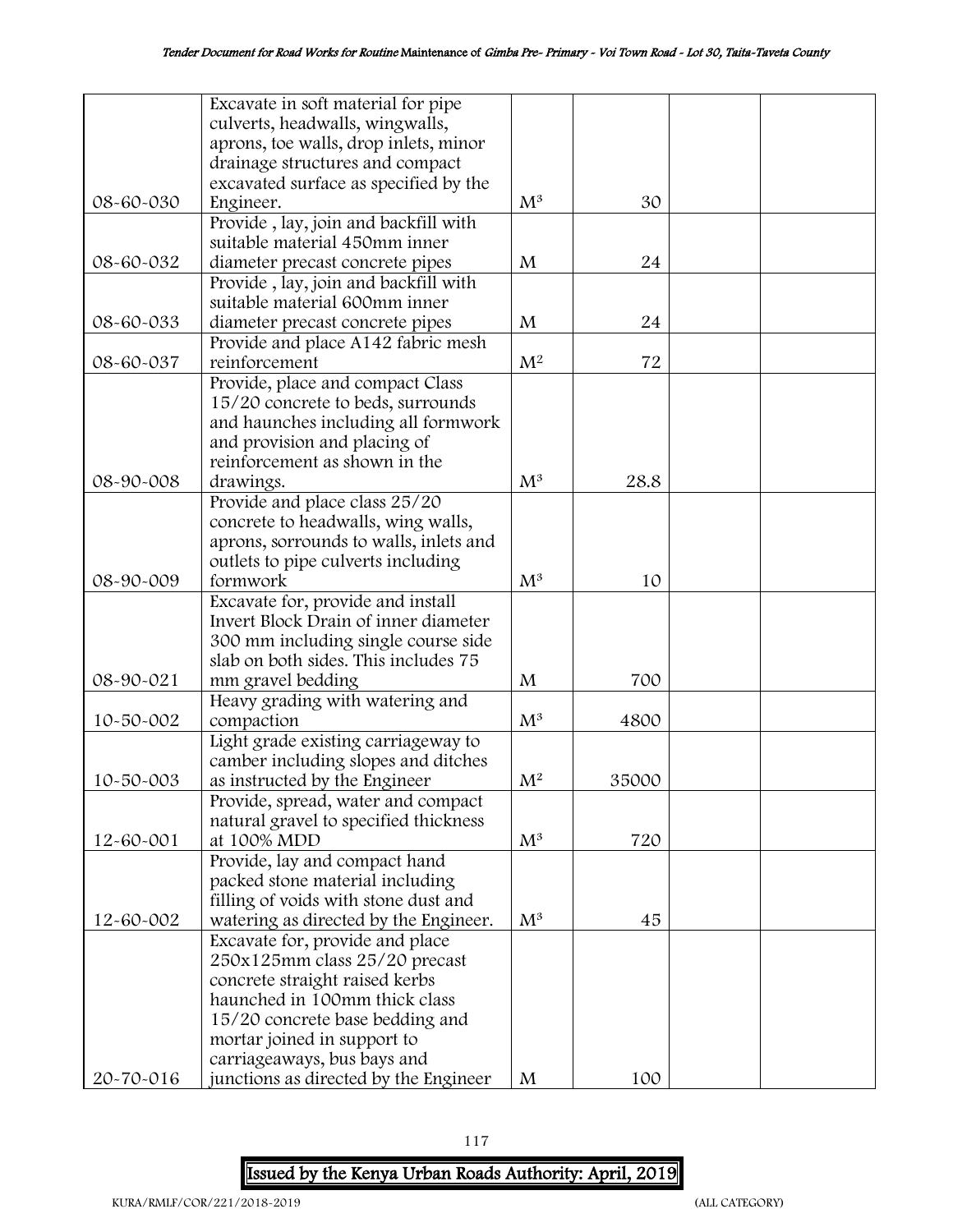|           | Excavate in soft material for pipe     |                |       |  |
|-----------|----------------------------------------|----------------|-------|--|
|           | culverts, headwalls, wingwalls,        |                |       |  |
|           | aprons, toe walls, drop inlets, minor  |                |       |  |
|           | drainage structures and compact        |                |       |  |
|           | excavated surface as specified by the  |                |       |  |
| 08-60-030 | Engineer.                              | $M^3$          | 30    |  |
|           | Provide, lay, join and backfill with   |                |       |  |
|           | suitable material 450mm inner          |                |       |  |
| 08-60-032 | diameter precast concrete pipes        | M              | 24    |  |
|           | Provide, lay, join and backfill with   |                |       |  |
|           | suitable material 600mm inner          |                |       |  |
| 08-60-033 | diameter precast concrete pipes        | $\mathbf{M}$   | 24    |  |
|           | Provide and place A142 fabric mesh     |                |       |  |
| 08-60-037 | reinforcement                          | $\mathbf{M}^2$ | 72    |  |
|           |                                        |                |       |  |
|           | Provide, place and compact Class       |                |       |  |
|           | 15/20 concrete to beds, surrounds      |                |       |  |
|           | and haunches including all formwork    |                |       |  |
|           | and provision and placing of           |                |       |  |
|           | reinforcement as shown in the          |                |       |  |
| 08-90-008 | drawings.                              | $M^3$          | 28.8  |  |
|           | Provide and place class 25/20          |                |       |  |
|           | concrete to headwalls, wing walls,     |                |       |  |
|           | aprons, sorrounds to walls, inlets and |                |       |  |
|           | outlets to pipe culverts including     |                |       |  |
| 08-90-009 | formwork                               | $M^3$          | 10    |  |
|           | Excavate for, provide and install      |                |       |  |
|           | Invert Block Drain of inner diameter   |                |       |  |
|           | 300 mm including single course side    |                |       |  |
|           | slab on both sides. This includes 75   |                |       |  |
| 08-90-021 | mm gravel bedding                      | M              | 700   |  |
|           | Heavy grading with watering and        |                |       |  |
| 10-50-002 | compaction                             | $M^3$          | 4800  |  |
|           | Light grade existing carriageway to    |                |       |  |
|           | camber including slopes and ditches    |                |       |  |
| 10-50-003 | as instructed by the Engineer          | M <sup>2</sup> | 35000 |  |
|           | Provide, spread, water and compact     |                |       |  |
|           | natural gravel to specified thickness  |                |       |  |
| 12-60-001 | at 100% MDD                            | $M^3$          | 720   |  |
|           | Provide, lay and compact hand          |                |       |  |
|           | packed stone material including        |                |       |  |
|           | filling of voids with stone dust and   |                |       |  |
| 12-60-002 | watering as directed by the Engineer.  | $M^3$          | 45    |  |
|           |                                        |                |       |  |
|           | Excavate for, provide and place        |                |       |  |
|           | 250x125mm class 25/20 precast          |                |       |  |
|           | concrete straight raised kerbs         |                |       |  |
|           | haunched in 100mm thick class          |                |       |  |
|           | 15/20 concrete base bedding and        |                |       |  |
|           | mortar joined in support to            |                |       |  |
|           | carriageaways, bus bays and            |                |       |  |
| 20-70-016 | junctions as directed by the Engineer  | M              | 100   |  |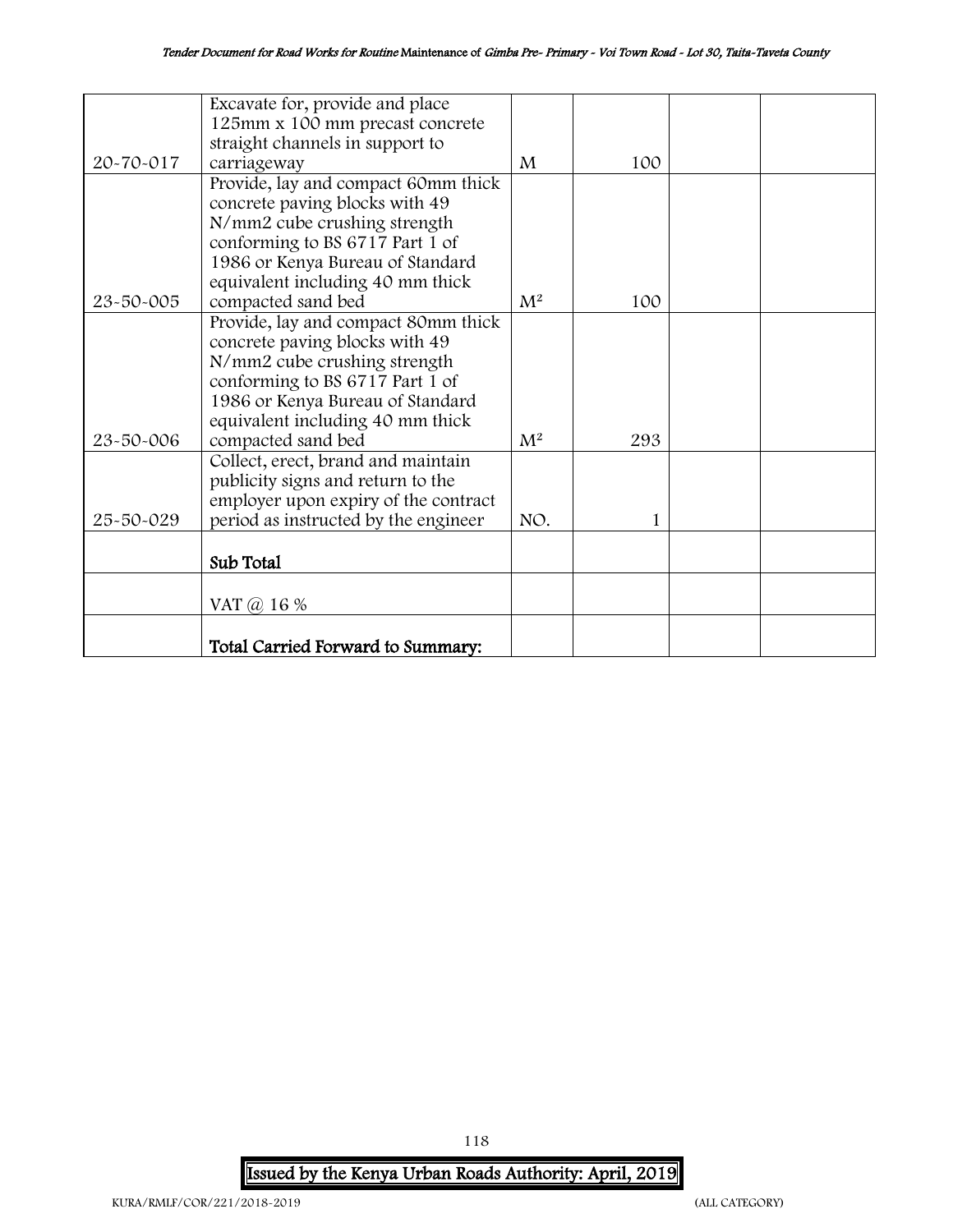|           | Excavate for, provide and place      |                |              |  |
|-----------|--------------------------------------|----------------|--------------|--|
|           | 125mm x 100 mm precast concrete      |                |              |  |
|           | straight channels in support to      |                |              |  |
| 20-70-017 | carriageway                          | M              | 100          |  |
|           | Provide, lay and compact 60mm thick  |                |              |  |
|           | concrete paving blocks with 49       |                |              |  |
|           | N/mm2 cube crushing strength         |                |              |  |
|           | conforming to BS 6717 Part 1 of      |                |              |  |
|           | 1986 or Kenya Bureau of Standard     |                |              |  |
|           | equivalent including 40 mm thick     |                |              |  |
| 23-50-005 | compacted sand bed                   | $\mathrm{M}^2$ | 100          |  |
|           | Provide, lay and compact 80mm thick  |                |              |  |
|           | concrete paving blocks with 49       |                |              |  |
|           | N/mm2 cube crushing strength         |                |              |  |
|           | conforming to BS 6717 Part 1 of      |                |              |  |
|           | 1986 or Kenya Bureau of Standard     |                |              |  |
|           | equivalent including 40 mm thick     |                |              |  |
| 23-50-006 | compacted sand bed                   | $M^2$          | 293          |  |
|           | Collect, erect, brand and maintain   |                |              |  |
|           | publicity signs and return to the    |                |              |  |
|           | employer upon expiry of the contract |                |              |  |
| 25-50-029 | period as instructed by the engineer | NO.            | $\mathbf{1}$ |  |
|           |                                      |                |              |  |
|           | Sub Total                            |                |              |  |
|           |                                      |                |              |  |
|           | VAT $\omega$ 16 %                    |                |              |  |
|           |                                      |                |              |  |
|           | Total Carried Forward to Summary:    |                |              |  |

118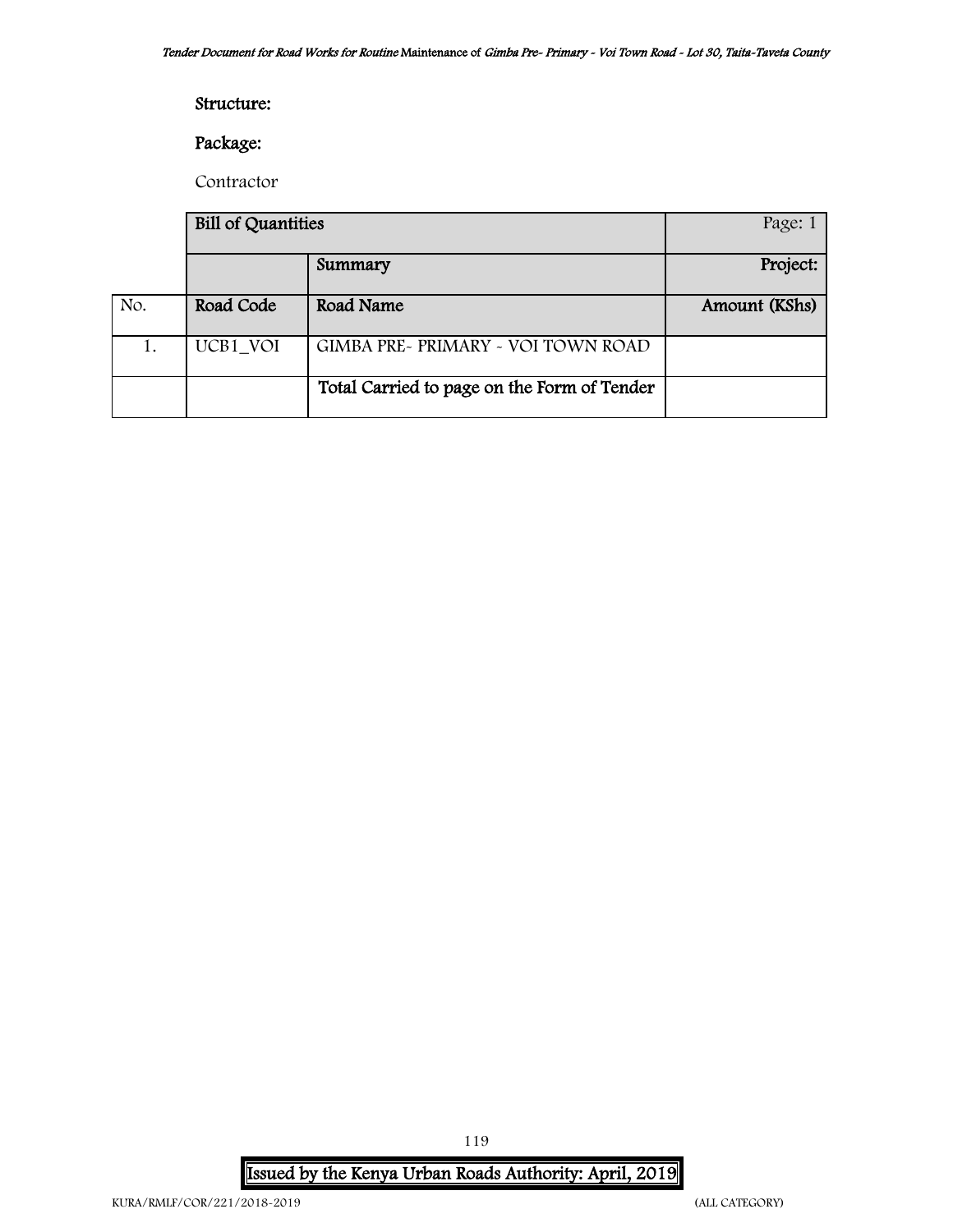### Structure:

# Package:

Contractor

|     | <b>Bill of Quantities</b> | Page: 1                                     |               |
|-----|---------------------------|---------------------------------------------|---------------|
|     |                           | Summary                                     | Project:      |
| No. | Road Code                 | Road Name                                   | Amount (KShs) |
|     | UCB1 VOI                  | GIMBA PRE~ PRIMARY ~ VOI TOWN ROAD          |               |
|     |                           | Total Carried to page on the Form of Tender |               |

Issued by the Kenya Urban Roads Authority: April, 2019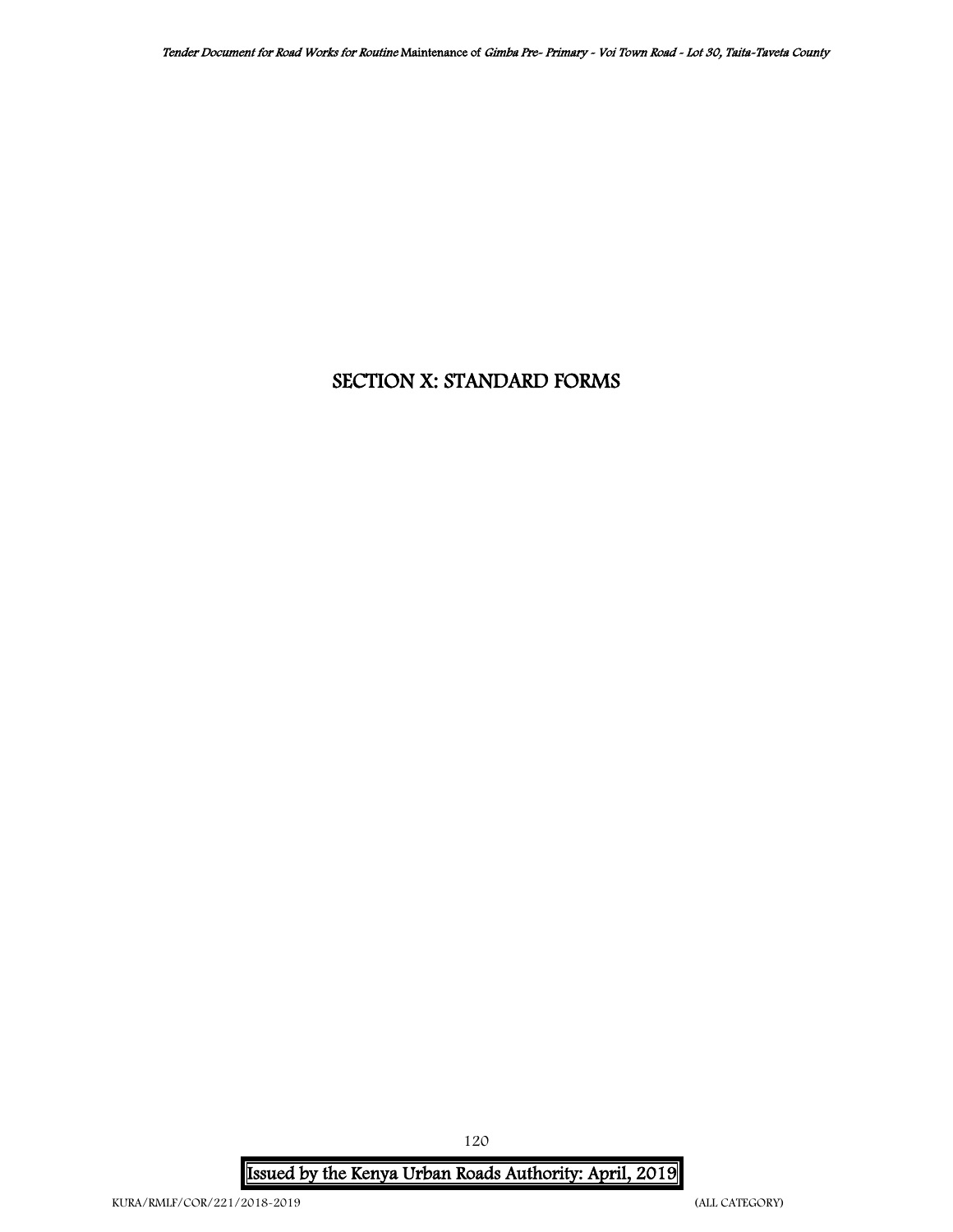# SECTION X: STANDARD FORMS

Issued by the Kenya Urban Roads Authority: April, 2019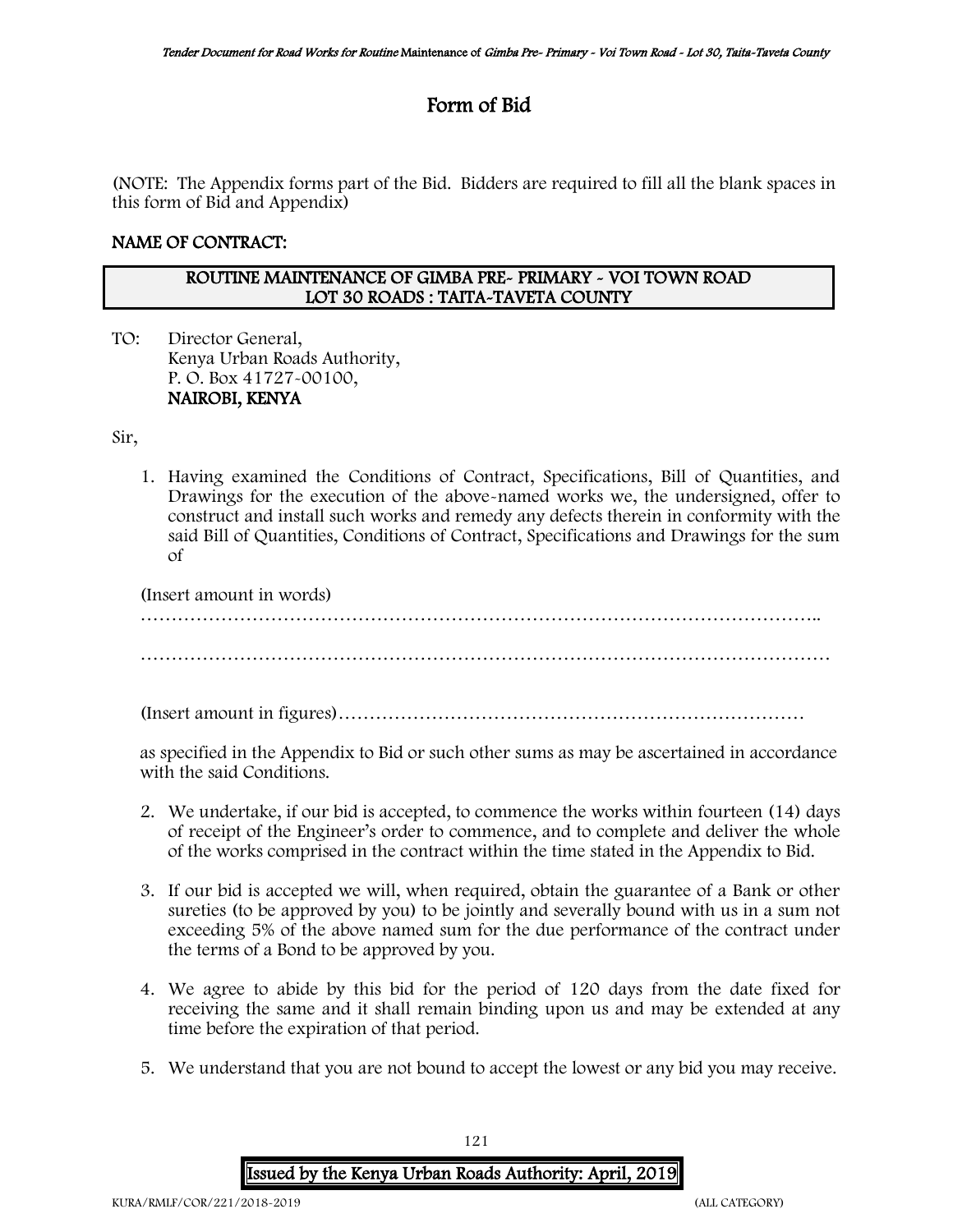# Form of Bid

(NOTE: The Appendix forms part of the Bid. Bidders are required to fill all the blank spaces in this form of Bid and Appendix)

### NAME OF CONTRACT:

### ROUTINE MAINTENANCE OF GIMBA PRE- PRIMARY - VOI TOWN ROAD LOT 30 ROADS : TAITA-TAVETA COUNTY

TO: Director General, Kenya Urban Roads Authority, P. O. Box 41727-00100, NAIROBI, KENYA

Sir,

1. Having examined the Conditions of Contract, Specifications, Bill of Quantities, and Drawings for the execution of the above-named works we, the undersigned, offer to construct and install such works and remedy any defects therein in conformity with the said Bill of Quantities, Conditions of Contract, Specifications and Drawings for the sum of

(Insert amount in words)

……………………………………………………………………………………………….. …………………………………………………………………………………………………

(Insert amount in figures)…………………………………………………………………

as specified in the Appendix to Bid or such other sums as may be ascertained in accordance with the said Conditions.

- 2. We undertake, if our bid is accepted, to commence the works within fourteen (14) days of receipt of the Engineer's order to commence, and to complete and deliver the whole of the works comprised in the contract within the time stated in the Appendix to Bid.
- 3. If our bid is accepted we will, when required, obtain the guarantee of a Bank or other sureties (to be approved by you) to be jointly and severally bound with us in a sum not exceeding 5% of the above named sum for the due performance of the contract under the terms of a Bond to be approved by you.
- 4. We agree to abide by this bid for the period of 120 days from the date fixed for receiving the same and it shall remain binding upon us and may be extended at any time before the expiration of that period.
- 5. We understand that you are not bound to accept the lowest or any bid you may receive.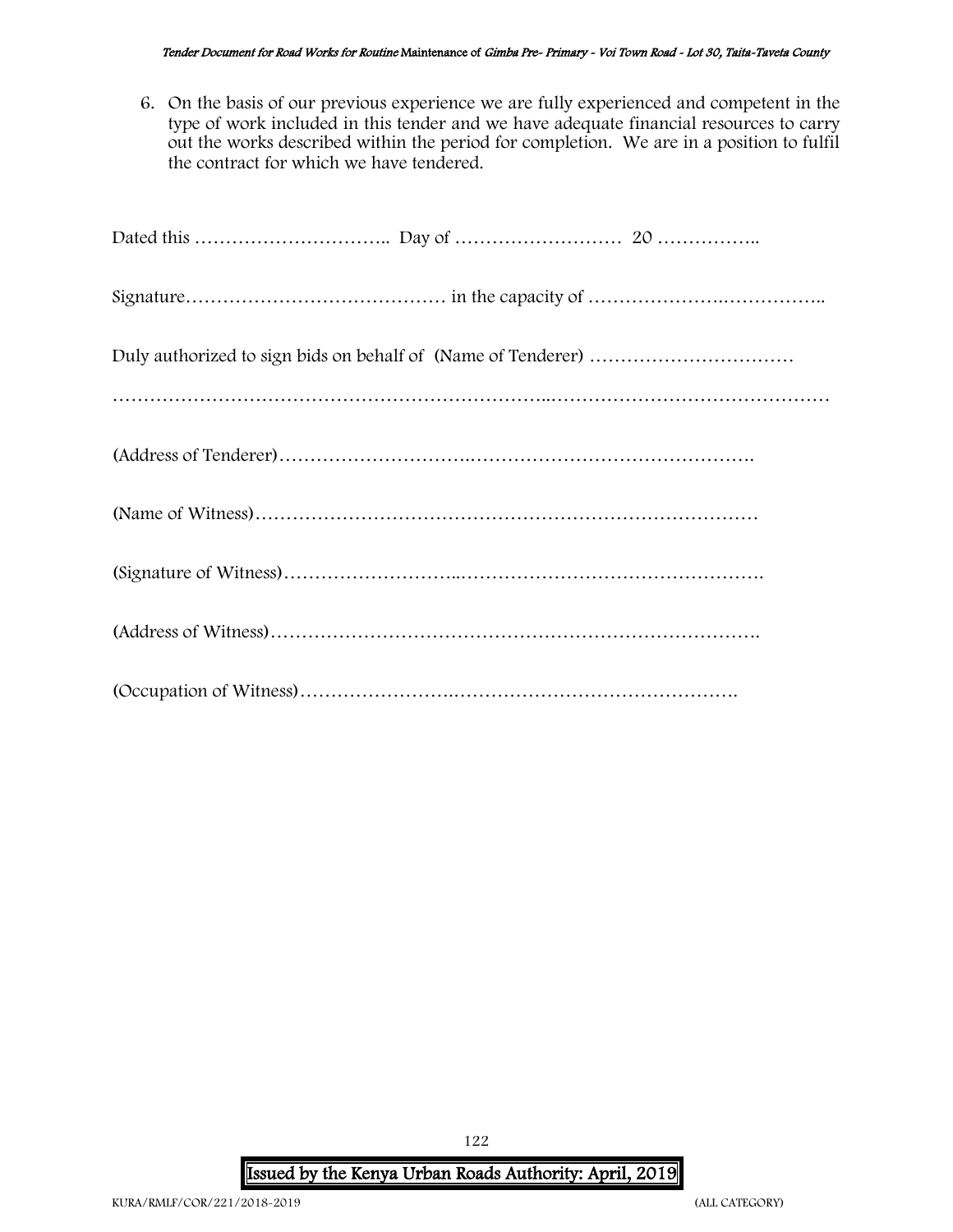6. On the basis of our previous experience we are fully experienced and competent in the type of work included in this tender and we have adequate financial resources to carry out the works described within the period for completion. We are in a position to fulfil the contract for which we have tendered.

# Issued by the Kenya Urban Roads Authority: April, 2019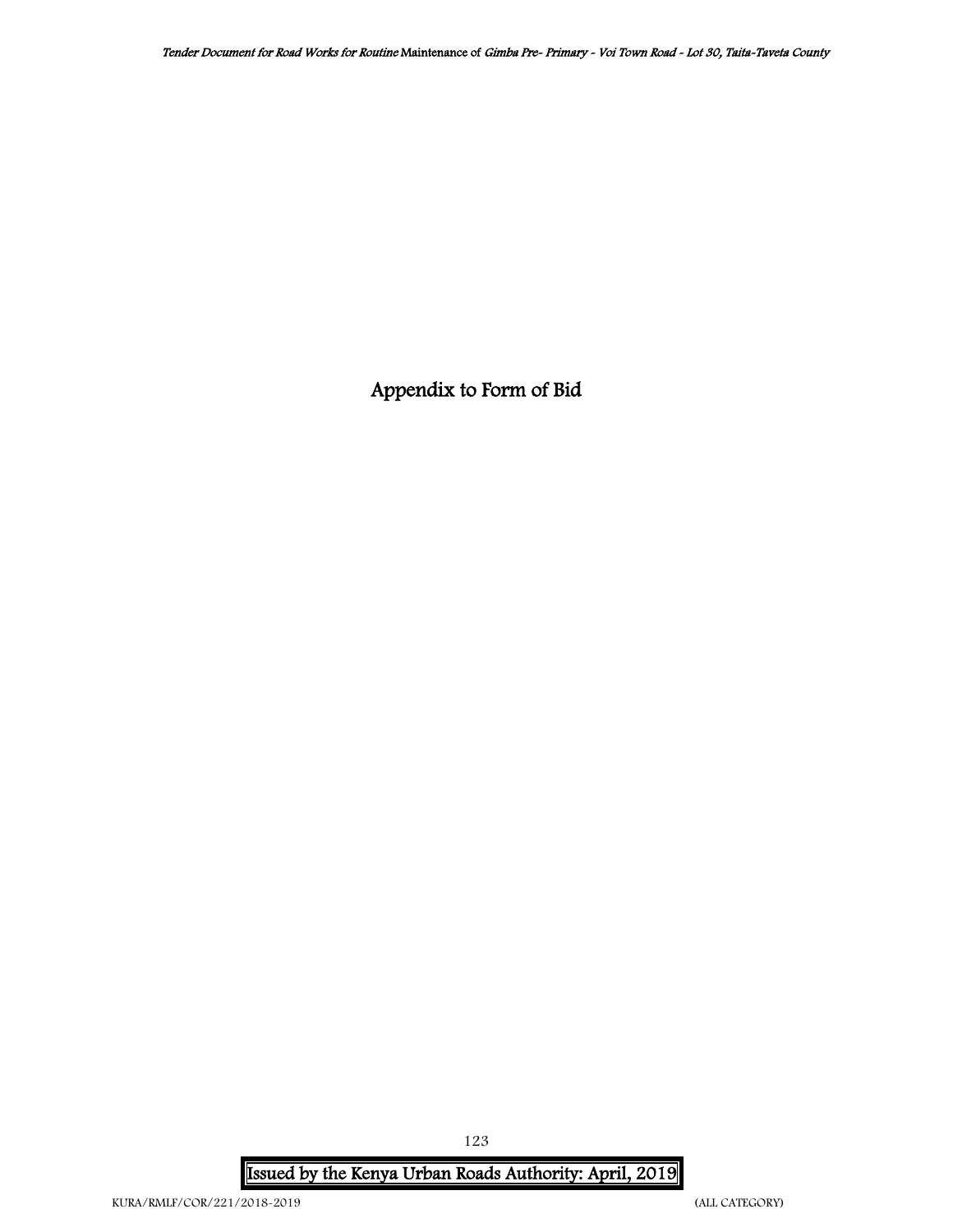Appendix to Form of Bid

Issued by the Kenya Urban Roads Authority: April, 2019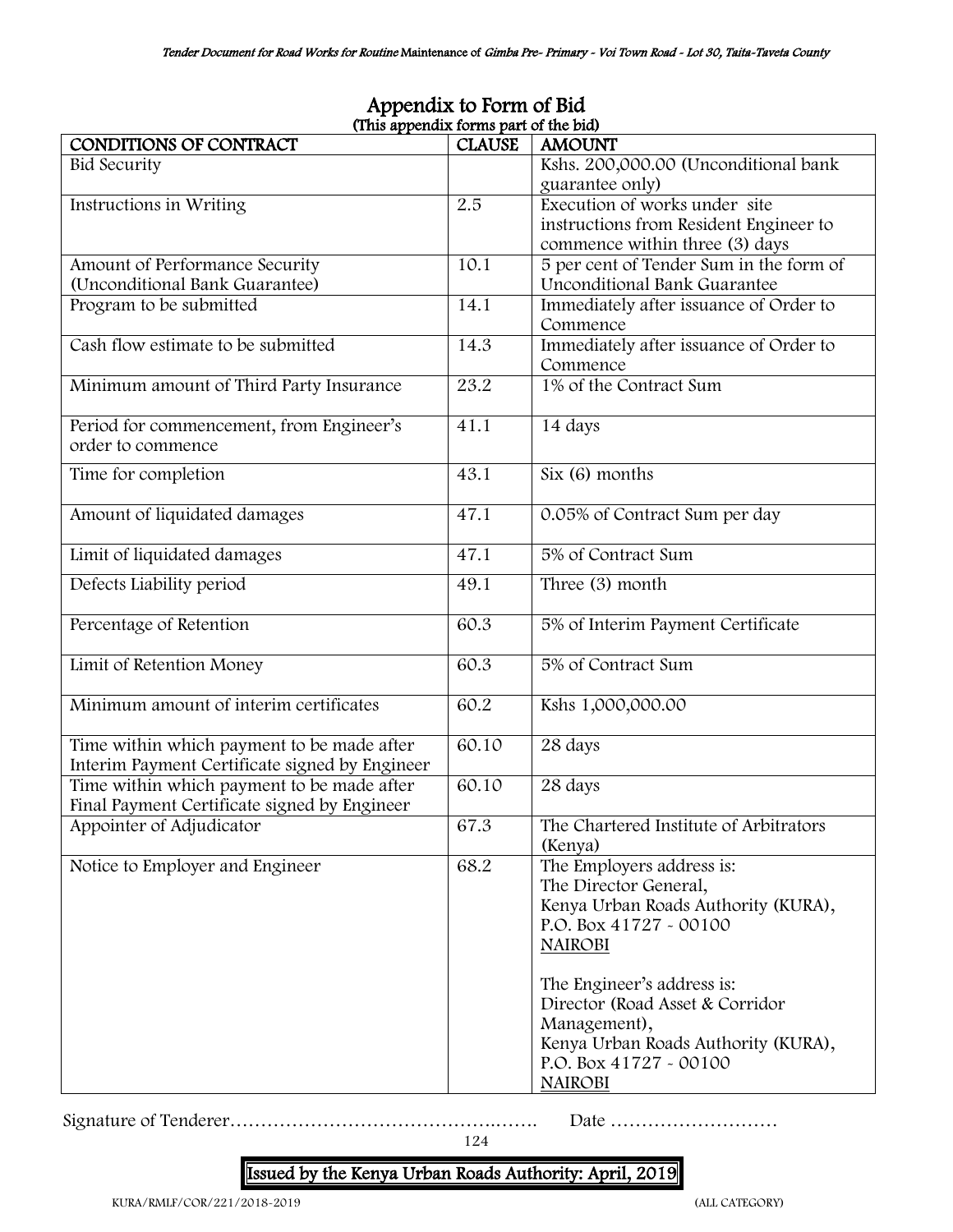| (This appendix forms part of the bid)                                                        |               |                                                                                                                                                                                                                                                                                                           |  |  |  |  |
|----------------------------------------------------------------------------------------------|---------------|-----------------------------------------------------------------------------------------------------------------------------------------------------------------------------------------------------------------------------------------------------------------------------------------------------------|--|--|--|--|
| CONDITIONS OF CONTRACT                                                                       | <b>CLAUSE</b> | <b>AMOUNT</b>                                                                                                                                                                                                                                                                                             |  |  |  |  |
| <b>Bid Security</b>                                                                          |               | Kshs. 200,000.00 (Unconditional bank<br>guarantee only)                                                                                                                                                                                                                                                   |  |  |  |  |
| Instructions in Writing                                                                      | 2.5           | Execution of works under site<br>instructions from Resident Engineer to<br>commence within three (3) days                                                                                                                                                                                                 |  |  |  |  |
| Amount of Performance Security<br>(Unconditional Bank Guarantee)                             | 10.1          | 5 per cent of Tender Sum in the form of<br>Unconditional Bank Guarantee                                                                                                                                                                                                                                   |  |  |  |  |
| Program to be submitted                                                                      | 14.1          | Immediately after issuance of Order to<br>Commence                                                                                                                                                                                                                                                        |  |  |  |  |
| Cash flow estimate to be submitted                                                           | 14.3          | Immediately after issuance of Order to<br>Commence                                                                                                                                                                                                                                                        |  |  |  |  |
| Minimum amount of Third Party Insurance                                                      | 23.2          | 1% of the Contract Sum                                                                                                                                                                                                                                                                                    |  |  |  |  |
| Period for commencement, from Engineer's<br>order to commence                                | 41.1          | 14 days                                                                                                                                                                                                                                                                                                   |  |  |  |  |
| Time for completion                                                                          | 43.1          | $Six (6)$ months                                                                                                                                                                                                                                                                                          |  |  |  |  |
| Amount of liquidated damages                                                                 | 47.1          | 0.05% of Contract Sum per day                                                                                                                                                                                                                                                                             |  |  |  |  |
| Limit of liquidated damages                                                                  | 47.1          | 5% of Contract Sum                                                                                                                                                                                                                                                                                        |  |  |  |  |
| Defects Liability period                                                                     | 49.1          | Three (3) month                                                                                                                                                                                                                                                                                           |  |  |  |  |
| Percentage of Retention                                                                      | 60.3          | 5% of Interim Payment Certificate                                                                                                                                                                                                                                                                         |  |  |  |  |
| Limit of Retention Money                                                                     | 60.3          | 5% of Contract Sum                                                                                                                                                                                                                                                                                        |  |  |  |  |
| Minimum amount of interim certificates                                                       | 60.2          | Kshs 1,000,000.00                                                                                                                                                                                                                                                                                         |  |  |  |  |
| Time within which payment to be made after<br>Interim Payment Certificate signed by Engineer | 60.10         | 28 days                                                                                                                                                                                                                                                                                                   |  |  |  |  |
| Time within which payment to be made after<br>Final Payment Certificate signed by Engineer   | 60.10         | 28 days                                                                                                                                                                                                                                                                                                   |  |  |  |  |
| Appointer of Adjudicator                                                                     | 67.3          | The Chartered Institute of Arbitrators<br>(Kenya)                                                                                                                                                                                                                                                         |  |  |  |  |
| Notice to Employer and Engineer                                                              | 68.2          | The Employers address is:<br>The Director General,<br>Kenya Urban Roads Authority (KURA),<br>P.O. Box 41727 - 00100<br><b>NAIROBI</b><br>The Engineer's address is:<br>Director (Road Asset & Corridor<br>Management),<br>Kenya Urban Roads Authority (KURA),<br>P.O. Box 41727 - 00100<br><b>NAIROBI</b> |  |  |  |  |

# Appendix to Form of Bid

Signature of Tenderer…………………………………….……. Date ………………………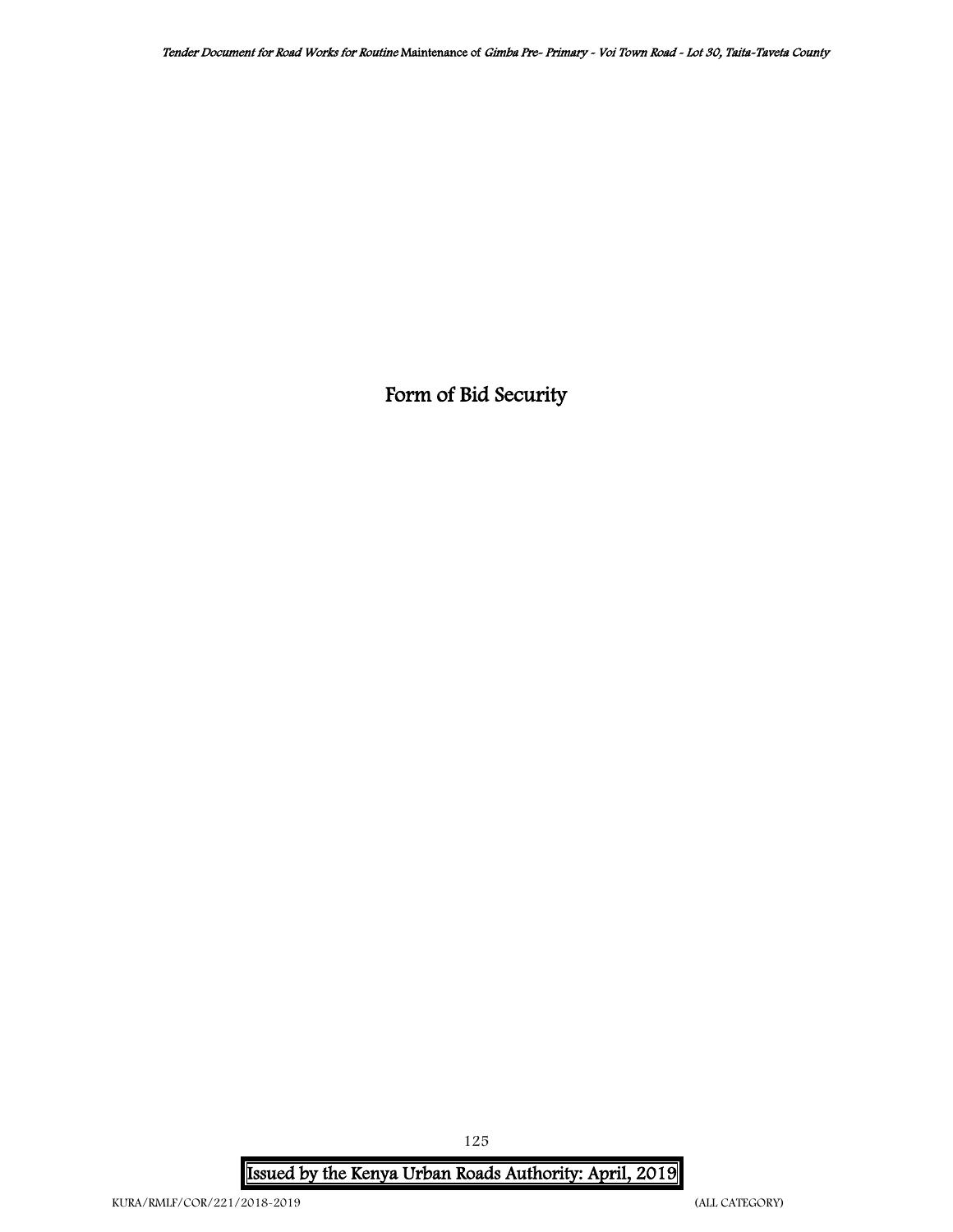Form of Bid Security

Issued by the Kenya Urban Roads Authority: April, 2019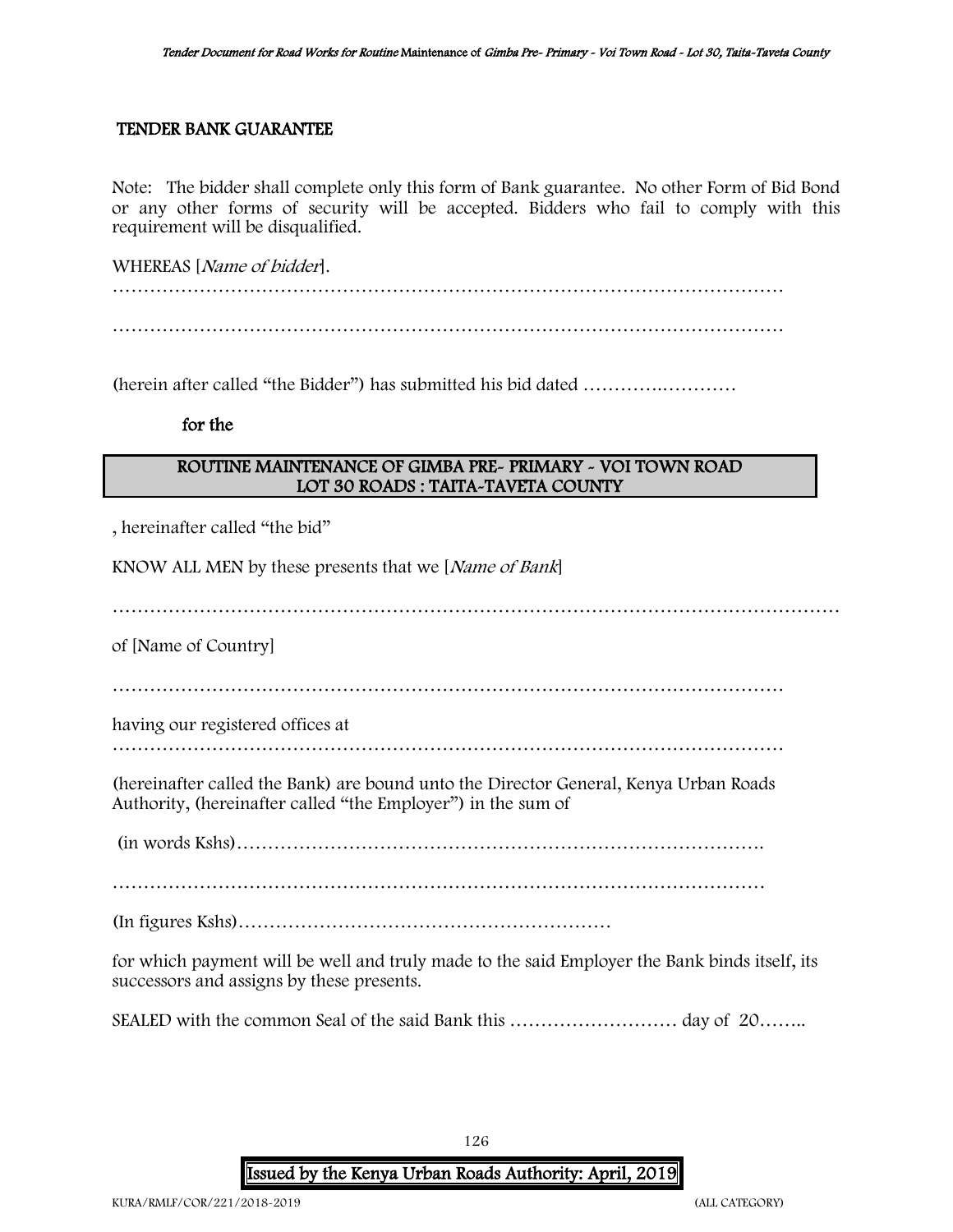### TENDER BANK GUARANTEE

Note: The bidder shall complete only this form of Bank guarantee. No other Form of Bid Bond or any other forms of security will be accepted. Bidders who fail to comply with this requirement will be disqualified.

WHEREAS [Name of bidder]. ……………………………………………………………………………………………… ………………………………………………………………………………………………

(herein after called "the Bidder") has submitted his bid dated ………….…………

### for the

### ROUTINE MAINTENANCE OF GIMBA PRE- PRIMARY - VOI TOWN ROAD LOT 30 ROADS : TAITA-TAVETA COUNTY

, hereinafter called "the bid"

KNOW ALL MEN by these presents that we [Name of Bank]

………………………………………………………………………………………………………

of [Name of Country]

………………………………………………………………………………………………

having our registered offices at

………………………………………………………………………………………………

(hereinafter called the Bank) are bound unto the Director General, Kenya Urban Roads Authority, (hereinafter called "the Employer") in the sum of

(in words Kshs)………………………………………………………………………….

……………………………………………………………………………………………

(In figures Kshs)……………………………………………………

for which payment will be well and truly made to the said Employer the Bank binds itself, its successors and assigns by these presents.

SEALED with the common Seal of the said Bank this ……………………… day of 20……..

126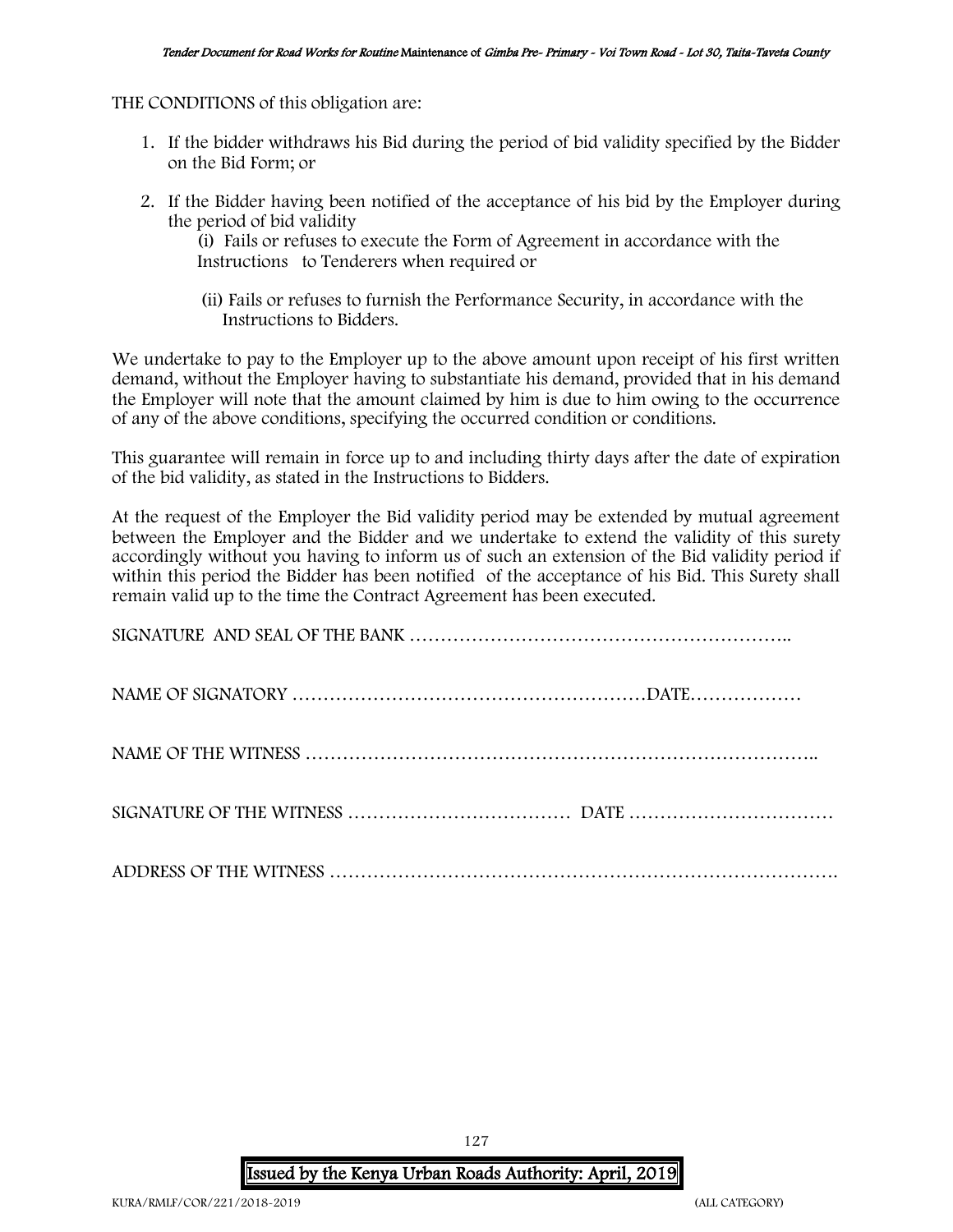THE CONDITIONS of this obligation are:

- 1. If the bidder withdraws his Bid during the period of bid validity specified by the Bidder on the Bid Form; or
- 2. If the Bidder having been notified of the acceptance of his bid by the Employer during the period of bid validity

(i) Fails or refuses to execute the Form of Agreement in accordance with the Instructions to Tenderers when required or

 (ii) Fails or refuses to furnish the Performance Security, in accordance with the Instructions to Bidders.

We undertake to pay to the Employer up to the above amount upon receipt of his first written demand, without the Employer having to substantiate his demand, provided that in his demand the Employer will note that the amount claimed by him is due to him owing to the occurrence of any of the above conditions, specifying the occurred condition or conditions.

This guarantee will remain in force up to and including thirty days after the date of expiration of the bid validity, as stated in the Instructions to Bidders.

At the request of the Employer the Bid validity period may be extended by mutual agreement between the Employer and the Bidder and we undertake to extend the validity of this surety accordingly without you having to inform us of such an extension of the Bid validity period if within this period the Bidder has been notified of the acceptance of his Bid. This Surety shall remain valid up to the time the Contract Agreement has been executed.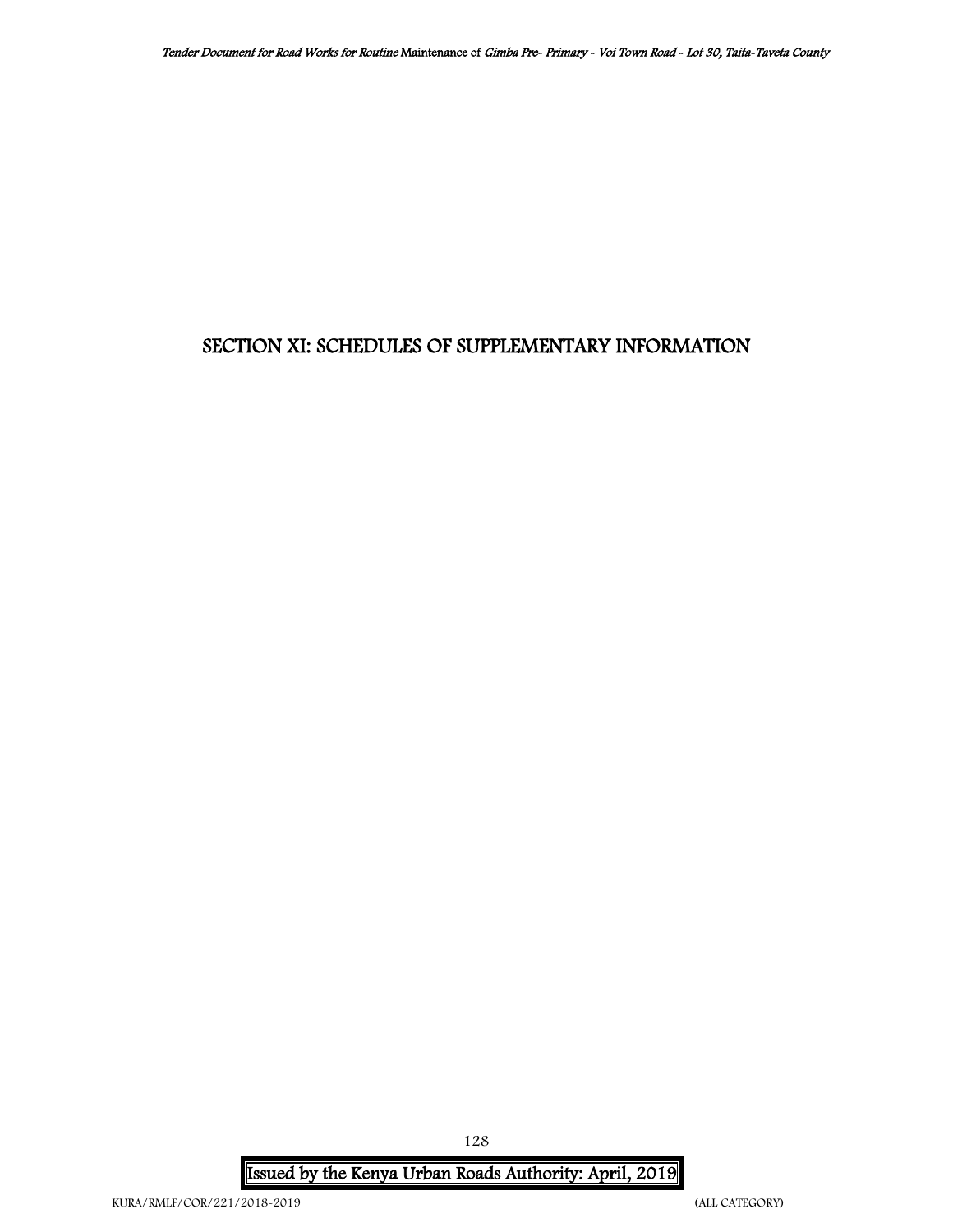# SECTION XI: SCHEDULES OF SUPPLEMENTARY INFORMATION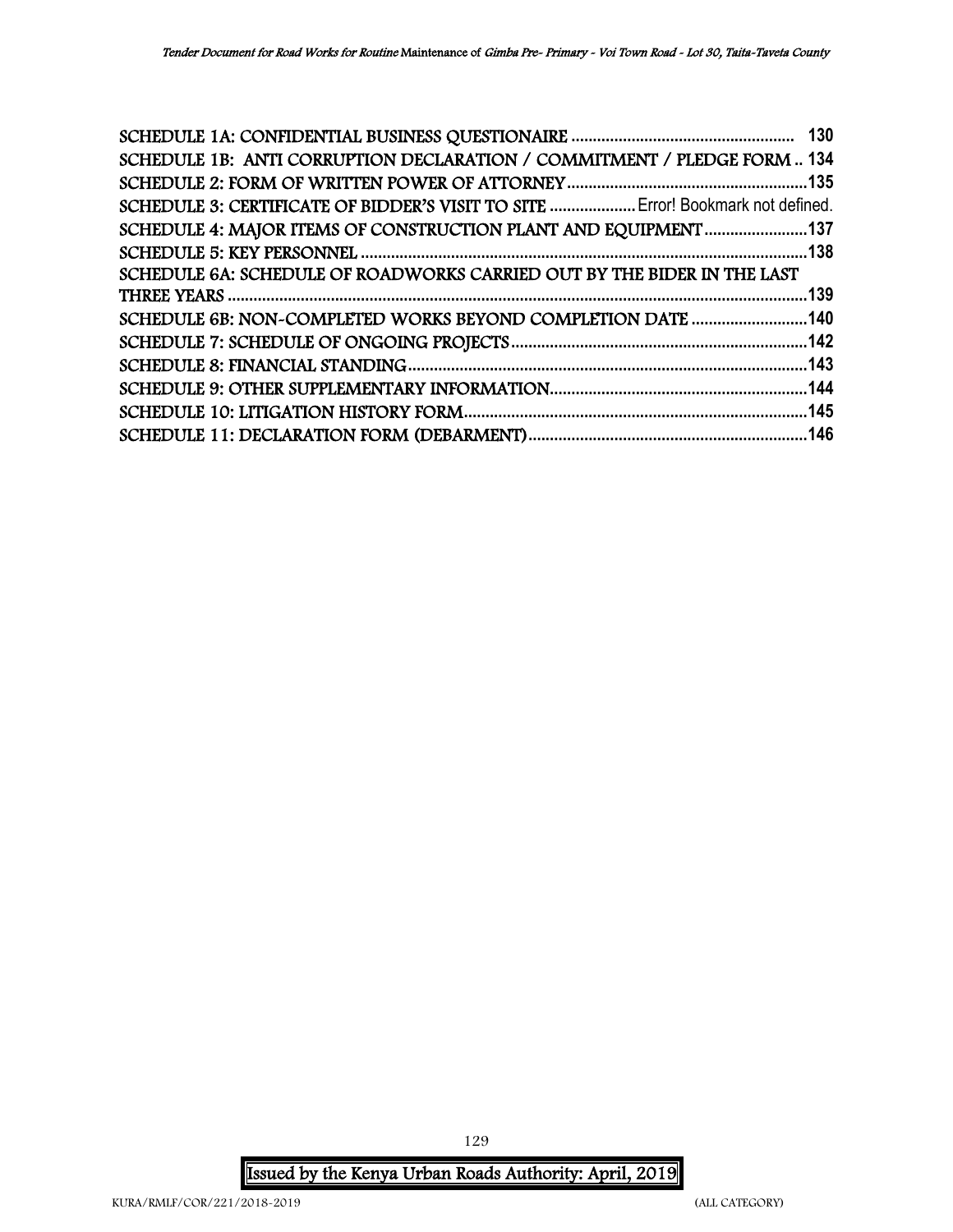| SCHEDULE 1B: ANTI CORRUPTION DECLARATION / COMMITMENT / PLEDGE FORM  134        |
|---------------------------------------------------------------------------------|
|                                                                                 |
| SCHEDULE 3: CERTIFICATE OF BIDDER'S VISIT TO SITE  Error! Bookmark not defined. |
| SCHEDULE 4: MAJOR ITEMS OF CONSTRUCTION PLANT AND EQUIPMENT 137                 |
|                                                                                 |
|                                                                                 |
|                                                                                 |
| SCHEDULE 6B: NON~COMPLETED WORKS BEYOND COMPLETION DATE  140                    |
|                                                                                 |
|                                                                                 |
|                                                                                 |
|                                                                                 |
|                                                                                 |
|                                                                                 |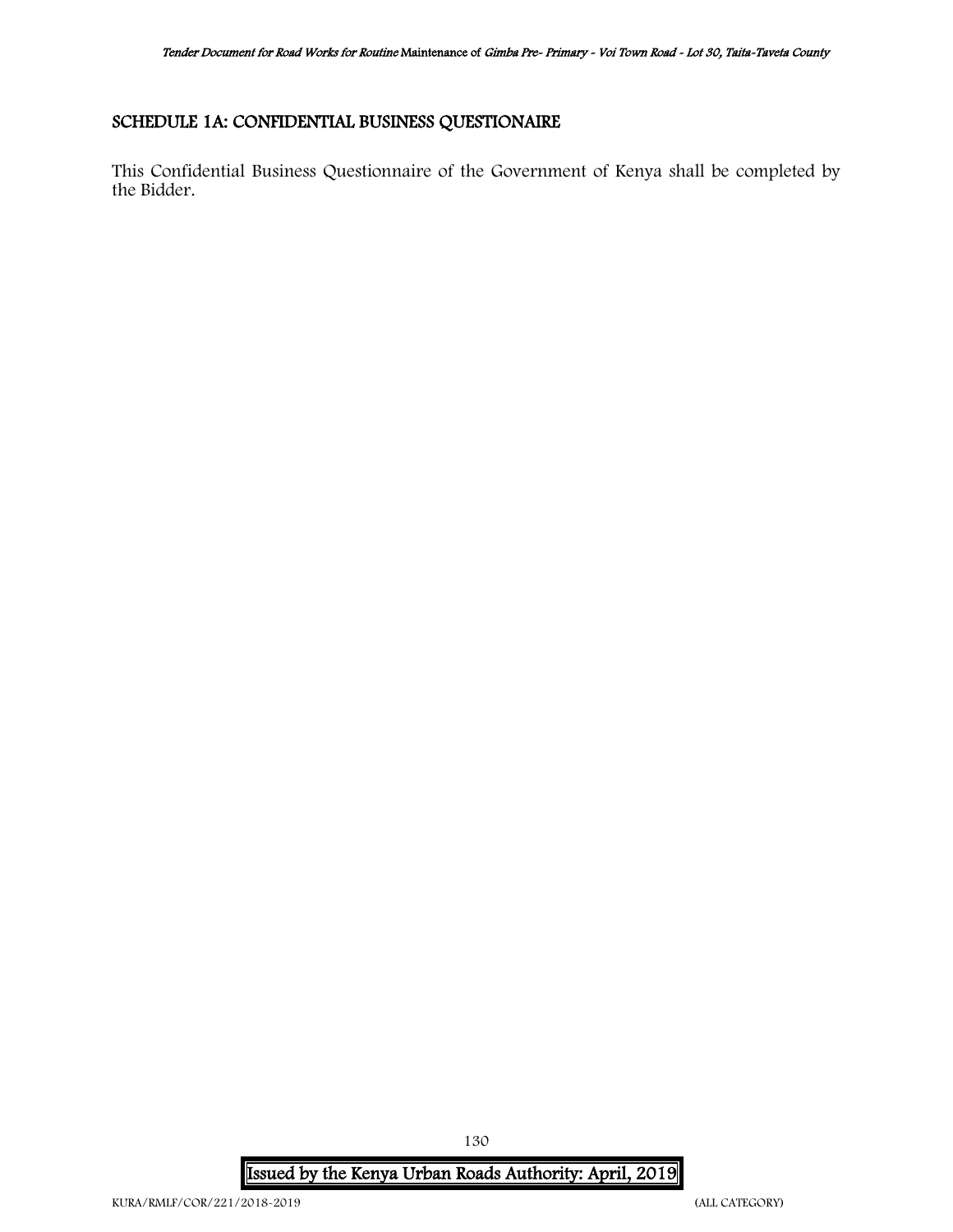### <span id="page-129-0"></span>SCHEDULE 1A: CONFIDENTIAL BUSINESS QUESTIONAIRE

This Confidential Business Questionnaire of the Government of Kenya shall be completed by the Bidder.

Issued by the Kenya Urban Roads Authority: April, 2019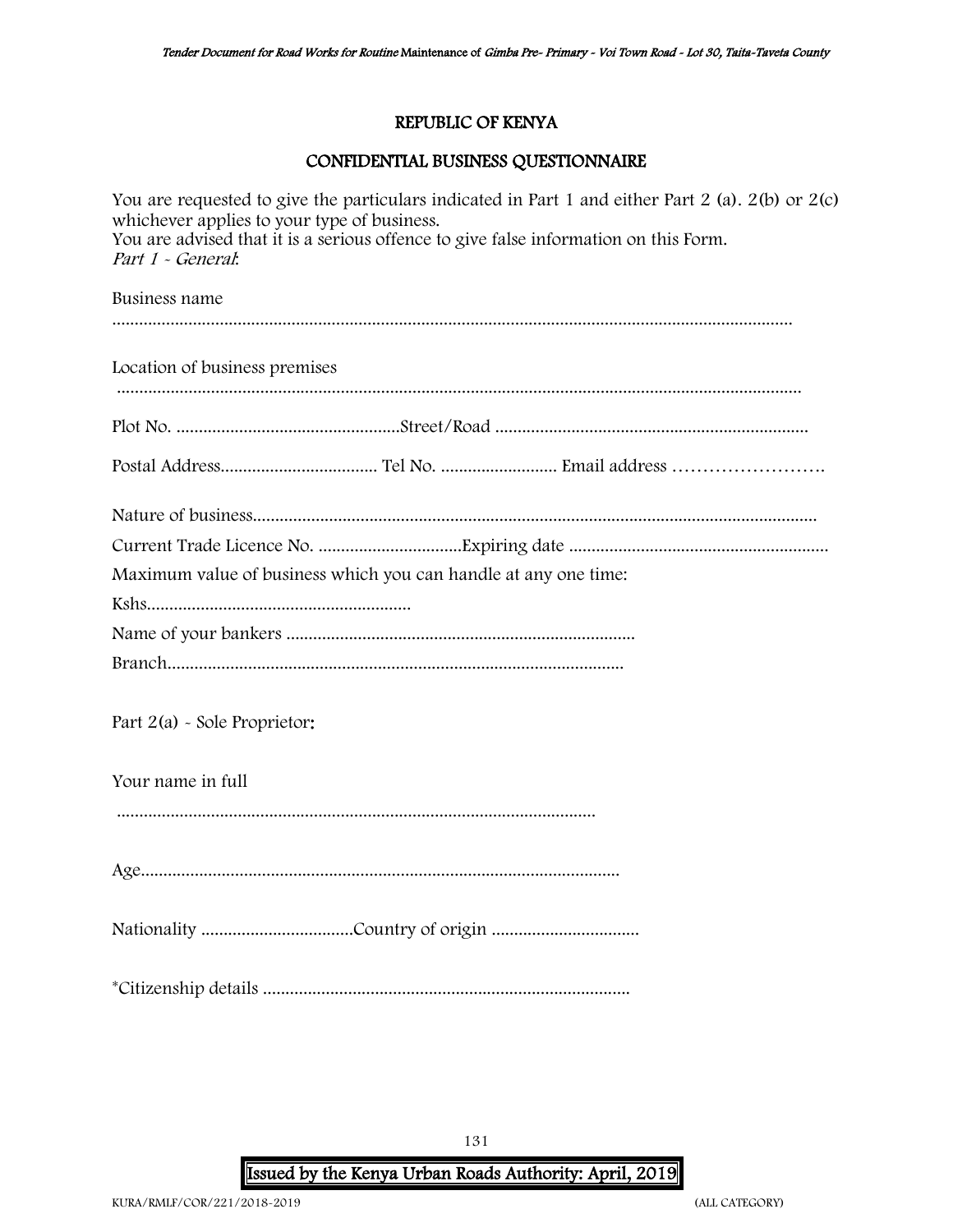### REPUBLIC OF KENYA

### CONFIDENTIAL BUSINESS QUESTIONNAIRE

You are requested to give the particulars indicated in Part 1 and either Part 2 (a). 2(b) or 2(c) whichever applies to your type of business. You are advised that it is a serious offence to give false information on this Form. Part 1 - General: Business name ........................................................................................................................................................ Location of business premises ......................................................................................................................................................... Plot No. ..................................................Street/Road ...................................................................... Postal Address................................... Tel No. .......................... Email address ……………………. Nature of business.............................................................................................................................. Current Trade Licence No. ................................Expiring date .......................................................... Maximum value of business which you can handle at any one time: Kshs........................................................... Name of your bankers .............................................................................. Branch...................................................................................................... Part 2(a) - Sole Proprietor: Your name in full ........................................................................................................... Age........................................................................................................... Nationality ..................................Country of origin ................................. \*Citizenship details ..................................................................................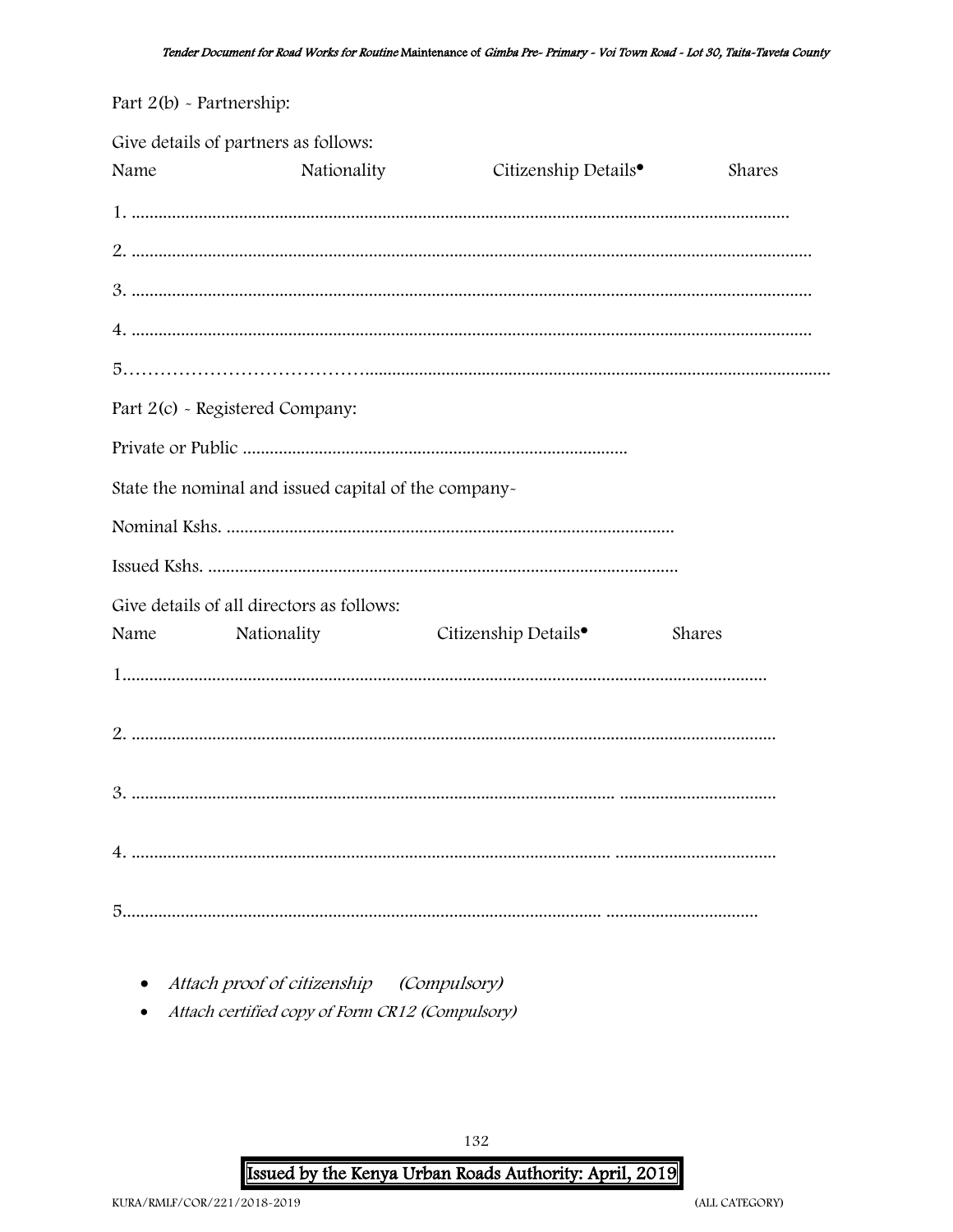| Part $2(b)$ - Partnership: |                                                      |                                  |        |
|----------------------------|------------------------------------------------------|----------------------------------|--------|
| Name                       | Give details of partners as follows:<br>Nationality  | Citizenship Details <sup>•</sup> | Shares |
|                            |                                                      |                                  |        |
|                            |                                                      |                                  |        |
|                            |                                                      |                                  |        |
|                            |                                                      |                                  |        |
|                            |                                                      |                                  |        |
|                            | Part 2(c) - Registered Company:                      |                                  |        |
|                            |                                                      |                                  |        |
|                            | State the nominal and issued capital of the company- |                                  |        |
|                            |                                                      |                                  |        |
|                            |                                                      |                                  |        |
|                            | Give details of all directors as follows:            |                                  |        |
| Name                       | Nationality                                          | Citizenship Details <sup>•</sup> | Shares |
|                            |                                                      |                                  |        |
|                            |                                                      |                                  |        |
| 3.                         |                                                      |                                  |        |
|                            |                                                      |                                  |        |
|                            |                                                      |                                  |        |

• Attach proof of citizenship (Compulsory)

• Attach certified copy of Form CR12 (Compulsory)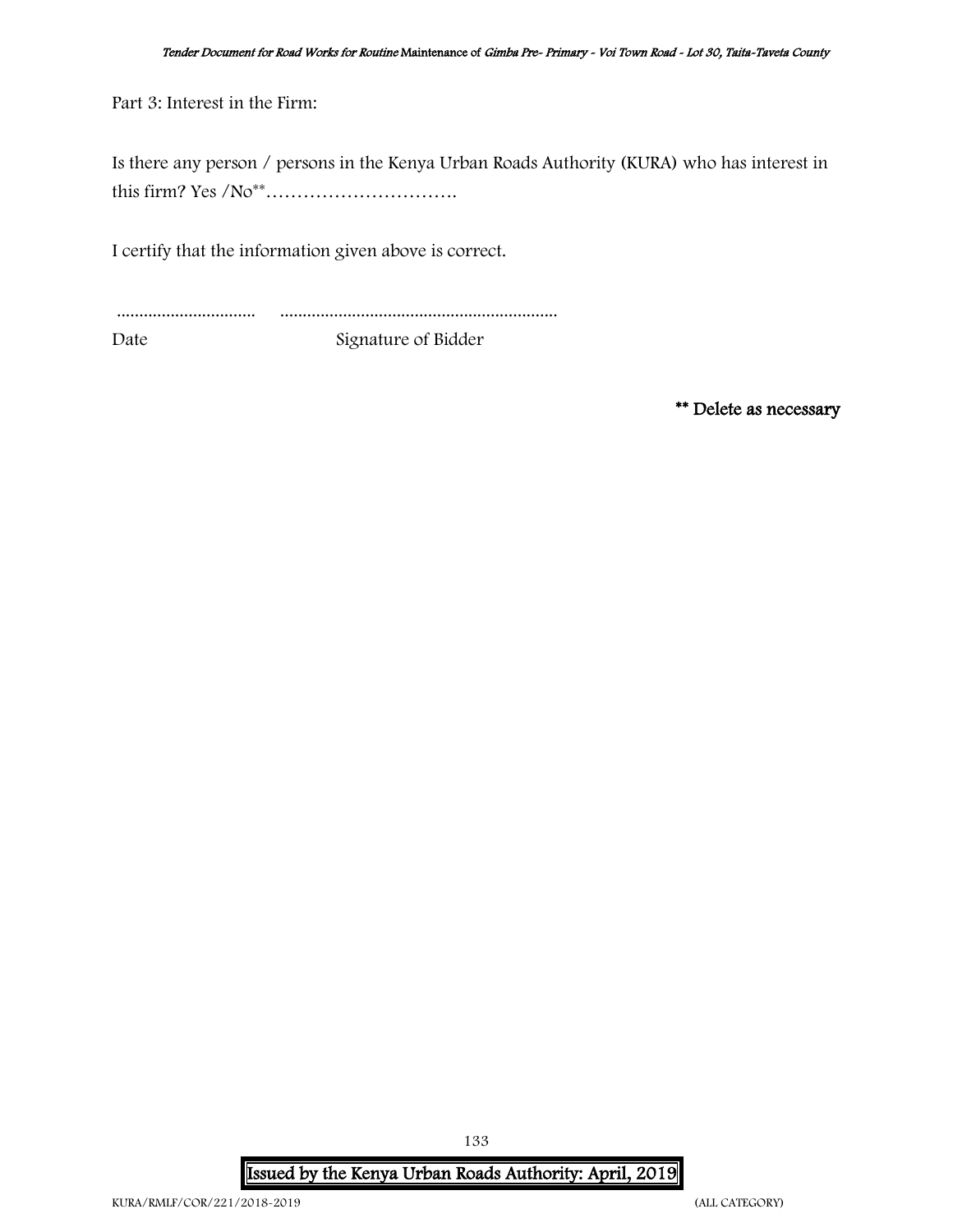Part 3: Interest in the Firm:

Is there any person / persons in the Kenya Urban Roads Authority (KURA) who has interest in this firm? Yes /No\*\*………………………….

I certify that the information given above is correct.

............................... ..............................................................

Date Signature of Bidder

\*\* Delete as necessary

Issued by the Kenya Urban Roads Authority: April, 2019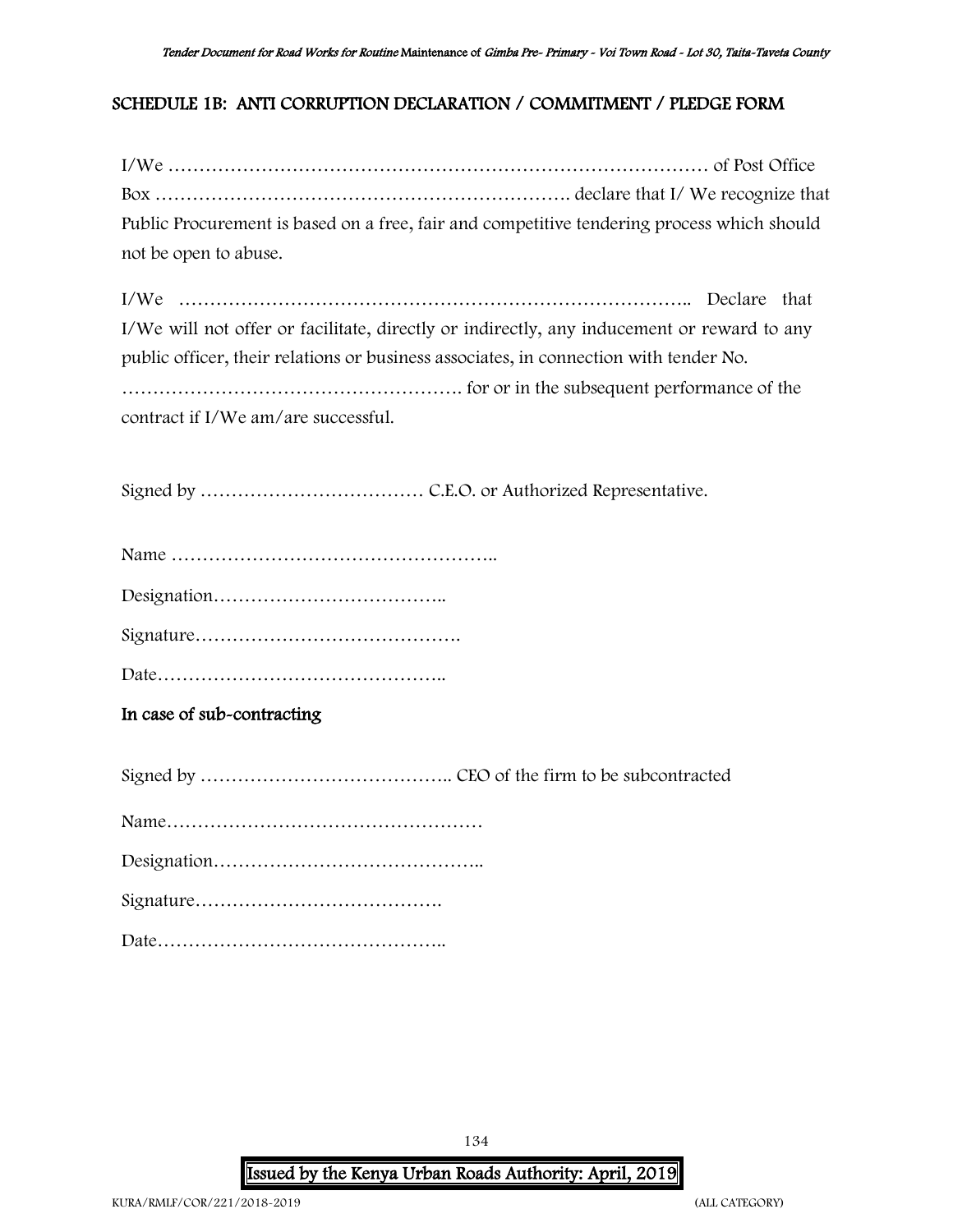### <span id="page-133-0"></span>SCHEDULE 1B: ANTI CORRUPTION DECLARATION / COMMITMENT / PLEDGE FORM

| Public Procurement is based on a free, fair and competitive tendering process which should                                                                                                                                         |
|------------------------------------------------------------------------------------------------------------------------------------------------------------------------------------------------------------------------------------|
| not be open to abuse.                                                                                                                                                                                                              |
| I/We<br>I/We will not offer or facilitate, directly or indirectly, any inducement or reward to any<br>public officer, their relations or business associates, in connection with tender No.<br>contract if I/We am/are successful. |
|                                                                                                                                                                                                                                    |
|                                                                                                                                                                                                                                    |
|                                                                                                                                                                                                                                    |
|                                                                                                                                                                                                                                    |
|                                                                                                                                                                                                                                    |
| In case of sub-contracting                                                                                                                                                                                                         |
|                                                                                                                                                                                                                                    |
|                                                                                                                                                                                                                                    |
|                                                                                                                                                                                                                                    |
|                                                                                                                                                                                                                                    |
|                                                                                                                                                                                                                                    |

134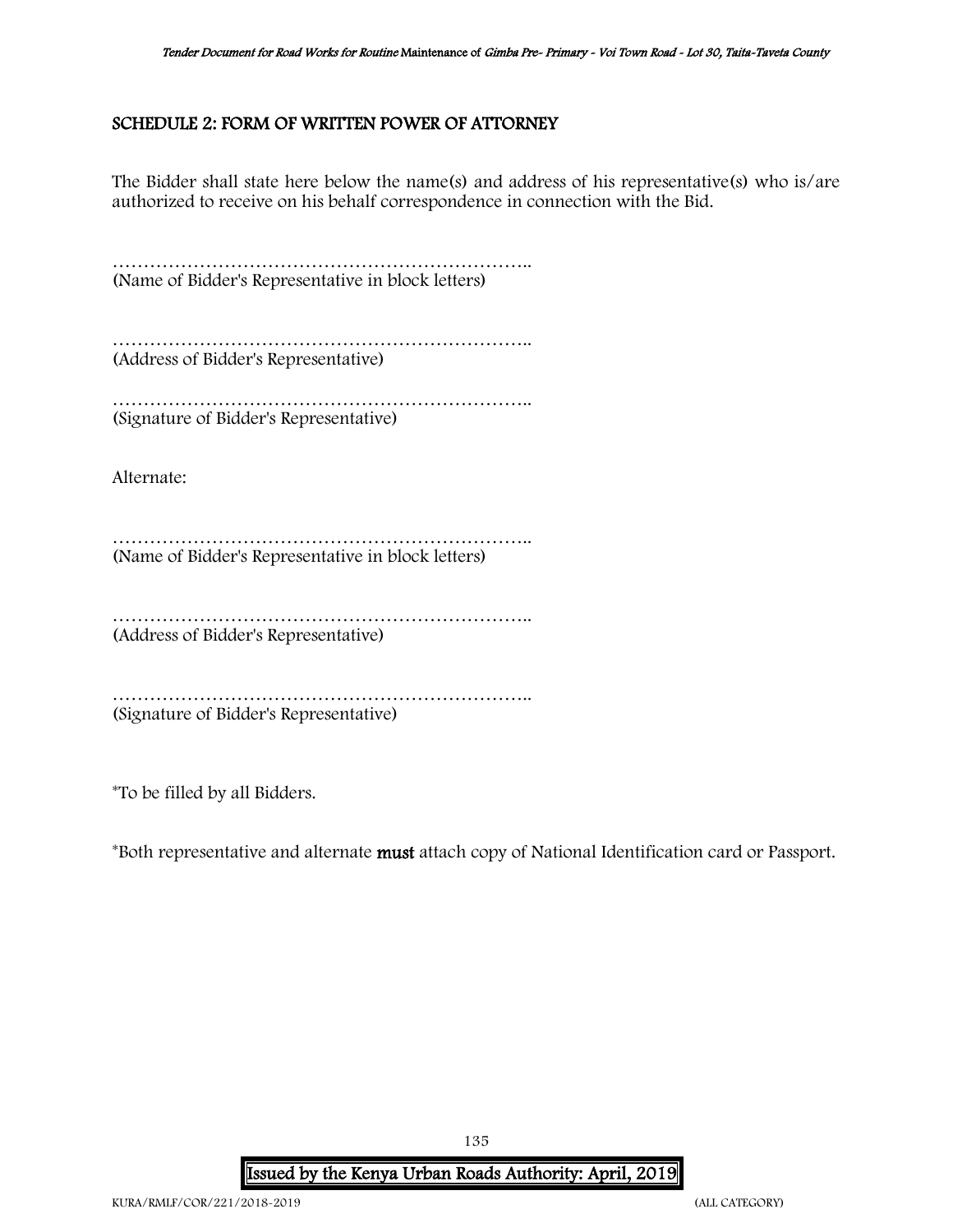### <span id="page-134-0"></span>SCHEDULE 2: FORM OF WRITTEN POWER OF ATTORNEY

The Bidder shall state here below the name(s) and address of his representative(s) who is/are authorized to receive on his behalf correspondence in connection with the Bid.

………………………………………………………….. (Name of Bidder's Representative in block letters)

………………………………………………………….. (Address of Bidder's Representative)

………………………………………………………….. (Signature of Bidder's Representative)

Alternate:

………………………………………………………….. (Name of Bidder's Representative in block letters)

………………………………………………………….. (Address of Bidder's Representative)

………………………………………………………….. (Signature of Bidder's Representative)

\*To be filled by all Bidders.

\*Both representative and alternate must attach copy of National Identification card or Passport.

135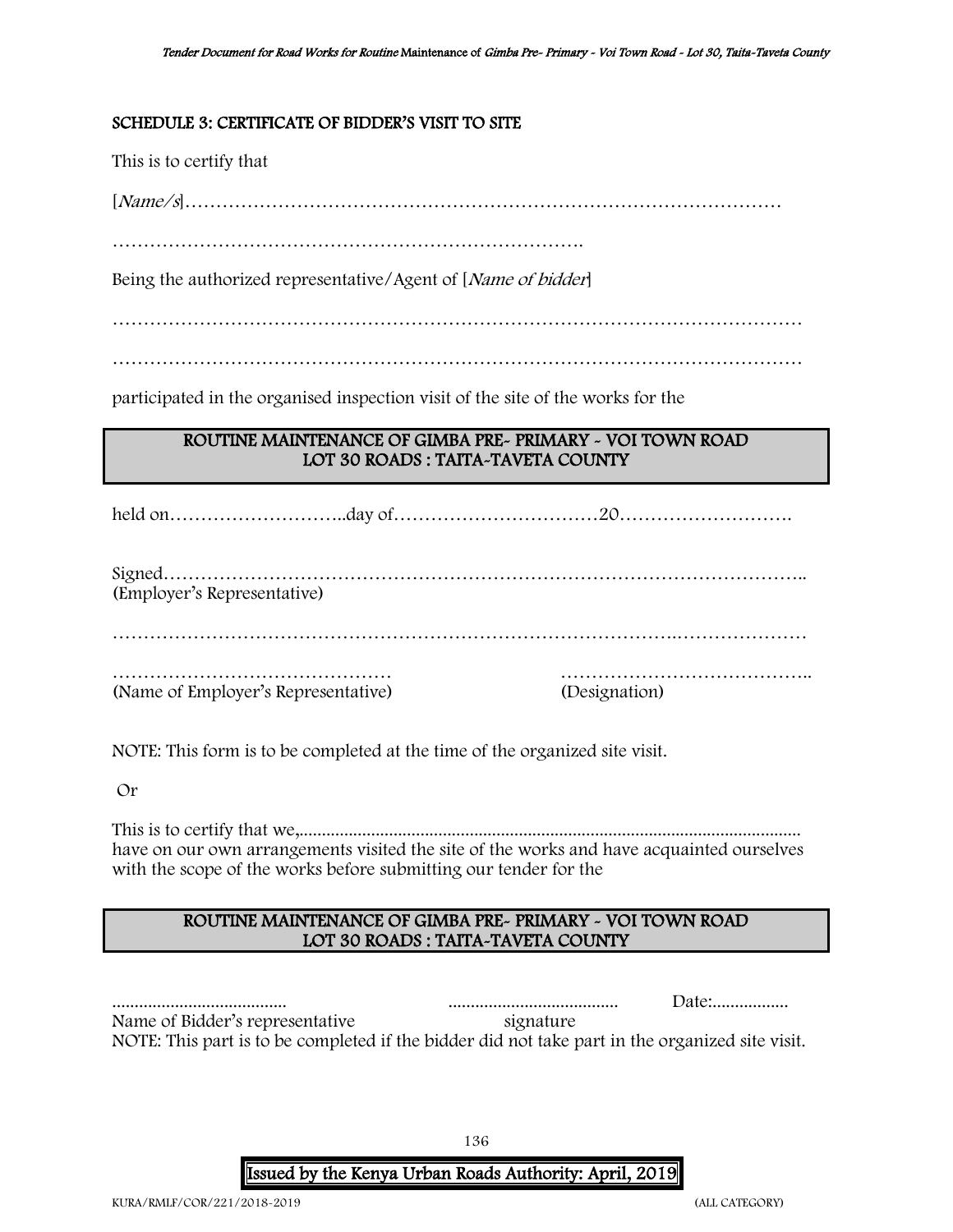### SCHEDULE 3: CERTIFICATE OF BIDDER'S VISIT TO SITE

This is to certify that

[Name/s]……………………………………………………………………………………

………………………………………………………………….

Being the authorized representative/Agent of [*Name of bidder*]

…………………………………………………………………………………………………

…………………………………………………………………………………………………

participated in the organised inspection visit of the site of the works for the

### ROUTINE MAINTENANCE OF GIMBA PRE- PRIMARY - VOI TOWN ROAD LOT 30 ROADS : TAITA-TAVETA COUNTY

held on………………………..day of……………………………20……………………….

Signed………………………………………………………………………………………….. (Employer's Representative)

……………………………………… ………………………………….. (Name of Employer's Representative) (Designation)

NOTE: This form is to be completed at the time of the organized site visit.

Or

This is to certify that we,................................................................................................................ have on our own arrangements visited the site of the works and have acquainted ourselves with the scope of the works before submitting our tender for the

### ROUTINE MAINTENANCE OF GIMBA PRE- PRIMARY - VOI TOWN ROAD LOT 30 ROADS : TAITA-TAVETA COUNTY

....................................... ...................................... Date:................. Name of Bidder's representative signature NOTE: This part is to be completed if the bidder did not take part in the organized site visit.

136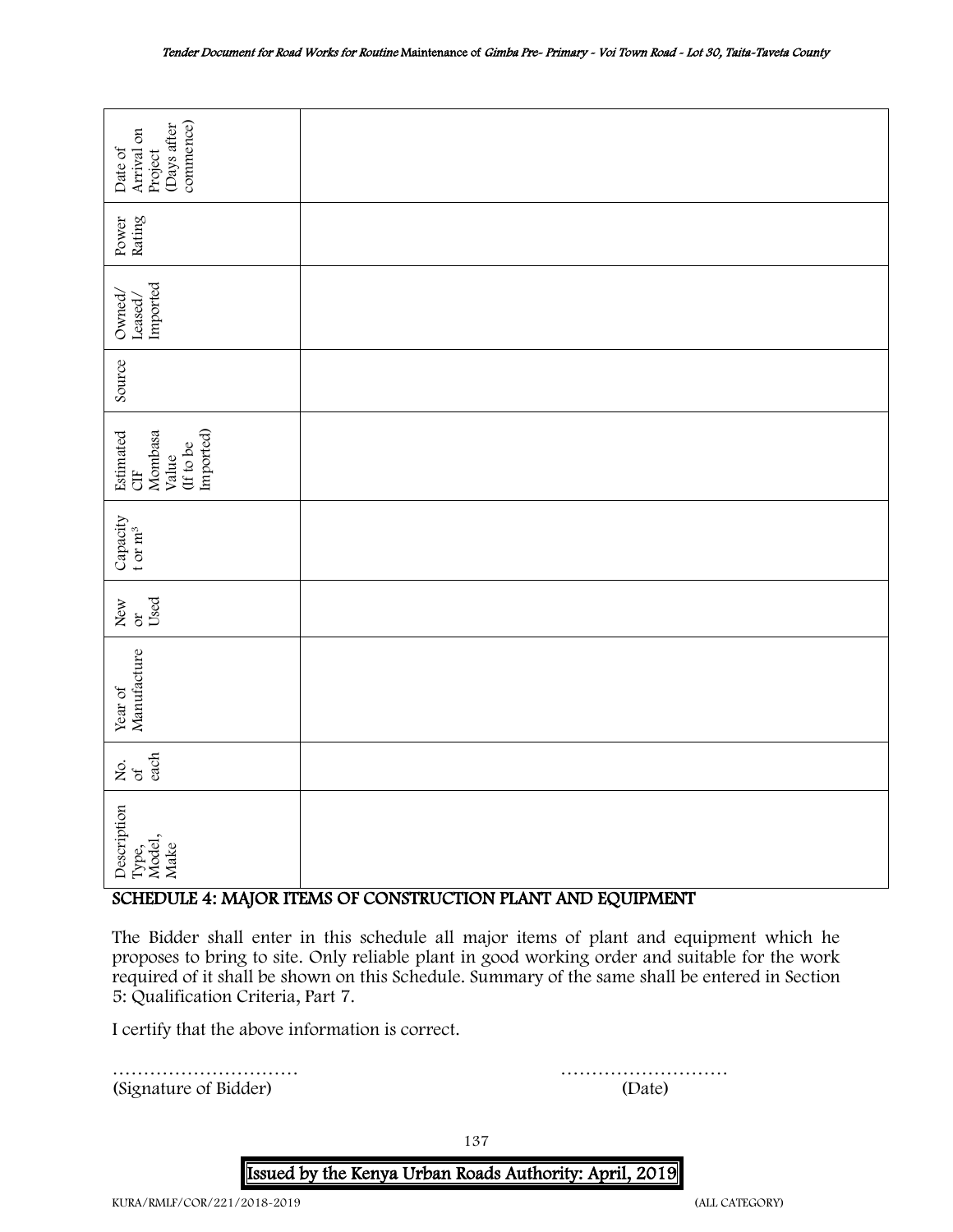| commence)<br>Days after<br>Arrival on<br>Date of<br>Project                                                                                                                                                                                                                                                                        |                                                  |  |  |  |  |
|------------------------------------------------------------------------------------------------------------------------------------------------------------------------------------------------------------------------------------------------------------------------------------------------------------------------------------|--------------------------------------------------|--|--|--|--|
| Rating<br>Power                                                                                                                                                                                                                                                                                                                    |                                                  |  |  |  |  |
| Imported<br>Owned/<br>Leased/                                                                                                                                                                                                                                                                                                      |                                                  |  |  |  |  |
| Source                                                                                                                                                                                                                                                                                                                             |                                                  |  |  |  |  |
| Imported)<br>Mombasa<br>Estimated<br>(If to be<br>Value<br><b>ED</b>                                                                                                                                                                                                                                                               |                                                  |  |  |  |  |
| Capacity<br>t or $m^3$                                                                                                                                                                                                                                                                                                             |                                                  |  |  |  |  |
| Used<br>New<br>$\alpha$                                                                                                                                                                                                                                                                                                            |                                                  |  |  |  |  |
| Manufacture<br>Year of                                                                                                                                                                                                                                                                                                             |                                                  |  |  |  |  |
| each<br>Χo.<br>$\sigma$                                                                                                                                                                                                                                                                                                            |                                                  |  |  |  |  |
| Description<br>Type,<br>Model,<br>Make                                                                                                                                                                                                                                                                                             |                                                  |  |  |  |  |
| SCHEDULE 4: MAJOR ITEMS OF CONSTRUCTION PLANT AND EQUIPMENT                                                                                                                                                                                                                                                                        |                                                  |  |  |  |  |
| The Bidder shall enter in this schedule all major items of plant and equipment which he<br>proposes to bring to site. Only reliable plant in good working order and suitable for the work<br>required of it shall be shown on this Schedule. Summary of the same shall be entered in Section<br>5: Qualification Criteria, Part 7. |                                                  |  |  |  |  |
|                                                                                                                                                                                                                                                                                                                                    | I certify that the above information is correct. |  |  |  |  |
| (Signature of Bidder)                                                                                                                                                                                                                                                                                                              | (Date)                                           |  |  |  |  |

### <span id="page-136-0"></span>SCHEDULE 4: MAJOR ITEMS OF CONSTRUCTION PLANT AND EQUIPMENT

137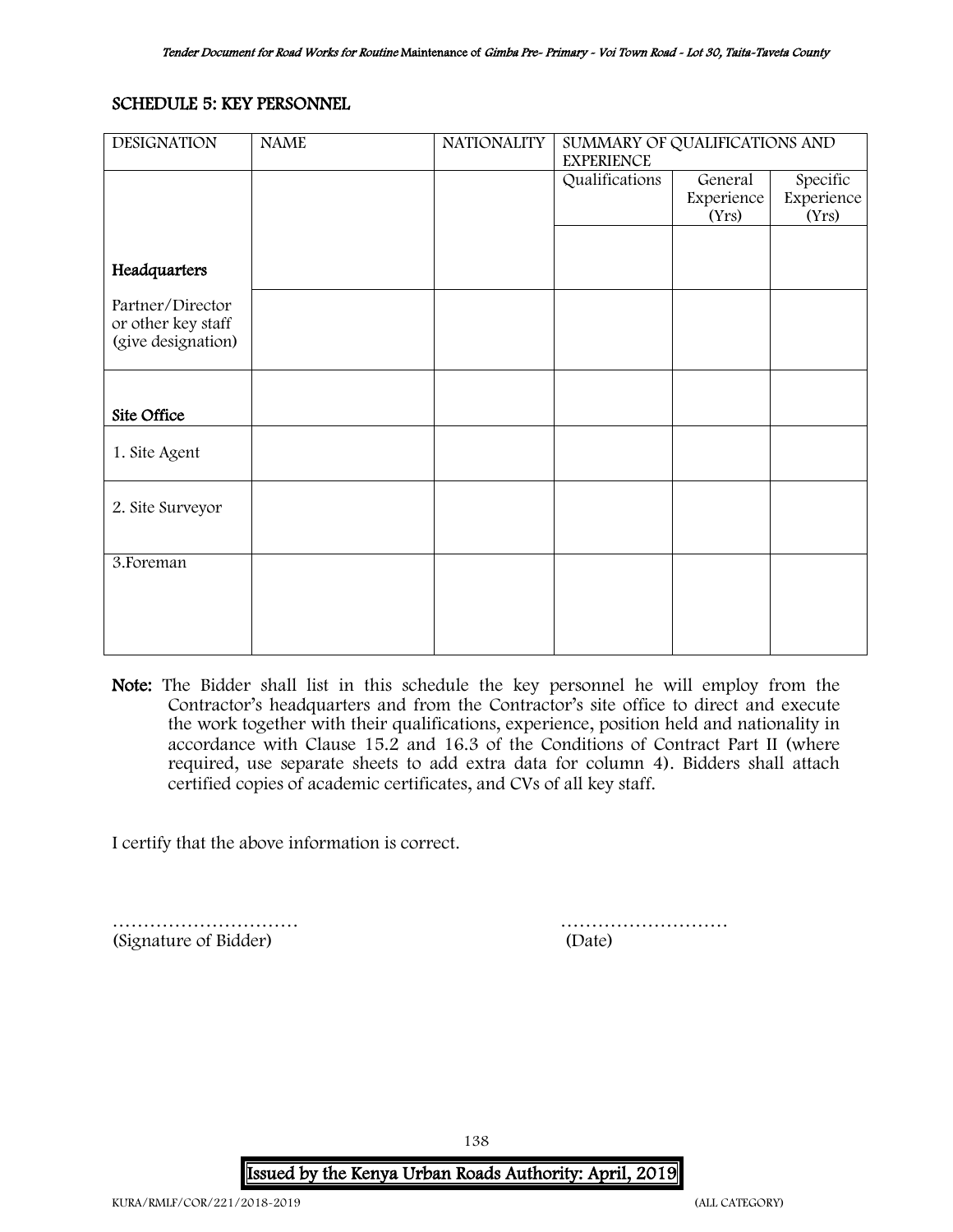### <span id="page-137-0"></span>SCHEDULE 5: KEY PERSONNEL

| <b>DESIGNATION</b> | <b>NAME</b> | <b>NATIONALITY</b> | SUMMARY OF QUALIFICATIONS AND<br><b>EXPERIENCE</b> |            |            |
|--------------------|-------------|--------------------|----------------------------------------------------|------------|------------|
|                    |             |                    | Qualifications                                     | General    | Specific   |
|                    |             |                    |                                                    | Experience | Experience |
|                    |             |                    |                                                    | (Yrs)      | (Yrs)      |
|                    |             |                    |                                                    |            |            |
| Headquarters       |             |                    |                                                    |            |            |
| Partner/Director   |             |                    |                                                    |            |            |
| or other key staff |             |                    |                                                    |            |            |
| (give designation) |             |                    |                                                    |            |            |
|                    |             |                    |                                                    |            |            |
|                    |             |                    |                                                    |            |            |
|                    |             |                    |                                                    |            |            |
| Site Office        |             |                    |                                                    |            |            |
|                    |             |                    |                                                    |            |            |
| 1. Site Agent      |             |                    |                                                    |            |            |
|                    |             |                    |                                                    |            |            |
| 2. Site Surveyor   |             |                    |                                                    |            |            |
|                    |             |                    |                                                    |            |            |
|                    |             |                    |                                                    |            |            |
| 3. Foreman         |             |                    |                                                    |            |            |
|                    |             |                    |                                                    |            |            |
|                    |             |                    |                                                    |            |            |
|                    |             |                    |                                                    |            |            |
|                    |             |                    |                                                    |            |            |

Note: The Bidder shall list in this schedule the key personnel he will employ from the Contractor's headquarters and from the Contractor's site office to direct and execute the work together with their qualifications, experience, position held and nationality in accordance with Clause 15.2 and 16.3 of the Conditions of Contract Part II (where required, use separate sheets to add extra data for column 4). Bidders shall attach certified copies of academic certificates, and CVs of all key staff.

I certify that the above information is correct.

………………………… ……………………… (Signature of Bidder) (Date)

138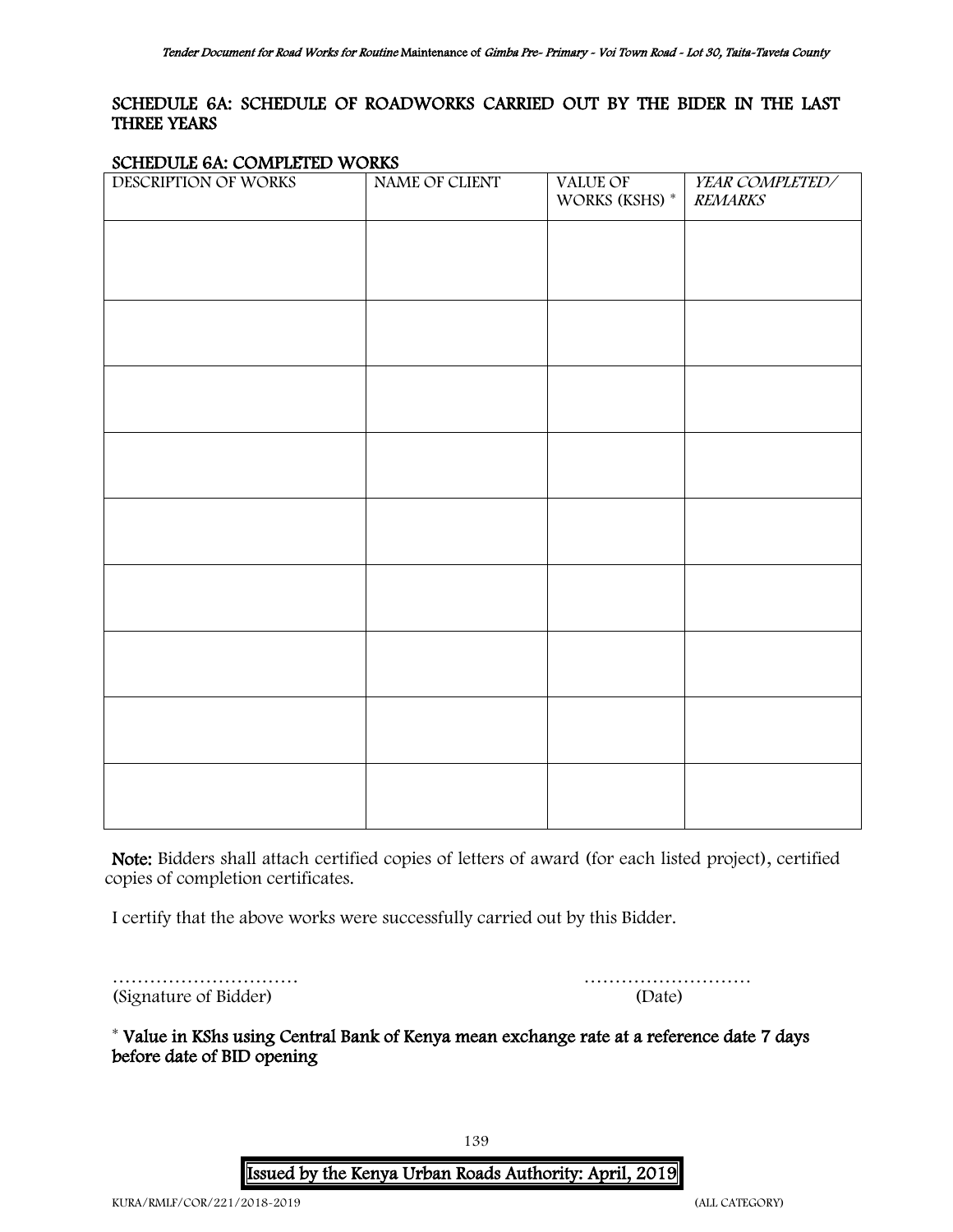### <span id="page-138-0"></span>SCHEDULE 6A: SCHEDULE OF ROADWORKS CARRIED OUT BY THE BIDER IN THE LAST THREE YEARS

#### SCHEDULE 6A: COMPLETED WORKS

| DESCRIPTION OF WORKS | NAME OF CLIENT | VALUE OF<br>WORKS (KSHS) * | YEAR COMPLETED/<br><b>REMARKS</b> |
|----------------------|----------------|----------------------------|-----------------------------------|
|                      |                |                            |                                   |
|                      |                |                            |                                   |
|                      |                |                            |                                   |
|                      |                |                            |                                   |
|                      |                |                            |                                   |
|                      |                |                            |                                   |
|                      |                |                            |                                   |
|                      |                |                            |                                   |
|                      |                |                            |                                   |
|                      |                |                            |                                   |
|                      |                |                            |                                   |

Note: Bidders shall attach certified copies of letters of award (for each listed project), certified copies of completion certificates.

I certify that the above works were successfully carried out by this Bidder.

|                       | .      |
|-----------------------|--------|
| (Signature of Bidder) | (Date) |

| (Signature of Bidder) |  |
|-----------------------|--|

\* Value in KShs using Central Bank of Kenya mean exchange rate at a reference date 7 days before date of BID opening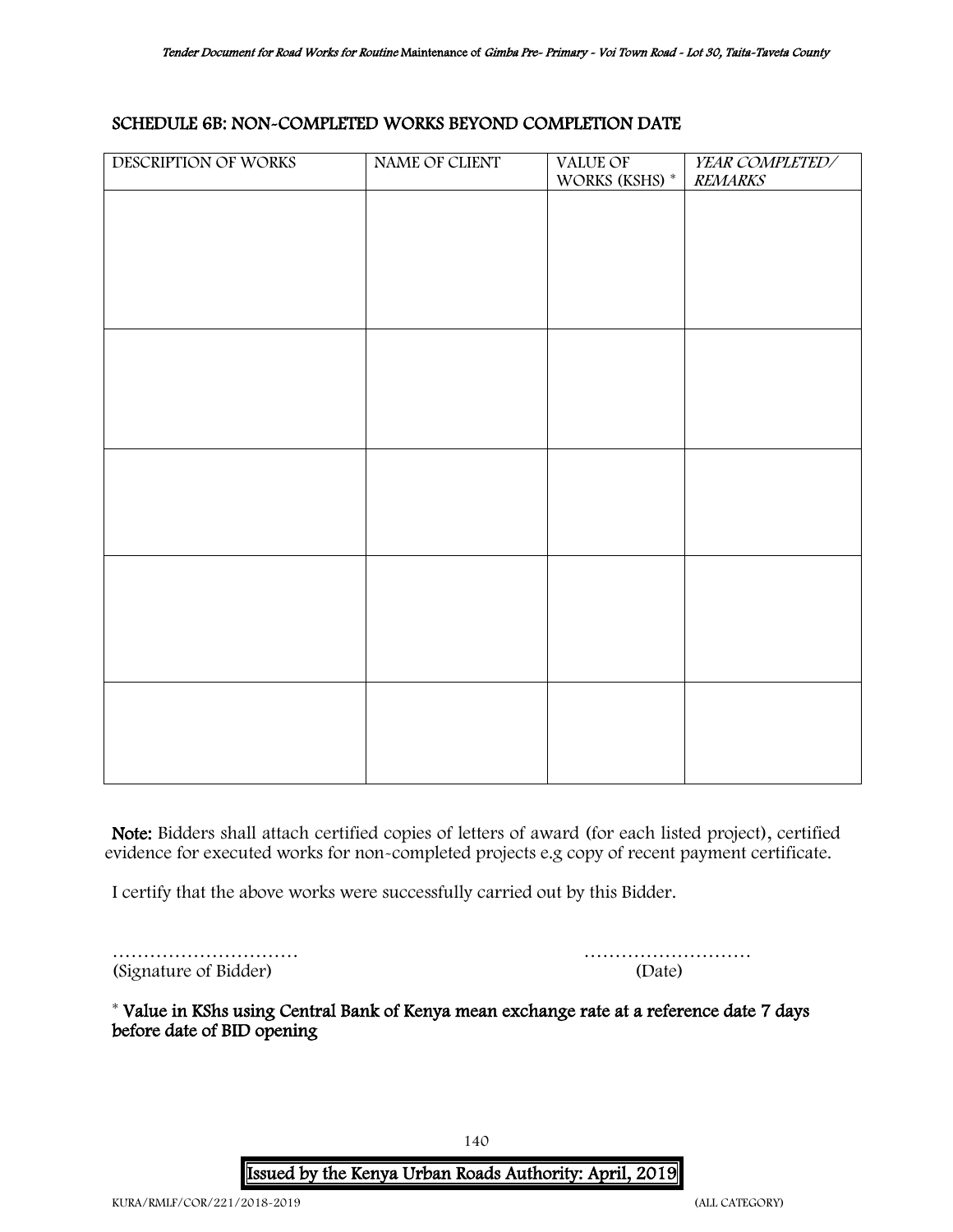### <span id="page-139-0"></span>SCHEDULE 6B: NON-COMPLETED WORKS BEYOND COMPLETION DATE

| DESCRIPTION OF WORKS | NAME OF CLIENT | VALUE OF       | YEAR COMPLETED/ |
|----------------------|----------------|----------------|-----------------|
|                      |                | WORKS (KSHS) * | <b>REMARKS</b>  |
|                      |                |                |                 |
|                      |                |                |                 |
|                      |                |                |                 |
|                      |                |                |                 |
|                      |                |                |                 |
|                      |                |                |                 |
|                      |                |                |                 |
|                      |                |                |                 |
|                      |                |                |                 |
|                      |                |                |                 |
|                      |                |                |                 |
|                      |                |                |                 |
|                      |                |                |                 |
|                      |                |                |                 |
|                      |                |                |                 |
|                      |                |                |                 |
|                      |                |                |                 |
|                      |                |                |                 |
|                      |                |                |                 |
|                      |                |                |                 |
|                      |                |                |                 |
|                      |                |                |                 |
|                      |                |                |                 |

Note: Bidders shall attach certified copies of letters of award (for each listed project), certified evidence for executed works for non-completed projects e.g copy of recent payment certificate.

I certify that the above works were successfully carried out by this Bidder.

| (Signature of Bidder) |  |  |  |  |  |
|-----------------------|--|--|--|--|--|

| (Signature of Bidder) | (Date) |
|-----------------------|--------|

(Signature of Bidder) (Date)

\* Value in KShs using Central Bank of Kenya mean exchange rate at a reference date 7 days before date of BID opening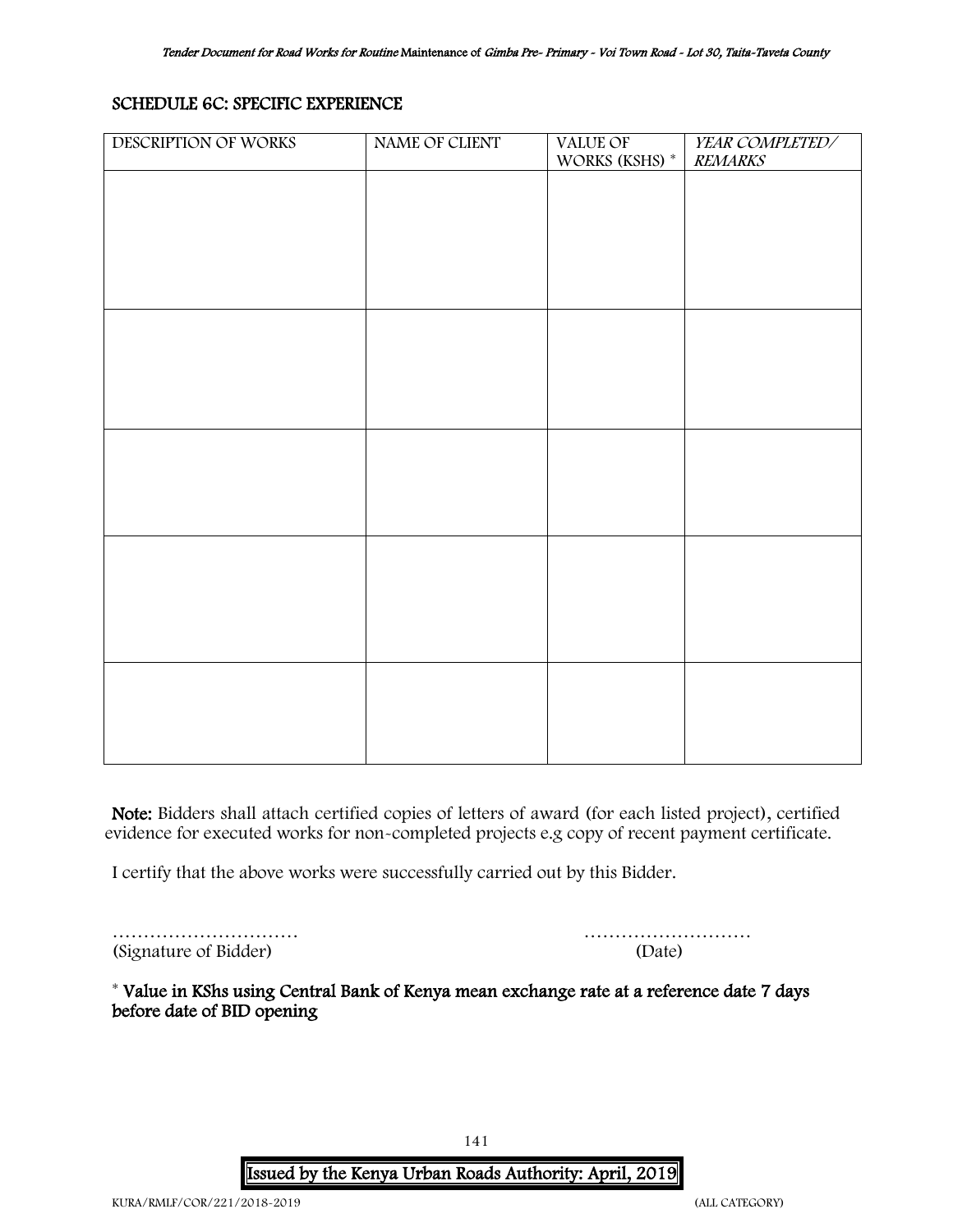### SCHEDULE 6C: SPECIFIC EXPERIENCE

| DESCRIPTION OF WORKS | NAME OF CLIENT | VALUE OF       | YEAR COMPLETED/ |
|----------------------|----------------|----------------|-----------------|
|                      |                | WORKS (KSHS) * | <b>REMARKS</b>  |
|                      |                |                |                 |
|                      |                |                |                 |
|                      |                |                |                 |
|                      |                |                |                 |
|                      |                |                |                 |
|                      |                |                |                 |
|                      |                |                |                 |
|                      |                |                |                 |
|                      |                |                |                 |
|                      |                |                |                 |
|                      |                |                |                 |
|                      |                |                |                 |
|                      |                |                |                 |
|                      |                |                |                 |
|                      |                |                |                 |
|                      |                |                |                 |
|                      |                |                |                 |
|                      |                |                |                 |
|                      |                |                |                 |
|                      |                |                |                 |
|                      |                |                |                 |
|                      |                |                |                 |
|                      |                |                |                 |
|                      |                |                |                 |
|                      |                |                |                 |
|                      |                |                |                 |
|                      |                |                |                 |
|                      |                |                |                 |
|                      |                |                |                 |
|                      |                |                |                 |
|                      |                |                |                 |
|                      |                |                |                 |

Note: Bidders shall attach certified copies of letters of award (for each listed project), certified evidence for executed works for non-completed projects e.g copy of recent payment certificate.

I certify that the above works were successfully carried out by this Bidder.

(Signature of Bidder) (Date)

………………………… ………………………

\* Value in KShs using Central Bank of Kenya mean exchange rate at a reference date 7 days before date of BID opening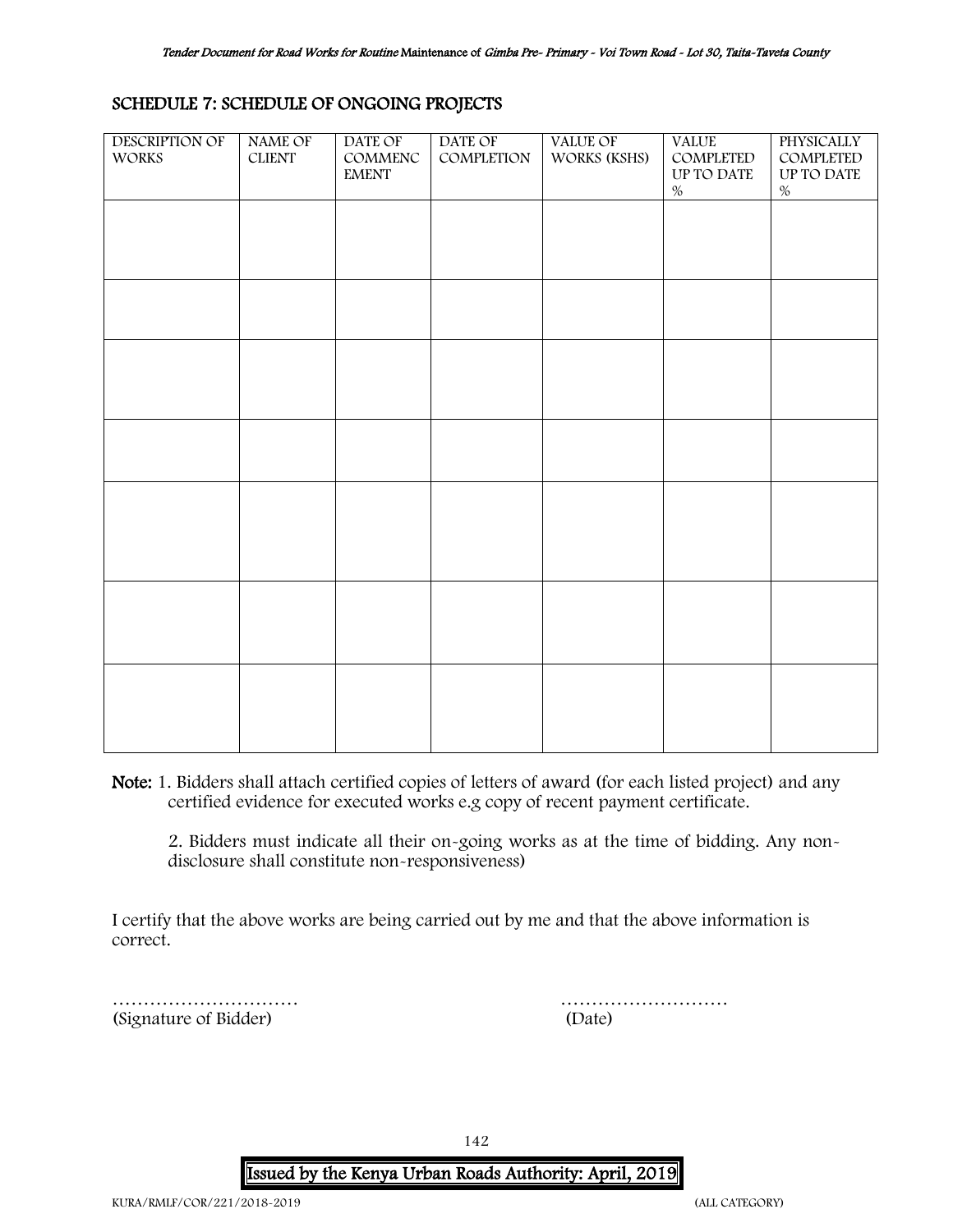### <span id="page-141-0"></span>SCHEDULE 7: SCHEDULE OF ONGOING PROJECTS

| <b>DESCRIPTION OF</b><br><b>WORKS</b> | NAME OF<br><b>CLIENT</b> | DATE OF<br>COMMENC<br><b>EMENT</b> | DATE OF<br>COMPLETION | <b>VALUE OF</b><br>WORKS (KSHS) | <b>VALUE</b><br>COMPLETED<br>UP TO DATE<br>$\%$ | PHYSICALLY<br>COMPLETED<br>UP TO DATE<br>$\%$ |
|---------------------------------------|--------------------------|------------------------------------|-----------------------|---------------------------------|-------------------------------------------------|-----------------------------------------------|
|                                       |                          |                                    |                       |                                 |                                                 |                                               |
|                                       |                          |                                    |                       |                                 |                                                 |                                               |
|                                       |                          |                                    |                       |                                 |                                                 |                                               |
|                                       |                          |                                    |                       |                                 |                                                 |                                               |
|                                       |                          |                                    |                       |                                 |                                                 |                                               |
|                                       |                          |                                    |                       |                                 |                                                 |                                               |
|                                       |                          |                                    |                       |                                 |                                                 |                                               |
|                                       |                          |                                    |                       |                                 |                                                 |                                               |
|                                       |                          |                                    |                       |                                 |                                                 |                                               |

Note: 1. Bidders shall attach certified copies of letters of award (for each listed project) and any certified evidence for executed works e.g copy of recent payment certificate.

2. Bidders must indicate all their on-going works as at the time of bidding. Any nondisclosure shall constitute non-responsiveness)

I certify that the above works are being carried out by me and that the above information is correct.

<span id="page-141-1"></span>………………………… (Signature of Bidder)

| (Date) |  |  |  |  |  |  |  |  |  |  |  |  |  |
|--------|--|--|--|--|--|--|--|--|--|--|--|--|--|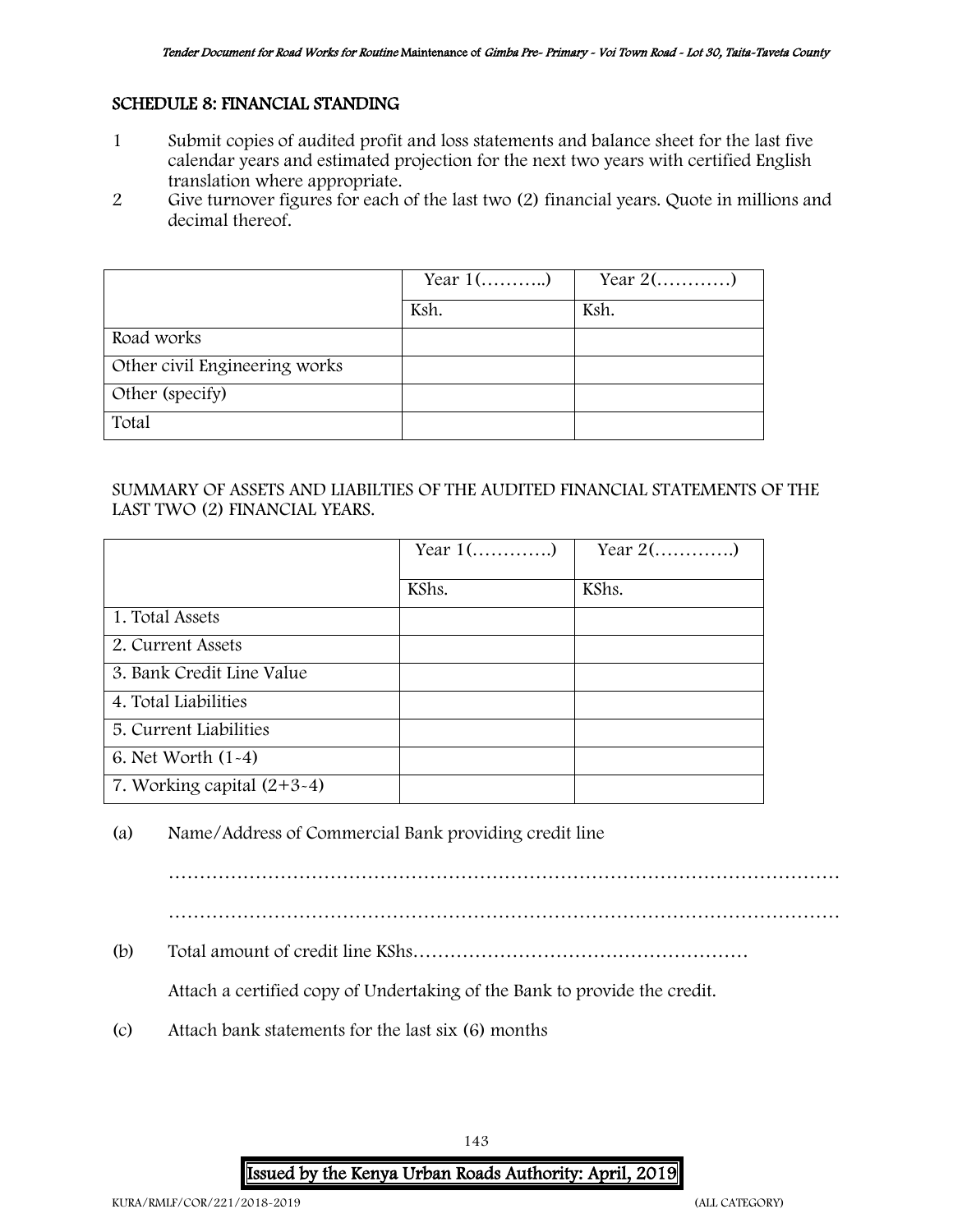### SCHEDULE 8: FINANCIAL STANDING

- 1 Submit copies of audited profit and loss statements and balance sheet for the last five calendar years and estimated projection for the next two years with certified English translation where appropriate.
- 2 Give turnover figures for each of the last two (2) financial years. Quote in millions and decimal thereof.

|                               | Year $1$ () | Year $2(\ldots,\ldots,\ldots)$ |
|-------------------------------|-------------|--------------------------------|
|                               | Ksh.        | Ksh.                           |
| Road works                    |             |                                |
| Other civil Engineering works |             |                                |
| Other (specify)               |             |                                |
| Total                         |             |                                |

### SUMMARY OF ASSETS AND LIABILTIES OF THE AUDITED FINANCIAL STATEMENTS OF THE LAST TWO (2) FINANCIAL YEARS.

|                                         | Year $1$ () | Year $2$ () |
|-----------------------------------------|-------------|-------------|
|                                         | KShs.       | KShs.       |
| 1. Total Assets                         |             |             |
| 2. Current Assets                       |             |             |
| 3. Bank Credit Line Value               |             |             |
| 4. Total Liabilities                    |             |             |
| 5. Current Liabilities                  |             |             |
| 6. Net Worth $(1-4)$                    |             |             |
| 7. Working capital $(2+\overline{3-4})$ |             |             |

### (a) Name/Address of Commercial Bank providing credit line

……………………………………………………………………………………………… ………………………………………………………………………………………………

(b) Total amount of credit line KShs………………………………………………

Attach a certified copy of Undertaking of the Bank to provide the credit.

<span id="page-142-0"></span>(c) Attach bank statements for the last six (6) months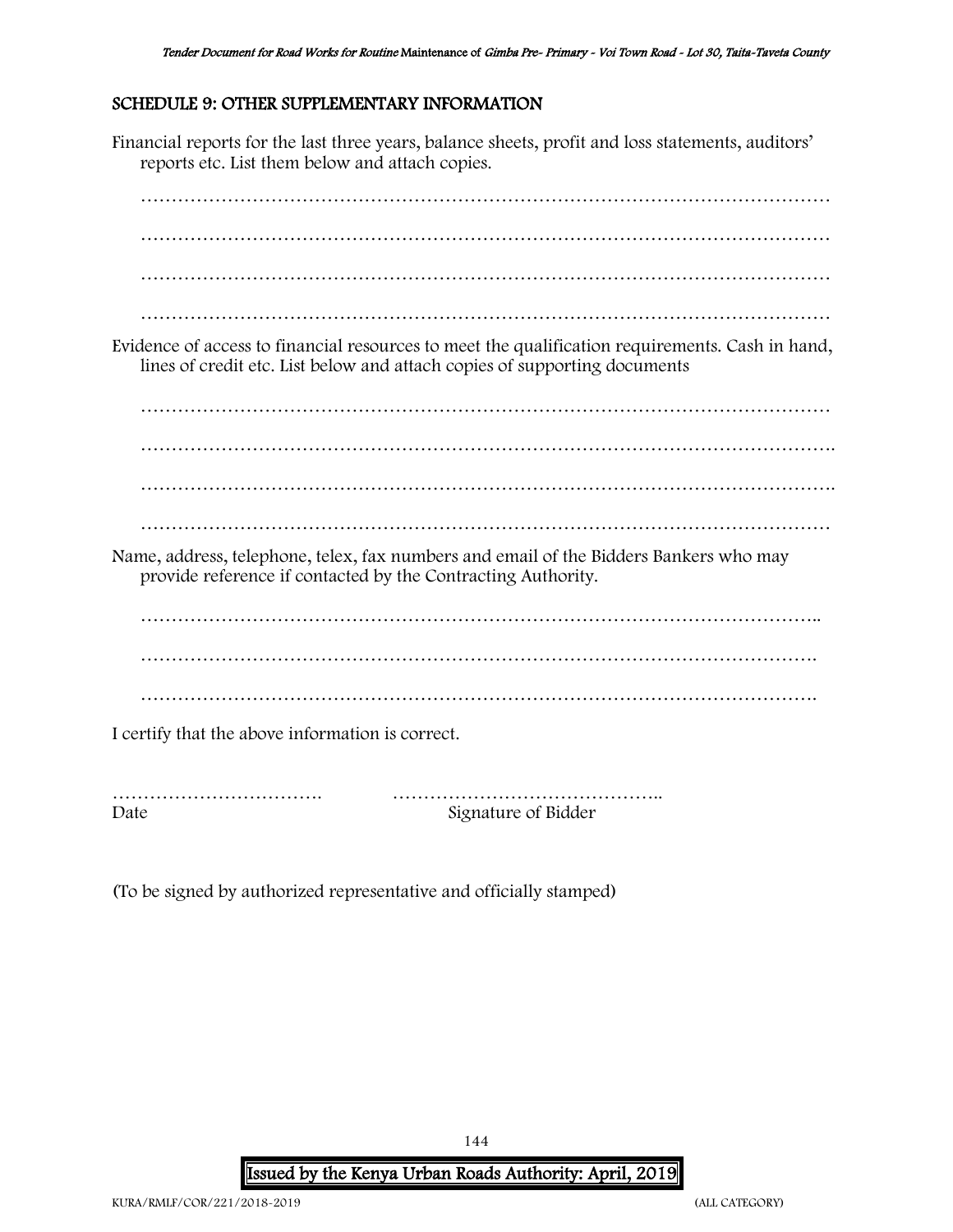### SCHEDULE 9: OTHER SUPPLEMENTARY INFORMATION

Financial reports for the last three years, balance sheets, profit and loss statements, auditors' reports etc. List them below and attach copies. ………………………………………………………………………………………………… ………………………………………………………………………………………………… ………………………………………………………………………………………………… ………………………………………………………………………………………………… Evidence of access to financial resources to meet the qualification requirements. Cash in hand, lines of credit etc. List below and attach copies of supporting documents ………………………………………………………………………………………………… …………………………………………………………………………………………………. ………………………………………………………………………………………………… Name, address, telephone, telex, fax numbers and email of the Bidders Bankers who may provide reference if contacted by the Contracting Authority. ……………………………………………………………………………………………….. ………………………………………………………………………………………………. ………………………………………………………………………………………………. I certify that the above information is correct. ……………………………. ……………………………………..

Date Signature of Bidder

(To be signed by authorized representative and officially stamped)

144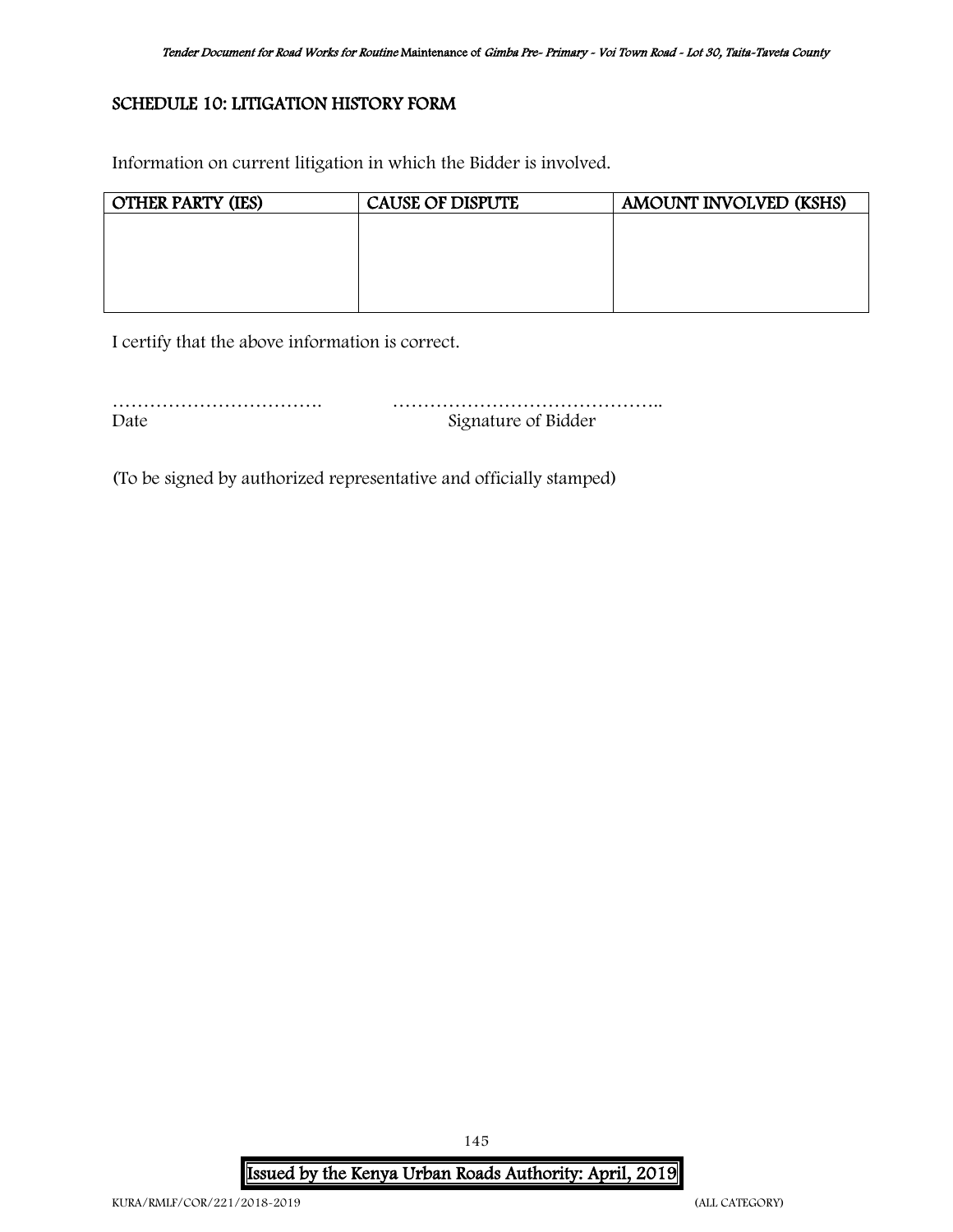## SCHEDULE 10: LITIGATION HISTORY FORM

Information on current litigation in which the Bidder is involved.

| <b>OTHER PARTY (IES)</b> | <b>CAUSE OF DISPUTE</b> | AMOUNT INVOLVED (KSHS) |
|--------------------------|-------------------------|------------------------|
|                          |                         |                        |
|                          |                         |                        |
|                          |                         |                        |
|                          |                         |                        |
|                          |                         |                        |

I certify that the above information is correct.

……………………………. …………………………………….. Date Signature of Bidder

(To be signed by authorized representative and officially stamped)

Issued by the Kenya Urban Roads Authority: April, 2019

145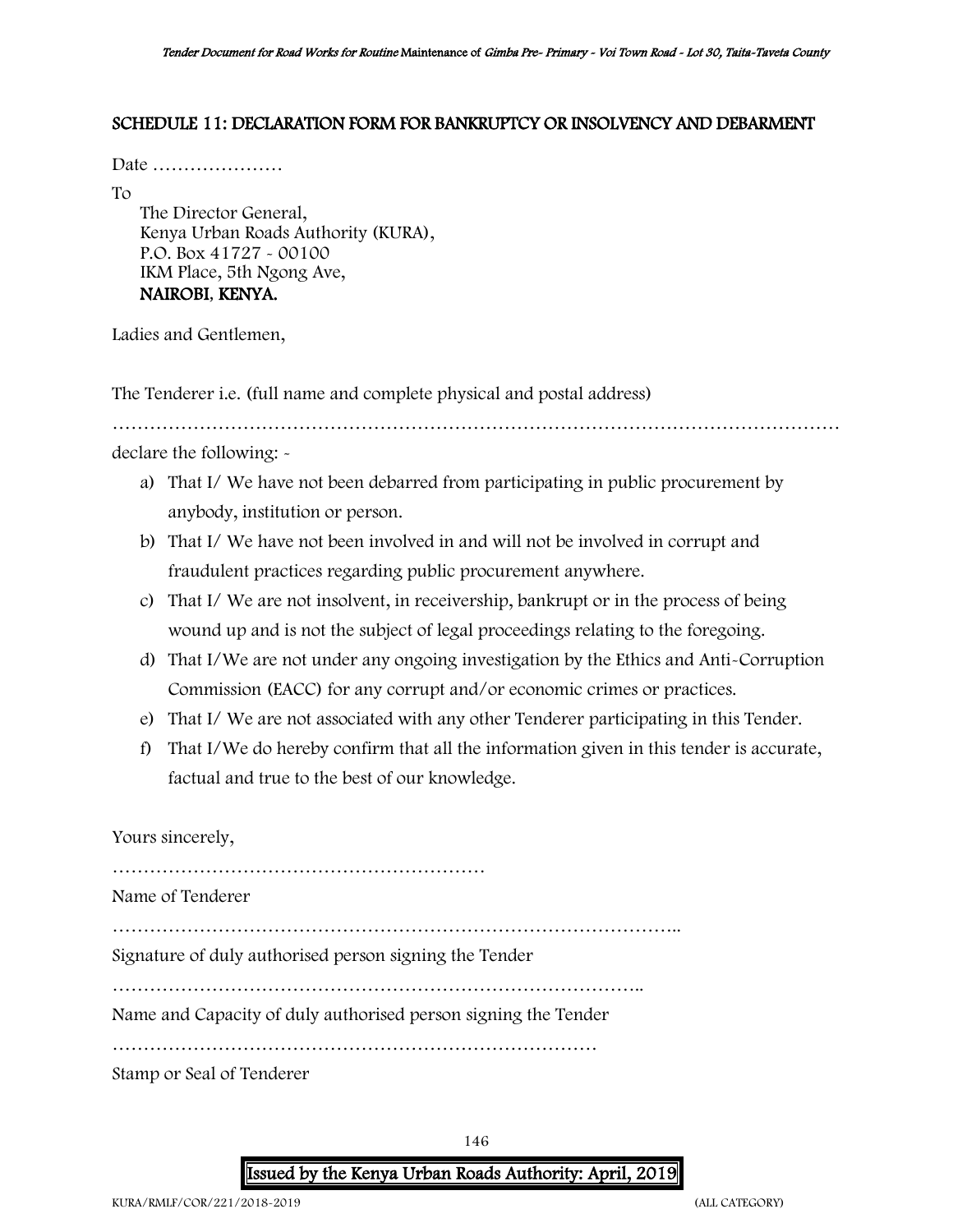#### SCHEDULE 11: DECLARATION FORM FOR BANKRUPTCY OR INSOLVENCY AND DEBARMENT

Date …………………

To

The Director General, Kenya Urban Roads Authority (KURA), P.O. Box 41727 - 00100 IKM Place, 5th Ngong Ave, NAIROBI, KENYA.

Ladies and Gentlemen,

The Tenderer i.e. (full name and complete physical and postal address)

……………………………………………………………………………………………………… declare the following: -

- a) That I/ We have not been debarred from participating in public procurement by anybody, institution or person.
- b) That I/ We have not been involved in and will not be involved in corrupt and fraudulent practices regarding public procurement anywhere.
- c) That I/ We are not insolvent, in receivership, bankrupt or in the process of being wound up and is not the subject of legal proceedings relating to the foregoing.
- d) That I/We are not under any ongoing investigation by the Ethics and Anti-Corruption Commission (EACC) for any corrupt and/or economic crimes or practices.
- e) That I/ We are not associated with any other Tenderer participating in this Tender.
- f) That I/We do hereby confirm that all the information given in this tender is accurate, factual and true to the best of our knowledge.

Yours sincerely,

………………………………………………………………………………

Name of Tenderer

………………………………………………………………………………..

Signature of duly authorised person signing the Tender

…………………………………………………………………………..

Name and Capacity of duly authorised person signing the Tender

……………………………………………………………………

Stamp or Seal of Tenderer

146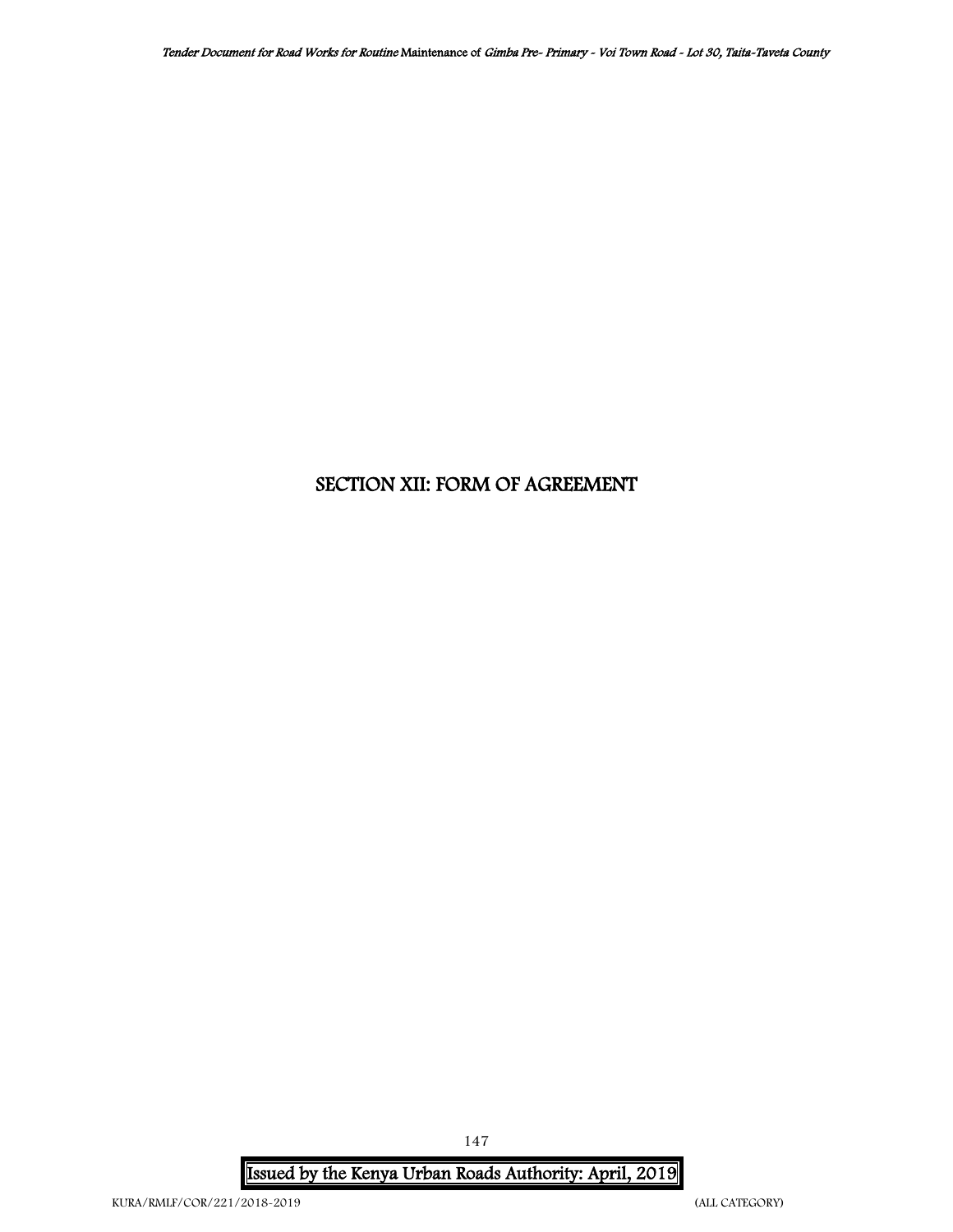## SECTION XII: FORM OF AGREEMENT

Issued by the Kenya Urban Roads Authority: April, 2019

147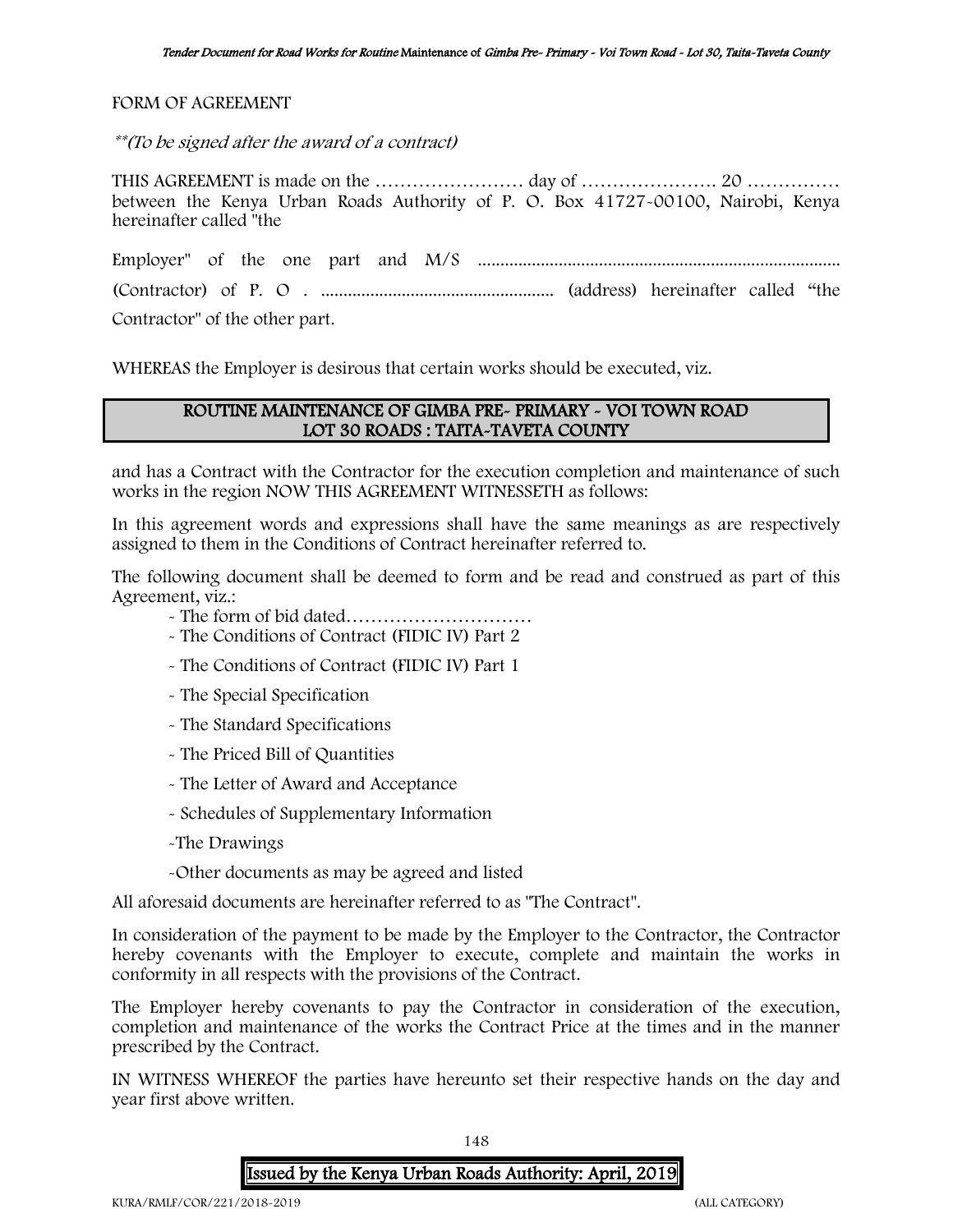FORM OF AGREEMENT

\*\*(To be signed after the award of a contract)

THIS AGREEMENT is made on the …………………………… day of …………………………………………………………………………………… between the Kenya Urban Roads Authority of P. O. Box 41727-00100, Nairobi, Kenya hereinafter called "the

Employer" of the one part and M/S ................................................................................. (Contractor) of P. O . .................................................... (address) hereinafter called "the Contractor" of the other part.

WHEREAS the Employer is desirous that certain works should be executed, viz.

## ROUTINE MAINTENANCE OF GIMBA PRE- PRIMARY - VOI TOWN ROAD LOT 30 ROADS : TAITA-TAVETA COUNTY

and has a Contract with the Contractor for the execution completion and maintenance of such works in the region NOW THIS AGREEMENT WITNESSETH as follows:

In this agreement words and expressions shall have the same meanings as are respectively assigned to them in the Conditions of Contract hereinafter referred to.

The following document shall be deemed to form and be read and construed as part of this Agreement, viz.:

- The form of bid dated…………………………
- The Conditions of Contract (FIDIC IV) Part 2
- The Conditions of Contract (FIDIC IV) Part 1
- The Special Specification
- The Standard Specifications
- The Priced Bill of Quantities
- The Letter of Award and Acceptance
- Schedules of Supplementary Information
- -The Drawings
- -Other documents as may be agreed and listed

All aforesaid documents are hereinafter referred to as "The Contract".

In consideration of the payment to be made by the Employer to the Contractor, the Contractor hereby covenants with the Employer to execute, complete and maintain the works in conformity in all respects with the provisions of the Contract.

The Employer hereby covenants to pay the Contractor in consideration of the execution, completion and maintenance of the works the Contract Price at the times and in the manner prescribed by the Contract.

IN WITNESS WHEREOF the parties have hereunto set their respective hands on the day and year first above written.

148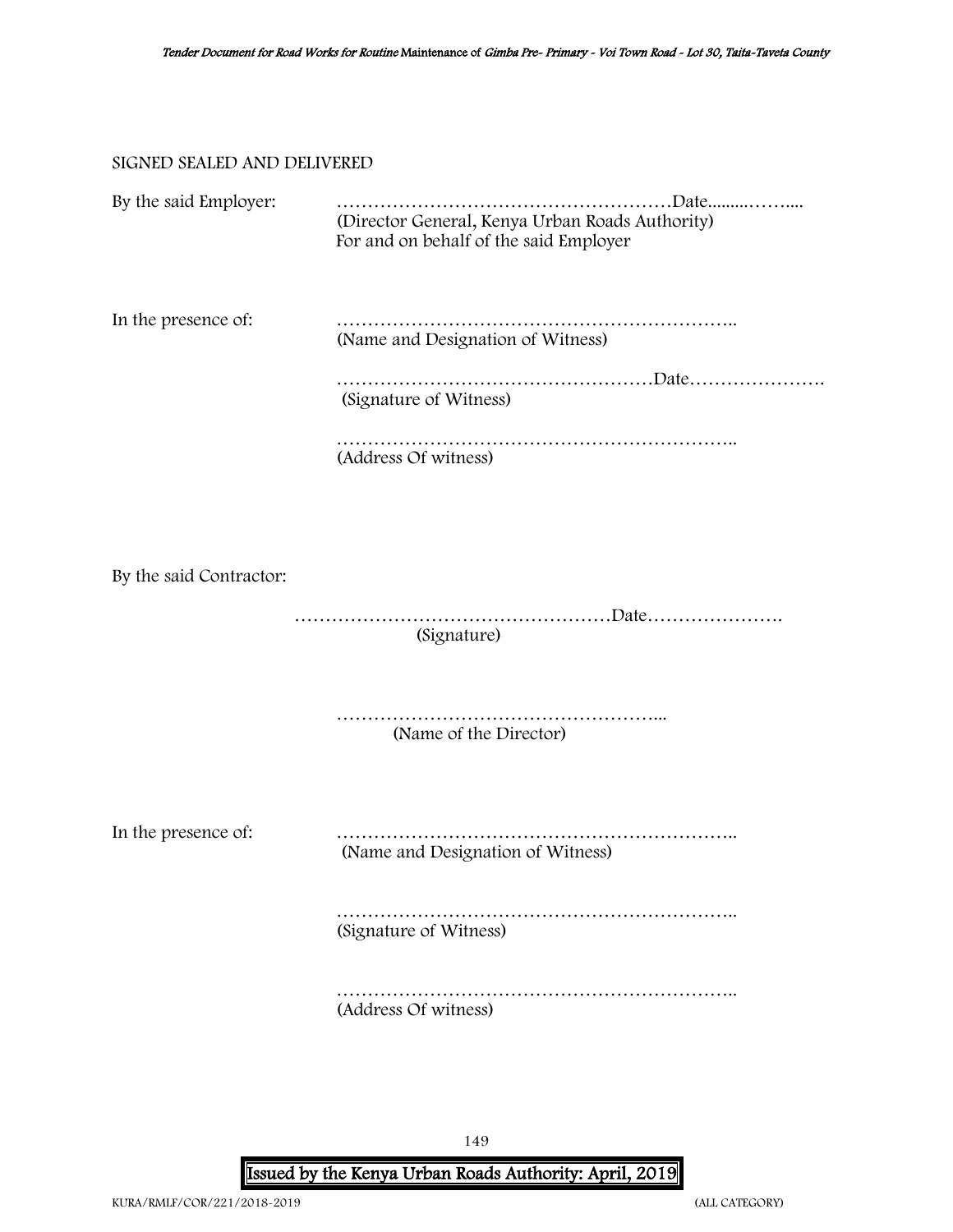#### SIGNED SEALED AND DELIVERED

| By the said Employer: | .Date<br>(Director General, Kenya Urban Roads Authority)<br>For and on behalf of the said Employer |
|-----------------------|----------------------------------------------------------------------------------------------------|
| In the presence of:   | (Name and Designation of Witness)                                                                  |
|                       |                                                                                                    |
|                       | (Signature of Witness)                                                                             |
|                       | (Address Of witness)                                                                               |
|                       |                                                                                                    |

By the said Contractor:

 ……………………………………………Date…………………. (Signature)

……………………………………………... (Name of the Director)

In the presence of: ……………………………………………………….. (Name and Designation of Witness)

> ……………………………………………………….. (Signature of Witness)

> …………………………………………………………………… (Address Of witness)

> > 149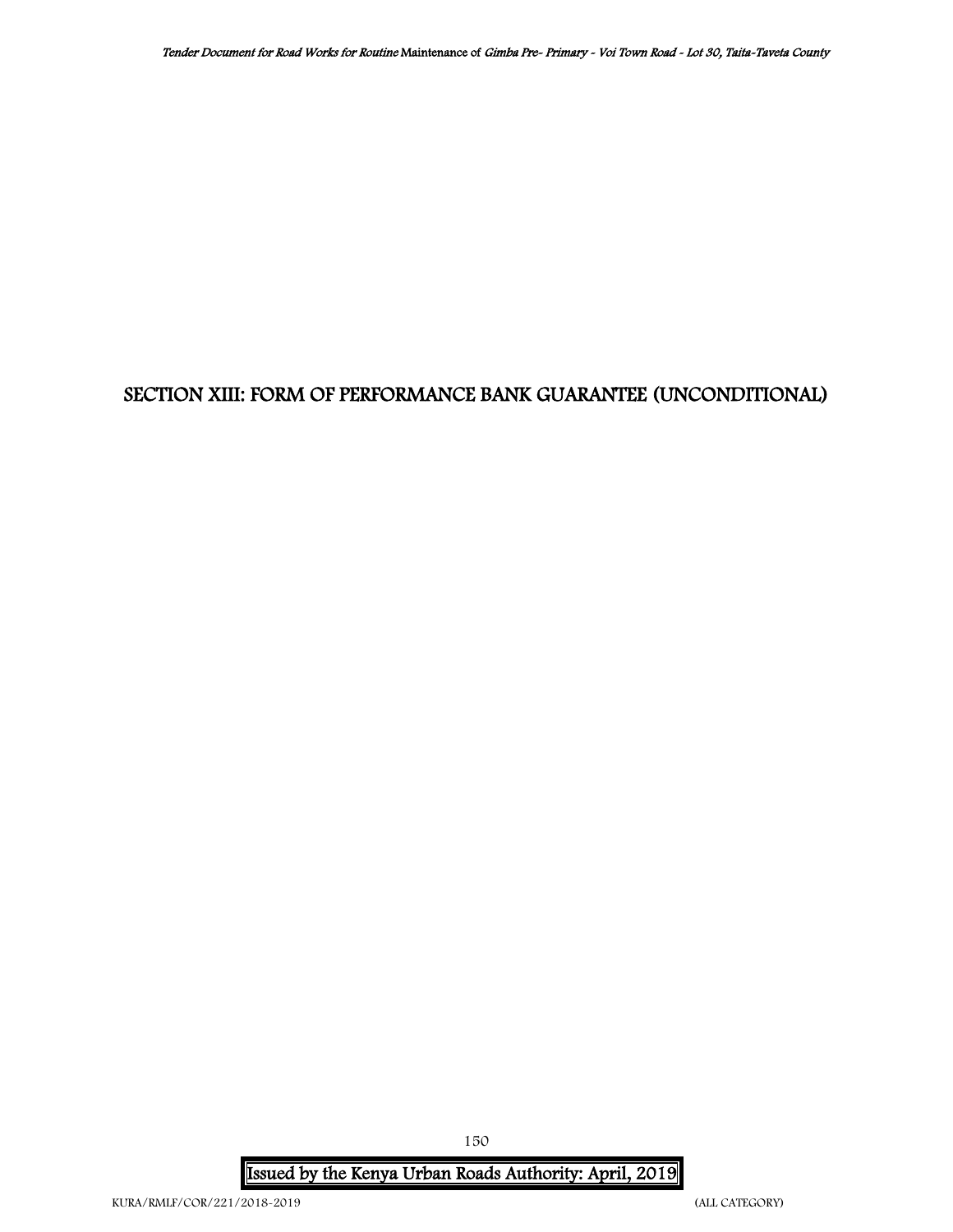# SECTION XIII: FORM OF PERFORMANCE BANK GUARANTEE (UNCONDITIONAL)

Issued by the Kenya Urban Roads Authority: April, 2019

150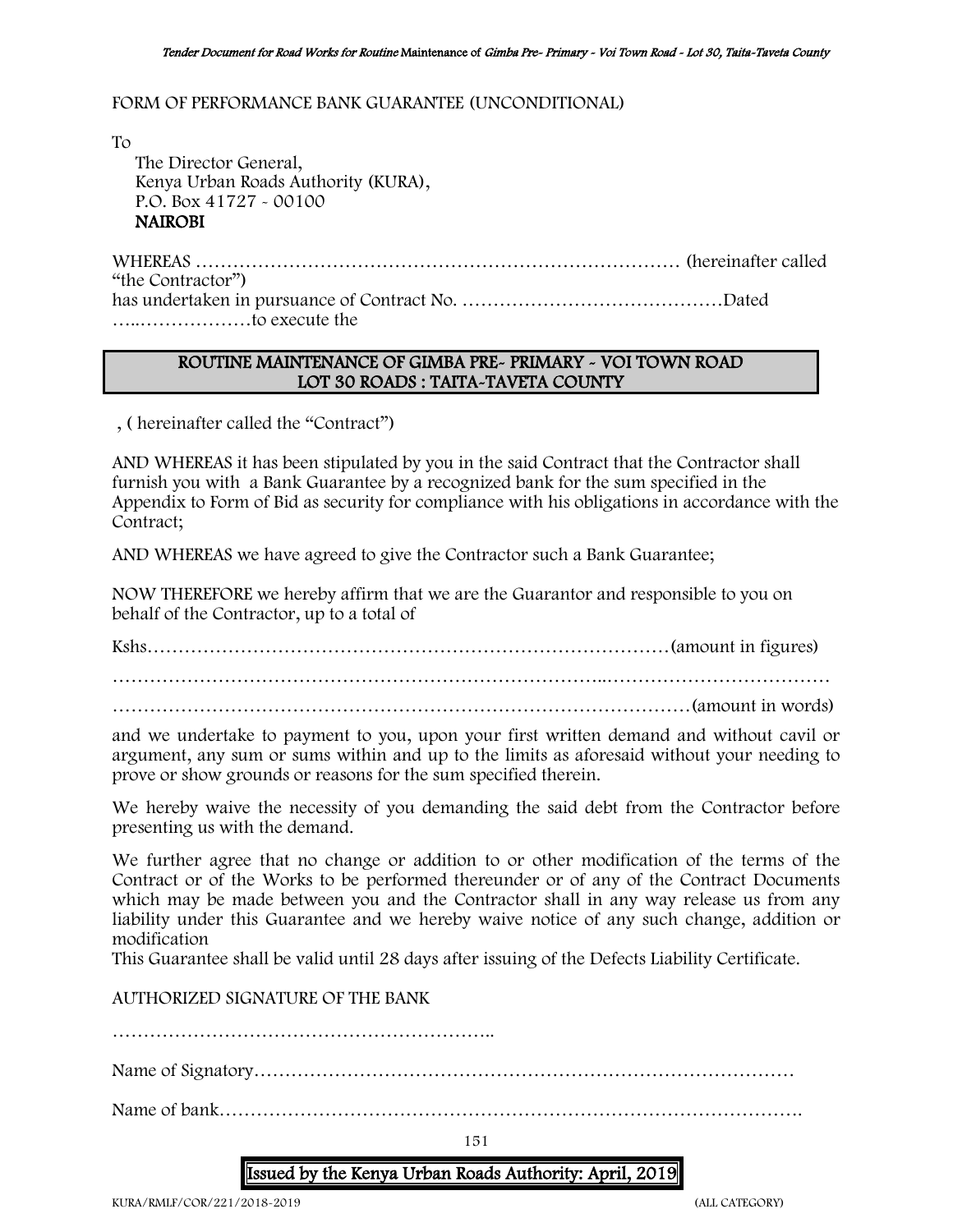#### FORM OF PERFORMANCE BANK GUARANTEE (UNCONDITIONAL)

To The Director General, Kenya Urban Roads Authority (KURA), P.O. Box 41727 - 00100 NAIROBI

WHEREAS …………………………………………………………………… (hereinafter called "the Contractor") has undertaken in pursuance of Contract No. ……………………………………Dated …..………………to execute the

### ROUTINE MAINTENANCE OF GIMBA PRE- PRIMARY - VOI TOWN ROAD LOT 30 ROADS : TAITA-TAVETA COUNTY

, ( hereinafter called the "Contract")

AND WHEREAS it has been stipulated by you in the said Contract that the Contractor shall furnish you with a Bank Guarantee by a recognized bank for the sum specified in the Appendix to Form of Bid as security for compliance with his obligations in accordance with the Contract;

AND WHEREAS we have agreed to give the Contractor such a Bank Guarantee;

NOW THEREFORE we hereby affirm that we are the Guarantor and responsible to you on behalf of the Contractor, up to a total of

Kshs…………………………………………………………………………(amount in figures) ……………………………………………………………………..……………………………… …………………………………………………………………………………(amount in words)

and we undertake to payment to you, upon your first written demand and without cavil or argument, any sum or sums within and up to the limits as aforesaid without your needing to prove or show grounds or reasons for the sum specified therein.

We hereby waive the necessity of you demanding the said debt from the Contractor before presenting us with the demand.

We further agree that no change or addition to or other modification of the terms of the Contract or of the Works to be performed thereunder or of any of the Contract Documents which may be made between you and the Contractor shall in any way release us from any liability under this Guarantee and we hereby waive notice of any such change, addition or modification

This Guarantee shall be valid until 28 days after issuing of the Defects Liability Certificate.

AUTHORIZED SIGNATURE OF THE BANK

……………………………………………………..

Name of Signatory……………………………………………………………………………

Name of bank………………………………………………………………………………….